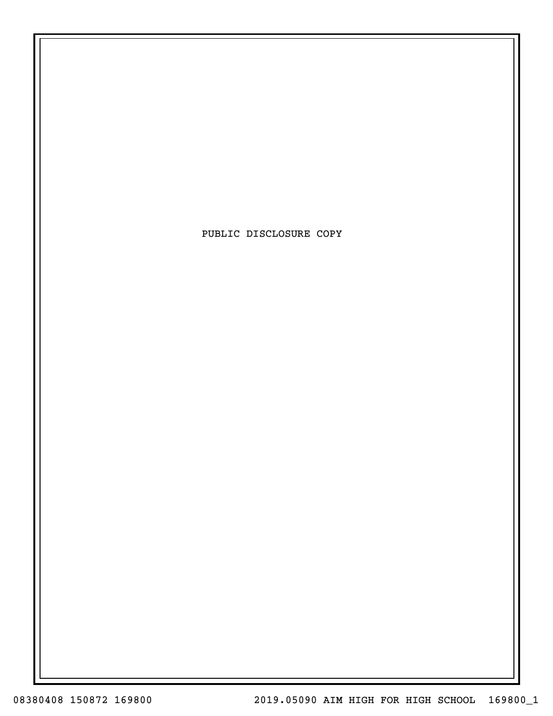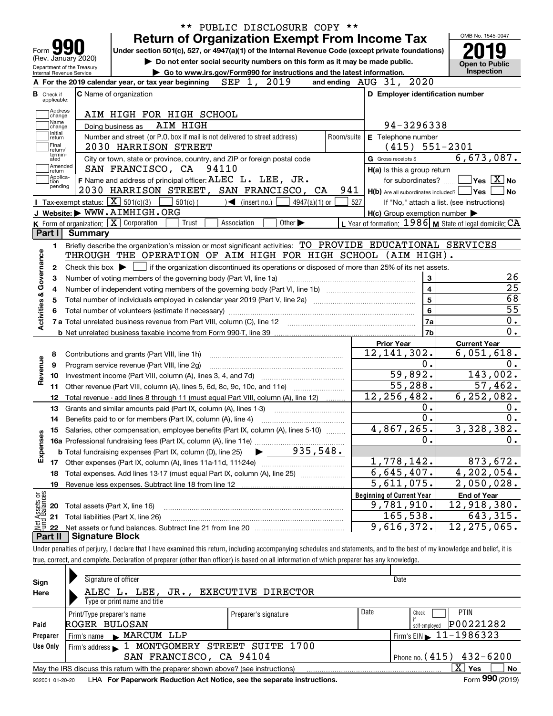|                                    |                                                   |                                                                                                                                                                |                                                                                                                                                       |                             |                 |            | <b>Return of Organization Exempt From Income Tax</b>      |                      | OMB No. 1545-0047                                                                                                                   |
|------------------------------------|---------------------------------------------------|----------------------------------------------------------------------------------------------------------------------------------------------------------------|-------------------------------------------------------------------------------------------------------------------------------------------------------|-----------------------------|-----------------|------------|-----------------------------------------------------------|----------------------|-------------------------------------------------------------------------------------------------------------------------------------|
| Form $\sum$<br>(Rev. January 2020) |                                                   | Under section 501(c), 527, or 4947(a)(1) of the Internal Revenue Code (except private foundations)                                                             |                                                                                                                                                       |                             |                 |            |                                                           |                      |                                                                                                                                     |
| Department of the Treasury         |                                                   |                                                                                                                                                                | Do not enter social security numbers on this form as it may be made public.<br>Go to www.irs.gov/Form990 for instructions and the latest information. |                             |                 |            |                                                           |                      | <b>Open to Public</b><br>Inspection                                                                                                 |
| Internal Revenue Service           |                                                   | A For the 2019 calendar year, or tax year beginning                                                                                                            | SEP 1.                                                                                                                                                | 2019                        |                 |            | and ending AUG 31, 2020                                   |                      |                                                                                                                                     |
| <b>B</b> Check if                  |                                                   | <b>C</b> Name of organization                                                                                                                                  |                                                                                                                                                       |                             |                 |            | D Employer identification number                          |                      |                                                                                                                                     |
| applicable:                        |                                                   |                                                                                                                                                                |                                                                                                                                                       |                             |                 |            |                                                           |                      |                                                                                                                                     |
| Address<br>change                  |                                                   | AIM HIGH FOR HIGH SCHOOL                                                                                                                                       |                                                                                                                                                       |                             |                 |            |                                                           |                      |                                                                                                                                     |
| Name<br>change                     |                                                   | AIM HIGH<br>Doing business as                                                                                                                                  |                                                                                                                                                       |                             |                 |            | 94-3296338                                                |                      |                                                                                                                                     |
| Initial<br>return                  |                                                   | Number and street (or P.O. box if mail is not delivered to street address)                                                                                     |                                                                                                                                                       |                             |                 | Room/suite | E Telephone number                                        |                      |                                                                                                                                     |
| Final<br>return/                   |                                                   | 2030 HARRISON STREET                                                                                                                                           |                                                                                                                                                       |                             |                 |            | $(415) 551-2301$                                          |                      |                                                                                                                                     |
| termin-<br>ated                    |                                                   | City or town, state or province, country, and ZIP or foreign postal code                                                                                       |                                                                                                                                                       |                             |                 |            | G Gross receipts \$                                       |                      | 6,673,087.                                                                                                                          |
| Amended<br>∣return                 |                                                   | SAN FRANCISCO, CA 94110                                                                                                                                        |                                                                                                                                                       |                             |                 |            | $H(a)$ is this a group return                             |                      |                                                                                                                                     |
| Applica-<br>tion                   |                                                   | F Name and address of principal officer: ALEC L. LEE, UR.                                                                                                      |                                                                                                                                                       |                             |                 |            | for subordinates?                                         |                      | $\Box$ Yes $[\overline{X}]$ No                                                                                                      |
| pending                            |                                                   | 2030 HARRISON STREET, SAN FRANCISCO, CA                                                                                                                        |                                                                                                                                                       |                             |                 | 941        | $H(b)$ Are all subordinates included? $\Box$ Yes          |                      |                                                                                                                                     |
|                                    | Tax-exempt status: $\boxed{\mathbf{X}}$ 501(c)(3) | $501(c)$ (                                                                                                                                                     | $\mathcal{A}$ (insert no.)                                                                                                                            |                             | $4947(a)(1)$ or | 527        |                                                           |                      | If "No," attach a list. (see instructions)                                                                                          |
|                                    |                                                   | J Website: WWW.AIMHIGH.ORG                                                                                                                                     |                                                                                                                                                       |                             |                 |            | $H(c)$ Group exemption number $\blacktriangleright$       |                      |                                                                                                                                     |
|                                    |                                                   | K Form of organization: X Corporation<br>Trust                                                                                                                 | Association                                                                                                                                           | Other $\blacktriangleright$ |                 |            | L Year of formation: $1986$ M State of legal domicile: CA |                      |                                                                                                                                     |
| Part I                             | Summary                                           |                                                                                                                                                                |                                                                                                                                                       |                             |                 |            |                                                           |                      |                                                                                                                                     |
| 1.                                 |                                                   | Briefly describe the organization's mission or most significant activities: TO PROVIDE EDUCATIONAL SERVICES                                                    |                                                                                                                                                       |                             |                 |            |                                                           |                      |                                                                                                                                     |
|                                    |                                                   | THROUGH THE OPERATION OF AIM HIGH FOR HIGH SCHOOL (AIM HIGH).                                                                                                  |                                                                                                                                                       |                             |                 |            |                                                           |                      |                                                                                                                                     |
| 2                                  |                                                   | Check this box $\blacktriangleright \Box$ if the organization discontinued its operations or disposed of more than 25% of its net assets.                      |                                                                                                                                                       |                             |                 |            |                                                           |                      |                                                                                                                                     |
| З                                  |                                                   | Number of voting members of the governing body (Part VI, line 1a)                                                                                              |                                                                                                                                                       |                             |                 |            |                                                           | 3                    |                                                                                                                                     |
| 4                                  |                                                   |                                                                                                                                                                |                                                                                                                                                       |                             |                 |            |                                                           | 4                    |                                                                                                                                     |
| 5                                  |                                                   |                                                                                                                                                                |                                                                                                                                                       |                             |                 |            |                                                           |                      |                                                                                                                                     |
|                                    |                                                   |                                                                                                                                                                |                                                                                                                                                       |                             |                 |            |                                                           |                      |                                                                                                                                     |
|                                    |                                                   |                                                                                                                                                                |                                                                                                                                                       |                             |                 |            |                                                           | 5                    |                                                                                                                                     |
|                                    |                                                   |                                                                                                                                                                |                                                                                                                                                       |                             |                 |            |                                                           | 6                    |                                                                                                                                     |
| Activities & Governance            |                                                   |                                                                                                                                                                |                                                                                                                                                       |                             |                 |            |                                                           | 7a<br>7 <sub>b</sub> |                                                                                                                                     |
|                                    |                                                   |                                                                                                                                                                |                                                                                                                                                       |                             |                 |            | <b>Prior Year</b>                                         |                      | <b>Current Year</b>                                                                                                                 |
| 8                                  |                                                   |                                                                                                                                                                |                                                                                                                                                       |                             |                 |            |                                                           |                      |                                                                                                                                     |
| 9                                  |                                                   | Contributions and grants (Part VIII, line 1h)                                                                                                                  |                                                                                                                                                       |                             |                 |            | 12, 141, 302.                                             | 0.                   |                                                                                                                                     |
| 10                                 |                                                   | Program service revenue (Part VIII, line 2g)                                                                                                                   |                                                                                                                                                       |                             |                 |            | 59,892.                                                   |                      |                                                                                                                                     |
| Revenue<br>11                      |                                                   |                                                                                                                                                                |                                                                                                                                                       |                             |                 |            | 55,288.                                                   |                      |                                                                                                                                     |
| 12                                 |                                                   | Other revenue (Part VIII, column (A), lines 5, 6d, 8c, 9c, 10c, and 11e)<br>Total revenue - add lines 8 through 11 (must equal Part VIII, column (A), line 12) |                                                                                                                                                       |                             |                 |            | 12, 256, 482.                                             |                      |                                                                                                                                     |
| 13                                 |                                                   | Grants and similar amounts paid (Part IX, column (A), lines 1-3)                                                                                               |                                                                                                                                                       |                             |                 |            |                                                           | 0.                   |                                                                                                                                     |
| 14                                 |                                                   |                                                                                                                                                                |                                                                                                                                                       |                             |                 |            |                                                           | 0.                   |                                                                                                                                     |
|                                    |                                                   |                                                                                                                                                                |                                                                                                                                                       |                             |                 |            | 4,867,265.                                                |                      |                                                                                                                                     |
|                                    |                                                   | 15 Salaries, other compensation, employee benefits (Part IX, column (A), lines 5-10)                                                                           |                                                                                                                                                       |                             |                 |            | 0.                                                        |                      |                                                                                                                                     |
|                                    |                                                   | <b>b</b> Total fundraising expenses (Part IX, column (D), line 25)                                                                                             |                                                                                                                                                       |                             | 935,548.        |            |                                                           |                      |                                                                                                                                     |
| Expenses<br>17                     |                                                   |                                                                                                                                                                |                                                                                                                                                       |                             |                 |            | 1,778,142.                                                |                      |                                                                                                                                     |
| 18                                 |                                                   |                                                                                                                                                                |                                                                                                                                                       |                             |                 |            |                                                           |                      |                                                                                                                                     |
| 19                                 |                                                   | Total expenses. Add lines 13-17 (must equal Part IX, column (A), line 25)<br>Revenue less expenses. Subtract line 18 from line 12                              |                                                                                                                                                       |                             |                 |            | 6,645,407.                                                |                      |                                                                                                                                     |
|                                    |                                                   |                                                                                                                                                                |                                                                                                                                                       |                             |                 |            | $\overline{5,611,075}$ .                                  |                      |                                                                                                                                     |
| 20                                 |                                                   |                                                                                                                                                                |                                                                                                                                                       |                             |                 |            | <b>Beginning of Current Year</b><br>9,781,910.            |                      | <b>End of Year</b>                                                                                                                  |
| 21                                 |                                                   | Total assets (Part X, line 16)<br>Total liabilities (Part X, line 26)                                                                                          |                                                                                                                                                       |                             |                 |            | 165,538.                                                  |                      | 6,051,618.<br>143,002.<br>57,462.<br>6, 252, 082.<br>3,328,382.<br>873,672.<br>4,202,054.<br>2,050,028.<br>12,918,380.<br>643, 315. |
| t Assets or<br>d Balances<br>-22   |                                                   |                                                                                                                                                                |                                                                                                                                                       |                             |                 |            | 9,616,372.                                                |                      | 12, 275, 065.                                                                                                                       |

| Sign     | Signature of officer                                                                                         |                                |      | Date                                        |  |  |  |  |  |  |  |
|----------|--------------------------------------------------------------------------------------------------------------|--------------------------------|------|---------------------------------------------|--|--|--|--|--|--|--|
| Here     | ALEC L. LEE,<br>JR.,                                                                                         | EXECUTIVE DIRECTOR             |      |                                             |  |  |  |  |  |  |  |
|          | Type or print name and title                                                                                 |                                |      |                                             |  |  |  |  |  |  |  |
|          | Print/Type preparer's name                                                                                   | Preparer's signature           | Date | <b>PTIN</b><br>Check                        |  |  |  |  |  |  |  |
| Paid     | ROGER BULOSAN                                                                                                |                                |      | P00221282<br>self-emploved                  |  |  |  |  |  |  |  |
| Preparer | Firm's name MARCUM LLP                                                                                       |                                |      | Firm's EIN $\blacktriangleright$ 11-1986323 |  |  |  |  |  |  |  |
| Use Only | Firm's address 1 MONTGOMERY STREET SUITE 1700                                                                |                                |      |                                             |  |  |  |  |  |  |  |
|          | SAN FRANCISCO, CA 94104                                                                                      | Phone no. $(415)$ $432 - 6200$ |      |                                             |  |  |  |  |  |  |  |
|          | x<br><b>No</b><br>Yes<br>May the IRS discuss this return with the preparer shown above? (see instructions)   |                                |      |                                             |  |  |  |  |  |  |  |
|          | Form 990 (2019)<br>LHA For Paperwork Reduction Act Notice, see the separate instructions.<br>932001 01-20-20 |                                |      |                                             |  |  |  |  |  |  |  |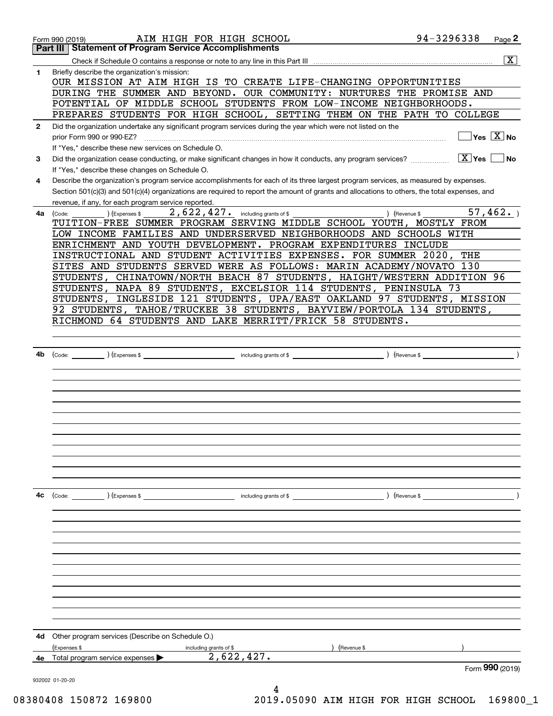|              | AIM HIGH FOR HIGH SCHOOL<br>Form 990 (2019)                                                                                                                                                         | 94-3296338                          | Page 2                             |
|--------------|-----------------------------------------------------------------------------------------------------------------------------------------------------------------------------------------------------|-------------------------------------|------------------------------------|
|              | <b>Part III Statement of Program Service Accomplishments</b>                                                                                                                                        |                                     |                                    |
|              |                                                                                                                                                                                                     |                                     | $\overline{\mathbf{X}}$            |
| $\mathbf{1}$ | Briefly describe the organization's mission:<br>OUR MISSION AT AIM HIGH IS TO CREATE LIFE-CHANGING OPPORTUNITIES                                                                                    |                                     |                                    |
|              | DURING THE SUMMER AND BEYOND. OUR COMMUNITY: NURTURES THE PROMISE AND                                                                                                                               |                                     |                                    |
|              | POTENTIAL OF MIDDLE SCHOOL STUDENTS FROM LOW-INCOME NEIGHBORHOODS.                                                                                                                                  |                                     |                                    |
|              | PREPARES STUDENTS FOR HIGH SCHOOL, SETTING THEM ON THE PATH TO COLLEGE                                                                                                                              |                                     |                                    |
| $\mathbf{2}$ | Did the organization undertake any significant program services during the year which were not listed on the<br>prior Form 990 or 990-EZ?                                                           |                                     | $\Box$ Yes $\boxed{\mathrm{X}}$ No |
|              | If "Yes," describe these new services on Schedule O.                                                                                                                                                |                                     |                                    |
| 3            | Did the organization cease conducting, or make significant changes in how it conducts, any program services?<br>If "Yes," describe these changes on Schedule O.                                     | $\boxed{\text{X}}$ Yes $\boxed{\ }$ | $ N_{\rm O} $                      |
| 4            | Describe the organization's program service accomplishments for each of its three largest program services, as measured by expenses.                                                                |                                     |                                    |
|              | Section 501(c)(3) and 501(c)(4) organizations are required to report the amount of grants and allocations to others, the total expenses, and<br>revenue, if any, for each program service reported. |                                     |                                    |
| 4a           | $2,622,427$ and including grants of \$<br>) (Revenue \$<br>(Expenses \$<br>(Code:                                                                                                                   |                                     | 57,462.                            |
|              | TUITION-FREE SUMMER PROGRAM SERVING MIDDLE SCHOOL YOUTH, MOSTLY FROM                                                                                                                                |                                     |                                    |
|              | LOW INCOME FAMILIES AND UNDERSERVED NEIGHBORHOODS AND SCHOOLS WITH                                                                                                                                  |                                     |                                    |
|              | ENRICHMENT AND YOUTH DEVELOPMENT. PROGRAM EXPENDITURES INCLUDE                                                                                                                                      |                                     |                                    |
|              | INSTRUCTIONAL AND STUDENT ACTIVITIES EXPENSES. FOR SUMMER 2020,                                                                                                                                     | THE                                 |                                    |
|              | SITES AND STUDENTS SERVED WERE AS FOLLOWS: MARIN ACADEMY/NOVATO 130                                                                                                                                 |                                     |                                    |
|              | STUDENTS, CHINATOWN/NORTH BEACH 87 STUDENTS, HAIGHT/WESTERN ADDITION 96                                                                                                                             |                                     |                                    |
|              | STUDENTS, NAPA 89 STUDENTS, EXCELSIOR 114 STUDENTS, PENINSULA 73                                                                                                                                    |                                     |                                    |
|              | STUDENTS, INGLESIDE 121 STUDENTS, UPA/EAST OAKLAND 97 STUDENTS, MISSION                                                                                                                             |                                     |                                    |
|              | 92 STUDENTS, TAHOE/TRUCKEE 38 STUDENTS, BAYVIEW/PORTOLA 134 STUDENTS,                                                                                                                               |                                     |                                    |
|              | RICHMOND 64 STUDENTS AND LAKE MERRITT/FRICK 58 STUDENTS.                                                                                                                                            |                                     |                                    |
|              |                                                                                                                                                                                                     |                                     |                                    |
|              |                                                                                                                                                                                                     |                                     |                                    |
| 4b           |                                                                                                                                                                                                     |                                     |                                    |
|              |                                                                                                                                                                                                     |                                     |                                    |
|              |                                                                                                                                                                                                     |                                     |                                    |
|              |                                                                                                                                                                                                     |                                     |                                    |
|              |                                                                                                                                                                                                     |                                     |                                    |
|              |                                                                                                                                                                                                     |                                     |                                    |
|              |                                                                                                                                                                                                     |                                     |                                    |
|              |                                                                                                                                                                                                     |                                     |                                    |
|              |                                                                                                                                                                                                     |                                     |                                    |
|              |                                                                                                                                                                                                     |                                     |                                    |
|              |                                                                                                                                                                                                     |                                     |                                    |
|              |                                                                                                                                                                                                     |                                     |                                    |
| 4с           | (Code: ) (Expenses \$                                                                                                                                                                               |                                     |                                    |
|              |                                                                                                                                                                                                     |                                     |                                    |
|              |                                                                                                                                                                                                     |                                     |                                    |
|              |                                                                                                                                                                                                     |                                     |                                    |
|              |                                                                                                                                                                                                     |                                     |                                    |
|              |                                                                                                                                                                                                     |                                     |                                    |
|              |                                                                                                                                                                                                     |                                     |                                    |
|              |                                                                                                                                                                                                     |                                     |                                    |
|              |                                                                                                                                                                                                     |                                     |                                    |
|              |                                                                                                                                                                                                     |                                     |                                    |
|              |                                                                                                                                                                                                     |                                     |                                    |
|              |                                                                                                                                                                                                     |                                     |                                    |
|              |                                                                                                                                                                                                     |                                     |                                    |
| 4d           | Other program services (Describe on Schedule O.)                                                                                                                                                    |                                     |                                    |
|              | (Expenses \$<br>(Revenue \$<br>including grants of \$<br>2,622,427.<br>Total program service expenses                                                                                               |                                     |                                    |
| 4e           |                                                                                                                                                                                                     |                                     | Form 990 (2019)                    |
|              | 932002 01-20-20                                                                                                                                                                                     |                                     |                                    |
|              | 4                                                                                                                                                                                                   |                                     |                                    |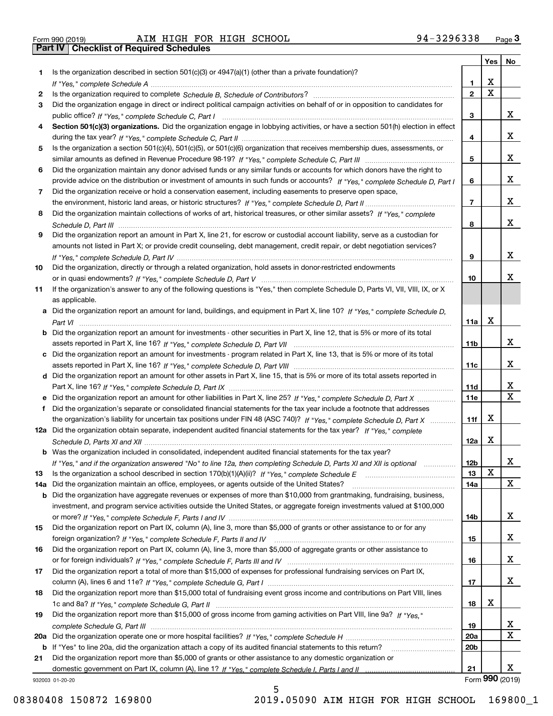| Form 990 (2019) |  |  |
|-----------------|--|--|

|     |                                                                                                                                       |                 | Yes   No                |                         |
|-----|---------------------------------------------------------------------------------------------------------------------------------------|-----------------|-------------------------|-------------------------|
| 1   | Is the organization described in section $501(c)(3)$ or $4947(a)(1)$ (other than a private foundation)?                               |                 |                         |                         |
|     |                                                                                                                                       | 1               | х                       |                         |
| 2   |                                                                                                                                       | $\overline{2}$  | $\overline{\mathbf{x}}$ |                         |
| 3   | Did the organization engage in direct or indirect political campaign activities on behalf of or in opposition to candidates for       |                 |                         |                         |
|     |                                                                                                                                       | 3               |                         | x                       |
| 4   | Section 501(c)(3) organizations. Did the organization engage in lobbying activities, or have a section 501(h) election in effect      |                 |                         |                         |
|     |                                                                                                                                       | 4               |                         | x                       |
| 5   | Is the organization a section 501(c)(4), 501(c)(5), or 501(c)(6) organization that receives membership dues, assessments, or          |                 |                         |                         |
|     |                                                                                                                                       | 5               |                         | x                       |
| 6   | Did the organization maintain any donor advised funds or any similar funds or accounts for which donors have the right to             |                 |                         |                         |
|     | provide advice on the distribution or investment of amounts in such funds or accounts? If "Yes," complete Schedule D, Part I          | 6               |                         | x                       |
| 7   | Did the organization receive or hold a conservation easement, including easements to preserve open space,                             |                 |                         |                         |
|     |                                                                                                                                       | $\overline{7}$  |                         | x                       |
| 8   | Did the organization maintain collections of works of art, historical treasures, or other similar assets? If "Yes," complete          |                 |                         |                         |
|     |                                                                                                                                       | 8               |                         | x                       |
| 9   | Did the organization report an amount in Part X, line 21, for escrow or custodial account liability, serve as a custodian for         |                 |                         |                         |
|     | amounts not listed in Part X; or provide credit counseling, debt management, credit repair, or debt negotiation services?             |                 |                         |                         |
|     |                                                                                                                                       | 9               |                         | x                       |
| 10  | Did the organization, directly or through a related organization, hold assets in donor-restricted endowments                          |                 |                         | х                       |
|     |                                                                                                                                       | 10              |                         |                         |
| 11  | If the organization's answer to any of the following questions is "Yes," then complete Schedule D, Parts VI, VII, VIII, IX, or X      |                 |                         |                         |
|     | as applicable.                                                                                                                        |                 |                         |                         |
|     | a Did the organization report an amount for land, buildings, and equipment in Part X, line 10? If "Yes," complete Schedule D.         |                 | х                       |                         |
|     | <b>b</b> Did the organization report an amount for investments - other securities in Part X, line 12, that is 5% or more of its total | 11a             |                         |                         |
|     |                                                                                                                                       | 11b             |                         | x                       |
|     | c Did the organization report an amount for investments - program related in Part X, line 13, that is 5% or more of its total         |                 |                         |                         |
|     |                                                                                                                                       | 11c             |                         | x                       |
|     | d Did the organization report an amount for other assets in Part X, line 15, that is 5% or more of its total assets reported in       |                 |                         |                         |
|     |                                                                                                                                       | 11d             |                         | X                       |
|     |                                                                                                                                       | <b>11e</b>      |                         | $\overline{\mathtt{x}}$ |
| f.  | Did the organization's separate or consolidated financial statements for the tax year include a footnote that addresses               |                 |                         |                         |
|     | the organization's liability for uncertain tax positions under FIN 48 (ASC 740)? If "Yes," complete Schedule D, Part X                | 11f             | х                       |                         |
|     | 12a Did the organization obtain separate, independent audited financial statements for the tax year? If "Yes," complete               |                 |                         |                         |
|     |                                                                                                                                       | 12a             | x                       |                         |
|     | <b>b</b> Was the organization included in consolidated, independent audited financial statements for the tax year?                    |                 |                         |                         |
|     | If "Yes," and if the organization answered "No" to line 12a, then completing Schedule D, Parts XI and XII is optional                 | 12 <sub>b</sub> |                         | 43.                     |
| 13  | Is the organization a school described in section $170(b)(1)(A)(ii)?$ If "Yes," complete Schedule E                                   | 13              | X                       |                         |
| 14a | Did the organization maintain an office, employees, or agents outside of the United States?                                           | 14a             |                         | X                       |
| b   | Did the organization have aggregate revenues or expenses of more than \$10,000 from grantmaking, fundraising, business,               |                 |                         |                         |
|     | investment, and program service activities outside the United States, or aggregate foreign investments valued at \$100,000            |                 |                         |                         |
|     |                                                                                                                                       | 14b             |                         | X                       |
| 15  | Did the organization report on Part IX, column (A), line 3, more than \$5,000 of grants or other assistance to or for any             |                 |                         |                         |
|     |                                                                                                                                       | 15              |                         | X                       |
| 16  | Did the organization report on Part IX, column (A), line 3, more than \$5,000 of aggregate grants or other assistance to              |                 |                         |                         |
|     |                                                                                                                                       | 16              |                         | X                       |
| 17  | Did the organization report a total of more than \$15,000 of expenses for professional fundraising services on Part IX,               |                 |                         |                         |
|     |                                                                                                                                       | 17              |                         | X                       |
| 18  | Did the organization report more than \$15,000 total of fundraising event gross income and contributions on Part VIII, lines          |                 |                         |                         |
|     |                                                                                                                                       | 18              | X                       |                         |
| 19  | Did the organization report more than \$15,000 of gross income from gaming activities on Part VIII, line 9a? If "Yes."                |                 |                         |                         |
|     |                                                                                                                                       | 19              |                         | X                       |
| 20a |                                                                                                                                       | 20a             |                         | $\overline{\mathbf{x}}$ |
|     | b If "Yes" to line 20a, did the organization attach a copy of its audited financial statements to this return?                        | 20b             |                         |                         |
| 21  | Did the organization report more than \$5,000 of grants or other assistance to any domestic organization or                           |                 |                         |                         |
|     |                                                                                                                                       | 21              |                         | x                       |
|     | 932003 01-20-20                                                                                                                       |                 |                         | Form 990 (2019)         |

932003 01-20-20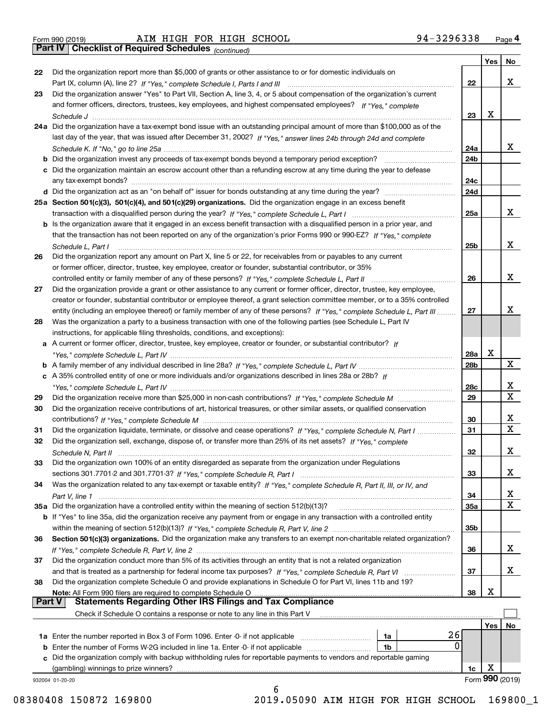| Form 990 (2019) |  |  |
|-----------------|--|--|

*(continued)*

|               |                                                                                                                                                                                                                                                       |     | Yes | No              |
|---------------|-------------------------------------------------------------------------------------------------------------------------------------------------------------------------------------------------------------------------------------------------------|-----|-----|-----------------|
| 22            | Did the organization report more than \$5,000 of grants or other assistance to or for domestic individuals on                                                                                                                                         |     |     | x               |
| 23            | Did the organization answer "Yes" to Part VII, Section A, line 3, 4, or 5 about compensation of the organization's current                                                                                                                            | 22  |     |                 |
|               | and former officers, directors, trustees, key employees, and highest compensated employees? If "Yes," complete                                                                                                                                        |     |     |                 |
|               |                                                                                                                                                                                                                                                       | 23  | x   |                 |
|               | 24a Did the organization have a tax-exempt bond issue with an outstanding principal amount of more than \$100,000 as of the                                                                                                                           |     |     |                 |
|               |                                                                                                                                                                                                                                                       |     |     |                 |
|               | last day of the year, that was issued after December 31, 2002? If "Yes," answer lines 24b through 24d and complete                                                                                                                                    | 24a |     | x               |
|               |                                                                                                                                                                                                                                                       | 24b |     |                 |
|               | <b>b</b> Did the organization invest any proceeds of tax-exempt bonds beyond a temporary period exception?                                                                                                                                            |     |     |                 |
|               | c Did the organization maintain an escrow account other than a refunding escrow at any time during the year to defease                                                                                                                                | 24c |     |                 |
|               |                                                                                                                                                                                                                                                       | 24d |     |                 |
|               |                                                                                                                                                                                                                                                       |     |     |                 |
|               | 25a Section 501(c)(3), 501(c)(4), and 501(c)(29) organizations. Did the organization engage in an excess benefit                                                                                                                                      | 25a |     | X.              |
|               |                                                                                                                                                                                                                                                       |     |     |                 |
|               | b Is the organization aware that it engaged in an excess benefit transaction with a disqualified person in a prior year, and<br>that the transaction has not been reported on any of the organization's prior Forms 990 or 990-EZ? If "Yes," complete |     |     |                 |
|               |                                                                                                                                                                                                                                                       | 25b |     | x               |
|               | Schedule L, Part I<br>Did the organization report any amount on Part X, line 5 or 22, for receivables from or payables to any current                                                                                                                 |     |     |                 |
| 26            | or former officer, director, trustee, key employee, creator or founder, substantial contributor, or 35%                                                                                                                                               |     |     |                 |
|               |                                                                                                                                                                                                                                                       | 26  |     | x               |
| 27            | Did the organization provide a grant or other assistance to any current or former officer, director, trustee, key employee,                                                                                                                           |     |     |                 |
|               | creator or founder, substantial contributor or employee thereof, a grant selection committee member, or to a 35% controlled                                                                                                                           |     |     |                 |
|               | entity (including an employee thereof) or family member of any of these persons? If "Yes," complete Schedule L, Part III                                                                                                                              | 27  |     | x               |
| 28            | Was the organization a party to a business transaction with one of the following parties (see Schedule L, Part IV                                                                                                                                     |     |     |                 |
|               | instructions, for applicable filing thresholds, conditions, and exceptions):                                                                                                                                                                          |     |     |                 |
|               | a A current or former officer, director, trustee, key employee, creator or founder, or substantial contributor? If                                                                                                                                    |     |     |                 |
|               |                                                                                                                                                                                                                                                       | 28a | X   |                 |
|               |                                                                                                                                                                                                                                                       | 28b |     | X               |
|               | c A 35% controlled entity of one or more individuals and/or organizations described in lines 28a or 28b? If                                                                                                                                           |     |     |                 |
|               |                                                                                                                                                                                                                                                       | 28c |     | x               |
| 29            |                                                                                                                                                                                                                                                       | 29  |     | Χ               |
| 30            | Did the organization receive contributions of art, historical treasures, or other similar assets, or qualified conservation                                                                                                                           |     |     |                 |
|               |                                                                                                                                                                                                                                                       | 30  |     | x               |
| 31            | Did the organization liquidate, terminate, or dissolve and cease operations? If "Yes," complete Schedule N, Part I                                                                                                                                    | 31  |     | X               |
| 32            | Did the organization sell, exchange, dispose of, or transfer more than 25% of its net assets? If "Yes," complete                                                                                                                                      |     |     |                 |
|               |                                                                                                                                                                                                                                                       | 32  |     | х               |
| 33            | Did the organization own 100% of an entity disregarded as separate from the organization under Regulations                                                                                                                                            |     |     |                 |
|               |                                                                                                                                                                                                                                                       | 33  |     | х               |
| 34            | Was the organization related to any tax-exempt or taxable entity? If "Yes," complete Schedule R, Part II, III, or IV, and                                                                                                                             |     |     |                 |
|               |                                                                                                                                                                                                                                                       | 34  |     | х               |
|               | 35a Did the organization have a controlled entity within the meaning of section 512(b)(13)?                                                                                                                                                           | 35a |     | X               |
|               | <b>b</b> If "Yes" to line 35a, did the organization receive any payment from or engage in any transaction with a controlled entity                                                                                                                    |     |     |                 |
|               |                                                                                                                                                                                                                                                       | 35b |     |                 |
| 36            | Section 501(c)(3) organizations. Did the organization make any transfers to an exempt non-charitable related organization?                                                                                                                            |     |     |                 |
|               |                                                                                                                                                                                                                                                       | 36  |     | x               |
| 37            | Did the organization conduct more than 5% of its activities through an entity that is not a related organization                                                                                                                                      |     |     |                 |
|               |                                                                                                                                                                                                                                                       | 37  |     | х               |
| 38            | Did the organization complete Schedule O and provide explanations in Schedule O for Part VI, lines 11b and 19?                                                                                                                                        |     |     |                 |
|               | Note: All Form 990 filers are required to complete Schedule O                                                                                                                                                                                         | 38  | X   |                 |
| <b>Part V</b> | <b>Statements Regarding Other IRS Filings and Tax Compliance</b>                                                                                                                                                                                      |     |     |                 |
|               | Check if Schedule O contains a response or note to any line in this Part V                                                                                                                                                                            |     |     |                 |
|               |                                                                                                                                                                                                                                                       |     | Yes | No              |
|               | 26<br>1a                                                                                                                                                                                                                                              |     |     |                 |
|               | 0<br><b>b</b> Enter the number of Forms W-2G included in line 1a. Enter -0- if not applicable<br>1b                                                                                                                                                   |     |     |                 |
|               | c Did the organization comply with backup withholding rules for reportable payments to vendors and reportable gaming                                                                                                                                  |     |     |                 |
|               | (gambling) winnings to prize winners?                                                                                                                                                                                                                 | 1c  | X   |                 |
|               | 932004 01-20-20<br>6                                                                                                                                                                                                                                  |     |     | Form 990 (2019) |
|               |                                                                                                                                                                                                                                                       |     |     |                 |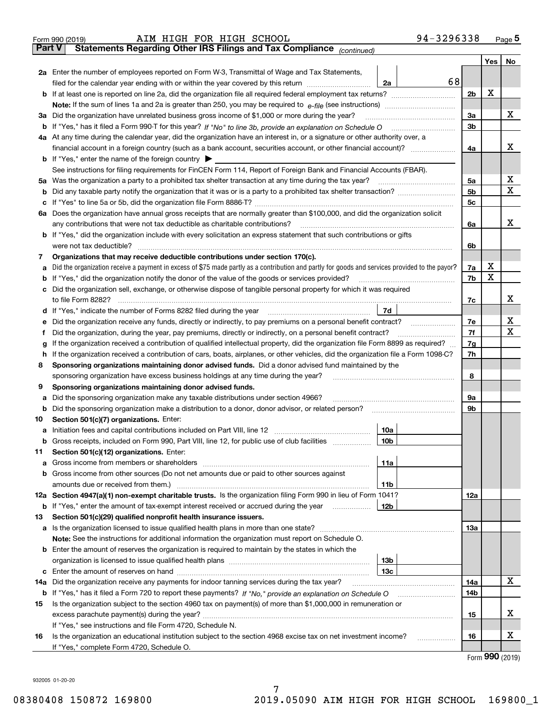|               | 94-3296338<br>AIM HIGH FOR HIGH SCHOOL<br>Form 990 (2019)                                                                                       |                |          | <u>Page</u> 5 |
|---------------|-------------------------------------------------------------------------------------------------------------------------------------------------|----------------|----------|---------------|
| <b>Part V</b> | Statements Regarding Other IRS Filings and Tax Compliance (continued)                                                                           |                |          |               |
|               |                                                                                                                                                 |                | Yes      | No            |
|               | 2a Enter the number of employees reported on Form W-3, Transmittal of Wage and Tax Statements,                                                  |                |          |               |
|               | 68<br>filed for the calendar year ending with or within the year covered by this return <i>manumumumum</i><br>2a                                |                |          |               |
|               |                                                                                                                                                 | 2 <sub>b</sub> | Х        |               |
|               |                                                                                                                                                 |                |          |               |
| За            | Did the organization have unrelated business gross income of \$1,000 or more during the year?                                                   | 3a             |          | х             |
|               |                                                                                                                                                 | 3b             |          |               |
|               | 4a At any time during the calendar year, did the organization have an interest in, or a signature or other authority over, a                    |                |          |               |
|               |                                                                                                                                                 | 4a             |          | x             |
|               | <b>b</b> If "Yes," enter the name of the foreign country $\blacktriangleright$                                                                  |                |          |               |
|               | See instructions for filing requirements for FinCEN Form 114, Report of Foreign Bank and Financial Accounts (FBAR).                             |                |          |               |
| 5a            | Was the organization a party to a prohibited tax shelter transaction at any time during the tax year?                                           | 5a             |          | х             |
| b             |                                                                                                                                                 | 5 <sub>b</sub> |          | X             |
| с             |                                                                                                                                                 | 5c             |          |               |
|               | 6a Does the organization have annual gross receipts that are normally greater than \$100,000, and did the organization solicit                  |                |          |               |
|               | any contributions that were not tax deductible as charitable contributions?                                                                     | 6a             |          | x             |
|               | <b>b</b> If "Yes," did the organization include with every solicitation an express statement that such contributions or gifts                   |                |          |               |
|               | were not tax deductible?                                                                                                                        |                |          |               |
|               |                                                                                                                                                 | 6b             |          |               |
| 7             | Organizations that may receive deductible contributions under section 170(c).                                                                   |                | х        |               |
| а             | Did the organization receive a payment in excess of \$75 made partly as a contribution and partly for goods and services provided to the payor? | 7a             | X        |               |
| b             | If "Yes," did the organization notify the donor of the value of the goods or services provided?                                                 | 7b             |          |               |
| с             | Did the organization sell, exchange, or otherwise dispose of tangible personal property for which it was required                               |                |          |               |
|               |                                                                                                                                                 | 7c             |          | х             |
|               | 7d                                                                                                                                              |                |          |               |
| е             |                                                                                                                                                 | 7e             |          | х             |
| f             | Did the organization, during the year, pay premiums, directly or indirectly, on a personal benefit contract?                                    | 7f             |          | х             |
| g             | If the organization received a contribution of qualified intellectual property, did the organization file Form 8899 as required?                | 7g             |          |               |
| h             | If the organization received a contribution of cars, boats, airplanes, or other vehicles, did the organization file a Form 1098-C?              | 7h             |          |               |
| 8             | Sponsoring organizations maintaining donor advised funds. Did a donor advised fund maintained by the                                            |                |          |               |
|               | sponsoring organization have excess business holdings at any time during the year?                                                              | 8              |          |               |
| 9             | Sponsoring organizations maintaining donor advised funds.                                                                                       |                |          |               |
| а             | Did the sponsoring organization make any taxable distributions under section 4966?                                                              | 9а             |          |               |
| b             | Did the sponsoring organization make a distribution to a donor, donor advisor, or related person?                                               | 9b             |          |               |
| 10            | Section 501(c)(7) organizations. Enter:                                                                                                         |                |          |               |
|               | 10a                                                                                                                                             |                |          |               |
|               | 10b <br>Gross receipts, included on Form 990, Part VIII, line 12, for public use of club facilities                                             |                |          |               |
| 11            | Section 501(c)(12) organizations. Enter:                                                                                                        |                |          |               |
| a             | 11a                                                                                                                                             |                |          |               |
|               | b Gross income from other sources (Do not net amounts due or paid to other sources against                                                      |                |          |               |
|               | 11b                                                                                                                                             |                |          |               |
|               | 12a Section 4947(a)(1) non-exempt charitable trusts. Is the organization filing Form 990 in lieu of Form 1041?                                  | 12a            |          |               |
|               | 12b<br><b>b</b> If "Yes," enter the amount of tax-exempt interest received or accrued during the year <i>manument</i>                           |                |          |               |
| 13            | Section 501(c)(29) qualified nonprofit health insurance issuers.                                                                                |                |          |               |
|               | a Is the organization licensed to issue qualified health plans in more than one state?                                                          | 13а            |          |               |
|               | Note: See the instructions for additional information the organization must report on Schedule O.                                               |                |          |               |
|               | <b>b</b> Enter the amount of reserves the organization is required to maintain by the states in which the                                       |                |          |               |
|               | 13b                                                                                                                                             |                |          |               |
|               | 13c                                                                                                                                             |                |          |               |
| 14a           | Did the organization receive any payments for indoor tanning services during the tax year?                                                      | 14a            |          | x             |
|               | <b>b</b> If "Yes," has it filed a Form 720 to report these payments? If "No," provide an explanation on Schedule O                              | 14b            |          |               |
| 15            | Is the organization subject to the section 4960 tax on payment(s) of more than \$1,000,000 in remuneration or                                   |                |          |               |
|               |                                                                                                                                                 | 15             |          | X             |
|               | If "Yes," see instructions and file Form 4720, Schedule N.                                                                                      |                |          |               |
| 16            | Is the organization an educational institution subject to the section 4968 excise tax on net investment income?                                 | 16             |          | x             |
|               | If "Yes," complete Form 4720, Schedule O.                                                                                                       |                |          |               |
|               |                                                                                                                                                 |                | റററ്റ് ക |               |

Form (2019) **990**

932005 01-20-20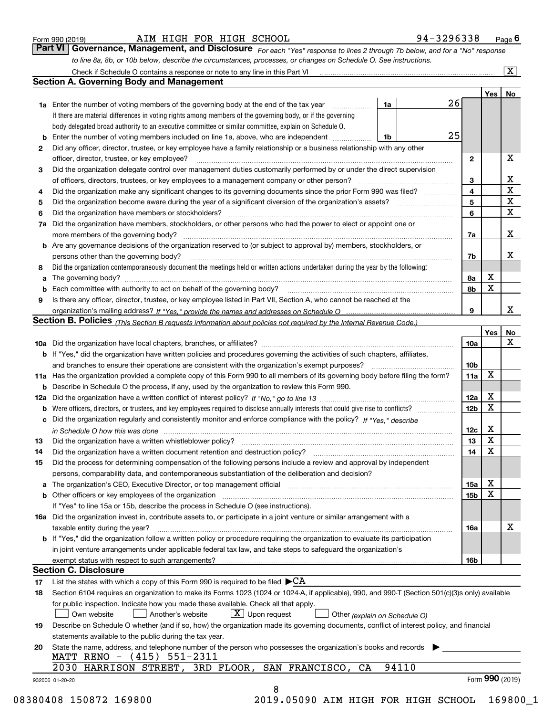|  | Form 990 (2019) |
|--|-----------------|
|  |                 |

#### AIM HIGH FOR HIGH SCHOOL 9

| 14 |  | -3296338 | ⊃age l |
|----|--|----------|--------|
|    |  |          |        |

*For each "Yes" response to lines 2 through 7b below, and for a "No" response to line 8a, 8b, or 10b below, describe the circumstances, processes, or changes on Schedule O. See instructions.* Form 990 (2019) **CONDALL BIGH BOR HIGH SCHOOL** 94-3296338 Page 6<br>**Part VI Governance, Management, and Disclosure** For each "Yes" response to lines 2 through 7b below, and for a "No" response

|                 |                                                                                                                                                                                                                             |    |       | 26 |                 | Yes             | No                      |
|-----------------|-----------------------------------------------------------------------------------------------------------------------------------------------------------------------------------------------------------------------------|----|-------|----|-----------------|-----------------|-------------------------|
|                 | <b>1a</b> Enter the number of voting members of the governing body at the end of the tax year <i>manumum</i><br>If there are material differences in voting rights among members of the governing body, or if the governing | 1a |       |    |                 |                 |                         |
|                 | body delegated broad authority to an executive committee or similar committee, explain on Schedule O.                                                                                                                       |    |       |    |                 |                 |                         |
|                 | <b>b</b> Enter the number of voting members included on line 1a, above, who are independent <i>manumum</i>                                                                                                                  | 1b |       | 25 |                 |                 |                         |
| 2               | Did any officer, director, trustee, or key employee have a family relationship or a business relationship with any other                                                                                                    |    |       |    |                 |                 |                         |
|                 | officer, director, trustee, or key employee?                                                                                                                                                                                |    |       |    | $\mathbf{2}$    |                 | X                       |
| 3               | Did the organization delegate control over management duties customarily performed by or under the direct supervision                                                                                                       |    |       |    |                 |                 |                         |
|                 |                                                                                                                                                                                                                             |    |       |    |                 |                 | X                       |
|                 |                                                                                                                                                                                                                             |    |       |    | 3<br>4          |                 | $\overline{\mathbf{x}}$ |
| 4               | Did the organization make any significant changes to its governing documents since the prior Form 990 was filed?                                                                                                            |    |       |    | 5               |                 | $\mathbf X$             |
| 5               | Did the organization have members or stockholders?                                                                                                                                                                          |    |       |    | 6               |                 | $\mathbf X$             |
| 6               |                                                                                                                                                                                                                             |    |       |    |                 |                 |                         |
|                 | 7a Did the organization have members, stockholders, or other persons who had the power to elect or appoint one or                                                                                                           |    |       |    |                 |                 | X                       |
|                 |                                                                                                                                                                                                                             |    |       |    | 7a              |                 |                         |
|                 | <b>b</b> Are any governance decisions of the organization reserved to (or subject to approval by) members, stockholders, or                                                                                                 |    |       |    |                 |                 | X                       |
|                 | persons other than the governing body?                                                                                                                                                                                      |    |       |    | 7b              |                 |                         |
| 8               | Did the organization contemporaneously document the meetings held or written actions undertaken during the year by the following:                                                                                           |    |       |    |                 |                 |                         |
| a               |                                                                                                                                                                                                                             |    |       |    | 8a              | X               |                         |
|                 |                                                                                                                                                                                                                             |    |       |    | 8b              | X               |                         |
| 9               | Is there any officer, director, trustee, or key employee listed in Part VII, Section A, who cannot be reached at the                                                                                                        |    |       |    |                 |                 |                         |
|                 |                                                                                                                                                                                                                             |    |       |    | 9               |                 | x                       |
|                 | Section B. Policies (This Section B requests information about policies not required by the Internal Revenue Code.)                                                                                                         |    |       |    |                 |                 |                         |
|                 |                                                                                                                                                                                                                             |    |       |    |                 | Yes∣            | No                      |
|                 |                                                                                                                                                                                                                             |    |       |    | 10a             |                 | X                       |
|                 | <b>b</b> If "Yes," did the organization have written policies and procedures governing the activities of such chapters, affiliates,                                                                                         |    |       |    |                 |                 |                         |
|                 |                                                                                                                                                                                                                             |    |       |    | 10 <sub>b</sub> |                 |                         |
|                 | 11a Has the organization provided a complete copy of this Form 990 to all members of its governing body before filing the form?                                                                                             |    |       |    | 11a             | $\mathbf X$     |                         |
|                 | <b>b</b> Describe in Schedule O the process, if any, used by the organization to review this Form 990.                                                                                                                      |    |       |    |                 |                 |                         |
|                 |                                                                                                                                                                                                                             |    |       |    | 12a             | X               |                         |
| b               |                                                                                                                                                                                                                             |    |       |    | 12b             | X               |                         |
|                 | c Did the organization regularly and consistently monitor and enforce compliance with the policy? If "Yes," describe                                                                                                        |    |       |    |                 |                 |                         |
|                 | in Schedule O how this was done www.communication.com/www.communications.com/www.communications.com/                                                                                                                        |    |       |    | 12c             | X               |                         |
| 13              |                                                                                                                                                                                                                             |    |       |    | 13              | X               |                         |
| 14              | Did the organization have a written document retention and destruction policy? manufactured and the organization have a written document retention and destruction policy?                                                  |    |       |    | 14              | $\mathbf X$     |                         |
| 15              | Did the process for determining compensation of the following persons include a review and approval by independent                                                                                                          |    |       |    |                 |                 |                         |
|                 | persons, comparability data, and contemporaneous substantiation of the deliberation and decision?                                                                                                                           |    |       |    |                 |                 |                         |
|                 | a The organization's CEO, Executive Director, or top management official manufactured content of the organization's CEO, Executive Director, or top management official                                                     |    |       |    | 15a             | X               |                         |
|                 | <b>b</b> Other officers or key employees of the organization                                                                                                                                                                |    |       |    | 15 <sub>b</sub> | X               |                         |
|                 | If "Yes" to line 15a or 15b, describe the process in Schedule O (see instructions).                                                                                                                                         |    |       |    |                 |                 |                         |
|                 | 16a Did the organization invest in, contribute assets to, or participate in a joint venture or similar arrangement with a                                                                                                   |    |       |    |                 |                 |                         |
|                 | taxable entity during the year?                                                                                                                                                                                             |    |       |    | 16a             |                 | X                       |
|                 | <b>b</b> If "Yes," did the organization follow a written policy or procedure requiring the organization to evaluate its participation                                                                                       |    |       |    |                 |                 |                         |
|                 | in joint venture arrangements under applicable federal tax law, and take steps to safeguard the organization's                                                                                                              |    |       |    |                 |                 |                         |
|                 | exempt status with respect to such arrangements?                                                                                                                                                                            |    |       |    | 16b             |                 |                         |
|                 | <b>Section C. Disclosure</b>                                                                                                                                                                                                |    |       |    |                 |                 |                         |
| 17              | List the states with which a copy of this Form 990 is required to be filed $\blacktriangleright$ CA                                                                                                                         |    |       |    |                 |                 |                         |
| 18              | Section 6104 requires an organization to make its Forms 1023 (1024 or 1024-A, if applicable), 990, and 990-T (Section 501(c)(3)s only) available                                                                            |    |       |    |                 |                 |                         |
|                 | for public inspection. Indicate how you made these available. Check all that apply.                                                                                                                                         |    |       |    |                 |                 |                         |
|                 | $X$ Upon request<br>Another's website<br>Own website<br>Other (explain on Schedule O)                                                                                                                                       |    |       |    |                 |                 |                         |
| 19              | Describe on Schedule O whether (and if so, how) the organization made its governing documents, conflict of interest policy, and financial                                                                                   |    |       |    |                 |                 |                         |
|                 | statements available to the public during the tax year.                                                                                                                                                                     |    |       |    |                 |                 |                         |
| 20              | State the name, address, and telephone number of the person who possesses the organization's books and records                                                                                                              |    |       |    |                 |                 |                         |
|                 | MATT RENO - (415) 551-2311                                                                                                                                                                                                  |    |       |    |                 |                 |                         |
|                 | 2030 HARRISON STREET, 3RD FLOOR, SAN FRANCISCO, CA                                                                                                                                                                          |    | 94110 |    |                 |                 |                         |
| 932006 01-20-20 |                                                                                                                                                                                                                             |    |       |    |                 | Form 990 (2019) |                         |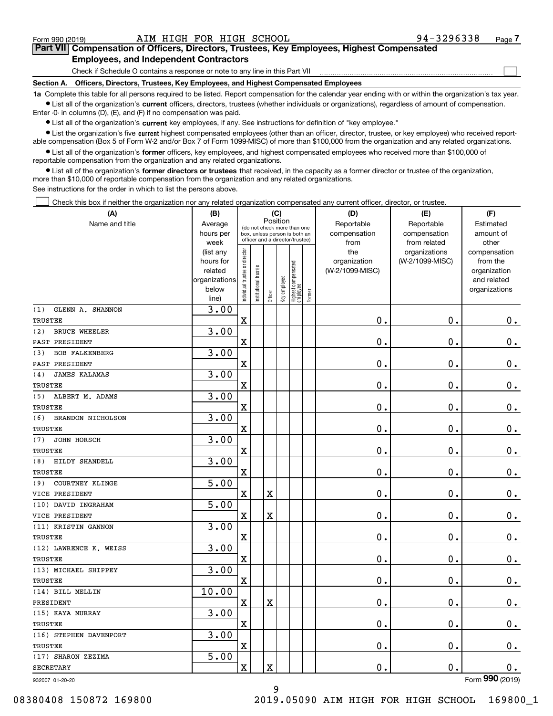$\mathcal{L}^{\text{max}}$ 

# **7Part VII Compensation of Officers, Directors, Trustees, Key Employees, Highest Compensated Employees, and Independent Contractors**

Check if Schedule O contains a response or note to any line in this Part VII

**Section A. Officers, Directors, Trustees, Key Employees, and Highest Compensated Employees**

**1a**  Complete this table for all persons required to be listed. Report compensation for the calendar year ending with or within the organization's tax year. **•** List all of the organization's current officers, directors, trustees (whether individuals or organizations), regardless of amount of compensation.

Enter -0- in columns (D), (E), and (F) if no compensation was paid.

 $\bullet$  List all of the organization's  $\,$ current key employees, if any. See instructions for definition of "key employee."

**•** List the organization's five current highest compensated employees (other than an officer, director, trustee, or key employee) who received reportable compensation (Box 5 of Form W-2 and/or Box 7 of Form 1099-MISC) of more than \$100,000 from the organization and any related organizations.

**•** List all of the organization's former officers, key employees, and highest compensated employees who received more than \$100,000 of reportable compensation from the organization and any related organizations.

**former directors or trustees**  ¥ List all of the organization's that received, in the capacity as a former director or trustee of the organization, more than \$10,000 of reportable compensation from the organization and any related organizations.

See instructions for the order in which to list the persons above.

Check this box if neither the organization nor any related organization compensated any current officer, director, or trustee.  $\mathcal{L}^{\text{max}}$ 

| (A)                             | (B)                    |                                |                                                                  | (C)                     |              |                                  |        | (D)                             | (E)                              | (F)                      |
|---------------------------------|------------------------|--------------------------------|------------------------------------------------------------------|-------------------------|--------------|----------------------------------|--------|---------------------------------|----------------------------------|--------------------------|
| Name and title                  | Average                | (do not check more than one    |                                                                  | Position                |              |                                  |        | Reportable                      | Reportable                       | Estimated                |
|                                 | hours per              |                                | box, unless person is both an<br>officer and a director/trustee) |                         |              |                                  |        | compensation                    | compensation                     | amount of                |
|                                 | week                   |                                |                                                                  |                         |              |                                  |        | from                            | from related                     | other                    |
|                                 | (list any<br>hours for |                                |                                                                  |                         |              |                                  |        | the                             | organizations<br>(W-2/1099-MISC) | compensation<br>from the |
|                                 | related                |                                |                                                                  |                         |              |                                  |        | organization<br>(W-2/1099-MISC) |                                  | organization             |
|                                 | organizations          |                                |                                                                  |                         |              |                                  |        |                                 |                                  | and related              |
|                                 | below                  | Individual trustee or director | Institutional trustee                                            |                         | Key employee |                                  |        |                                 |                                  | organizations            |
|                                 | line)                  |                                |                                                                  | Officer                 |              | Highest compensated<br> employee | Former |                                 |                                  |                          |
| GLENN A. SHANNON<br>(1)         | 3.00                   |                                |                                                                  |                         |              |                                  |        |                                 |                                  |                          |
| <b>TRUSTEE</b>                  |                        | $\overline{\textbf{X}}$        |                                                                  |                         |              |                                  |        | 0.                              | $\mathbf 0$ .                    | $0_{.}$                  |
| <b>BRUCE WHEELER</b><br>(2)     | 3.00                   |                                |                                                                  |                         |              |                                  |        |                                 |                                  |                          |
| PAST PRESIDENT                  |                        | $\mathbf X$                    |                                                                  |                         |              |                                  |        | 0.                              | 0.                               | $\mathbf 0$ .            |
| (3)<br><b>BOB FALKENBERG</b>    | 3.00                   |                                |                                                                  |                         |              |                                  |        |                                 |                                  |                          |
| PAST PRESIDENT                  |                        | $\rm X$                        |                                                                  |                         |              |                                  |        | $\mathbf 0$ .                   | $\mathbf 0$ .                    | $\mathbf 0$ .            |
| <b>JAMES KALAMAS</b><br>(4)     | 3.00                   |                                |                                                                  |                         |              |                                  |        |                                 |                                  |                          |
| TRUSTEE                         |                        | X                              |                                                                  |                         |              |                                  |        | 0.                              | $\mathbf 0$ .                    | $\mathbf 0$ .            |
| ALBERT M. ADAMS<br>(5)          | 3.00                   |                                |                                                                  |                         |              |                                  |        |                                 |                                  |                          |
| TRUSTEE                         |                        | $\overline{\mathbf{X}}$        |                                                                  |                         |              |                                  |        | 0.                              | $\mathbf 0$ .                    | $0_{.}$                  |
| (6)<br><b>BRANDON NICHOLSON</b> | 3.00                   |                                |                                                                  |                         |              |                                  |        |                                 |                                  |                          |
| <b>TRUSTEE</b>                  |                        | $\overline{\mathbf{X}}$        |                                                                  |                         |              |                                  |        | $\mathbf 0$ .                   | $\mathbf 0$ .                    | 0.                       |
| JOHN HORSCH<br>(7)              | 3.00                   |                                |                                                                  |                         |              |                                  |        |                                 |                                  |                          |
| <b>TRUSTEE</b>                  |                        | $\overline{\text{X}}$          |                                                                  |                         |              |                                  |        | $\mathbf 0$ .                   | $\mathbf 0$ .                    | $\mathbf 0$ .            |
| HILDY SHANDELL<br>(8)           | 3.00                   |                                |                                                                  |                         |              |                                  |        |                                 |                                  |                          |
| <b>TRUSTEE</b>                  |                        | $\overline{\mathbf{X}}$        |                                                                  |                         |              |                                  |        | 0.                              | $\mathbf 0$ .                    | $\mathbf 0$ .            |
| (9)<br>COURTNEY KLINGE          | 5.00                   |                                |                                                                  |                         |              |                                  |        |                                 |                                  |                          |
| VICE PRESIDENT                  |                        | $\overline{\mathbf{X}}$        |                                                                  | X                       |              |                                  |        | 0.                              | 0.                               | $\mathbf 0$ .            |
| (10) DAVID INGRAHAM             | 5.00                   |                                |                                                                  |                         |              |                                  |        |                                 |                                  |                          |
| VICE PRESIDENT                  |                        | $\overline{\text{X}}$          |                                                                  | $\overline{\mathbf{X}}$ |              |                                  |        | 0.                              | $\mathbf 0$ .                    | $\mathbf 0$ .            |
| (11) KRISTIN GANNON             | 3.00                   |                                |                                                                  |                         |              |                                  |        |                                 |                                  |                          |
| TRUSTEE                         |                        | $\overline{\mathbf{X}}$        |                                                                  |                         |              |                                  |        | 0.                              | $\mathbf 0$ .                    | 0.                       |
| (12) LAWRENCE K. WEISS          | 3.00                   |                                |                                                                  |                         |              |                                  |        |                                 |                                  |                          |
| TRUSTEE                         |                        | $\overline{\text{X}}$          |                                                                  |                         |              |                                  |        | 0.                              | $\mathbf 0$ .                    | $0$ .                    |
| (13) MICHAEL SHIPPEY            | 3.00                   |                                |                                                                  |                         |              |                                  |        |                                 |                                  |                          |
| TRUSTEE                         |                        | $\overline{\mathbf{X}}$        |                                                                  |                         |              |                                  |        | 0.                              | 0.                               | $\mathbf 0$ .            |
| (14) BILL MELLIN                | 10.00                  |                                |                                                                  |                         |              |                                  |        |                                 |                                  |                          |
| PRESIDENT                       |                        | $\mathbf X$                    |                                                                  | $\mathbf X$             |              |                                  |        | $\mathbf 0$ .                   | $\mathbf 0$ .                    | $0$ .                    |
| (15) KAYA MURRAY                | 3.00                   |                                |                                                                  |                         |              |                                  |        |                                 |                                  |                          |
| <b>TRUSTEE</b>                  |                        | $\overline{\mathbf{X}}$        |                                                                  |                         |              |                                  |        | 0.                              | $\mathbf 0$ .                    | $\mathbf 0$ .            |
| (16) STEPHEN DAVENPORT          | 3.00                   |                                |                                                                  |                         |              |                                  |        |                                 |                                  |                          |
| TRUSTEE                         |                        | $\rm X$                        |                                                                  |                         |              |                                  |        | 0.                              | $\mathbf 0$ .                    | $\mathbf 0$ .            |
| (17) SHARON ZEZIMA              | 5.00                   |                                |                                                                  |                         |              |                                  |        |                                 |                                  |                          |
| <b>SECRETARY</b>                |                        | $\rm X$                        |                                                                  | $\rm X$                 |              |                                  |        | 0.                              | $\mathbf 0$ .                    | 0.<br>$\overline{2}$     |

932007 01-20-20

Form (2019) **990**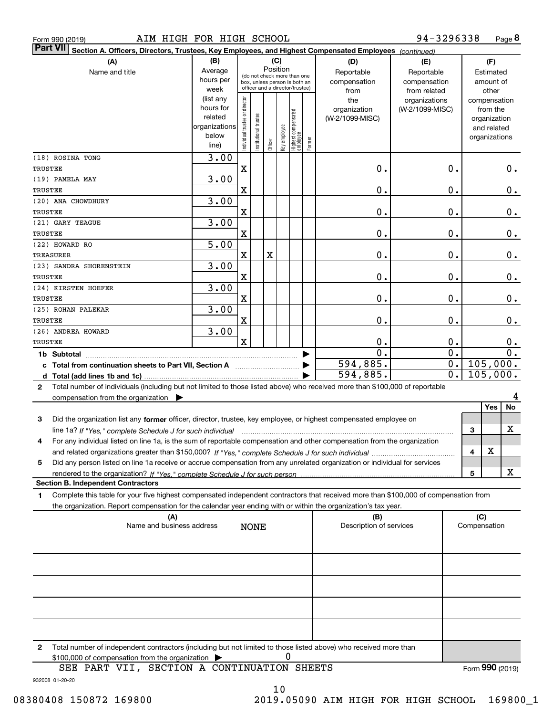| Form 990 (2019) |  |  |
|-----------------|--|--|
|                 |  |  |

| <b>Part VII</b> | Section A. Officers, Directors, Trustees, Key Employees, and Highest Compensated Employees (continued)                               |                   |                                |                                                                  |         |              |                                   |        |                                |                                  |   |                          |                        |
|-----------------|--------------------------------------------------------------------------------------------------------------------------------------|-------------------|--------------------------------|------------------------------------------------------------------|---------|--------------|-----------------------------------|--------|--------------------------------|----------------------------------|---|--------------------------|------------------------|
|                 | (A)                                                                                                                                  | (B)               |                                |                                                                  |         | (C)          |                                   |        | (D)                            | (E)                              |   | (F)                      |                        |
|                 | Name and title                                                                                                                       | Average           |                                | Position<br>(do not check more than one                          |         |              |                                   |        | Reportable                     | Reportable                       |   | Estimated                |                        |
|                 |                                                                                                                                      | hours per         |                                | box, unless person is both an<br>officer and a director/trustee) |         |              |                                   |        | compensation                   | compensation                     |   | amount of                |                        |
|                 |                                                                                                                                      | week<br>(list any |                                |                                                                  |         |              |                                   |        | from                           | from related                     |   | other                    |                        |
|                 |                                                                                                                                      | hours for         |                                |                                                                  |         |              |                                   |        | the<br>organization            | organizations<br>(W-2/1099-MISC) |   | compensation<br>from the |                        |
|                 |                                                                                                                                      | related           |                                |                                                                  |         |              |                                   |        | (W-2/1099-MISC)                |                                  |   | organization             |                        |
|                 |                                                                                                                                      | organizations     |                                |                                                                  |         |              |                                   |        |                                |                                  |   | and related              |                        |
|                 |                                                                                                                                      | below<br>line)    | Individual trustee or director | Institutional trustee                                            | Officer | Key employee | Highest compensated<br>  employee | Former |                                |                                  |   | organizations            |                        |
|                 |                                                                                                                                      |                   |                                |                                                                  |         |              |                                   |        |                                |                                  |   |                          |                        |
| TRUSTEE         | (18) ROSINA TONG                                                                                                                     | 3.00              | $\mathbf X$                    |                                                                  |         |              |                                   |        | 0.                             | 0.                               |   |                          | 0.                     |
|                 | (19) PAMELA MAY                                                                                                                      | 3.00              |                                |                                                                  |         |              |                                   |        |                                |                                  |   |                          |                        |
| TRUSTEE         |                                                                                                                                      |                   | X                              |                                                                  |         |              |                                   |        | 0.                             | 0.                               |   |                          | 0.                     |
|                 | (20) ANA CHOWDHURY                                                                                                                   | 3.00              |                                |                                                                  |         |              |                                   |        |                                |                                  |   |                          |                        |
| TRUSTEE         |                                                                                                                                      |                   | X                              |                                                                  |         |              |                                   |        | 0.                             | 0.                               |   |                          | 0.                     |
|                 | (21) GARY TEAGUE                                                                                                                     | 3.00              |                                |                                                                  |         |              |                                   |        |                                |                                  |   |                          |                        |
| TRUSTEE         |                                                                                                                                      |                   | X                              |                                                                  |         |              |                                   |        | 0.                             | 0.                               |   |                          | 0.                     |
|                 | (22) HOWARD RO                                                                                                                       | 5.00              |                                |                                                                  |         |              |                                   |        |                                |                                  |   |                          |                        |
| TREASURER       |                                                                                                                                      |                   | $\mathbf X$                    |                                                                  | X       |              |                                   |        | 0.                             | 0.                               |   |                          | 0.                     |
|                 | (23) SANDRA SHORENSTEIN                                                                                                              | 3.00              |                                |                                                                  |         |              |                                   |        |                                |                                  |   |                          |                        |
| TRUSTEE         |                                                                                                                                      |                   | X                              |                                                                  |         |              |                                   |        | 0.                             | 0.                               |   |                          | 0.                     |
|                 | (24) KIRSTEN HOEFER                                                                                                                  | 3.00              |                                |                                                                  |         |              |                                   |        |                                |                                  |   |                          |                        |
| TRUSTEE         |                                                                                                                                      |                   | X                              |                                                                  |         |              |                                   |        | 0.                             | 0.                               |   |                          | 0.                     |
|                 | (25) ROHAN PALEKAR                                                                                                                   | 3.00              |                                |                                                                  |         |              |                                   |        |                                |                                  |   |                          |                        |
| TRUSTEE         |                                                                                                                                      |                   | X                              |                                                                  |         |              |                                   |        | 0.                             | 0.                               |   |                          | $\mathbf 0$ .          |
|                 | (26) ANDREA HOWARD                                                                                                                   | 3.00              |                                |                                                                  |         |              |                                   |        |                                |                                  |   |                          |                        |
| TRUSTEE         |                                                                                                                                      |                   | $\overline{\mathbf{X}}$        |                                                                  |         |              |                                   |        | 0.                             | 0.<br>0.                         |   |                          | 0.<br>$\overline{0}$ . |
|                 | 1b Subtotal                                                                                                                          |                   |                                |                                                                  |         |              |                                   |        | $0$ .<br>594,885.              | 0.                               |   | 105,000.                 |                        |
|                 | c Total from continuation sheets to Part VII, Section A                                                                              |                   |                                |                                                                  |         |              |                                   |        | 594,885.                       | 0.                               |   | 105,000.                 |                        |
| $\mathbf{2}$    | Total number of individuals (including but not limited to those listed above) who received more than \$100,000 of reportable         |                   |                                |                                                                  |         |              |                                   |        |                                |                                  |   |                          |                        |
|                 | compensation from the organization $\blacktriangleright$                                                                             |                   |                                |                                                                  |         |              |                                   |        |                                |                                  |   |                          |                        |
|                 |                                                                                                                                      |                   |                                |                                                                  |         |              |                                   |        |                                |                                  |   | Yes                      | No                     |
| з               | Did the organization list any former officer, director, trustee, key employee, or highest compensated employee on                    |                   |                                |                                                                  |         |              |                                   |        |                                |                                  |   |                          |                        |
|                 | line 1a? If "Yes," complete Schedule J for such individual                                                                           |                   |                                |                                                                  |         |              |                                   |        |                                |                                  | 3 |                          | х                      |
| 4               | For any individual listed on line 1a, is the sum of reportable compensation and other compensation from the organization             |                   |                                |                                                                  |         |              |                                   |        |                                |                                  |   |                          |                        |
|                 |                                                                                                                                      |                   |                                |                                                                  |         |              |                                   |        |                                |                                  | 4 | x                        |                        |
| 5               | Did any person listed on line 1a receive or accrue compensation from any unrelated organization or individual for services           |                   |                                |                                                                  |         |              |                                   |        |                                |                                  |   |                          |                        |
|                 |                                                                                                                                      |                   |                                |                                                                  |         |              |                                   |        |                                |                                  | 5 |                          | х                      |
|                 | <b>Section B. Independent Contractors</b>                                                                                            |                   |                                |                                                                  |         |              |                                   |        |                                |                                  |   |                          |                        |
| 1               | Complete this table for your five highest compensated independent contractors that received more than \$100,000 of compensation from |                   |                                |                                                                  |         |              |                                   |        |                                |                                  |   |                          |                        |
|                 | the organization. Report compensation for the calendar year ending with or within the organization's tax year.                       |                   |                                |                                                                  |         |              |                                   |        |                                |                                  |   |                          |                        |
|                 | (A)<br>Name and business address                                                                                                     |                   |                                | <b>NONE</b>                                                      |         |              |                                   |        | (B)<br>Description of services |                                  |   | (C)<br>Compensation      |                        |
|                 |                                                                                                                                      |                   |                                |                                                                  |         |              |                                   |        |                                |                                  |   |                          |                        |
|                 |                                                                                                                                      |                   |                                |                                                                  |         |              |                                   |        |                                |                                  |   |                          |                        |
|                 |                                                                                                                                      |                   |                                |                                                                  |         |              |                                   |        |                                |                                  |   |                          |                        |
|                 |                                                                                                                                      |                   |                                |                                                                  |         |              |                                   |        |                                |                                  |   |                          |                        |
|                 |                                                                                                                                      |                   |                                |                                                                  |         |              |                                   |        |                                |                                  |   |                          |                        |
|                 |                                                                                                                                      |                   |                                |                                                                  |         |              |                                   |        |                                |                                  |   |                          |                        |
|                 |                                                                                                                                      |                   |                                |                                                                  |         |              |                                   |        |                                |                                  |   |                          |                        |
|                 |                                                                                                                                      |                   |                                |                                                                  |         |              |                                   |        |                                |                                  |   |                          |                        |
|                 |                                                                                                                                      |                   |                                |                                                                  |         |              |                                   |        |                                |                                  |   |                          |                        |
|                 |                                                                                                                                      |                   |                                |                                                                  |         |              |                                   |        |                                |                                  |   |                          |                        |

**2**Total number of independent contractors (including but not limited to those listed above) who received more than \$100,000 of compensation from the organization 0

10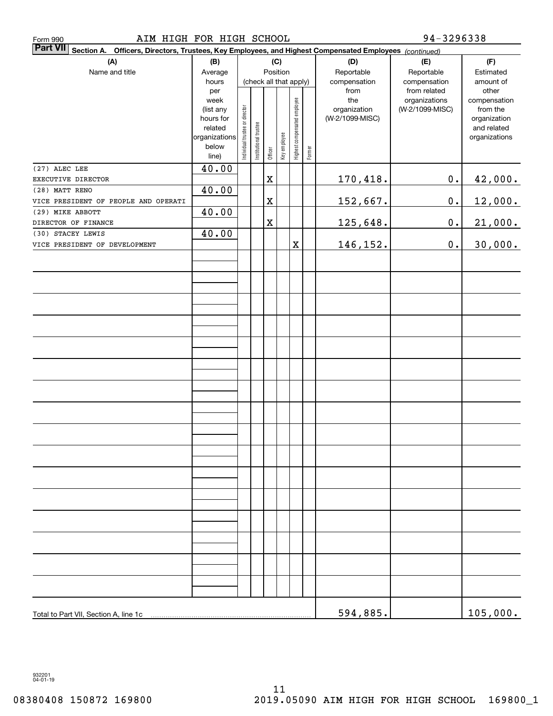| AIM HIGH FOR HIGH SCHOOL<br>Form 990                                                                                         |                |                                |                       |             |              |                              |        |                 | 94-3296338                    |                       |
|------------------------------------------------------------------------------------------------------------------------------|----------------|--------------------------------|-----------------------|-------------|--------------|------------------------------|--------|-----------------|-------------------------------|-----------------------|
| <b>Part VII</b><br>Officers, Directors, Trustees, Key Employees, and Highest Compensated Employees (continued)<br>Section A. |                |                                |                       |             |              |                              |        |                 |                               |                       |
| (A)                                                                                                                          | (B)            |                                |                       |             | (C)          |                              |        | (D)             | (E)                           | (F)                   |
| Name and title                                                                                                               | Average        |                                |                       | Position    |              |                              |        | Reportable      | Reportable                    | Estimated             |
|                                                                                                                              | hours          |                                |                       |             |              | (check all that apply)       |        | compensation    | compensation                  | amount of             |
|                                                                                                                              | per<br>week    |                                |                       |             |              |                              |        | from<br>the     | from related<br>organizations | other<br>compensation |
|                                                                                                                              | (list any      |                                |                       |             |              |                              |        | organization    | (W-2/1099-MISC)               | from the              |
|                                                                                                                              | hours for      |                                |                       |             |              |                              |        | (W-2/1099-MISC) |                               | organization          |
|                                                                                                                              | related        |                                |                       |             |              |                              |        |                 |                               | and related           |
|                                                                                                                              | organizations  |                                |                       |             |              |                              |        |                 |                               | organizations         |
|                                                                                                                              | below<br>line) | Individual trustee or director | Institutional trustee | Officer     | Key employee | Highest compensated employee | Former |                 |                               |                       |
| (27) ALEC LEE                                                                                                                | 40.00          |                                |                       |             |              |                              |        |                 |                               |                       |
| EXECUTIVE DIRECTOR                                                                                                           |                |                                |                       | X           |              |                              |        | 170,418.        | $0$ .                         | 42,000.               |
| (28) MATT RENO                                                                                                               | 40.00          |                                |                       |             |              |                              |        |                 |                               |                       |
| VICE PRESIDENT OF PEOPLE AND OPERATI                                                                                         |                |                                |                       | X           |              |                              |        | 152,667.        | $0$ .                         | 12,000.               |
| (29) MIKE ABBOTT                                                                                                             | 40.00          |                                |                       |             |              |                              |        |                 |                               |                       |
| DIRECTOR OF FINANCE                                                                                                          |                |                                |                       | $\mathbf X$ |              |                              |        | 125,648.        | $0$ .                         | 21,000.               |
| (30) STACEY LEWIS                                                                                                            | 40.00          |                                |                       |             |              |                              |        |                 |                               |                       |
| VICE PRESIDENT OF DEVELOPMENT                                                                                                |                |                                |                       |             |              | X                            |        | 146,152.        | $\mathbf 0$ .                 | 30,000.               |
|                                                                                                                              |                |                                |                       |             |              |                              |        |                 |                               |                       |
|                                                                                                                              |                |                                |                       |             |              |                              |        |                 |                               |                       |
|                                                                                                                              |                |                                |                       |             |              |                              |        |                 |                               |                       |
|                                                                                                                              |                |                                |                       |             |              |                              |        |                 |                               |                       |
|                                                                                                                              |                |                                |                       |             |              |                              |        |                 |                               |                       |
|                                                                                                                              |                |                                |                       |             |              |                              |        |                 |                               |                       |
|                                                                                                                              |                |                                |                       |             |              |                              |        |                 |                               |                       |
|                                                                                                                              |                |                                |                       |             |              |                              |        |                 |                               |                       |
|                                                                                                                              |                |                                |                       |             |              |                              |        |                 |                               |                       |
|                                                                                                                              |                |                                |                       |             |              |                              |        |                 |                               |                       |
|                                                                                                                              |                |                                |                       |             |              |                              |        |                 |                               |                       |
|                                                                                                                              |                |                                |                       |             |              |                              |        |                 |                               |                       |
|                                                                                                                              |                |                                |                       |             |              |                              |        |                 |                               |                       |
|                                                                                                                              |                |                                |                       |             |              |                              |        |                 |                               |                       |
|                                                                                                                              |                |                                |                       |             |              |                              |        |                 |                               |                       |
|                                                                                                                              |                |                                |                       |             |              |                              |        |                 |                               |                       |
|                                                                                                                              |                |                                |                       |             |              |                              |        |                 |                               |                       |
|                                                                                                                              |                |                                |                       |             |              |                              |        |                 |                               |                       |
|                                                                                                                              |                |                                |                       |             |              |                              |        |                 |                               |                       |
|                                                                                                                              |                |                                |                       |             |              |                              |        |                 |                               |                       |
|                                                                                                                              |                |                                |                       |             |              |                              |        |                 |                               |                       |
|                                                                                                                              |                |                                |                       |             |              |                              |        |                 |                               |                       |
|                                                                                                                              |                |                                |                       |             |              |                              |        |                 |                               |                       |
|                                                                                                                              |                |                                |                       |             |              |                              |        |                 |                               |                       |
|                                                                                                                              |                |                                |                       |             |              |                              |        |                 |                               |                       |
|                                                                                                                              |                |                                |                       |             |              |                              |        |                 |                               |                       |
|                                                                                                                              |                |                                |                       |             |              |                              |        |                 |                               |                       |
|                                                                                                                              |                |                                |                       |             |              |                              |        |                 |                               |                       |
|                                                                                                                              |                |                                |                       |             |              |                              |        |                 |                               |                       |
|                                                                                                                              |                |                                |                       |             |              |                              |        |                 |                               |                       |
|                                                                                                                              |                |                                |                       |             |              |                              |        |                 |                               |                       |
| Total to Part VII, Section A, line 1c                                                                                        |                |                                |                       |             |              |                              |        | 594,885.        |                               | 105,000.              |

932201 04-01-19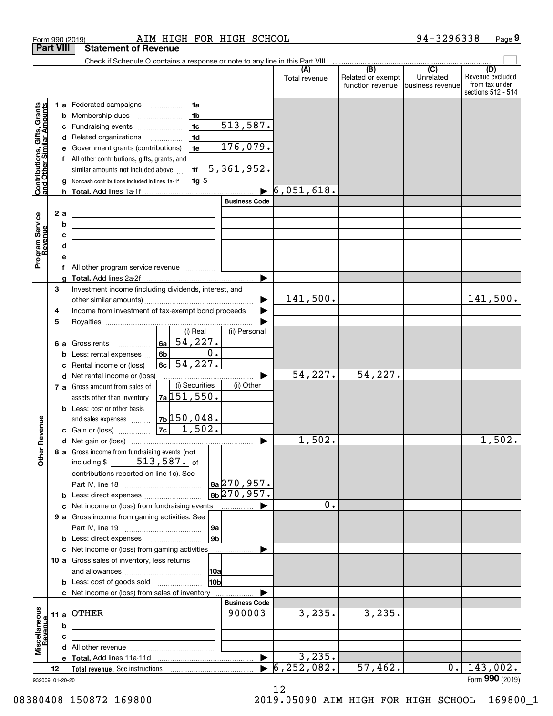| <b>Part VIII</b><br><b>Statement of Revenue</b><br>Check if Schedule O contains a response or note to any line in this Part VIII<br>$\overline{(B)}$<br>$\overline{C}$<br>(A)<br>(D)<br>Revenue excluded<br>Related or exempt<br>Unrelated<br>Total revenue<br>from tax under<br>function revenue<br>lbusiness revenuel<br>sections 512 - 514<br>Contributions, Gifts, Grants<br>and Other Similar Amounts<br>1 a Federated campaigns<br>1a<br>1 <sub>b</sub><br><b>b</b> Membership dues<br>$\ldots \ldots \ldots \ldots \ldots$<br>513,587.<br>1 <sub>c</sub><br>c Fundraising events<br>1 <sub>d</sub><br>d Related organizations<br>176,079.<br>e Government grants (contributions)<br>1e<br>f All other contributions, gifts, grants, and<br>5,361,952.<br>similar amounts not included above<br>1f<br>1g  \$<br>g Noncash contributions included in lines 1a-1f<br>6,051,618.<br><b>Business Code</b><br>2 a<br>Program Service<br>Revenue<br><u> 1980 - Andrea Andrew Maria (h. 1980).</u><br>b<br>c<br><u> 1989 - Johann Barbara, martxa alemaniar amerikan personal (h. 1989).</u><br>d<br><u> 1989 - Johann Barbara, martxa alemaniar a</u><br>е<br>All other program service revenue<br>f<br>a<br>Investment income (including dividends, interest, and<br>3<br>141,500.<br>141,500.<br>Income from investment of tax-exempt bond proceeds<br>4<br>5<br>$(i)$ Real<br>(ii) Personal<br>54,227.<br>6a<br>6 a Gross rents<br>.<br>$\overline{0}$ .<br>6b<br><b>b</b> Less: rental expenses $\ldots$<br>54,227.<br>6c<br>Rental income or (loss)<br>c<br>54, 227.<br>54,227.<br>d Net rental income or (loss)<br>(i) Securities<br>(ii) Other<br>7 a Gross amount from sales of<br>$7a$ 151, 550.<br>assets other than inventory<br><b>b</b> Less: cost or other basis<br>$\vert$ 7b $\vert$ 150,048.<br>venue<br>and sales expenses<br> 7c <br>1,502.<br>c Gain or (loss)<br>1,502.<br>Other Re<br>1,502.<br>8 a Gross income from fundraising events (not<br>513,587. of<br>including \$<br>contributions reported on line 1c). See<br>$ a_2 $ 270,957.<br>$ 8b 270, 957$ .<br><b>b</b> Less: direct expenses<br>0.<br>c Net income or (loss) from fundraising events<br>9 a Gross income from gaming activities. See<br>9a<br>9b<br>c Net income or (loss) from gaming activities<br>10 a Gross sales of inventory, less returns<br>10a<br>10b<br><b>b</b> Less: cost of goods sold<br>c Net income or (loss) from sales of inventory<br><b>Business Code</b><br>Miscellaneous<br>Revenue<br>3,235.<br>3,235.<br>OTHER<br>900003<br>11 a<br>b<br>c<br>3,235.<br>6, 252, 082.<br>143,002.<br>57,462.<br>0.1<br>12<br>Form 990 (2019)<br>932009 01-20-20 |  | Form 990 (2019) | AIM HIGH FOR HIGH SCHOOL |  | 94-3296338 | Page 9 |
|-------------------------------------------------------------------------------------------------------------------------------------------------------------------------------------------------------------------------------------------------------------------------------------------------------------------------------------------------------------------------------------------------------------------------------------------------------------------------------------------------------------------------------------------------------------------------------------------------------------------------------------------------------------------------------------------------------------------------------------------------------------------------------------------------------------------------------------------------------------------------------------------------------------------------------------------------------------------------------------------------------------------------------------------------------------------------------------------------------------------------------------------------------------------------------------------------------------------------------------------------------------------------------------------------------------------------------------------------------------------------------------------------------------------------------------------------------------------------------------------------------------------------------------------------------------------------------------------------------------------------------------------------------------------------------------------------------------------------------------------------------------------------------------------------------------------------------------------------------------------------------------------------------------------------------------------------------------------------------------------------------------------------------------------------------------------------------------------------------------------------------------------------------------------------------------------------------------------------------------------------------------------------------------------------------------------------------------------------------------------------------------------------------------------------------------------------------------------------------------------------------------------------------------------------------------------------------------------------------------------------------------------------------------------|--|-----------------|--------------------------|--|------------|--------|
|                                                                                                                                                                                                                                                                                                                                                                                                                                                                                                                                                                                                                                                                                                                                                                                                                                                                                                                                                                                                                                                                                                                                                                                                                                                                                                                                                                                                                                                                                                                                                                                                                                                                                                                                                                                                                                                                                                                                                                                                                                                                                                                                                                                                                                                                                                                                                                                                                                                                                                                                                                                                                                                                   |  |                 |                          |  |            |        |
|                                                                                                                                                                                                                                                                                                                                                                                                                                                                                                                                                                                                                                                                                                                                                                                                                                                                                                                                                                                                                                                                                                                                                                                                                                                                                                                                                                                                                                                                                                                                                                                                                                                                                                                                                                                                                                                                                                                                                                                                                                                                                                                                                                                                                                                                                                                                                                                                                                                                                                                                                                                                                                                                   |  |                 |                          |  |            |        |
|                                                                                                                                                                                                                                                                                                                                                                                                                                                                                                                                                                                                                                                                                                                                                                                                                                                                                                                                                                                                                                                                                                                                                                                                                                                                                                                                                                                                                                                                                                                                                                                                                                                                                                                                                                                                                                                                                                                                                                                                                                                                                                                                                                                                                                                                                                                                                                                                                                                                                                                                                                                                                                                                   |  |                 |                          |  |            |        |
|                                                                                                                                                                                                                                                                                                                                                                                                                                                                                                                                                                                                                                                                                                                                                                                                                                                                                                                                                                                                                                                                                                                                                                                                                                                                                                                                                                                                                                                                                                                                                                                                                                                                                                                                                                                                                                                                                                                                                                                                                                                                                                                                                                                                                                                                                                                                                                                                                                                                                                                                                                                                                                                                   |  |                 |                          |  |            |        |
|                                                                                                                                                                                                                                                                                                                                                                                                                                                                                                                                                                                                                                                                                                                                                                                                                                                                                                                                                                                                                                                                                                                                                                                                                                                                                                                                                                                                                                                                                                                                                                                                                                                                                                                                                                                                                                                                                                                                                                                                                                                                                                                                                                                                                                                                                                                                                                                                                                                                                                                                                                                                                                                                   |  |                 |                          |  |            |        |
|                                                                                                                                                                                                                                                                                                                                                                                                                                                                                                                                                                                                                                                                                                                                                                                                                                                                                                                                                                                                                                                                                                                                                                                                                                                                                                                                                                                                                                                                                                                                                                                                                                                                                                                                                                                                                                                                                                                                                                                                                                                                                                                                                                                                                                                                                                                                                                                                                                                                                                                                                                                                                                                                   |  |                 |                          |  |            |        |
|                                                                                                                                                                                                                                                                                                                                                                                                                                                                                                                                                                                                                                                                                                                                                                                                                                                                                                                                                                                                                                                                                                                                                                                                                                                                                                                                                                                                                                                                                                                                                                                                                                                                                                                                                                                                                                                                                                                                                                                                                                                                                                                                                                                                                                                                                                                                                                                                                                                                                                                                                                                                                                                                   |  |                 |                          |  |            |        |
|                                                                                                                                                                                                                                                                                                                                                                                                                                                                                                                                                                                                                                                                                                                                                                                                                                                                                                                                                                                                                                                                                                                                                                                                                                                                                                                                                                                                                                                                                                                                                                                                                                                                                                                                                                                                                                                                                                                                                                                                                                                                                                                                                                                                                                                                                                                                                                                                                                                                                                                                                                                                                                                                   |  |                 |                          |  |            |        |
|                                                                                                                                                                                                                                                                                                                                                                                                                                                                                                                                                                                                                                                                                                                                                                                                                                                                                                                                                                                                                                                                                                                                                                                                                                                                                                                                                                                                                                                                                                                                                                                                                                                                                                                                                                                                                                                                                                                                                                                                                                                                                                                                                                                                                                                                                                                                                                                                                                                                                                                                                                                                                                                                   |  |                 |                          |  |            |        |
|                                                                                                                                                                                                                                                                                                                                                                                                                                                                                                                                                                                                                                                                                                                                                                                                                                                                                                                                                                                                                                                                                                                                                                                                                                                                                                                                                                                                                                                                                                                                                                                                                                                                                                                                                                                                                                                                                                                                                                                                                                                                                                                                                                                                                                                                                                                                                                                                                                                                                                                                                                                                                                                                   |  |                 |                          |  |            |        |
|                                                                                                                                                                                                                                                                                                                                                                                                                                                                                                                                                                                                                                                                                                                                                                                                                                                                                                                                                                                                                                                                                                                                                                                                                                                                                                                                                                                                                                                                                                                                                                                                                                                                                                                                                                                                                                                                                                                                                                                                                                                                                                                                                                                                                                                                                                                                                                                                                                                                                                                                                                                                                                                                   |  |                 |                          |  |            |        |
|                                                                                                                                                                                                                                                                                                                                                                                                                                                                                                                                                                                                                                                                                                                                                                                                                                                                                                                                                                                                                                                                                                                                                                                                                                                                                                                                                                                                                                                                                                                                                                                                                                                                                                                                                                                                                                                                                                                                                                                                                                                                                                                                                                                                                                                                                                                                                                                                                                                                                                                                                                                                                                                                   |  |                 |                          |  |            |        |
|                                                                                                                                                                                                                                                                                                                                                                                                                                                                                                                                                                                                                                                                                                                                                                                                                                                                                                                                                                                                                                                                                                                                                                                                                                                                                                                                                                                                                                                                                                                                                                                                                                                                                                                                                                                                                                                                                                                                                                                                                                                                                                                                                                                                                                                                                                                                                                                                                                                                                                                                                                                                                                                                   |  |                 |                          |  |            |        |
|                                                                                                                                                                                                                                                                                                                                                                                                                                                                                                                                                                                                                                                                                                                                                                                                                                                                                                                                                                                                                                                                                                                                                                                                                                                                                                                                                                                                                                                                                                                                                                                                                                                                                                                                                                                                                                                                                                                                                                                                                                                                                                                                                                                                                                                                                                                                                                                                                                                                                                                                                                                                                                                                   |  |                 |                          |  |            |        |
|                                                                                                                                                                                                                                                                                                                                                                                                                                                                                                                                                                                                                                                                                                                                                                                                                                                                                                                                                                                                                                                                                                                                                                                                                                                                                                                                                                                                                                                                                                                                                                                                                                                                                                                                                                                                                                                                                                                                                                                                                                                                                                                                                                                                                                                                                                                                                                                                                                                                                                                                                                                                                                                                   |  |                 |                          |  |            |        |
|                                                                                                                                                                                                                                                                                                                                                                                                                                                                                                                                                                                                                                                                                                                                                                                                                                                                                                                                                                                                                                                                                                                                                                                                                                                                                                                                                                                                                                                                                                                                                                                                                                                                                                                                                                                                                                                                                                                                                                                                                                                                                                                                                                                                                                                                                                                                                                                                                                                                                                                                                                                                                                                                   |  |                 |                          |  |            |        |
|                                                                                                                                                                                                                                                                                                                                                                                                                                                                                                                                                                                                                                                                                                                                                                                                                                                                                                                                                                                                                                                                                                                                                                                                                                                                                                                                                                                                                                                                                                                                                                                                                                                                                                                                                                                                                                                                                                                                                                                                                                                                                                                                                                                                                                                                                                                                                                                                                                                                                                                                                                                                                                                                   |  |                 |                          |  |            |        |
|                                                                                                                                                                                                                                                                                                                                                                                                                                                                                                                                                                                                                                                                                                                                                                                                                                                                                                                                                                                                                                                                                                                                                                                                                                                                                                                                                                                                                                                                                                                                                                                                                                                                                                                                                                                                                                                                                                                                                                                                                                                                                                                                                                                                                                                                                                                                                                                                                                                                                                                                                                                                                                                                   |  |                 |                          |  |            |        |
|                                                                                                                                                                                                                                                                                                                                                                                                                                                                                                                                                                                                                                                                                                                                                                                                                                                                                                                                                                                                                                                                                                                                                                                                                                                                                                                                                                                                                                                                                                                                                                                                                                                                                                                                                                                                                                                                                                                                                                                                                                                                                                                                                                                                                                                                                                                                                                                                                                                                                                                                                                                                                                                                   |  |                 |                          |  |            |        |
|                                                                                                                                                                                                                                                                                                                                                                                                                                                                                                                                                                                                                                                                                                                                                                                                                                                                                                                                                                                                                                                                                                                                                                                                                                                                                                                                                                                                                                                                                                                                                                                                                                                                                                                                                                                                                                                                                                                                                                                                                                                                                                                                                                                                                                                                                                                                                                                                                                                                                                                                                                                                                                                                   |  |                 |                          |  |            |        |
|                                                                                                                                                                                                                                                                                                                                                                                                                                                                                                                                                                                                                                                                                                                                                                                                                                                                                                                                                                                                                                                                                                                                                                                                                                                                                                                                                                                                                                                                                                                                                                                                                                                                                                                                                                                                                                                                                                                                                                                                                                                                                                                                                                                                                                                                                                                                                                                                                                                                                                                                                                                                                                                                   |  |                 |                          |  |            |        |
|                                                                                                                                                                                                                                                                                                                                                                                                                                                                                                                                                                                                                                                                                                                                                                                                                                                                                                                                                                                                                                                                                                                                                                                                                                                                                                                                                                                                                                                                                                                                                                                                                                                                                                                                                                                                                                                                                                                                                                                                                                                                                                                                                                                                                                                                                                                                                                                                                                                                                                                                                                                                                                                                   |  |                 |                          |  |            |        |
|                                                                                                                                                                                                                                                                                                                                                                                                                                                                                                                                                                                                                                                                                                                                                                                                                                                                                                                                                                                                                                                                                                                                                                                                                                                                                                                                                                                                                                                                                                                                                                                                                                                                                                                                                                                                                                                                                                                                                                                                                                                                                                                                                                                                                                                                                                                                                                                                                                                                                                                                                                                                                                                                   |  |                 |                          |  |            |        |
|                                                                                                                                                                                                                                                                                                                                                                                                                                                                                                                                                                                                                                                                                                                                                                                                                                                                                                                                                                                                                                                                                                                                                                                                                                                                                                                                                                                                                                                                                                                                                                                                                                                                                                                                                                                                                                                                                                                                                                                                                                                                                                                                                                                                                                                                                                                                                                                                                                                                                                                                                                                                                                                                   |  |                 |                          |  |            |        |
|                                                                                                                                                                                                                                                                                                                                                                                                                                                                                                                                                                                                                                                                                                                                                                                                                                                                                                                                                                                                                                                                                                                                                                                                                                                                                                                                                                                                                                                                                                                                                                                                                                                                                                                                                                                                                                                                                                                                                                                                                                                                                                                                                                                                                                                                                                                                                                                                                                                                                                                                                                                                                                                                   |  |                 |                          |  |            |        |
|                                                                                                                                                                                                                                                                                                                                                                                                                                                                                                                                                                                                                                                                                                                                                                                                                                                                                                                                                                                                                                                                                                                                                                                                                                                                                                                                                                                                                                                                                                                                                                                                                                                                                                                                                                                                                                                                                                                                                                                                                                                                                                                                                                                                                                                                                                                                                                                                                                                                                                                                                                                                                                                                   |  |                 |                          |  |            |        |
|                                                                                                                                                                                                                                                                                                                                                                                                                                                                                                                                                                                                                                                                                                                                                                                                                                                                                                                                                                                                                                                                                                                                                                                                                                                                                                                                                                                                                                                                                                                                                                                                                                                                                                                                                                                                                                                                                                                                                                                                                                                                                                                                                                                                                                                                                                                                                                                                                                                                                                                                                                                                                                                                   |  |                 |                          |  |            |        |
|                                                                                                                                                                                                                                                                                                                                                                                                                                                                                                                                                                                                                                                                                                                                                                                                                                                                                                                                                                                                                                                                                                                                                                                                                                                                                                                                                                                                                                                                                                                                                                                                                                                                                                                                                                                                                                                                                                                                                                                                                                                                                                                                                                                                                                                                                                                                                                                                                                                                                                                                                                                                                                                                   |  |                 |                          |  |            |        |
|                                                                                                                                                                                                                                                                                                                                                                                                                                                                                                                                                                                                                                                                                                                                                                                                                                                                                                                                                                                                                                                                                                                                                                                                                                                                                                                                                                                                                                                                                                                                                                                                                                                                                                                                                                                                                                                                                                                                                                                                                                                                                                                                                                                                                                                                                                                                                                                                                                                                                                                                                                                                                                                                   |  |                 |                          |  |            |        |
|                                                                                                                                                                                                                                                                                                                                                                                                                                                                                                                                                                                                                                                                                                                                                                                                                                                                                                                                                                                                                                                                                                                                                                                                                                                                                                                                                                                                                                                                                                                                                                                                                                                                                                                                                                                                                                                                                                                                                                                                                                                                                                                                                                                                                                                                                                                                                                                                                                                                                                                                                                                                                                                                   |  |                 |                          |  |            |        |
|                                                                                                                                                                                                                                                                                                                                                                                                                                                                                                                                                                                                                                                                                                                                                                                                                                                                                                                                                                                                                                                                                                                                                                                                                                                                                                                                                                                                                                                                                                                                                                                                                                                                                                                                                                                                                                                                                                                                                                                                                                                                                                                                                                                                                                                                                                                                                                                                                                                                                                                                                                                                                                                                   |  |                 |                          |  |            |        |
|                                                                                                                                                                                                                                                                                                                                                                                                                                                                                                                                                                                                                                                                                                                                                                                                                                                                                                                                                                                                                                                                                                                                                                                                                                                                                                                                                                                                                                                                                                                                                                                                                                                                                                                                                                                                                                                                                                                                                                                                                                                                                                                                                                                                                                                                                                                                                                                                                                                                                                                                                                                                                                                                   |  |                 |                          |  |            |        |
|                                                                                                                                                                                                                                                                                                                                                                                                                                                                                                                                                                                                                                                                                                                                                                                                                                                                                                                                                                                                                                                                                                                                                                                                                                                                                                                                                                                                                                                                                                                                                                                                                                                                                                                                                                                                                                                                                                                                                                                                                                                                                                                                                                                                                                                                                                                                                                                                                                                                                                                                                                                                                                                                   |  |                 |                          |  |            |        |
|                                                                                                                                                                                                                                                                                                                                                                                                                                                                                                                                                                                                                                                                                                                                                                                                                                                                                                                                                                                                                                                                                                                                                                                                                                                                                                                                                                                                                                                                                                                                                                                                                                                                                                                                                                                                                                                                                                                                                                                                                                                                                                                                                                                                                                                                                                                                                                                                                                                                                                                                                                                                                                                                   |  |                 |                          |  |            |        |
|                                                                                                                                                                                                                                                                                                                                                                                                                                                                                                                                                                                                                                                                                                                                                                                                                                                                                                                                                                                                                                                                                                                                                                                                                                                                                                                                                                                                                                                                                                                                                                                                                                                                                                                                                                                                                                                                                                                                                                                                                                                                                                                                                                                                                                                                                                                                                                                                                                                                                                                                                                                                                                                                   |  |                 |                          |  |            |        |
|                                                                                                                                                                                                                                                                                                                                                                                                                                                                                                                                                                                                                                                                                                                                                                                                                                                                                                                                                                                                                                                                                                                                                                                                                                                                                                                                                                                                                                                                                                                                                                                                                                                                                                                                                                                                                                                                                                                                                                                                                                                                                                                                                                                                                                                                                                                                                                                                                                                                                                                                                                                                                                                                   |  |                 |                          |  |            |        |
|                                                                                                                                                                                                                                                                                                                                                                                                                                                                                                                                                                                                                                                                                                                                                                                                                                                                                                                                                                                                                                                                                                                                                                                                                                                                                                                                                                                                                                                                                                                                                                                                                                                                                                                                                                                                                                                                                                                                                                                                                                                                                                                                                                                                                                                                                                                                                                                                                                                                                                                                                                                                                                                                   |  |                 |                          |  |            |        |
|                                                                                                                                                                                                                                                                                                                                                                                                                                                                                                                                                                                                                                                                                                                                                                                                                                                                                                                                                                                                                                                                                                                                                                                                                                                                                                                                                                                                                                                                                                                                                                                                                                                                                                                                                                                                                                                                                                                                                                                                                                                                                                                                                                                                                                                                                                                                                                                                                                                                                                                                                                                                                                                                   |  |                 |                          |  |            |        |
|                                                                                                                                                                                                                                                                                                                                                                                                                                                                                                                                                                                                                                                                                                                                                                                                                                                                                                                                                                                                                                                                                                                                                                                                                                                                                                                                                                                                                                                                                                                                                                                                                                                                                                                                                                                                                                                                                                                                                                                                                                                                                                                                                                                                                                                                                                                                                                                                                                                                                                                                                                                                                                                                   |  |                 |                          |  |            |        |
|                                                                                                                                                                                                                                                                                                                                                                                                                                                                                                                                                                                                                                                                                                                                                                                                                                                                                                                                                                                                                                                                                                                                                                                                                                                                                                                                                                                                                                                                                                                                                                                                                                                                                                                                                                                                                                                                                                                                                                                                                                                                                                                                                                                                                                                                                                                                                                                                                                                                                                                                                                                                                                                                   |  |                 |                          |  |            |        |
|                                                                                                                                                                                                                                                                                                                                                                                                                                                                                                                                                                                                                                                                                                                                                                                                                                                                                                                                                                                                                                                                                                                                                                                                                                                                                                                                                                                                                                                                                                                                                                                                                                                                                                                                                                                                                                                                                                                                                                                                                                                                                                                                                                                                                                                                                                                                                                                                                                                                                                                                                                                                                                                                   |  |                 |                          |  |            |        |
|                                                                                                                                                                                                                                                                                                                                                                                                                                                                                                                                                                                                                                                                                                                                                                                                                                                                                                                                                                                                                                                                                                                                                                                                                                                                                                                                                                                                                                                                                                                                                                                                                                                                                                                                                                                                                                                                                                                                                                                                                                                                                                                                                                                                                                                                                                                                                                                                                                                                                                                                                                                                                                                                   |  |                 |                          |  |            |        |
|                                                                                                                                                                                                                                                                                                                                                                                                                                                                                                                                                                                                                                                                                                                                                                                                                                                                                                                                                                                                                                                                                                                                                                                                                                                                                                                                                                                                                                                                                                                                                                                                                                                                                                                                                                                                                                                                                                                                                                                                                                                                                                                                                                                                                                                                                                                                                                                                                                                                                                                                                                                                                                                                   |  |                 |                          |  |            |        |
|                                                                                                                                                                                                                                                                                                                                                                                                                                                                                                                                                                                                                                                                                                                                                                                                                                                                                                                                                                                                                                                                                                                                                                                                                                                                                                                                                                                                                                                                                                                                                                                                                                                                                                                                                                                                                                                                                                                                                                                                                                                                                                                                                                                                                                                                                                                                                                                                                                                                                                                                                                                                                                                                   |  |                 |                          |  |            |        |
|                                                                                                                                                                                                                                                                                                                                                                                                                                                                                                                                                                                                                                                                                                                                                                                                                                                                                                                                                                                                                                                                                                                                                                                                                                                                                                                                                                                                                                                                                                                                                                                                                                                                                                                                                                                                                                                                                                                                                                                                                                                                                                                                                                                                                                                                                                                                                                                                                                                                                                                                                                                                                                                                   |  |                 |                          |  |            |        |
|                                                                                                                                                                                                                                                                                                                                                                                                                                                                                                                                                                                                                                                                                                                                                                                                                                                                                                                                                                                                                                                                                                                                                                                                                                                                                                                                                                                                                                                                                                                                                                                                                                                                                                                                                                                                                                                                                                                                                                                                                                                                                                                                                                                                                                                                                                                                                                                                                                                                                                                                                                                                                                                                   |  |                 |                          |  |            |        |
|                                                                                                                                                                                                                                                                                                                                                                                                                                                                                                                                                                                                                                                                                                                                                                                                                                                                                                                                                                                                                                                                                                                                                                                                                                                                                                                                                                                                                                                                                                                                                                                                                                                                                                                                                                                                                                                                                                                                                                                                                                                                                                                                                                                                                                                                                                                                                                                                                                                                                                                                                                                                                                                                   |  |                 |                          |  |            |        |
|                                                                                                                                                                                                                                                                                                                                                                                                                                                                                                                                                                                                                                                                                                                                                                                                                                                                                                                                                                                                                                                                                                                                                                                                                                                                                                                                                                                                                                                                                                                                                                                                                                                                                                                                                                                                                                                                                                                                                                                                                                                                                                                                                                                                                                                                                                                                                                                                                                                                                                                                                                                                                                                                   |  |                 |                          |  |            |        |
|                                                                                                                                                                                                                                                                                                                                                                                                                                                                                                                                                                                                                                                                                                                                                                                                                                                                                                                                                                                                                                                                                                                                                                                                                                                                                                                                                                                                                                                                                                                                                                                                                                                                                                                                                                                                                                                                                                                                                                                                                                                                                                                                                                                                                                                                                                                                                                                                                                                                                                                                                                                                                                                                   |  |                 |                          |  |            |        |
|                                                                                                                                                                                                                                                                                                                                                                                                                                                                                                                                                                                                                                                                                                                                                                                                                                                                                                                                                                                                                                                                                                                                                                                                                                                                                                                                                                                                                                                                                                                                                                                                                                                                                                                                                                                                                                                                                                                                                                                                                                                                                                                                                                                                                                                                                                                                                                                                                                                                                                                                                                                                                                                                   |  |                 |                          |  |            |        |
|                                                                                                                                                                                                                                                                                                                                                                                                                                                                                                                                                                                                                                                                                                                                                                                                                                                                                                                                                                                                                                                                                                                                                                                                                                                                                                                                                                                                                                                                                                                                                                                                                                                                                                                                                                                                                                                                                                                                                                                                                                                                                                                                                                                                                                                                                                                                                                                                                                                                                                                                                                                                                                                                   |  |                 |                          |  |            |        |
|                                                                                                                                                                                                                                                                                                                                                                                                                                                                                                                                                                                                                                                                                                                                                                                                                                                                                                                                                                                                                                                                                                                                                                                                                                                                                                                                                                                                                                                                                                                                                                                                                                                                                                                                                                                                                                                                                                                                                                                                                                                                                                                                                                                                                                                                                                                                                                                                                                                                                                                                                                                                                                                                   |  |                 |                          |  |            |        |
|                                                                                                                                                                                                                                                                                                                                                                                                                                                                                                                                                                                                                                                                                                                                                                                                                                                                                                                                                                                                                                                                                                                                                                                                                                                                                                                                                                                                                                                                                                                                                                                                                                                                                                                                                                                                                                                                                                                                                                                                                                                                                                                                                                                                                                                                                                                                                                                                                                                                                                                                                                                                                                                                   |  |                 |                          |  |            |        |

932009 01-20-20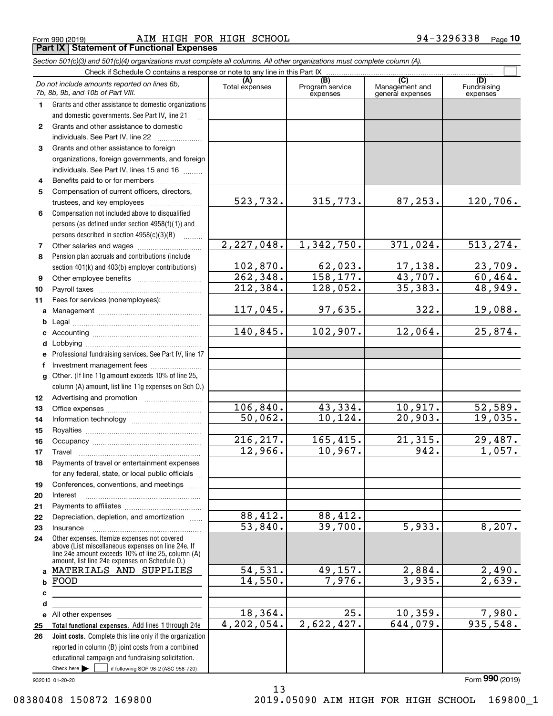Form 990 (2019) Page AIM HIGH FOR HIGH SCHOOL 94-3296338 **Part IX Statement of Functional Expenses**

|                  | Section 501(c)(3) and 501(c)(4) organizations must complete all columns. All other organizations must complete column (A).                                                                                 |                             |                                    |                                           |                                |
|------------------|------------------------------------------------------------------------------------------------------------------------------------------------------------------------------------------------------------|-----------------------------|------------------------------------|-------------------------------------------|--------------------------------|
|                  | Check if Schedule O contains a response or note to any line in this Part IX                                                                                                                                |                             |                                    |                                           |                                |
|                  | Do not include amounts reported on lines 6b,<br>7b, 8b, 9b, and 10b of Part VIII.                                                                                                                          | (A)<br>Total expenses       | (B)<br>Program service<br>expenses | (C)<br>Management and<br>general expenses | (D)<br>Fundraising<br>expenses |
| 1                | Grants and other assistance to domestic organizations                                                                                                                                                      |                             |                                    |                                           |                                |
|                  | and domestic governments. See Part IV, line 21                                                                                                                                                             |                             |                                    |                                           |                                |
| $\mathbf{2}$     | Grants and other assistance to domestic                                                                                                                                                                    |                             |                                    |                                           |                                |
|                  | individuals. See Part IV, line 22                                                                                                                                                                          |                             |                                    |                                           |                                |
| 3                | Grants and other assistance to foreign                                                                                                                                                                     |                             |                                    |                                           |                                |
|                  | organizations, foreign governments, and foreign                                                                                                                                                            |                             |                                    |                                           |                                |
|                  | individuals. See Part IV, lines 15 and 16                                                                                                                                                                  |                             |                                    |                                           |                                |
| 4                | Benefits paid to or for members                                                                                                                                                                            |                             |                                    |                                           |                                |
| 5                | Compensation of current officers, directors,                                                                                                                                                               |                             |                                    |                                           |                                |
|                  | trustees, and key employees                                                                                                                                                                                | 523,732.                    | 315,773.                           | 87, 253.                                  | 120,706.                       |
| 6                | Compensation not included above to disqualified                                                                                                                                                            |                             |                                    |                                           |                                |
|                  | persons (as defined under section 4958(f)(1)) and                                                                                                                                                          |                             |                                    |                                           |                                |
|                  | persons described in section 4958(c)(3)(B)<br>1.1.1.1.1.1.1                                                                                                                                                |                             |                                    |                                           |                                |
| 7                |                                                                                                                                                                                                            | 2,227,048.                  | 1,342,750.                         | 371,024.                                  | 513, 274.                      |
| 8                | Pension plan accruals and contributions (include                                                                                                                                                           |                             |                                    |                                           |                                |
|                  | section 401(k) and 403(b) employer contributions)                                                                                                                                                          | $\frac{102,870.}{262,348.}$ | $\frac{62,023}{158,177}$           | $\frac{17,138.}{43,707.}$                 | $\frac{23,709.}{60,464.}$      |
| 9                |                                                                                                                                                                                                            |                             |                                    |                                           |                                |
| 10               |                                                                                                                                                                                                            | 212, 384.                   | 128,052.                           | 35,383.                                   | 48,949.                        |
| 11               | Fees for services (nonemployees):                                                                                                                                                                          |                             |                                    |                                           |                                |
| a                |                                                                                                                                                                                                            | 117,045.                    | 97,635.                            | 322.                                      | 19,088.                        |
| b                |                                                                                                                                                                                                            |                             |                                    |                                           |                                |
| с                |                                                                                                                                                                                                            | 140,845.                    | 102,907.                           | 12,064.                                   | 25,874.                        |
| d                |                                                                                                                                                                                                            |                             |                                    |                                           |                                |
| е                | Professional fundraising services. See Part IV, line 17                                                                                                                                                    |                             |                                    |                                           |                                |
| f                | Investment management fees                                                                                                                                                                                 |                             |                                    |                                           |                                |
| g                | Other. (If line 11g amount exceeds 10% of line 25,                                                                                                                                                         |                             |                                    |                                           |                                |
|                  | column (A) amount, list line 11g expenses on Sch O.)                                                                                                                                                       |                             |                                    |                                           |                                |
| 12 <sup>12</sup> |                                                                                                                                                                                                            |                             |                                    |                                           |                                |
| 13               |                                                                                                                                                                                                            | 106,840.                    | 43,334.                            | 10,917.                                   | <u>52,589.</u>                 |
| 14               |                                                                                                                                                                                                            | 50,062.                     | 10, 124.                           | 20,903.                                   | 19,035.                        |
| 15               |                                                                                                                                                                                                            |                             |                                    |                                           |                                |
| 16               |                                                                                                                                                                                                            | 216, 217.                   | 165,415.                           | $\overline{21,315}$ .                     | 29,487.                        |
| 17               |                                                                                                                                                                                                            | 12,966.                     | 10,967.                            | 942.                                      | 1,057.                         |
| 18               | Payments of travel or entertainment expenses                                                                                                                                                               |                             |                                    |                                           |                                |
|                  | for any federal, state, or local public officials                                                                                                                                                          |                             |                                    |                                           |                                |
| 19               | Conferences, conventions, and meetings                                                                                                                                                                     |                             |                                    |                                           |                                |
| 20               | Interest                                                                                                                                                                                                   |                             |                                    |                                           |                                |
| 21               |                                                                                                                                                                                                            |                             |                                    |                                           |                                |
| 22               | Depreciation, depletion, and amortization                                                                                                                                                                  | 88,412.                     | 88,412.                            |                                           |                                |
| 23               | Insurance                                                                                                                                                                                                  | 53,840.                     | 39,700.                            | $\overline{5,933.}$                       | 8,207.                         |
| 24               | Other expenses. Itemize expenses not covered<br>above (List miscellaneous expenses on line 24e. If<br>line 24e amount exceeds 10% of line 25, column (A)<br>amount, list line 24e expenses on Schedule O.) |                             |                                    |                                           |                                |
| a                | MATERIALS AND SUPPLIES                                                                                                                                                                                     | 54, 531.                    | 49,157.                            | 2,884.                                    | 2,490.                         |
| b                | FOOD                                                                                                                                                                                                       | 14,550.                     | 7,976.                             | 3,935.                                    | 2,639.                         |
| c                |                                                                                                                                                                                                            |                             |                                    |                                           |                                |
| d                |                                                                                                                                                                                                            |                             |                                    |                                           |                                |
|                  | e All other expenses                                                                                                                                                                                       | 18,364.                     | $\overline{25}$ .                  | 10, 359.                                  | 7,980.                         |
| 25               | Total functional expenses. Add lines 1 through 24e                                                                                                                                                         | 4, 202, 054.                | 2,622,427.                         | 644,079.                                  | 935,548.                       |
| 26               | Joint costs. Complete this line only if the organization                                                                                                                                                   |                             |                                    |                                           |                                |
|                  | reported in column (B) joint costs from a combined                                                                                                                                                         |                             |                                    |                                           |                                |
|                  | educational campaign and fundraising solicitation.                                                                                                                                                         |                             |                                    |                                           |                                |
|                  | Check here $\blacktriangleright$<br>if following SOP 98-2 (ASC 958-720)                                                                                                                                    |                             |                                    |                                           |                                |

13

932010 01-20-20

Form (2019) **990**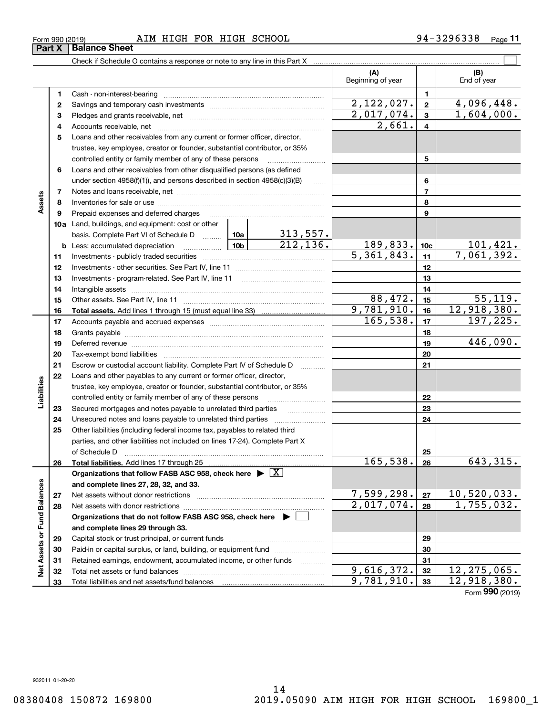| Form 990 (2019) |                               |  |  | AIM HIGH FOR HIGH SCHOOL | 3296338<br>94–1 | Page |
|-----------------|-------------------------------|--|--|--------------------------|-----------------|------|
|                 | <b>Part X   Balance Sheet</b> |  |  |                          |                 |      |

Check if Schedule O contains a response or note to any line in this Part X

|                             |          |                                                                                                                                                    |                           | (A)<br>Beginning of year |                         | (B)<br>End of year           |
|-----------------------------|----------|----------------------------------------------------------------------------------------------------------------------------------------------------|---------------------------|--------------------------|-------------------------|------------------------------|
|                             | 1        |                                                                                                                                                    |                           |                          | $\mathbf{1}$            |                              |
|                             | 2        |                                                                                                                                                    |                           | $\overline{2,122},027.$  | $\mathbf{2}$            | 4,096,448.                   |
|                             | з        |                                                                                                                                                    |                           | $\overline{2,017,074}$ . | $\overline{\mathbf{3}}$ | 1,604,000.                   |
|                             | 4        |                                                                                                                                                    | 2,661.                    | $\overline{4}$           |                         |                              |
|                             | 5        | Loans and other receivables from any current or former officer, director,                                                                          |                           |                          |                         |                              |
|                             |          | trustee, key employee, creator or founder, substantial contributor, or 35%                                                                         |                           |                          |                         |                              |
|                             |          | controlled entity or family member of any of these persons                                                                                         |                           |                          | 5                       |                              |
|                             | 6        | Loans and other receivables from other disqualified persons (as defined                                                                            |                           |                          |                         |                              |
|                             |          | under section 4958(f)(1)), and persons described in section 4958(c)(3)(B)                                                                          | <b>Section</b>            |                          | 6                       |                              |
|                             | 7        |                                                                                                                                                    |                           | $\overline{7}$           |                         |                              |
| Assets                      | 8        |                                                                                                                                                    |                           |                          | 8                       |                              |
|                             | 9        | Prepaid expenses and deferred charges                                                                                                              |                           |                          | 9                       |                              |
|                             |          | 10a Land, buildings, and equipment: cost or other                                                                                                  |                           |                          |                         |                              |
|                             |          | basis. Complete Part VI of Schedule D  10a                                                                                                         | $\frac{313,557}{212,136}$ |                          |                         |                              |
|                             |          | <b>b</b> Less: accumulated depreciation                                                                                                            |                           | 189,833.                 | 10 <sub>c</sub>         | $\frac{101,421}{7,061,392.}$ |
|                             | 11       |                                                                                                                                                    |                           | $\overline{5,361,843.}$  | 11                      |                              |
|                             | 12       |                                                                                                                                                    |                           |                          | 12                      |                              |
|                             | 13       |                                                                                                                                                    |                           |                          | 13                      |                              |
|                             | 14       |                                                                                                                                                    |                           |                          | 14                      |                              |
|                             | 15       |                                                                                                                                                    |                           | 88,472.                  | 15                      | 55, 119.                     |
|                             | 16       |                                                                                                                                                    |                           | 9,781,910.               | 16                      | 12,918,380.                  |
|                             | 17       |                                                                                                                                                    |                           | 165, 538.                | 17                      | 197, 225.                    |
|                             | 18       |                                                                                                                                                    |                           |                          | 18                      | 446,090.                     |
|                             | 19       |                                                                                                                                                    |                           |                          | 19                      |                              |
|                             | 20       |                                                                                                                                                    |                           |                          | 20                      |                              |
|                             | 21<br>22 | Escrow or custodial account liability. Complete Part IV of Schedule D                                                                              |                           |                          | 21                      |                              |
| Liabilities                 |          | Loans and other payables to any current or former officer, director,<br>trustee, key employee, creator or founder, substantial contributor, or 35% |                           |                          |                         |                              |
|                             |          | controlled entity or family member of any of these persons                                                                                         |                           |                          | 22                      |                              |
|                             | 23       | Secured mortgages and notes payable to unrelated third parties                                                                                     |                           |                          | 23                      |                              |
|                             | 24       | Unsecured notes and loans payable to unrelated third parties                                                                                       |                           |                          | 24                      |                              |
|                             | 25       | Other liabilities (including federal income tax, payables to related third                                                                         |                           |                          |                         |                              |
|                             |          | parties, and other liabilities not included on lines 17-24). Complete Part X                                                                       |                           |                          |                         |                              |
|                             |          | of Schedule D                                                                                                                                      |                           |                          | 25                      |                              |
|                             | 26       |                                                                                                                                                    |                           | 165,538.                 | 26                      | 643,315.                     |
|                             |          | Organizations that follow FASB ASC 958, check here $\blacktriangleright \boxed{X}$                                                                 |                           |                          |                         |                              |
|                             |          | and complete lines 27, 28, 32, and 33.                                                                                                             |                           |                          |                         |                              |
|                             | 27       |                                                                                                                                                    |                           | 7,599,298.               | 27                      | 10,520,033.                  |
|                             | 28       |                                                                                                                                                    |                           | $\overline{2,017,074}$ . | 28                      | 1,755,032.                   |
|                             |          | Organizations that do not follow FASB ASC 958, check here $\blacktriangleright$                                                                    |                           |                          |                         |                              |
|                             |          | and complete lines 29 through 33.                                                                                                                  |                           |                          |                         |                              |
| Net Assets or Fund Balances | 29       |                                                                                                                                                    |                           |                          | 29                      |                              |
|                             | 30       | Paid-in or capital surplus, or land, building, or equipment fund                                                                                   |                           |                          | 30                      |                              |
|                             | 31       | Retained earnings, endowment, accumulated income, or other funds                                                                                   |                           |                          | 31                      |                              |
|                             | 32       |                                                                                                                                                    |                           | 9,616,372.               | 32                      | 12, 275, 065.                |
|                             | 33       |                                                                                                                                                    |                           | 9,781,910.               | 33                      | 12,918,380.                  |

 $\mathcal{L}^{\text{max}}$ 

Form (2019) **990**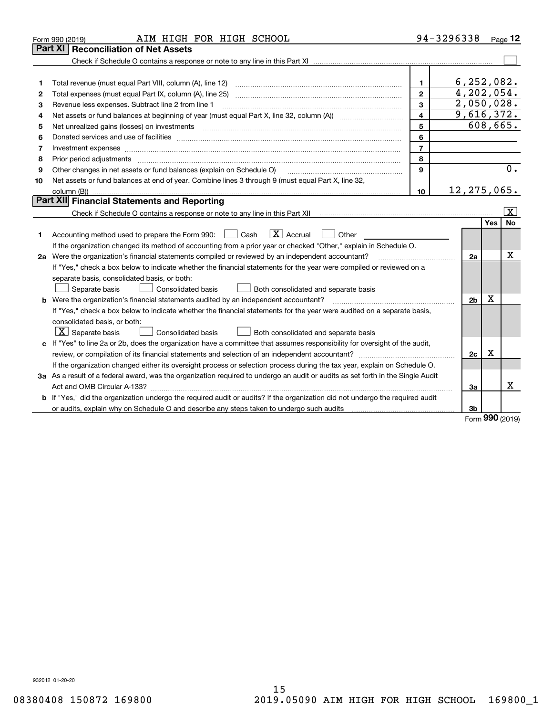|    | AIM HIGH FOR HIGH SCHOOL<br>Form 990 (2019)                                                                                     |                | 94-3296338 Page 12 |          |                         |  |  |  |
|----|---------------------------------------------------------------------------------------------------------------------------------|----------------|--------------------|----------|-------------------------|--|--|--|
|    | <b>Reconciliation of Net Assets</b><br>Part XI                                                                                  |                |                    |          |                         |  |  |  |
|    |                                                                                                                                 |                |                    |          |                         |  |  |  |
|    |                                                                                                                                 |                |                    |          |                         |  |  |  |
| 1  | Total revenue (must equal Part VIII, column (A), line 12)                                                                       | $\mathbf{1}$   | 6, 252, 082.       |          |                         |  |  |  |
| 2  | 4,202,054.<br>$\mathbf{2}$<br>Total expenses (must equal Part IX, column (A), line 25) www.communicallycommunity.community.com  |                |                    |          |                         |  |  |  |
| з  | 2,050,028.<br>3<br>Revenue less expenses. Subtract line 2 from line 1                                                           |                |                    |          |                         |  |  |  |
| 4  | 9,616,372.<br>$\overline{\mathbf{4}}$                                                                                           |                |                    |          |                         |  |  |  |
| 5  | Net unrealized gains (losses) on investments                                                                                    | 5              |                    | 608,665. |                         |  |  |  |
| 6  |                                                                                                                                 | 6              |                    |          |                         |  |  |  |
| 7  | Investment expenses www.communication.com/www.communication.com/www.communication.com/www.com                                   | $\overline{7}$ |                    |          |                         |  |  |  |
| 8  | Prior period adjustments                                                                                                        | 8              |                    |          |                         |  |  |  |
| 9  | Other changes in net assets or fund balances (explain on Schedule O)                                                            | 9              |                    |          | 0.                      |  |  |  |
| 10 | Net assets or fund balances at end of year. Combine lines 3 through 9 (must equal Part X, line 32,                              |                |                    |          |                         |  |  |  |
|    |                                                                                                                                 | 10             | 12, 275, 065.      |          |                         |  |  |  |
|    | Part XII Financial Statements and Reporting                                                                                     |                |                    |          |                         |  |  |  |
|    |                                                                                                                                 |                |                    |          | $\overline{\mathbf{X}}$ |  |  |  |
|    |                                                                                                                                 |                |                    | Yes      | No                      |  |  |  |
| 1  | $\boxed{\mathbf{X}}$ Accrual<br>Accounting method used to prepare the Form 990: <u>I</u> Cash<br>Other                          |                |                    |          |                         |  |  |  |
|    | If the organization changed its method of accounting from a prior year or checked "Other," explain in Schedule O.               |                |                    |          |                         |  |  |  |
|    | 2a Were the organization's financial statements compiled or reviewed by an independent accountant?                              |                | 2a                 |          | Χ                       |  |  |  |
|    | If "Yes," check a box below to indicate whether the financial statements for the year were compiled or reviewed on a            |                |                    |          |                         |  |  |  |
|    | separate basis, consolidated basis, or both:                                                                                    |                |                    |          |                         |  |  |  |
|    | Separate basis<br>Both consolidated and separate basis<br>Consolidated basis                                                    |                |                    |          |                         |  |  |  |
|    | <b>b</b> Were the organization's financial statements audited by an independent accountant?                                     |                | 2 <sub>b</sub>     | x        |                         |  |  |  |
|    | If "Yes," check a box below to indicate whether the financial statements for the year were audited on a separate basis,         |                |                    |          |                         |  |  |  |
|    | consolidated basis, or both:                                                                                                    |                |                    |          |                         |  |  |  |
|    | $X$ Separate basis<br><b>Consolidated basis</b><br>Both consolidated and separate basis                                         |                |                    |          |                         |  |  |  |
| c  | If "Yes" to line 2a or 2b, does the organization have a committee that assumes responsibility for oversight of the audit,       |                |                    |          |                         |  |  |  |
|    | review, or compilation of its financial statements and selection of an independent accountant?                                  |                | 2c                 | х        |                         |  |  |  |
|    | If the organization changed either its oversight process or selection process during the tax year, explain on Schedule O.       |                |                    |          |                         |  |  |  |
|    | 3a As a result of a federal award, was the organization required to undergo an audit or audits as set forth in the Single Audit |                |                    |          |                         |  |  |  |
|    |                                                                                                                                 |                | За                 |          | x                       |  |  |  |
| b  | If "Yes," did the organization undergo the required audit or audits? If the organization did not undergo the required audit     |                |                    |          |                         |  |  |  |
|    |                                                                                                                                 |                | 3b                 | nnn      |                         |  |  |  |

Form (2019) **990**

932012 01-20-20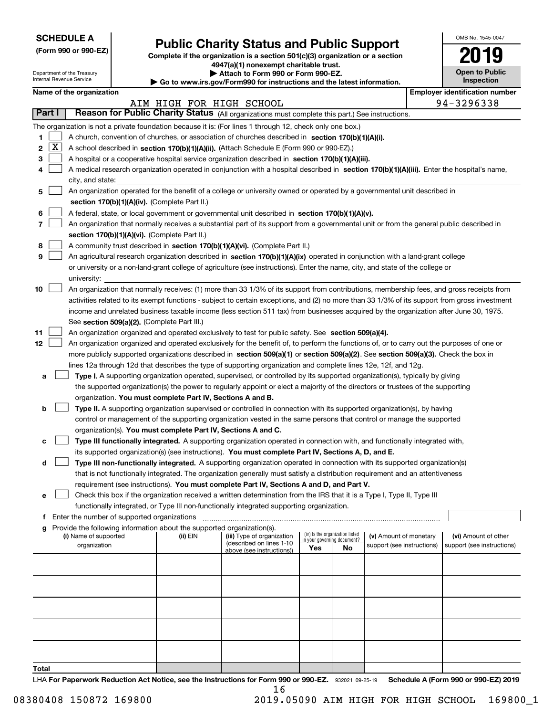| <b>SCHEDULE A</b> |
|-------------------|
|-------------------|

Department of the Treasury

**Total**

| (Form 990 or 990-EZ) |  |  |  |  |
|----------------------|--|--|--|--|
|----------------------|--|--|--|--|

# **Public Charity Status and Public Support**

**Complete if the organization is a section 501(c)(3) organization or a section 4947(a)(1) nonexempt charitable trust.**

**| Attach to Form 990 or Form 990-EZ.** 

| OMB No. 1545-0047            |
|------------------------------|
| 2019                         |
| Open to Public<br>Inspection |

|  | Name of the organization |
|--|--------------------------|
|--|--------------------------|

| Internal Revenue Service<br>Inspection<br>Go to www.irs.gov/Form990 for instructions and the latest information. |                                                                                           |  |                                               |                                                                                                                                               |     |                                                                |                            |  |                                       |
|------------------------------------------------------------------------------------------------------------------|-------------------------------------------------------------------------------------------|--|-----------------------------------------------|-----------------------------------------------------------------------------------------------------------------------------------------------|-----|----------------------------------------------------------------|----------------------------|--|---------------------------------------|
| Name of the organization                                                                                         |                                                                                           |  |                                               |                                                                                                                                               |     |                                                                |                            |  | <b>Employer identification number</b> |
| AIM HIGH FOR HIGH SCHOOL                                                                                         |                                                                                           |  |                                               |                                                                                                                                               |     |                                                                | 94-3296338                 |  |                                       |
| Part I                                                                                                           |                                                                                           |  |                                               | Reason for Public Charity Status (All organizations must complete this part.) See instructions.                                               |     |                                                                |                            |  |                                       |
|                                                                                                                  |                                                                                           |  |                                               | The organization is not a private foundation because it is: (For lines 1 through 12, check only one box.)                                     |     |                                                                |                            |  |                                       |
| 1                                                                                                                |                                                                                           |  |                                               | A church, convention of churches, or association of churches described in section 170(b)(1)(A)(i).                                            |     |                                                                |                            |  |                                       |
| $\mathbf{X}$<br>2                                                                                                |                                                                                           |  |                                               | A school described in section 170(b)(1)(A)(ii). (Attach Schedule E (Form 990 or 990-EZ).)                                                     |     |                                                                |                            |  |                                       |
| 3                                                                                                                |                                                                                           |  |                                               | A hospital or a cooperative hospital service organization described in section 170(b)(1)(A)(iii).                                             |     |                                                                |                            |  |                                       |
| 4                                                                                                                | city, and state:                                                                          |  |                                               | A medical research organization operated in conjunction with a hospital described in section 170(b)(1)(A)(iii). Enter the hospital's name,    |     |                                                                |                            |  |                                       |
| 5                                                                                                                |                                                                                           |  |                                               | An organization operated for the benefit of a college or university owned or operated by a governmental unit described in                     |     |                                                                |                            |  |                                       |
|                                                                                                                  |                                                                                           |  | section 170(b)(1)(A)(iv). (Complete Part II.) |                                                                                                                                               |     |                                                                |                            |  |                                       |
| 6                                                                                                                |                                                                                           |  |                                               | A federal, state, or local government or governmental unit described in section 170(b)(1)(A)(v).                                              |     |                                                                |                            |  |                                       |
| 7                                                                                                                |                                                                                           |  |                                               | An organization that normally receives a substantial part of its support from a governmental unit or from the general public described in     |     |                                                                |                            |  |                                       |
|                                                                                                                  |                                                                                           |  | section 170(b)(1)(A)(vi). (Complete Part II.) |                                                                                                                                               |     |                                                                |                            |  |                                       |
| 8                                                                                                                |                                                                                           |  |                                               | A community trust described in section 170(b)(1)(A)(vi). (Complete Part II.)                                                                  |     |                                                                |                            |  |                                       |
| 9                                                                                                                |                                                                                           |  |                                               | An agricultural research organization described in section 170(b)(1)(A)(ix) operated in conjunction with a land-grant college                 |     |                                                                |                            |  |                                       |
|                                                                                                                  |                                                                                           |  |                                               | or university or a non-land-grant college of agriculture (see instructions). Enter the name, city, and state of the college or                |     |                                                                |                            |  |                                       |
|                                                                                                                  | university:                                                                               |  |                                               |                                                                                                                                               |     |                                                                |                            |  |                                       |
| 10                                                                                                               |                                                                                           |  |                                               | An organization that normally receives: (1) more than 33 1/3% of its support from contributions, membership fees, and gross receipts from     |     |                                                                |                            |  |                                       |
|                                                                                                                  |                                                                                           |  |                                               | activities related to its exempt functions - subject to certain exceptions, and (2) no more than 33 1/3% of its support from gross investment |     |                                                                |                            |  |                                       |
|                                                                                                                  |                                                                                           |  |                                               | income and unrelated business taxable income (less section 511 tax) from businesses acquired by the organization after June 30, 1975.         |     |                                                                |                            |  |                                       |
|                                                                                                                  |                                                                                           |  | See section 509(a)(2). (Complete Part III.)   |                                                                                                                                               |     |                                                                |                            |  |                                       |
| 11                                                                                                               |                                                                                           |  |                                               | An organization organized and operated exclusively to test for public safety. See section 509(a)(4).                                          |     |                                                                |                            |  |                                       |
| 12                                                                                                               |                                                                                           |  |                                               | An organization organized and operated exclusively for the benefit of, to perform the functions of, or to carry out the purposes of one or    |     |                                                                |                            |  |                                       |
|                                                                                                                  |                                                                                           |  |                                               | more publicly supported organizations described in section 509(a)(1) or section 509(a)(2). See section 509(a)(3). Check the box in            |     |                                                                |                            |  |                                       |
|                                                                                                                  |                                                                                           |  |                                               | lines 12a through 12d that describes the type of supporting organization and complete lines 12e, 12f, and 12g.                                |     |                                                                |                            |  |                                       |
| а                                                                                                                |                                                                                           |  |                                               | Type I. A supporting organization operated, supervised, or controlled by its supported organization(s), typically by giving                   |     |                                                                |                            |  |                                       |
|                                                                                                                  |                                                                                           |  |                                               | the supported organization(s) the power to regularly appoint or elect a majority of the directors or trustees of the supporting               |     |                                                                |                            |  |                                       |
|                                                                                                                  |                                                                                           |  |                                               | organization. You must complete Part IV, Sections A and B.                                                                                    |     |                                                                |                            |  |                                       |
| b                                                                                                                |                                                                                           |  |                                               | Type II. A supporting organization supervised or controlled in connection with its supported organization(s), by having                       |     |                                                                |                            |  |                                       |
|                                                                                                                  |                                                                                           |  |                                               | control or management of the supporting organization vested in the same persons that control or manage the supported                          |     |                                                                |                            |  |                                       |
|                                                                                                                  |                                                                                           |  |                                               | organization(s). You must complete Part IV, Sections A and C.                                                                                 |     |                                                                |                            |  |                                       |
| c                                                                                                                |                                                                                           |  |                                               | Type III functionally integrated. A supporting organization operated in connection with, and functionally integrated with,                    |     |                                                                |                            |  |                                       |
|                                                                                                                  |                                                                                           |  |                                               | its supported organization(s) (see instructions). You must complete Part IV, Sections A, D, and E.                                            |     |                                                                |                            |  |                                       |
| d                                                                                                                |                                                                                           |  |                                               | Type III non-functionally integrated. A supporting organization operated in connection with its supported organization(s)                     |     |                                                                |                            |  |                                       |
|                                                                                                                  |                                                                                           |  |                                               | that is not functionally integrated. The organization generally must satisfy a distribution requirement and an attentiveness                  |     |                                                                |                            |  |                                       |
|                                                                                                                  |                                                                                           |  |                                               | requirement (see instructions). You must complete Part IV, Sections A and D, and Part V.                                                      |     |                                                                |                            |  |                                       |
| е                                                                                                                |                                                                                           |  |                                               | Check this box if the organization received a written determination from the IRS that it is a Type I, Type II, Type III                       |     |                                                                |                            |  |                                       |
|                                                                                                                  | functionally integrated, or Type III non-functionally integrated supporting organization. |  |                                               |                                                                                                                                               |     |                                                                |                            |  |                                       |
| Enter the number of supported organizations<br>f                                                                 |                                                                                           |  |                                               |                                                                                                                                               |     |                                                                |                            |  |                                       |
|                                                                                                                  |                                                                                           |  |                                               | g Provide the following information about the supported organization(s).                                                                      |     |                                                                |                            |  |                                       |
|                                                                                                                  | (i) Name of supported                                                                     |  | (ii) EIN                                      | (iii) Type of organization                                                                                                                    |     | (iv) Is the organization listed<br>in your governing document? | (v) Amount of monetary     |  | (vi) Amount of other                  |
|                                                                                                                  | organization                                                                              |  |                                               | (described on lines 1-10<br>above (see instructions))                                                                                         | Yes | No                                                             | support (see instructions) |  | support (see instructions)            |
|                                                                                                                  |                                                                                           |  |                                               |                                                                                                                                               |     |                                                                |                            |  |                                       |
|                                                                                                                  |                                                                                           |  |                                               |                                                                                                                                               |     |                                                                |                            |  |                                       |
|                                                                                                                  |                                                                                           |  |                                               |                                                                                                                                               |     |                                                                |                            |  |                                       |
|                                                                                                                  |                                                                                           |  |                                               |                                                                                                                                               |     |                                                                |                            |  |                                       |
|                                                                                                                  |                                                                                           |  |                                               |                                                                                                                                               |     |                                                                |                            |  |                                       |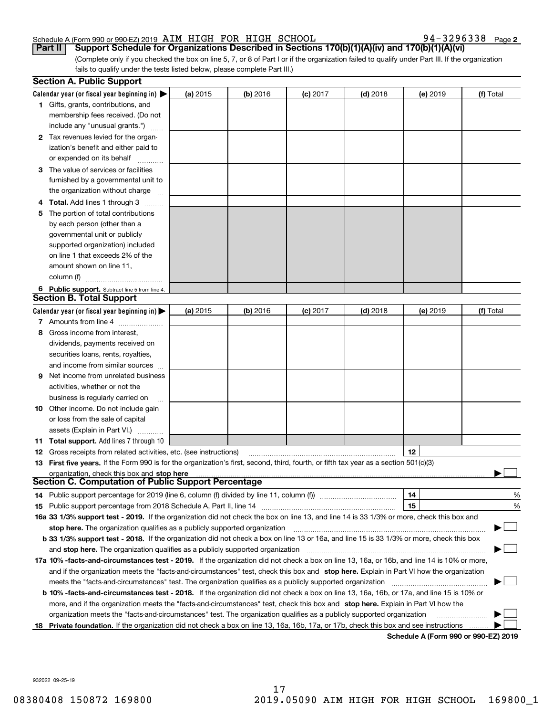**2**

(Complete only if you checked the box on line 5, 7, or 8 of Part I or if the organization failed to qualify under Part III. If the organization fails to qualify under the tests listed below, please complete Part III.) **Part II Support Schedule for Organizations Described in Sections 170(b)(1)(A)(iv) and 170(b)(1)(A)(vi)**

|    | <b>Section A. Public Support</b>                                                                                                               |          |            |            |            |                                      |           |
|----|------------------------------------------------------------------------------------------------------------------------------------------------|----------|------------|------------|------------|--------------------------------------|-----------|
|    | Calendar year (or fiscal year beginning in) $\blacktriangleright$                                                                              | (a) 2015 | $(b)$ 2016 | $(c)$ 2017 | $(d)$ 2018 | (e) 2019                             | (f) Total |
|    | <b>1</b> Gifts, grants, contributions, and                                                                                                     |          |            |            |            |                                      |           |
|    | membership fees received. (Do not<br>include any "unusual grants.")                                                                            |          |            |            |            |                                      |           |
|    | <b>2</b> Tax revenues levied for the organ-                                                                                                    |          |            |            |            |                                      |           |
|    | ization's benefit and either paid to                                                                                                           |          |            |            |            |                                      |           |
|    | or expended on its behalf                                                                                                                      |          |            |            |            |                                      |           |
|    | 3 The value of services or facilities                                                                                                          |          |            |            |            |                                      |           |
|    | furnished by a governmental unit to                                                                                                            |          |            |            |            |                                      |           |
|    | the organization without charge                                                                                                                |          |            |            |            |                                      |           |
|    | 4 Total. Add lines 1 through 3                                                                                                                 |          |            |            |            |                                      |           |
| 5. | The portion of total contributions                                                                                                             |          |            |            |            |                                      |           |
|    | by each person (other than a                                                                                                                   |          |            |            |            |                                      |           |
|    | governmental unit or publicly                                                                                                                  |          |            |            |            |                                      |           |
|    | supported organization) included                                                                                                               |          |            |            |            |                                      |           |
|    | on line 1 that exceeds 2% of the                                                                                                               |          |            |            |            |                                      |           |
|    | amount shown on line 11,                                                                                                                       |          |            |            |            |                                      |           |
|    | column (f)                                                                                                                                     |          |            |            |            |                                      |           |
|    | 6 Public support. Subtract line 5 from line 4.                                                                                                 |          |            |            |            |                                      |           |
|    | <b>Section B. Total Support</b>                                                                                                                |          |            |            |            |                                      |           |
|    | Calendar year (or fiscal year beginning in)                                                                                                    | (a) 2015 | $(b)$ 2016 | $(c)$ 2017 | $(d)$ 2018 | (e) 2019                             | (f) Total |
|    | 7 Amounts from line 4                                                                                                                          |          |            |            |            |                                      |           |
| 8  | Gross income from interest,                                                                                                                    |          |            |            |            |                                      |           |
|    | dividends, payments received on                                                                                                                |          |            |            |            |                                      |           |
|    | securities loans, rents, royalties,                                                                                                            |          |            |            |            |                                      |           |
|    | and income from similar sources                                                                                                                |          |            |            |            |                                      |           |
| 9. | Net income from unrelated business                                                                                                             |          |            |            |            |                                      |           |
|    | activities, whether or not the                                                                                                                 |          |            |            |            |                                      |           |
|    | business is regularly carried on                                                                                                               |          |            |            |            |                                      |           |
|    | <b>10</b> Other income. Do not include gain                                                                                                    |          |            |            |            |                                      |           |
|    | or loss from the sale of capital                                                                                                               |          |            |            |            |                                      |           |
|    | assets (Explain in Part VI.)<br><b>11 Total support.</b> Add lines 7 through 10                                                                |          |            |            |            |                                      |           |
|    | <b>12</b> Gross receipts from related activities, etc. (see instructions)                                                                      |          |            |            |            | 12                                   |           |
|    | 13 First five years. If the Form 990 is for the organization's first, second, third, fourth, or fifth tax year as a section 501(c)(3)          |          |            |            |            |                                      |           |
|    | organization, check this box and stop here                                                                                                     |          |            |            |            |                                      |           |
|    | Section C. Computation of Public Support Percentage                                                                                            |          |            |            |            |                                      |           |
|    | 14 Public support percentage for 2019 (line 6, column (f) divided by line 11, column (f) <i>manumeronominimi</i> ng                            |          |            |            |            | 14                                   | %         |
|    |                                                                                                                                                |          |            |            |            | 15                                   | $\%$      |
|    | 16a 33 1/3% support test - 2019. If the organization did not check the box on line 13, and line 14 is 33 1/3% or more, check this box and      |          |            |            |            |                                      |           |
|    | stop here. The organization qualifies as a publicly supported organization                                                                     |          |            |            |            |                                      |           |
|    | b 33 1/3% support test - 2018. If the organization did not check a box on line 13 or 16a, and line 15 is 33 1/3% or more, check this box       |          |            |            |            |                                      |           |
|    | and stop here. The organization qualifies as a publicly supported organization                                                                 |          |            |            |            |                                      |           |
|    | 17a 10% -facts-and-circumstances test - 2019. If the organization did not check a box on line 13, 16a, or 16b, and line 14 is 10% or more,     |          |            |            |            |                                      |           |
|    | and if the organization meets the "facts-and-circumstances" test, check this box and stop here. Explain in Part VI how the organization        |          |            |            |            |                                      |           |
|    | meets the "facts-and-circumstances" test. The organization qualifies as a publicly supported organization                                      |          |            |            |            |                                      |           |
|    | <b>b 10% -facts-and-circumstances test - 2018.</b> If the organization did not check a box on line 13, 16a, 16b, or 17a, and line 15 is 10% or |          |            |            |            |                                      |           |
|    | more, and if the organization meets the "facts-and-circumstances" test, check this box and stop here. Explain in Part VI how the               |          |            |            |            |                                      |           |
|    | organization meets the "facts-and-circumstances" test. The organization qualifies as a publicly supported organization                         |          |            |            |            |                                      |           |
| 18 | Private foundation. If the organization did not check a box on line 13, 16a, 16b, 17a, or 17b, check this box and see instructions             |          |            |            |            |                                      |           |
|    |                                                                                                                                                |          |            |            |            | Schedule A (Form 990 or 990-EZ) 2019 |           |

932022 09-25-19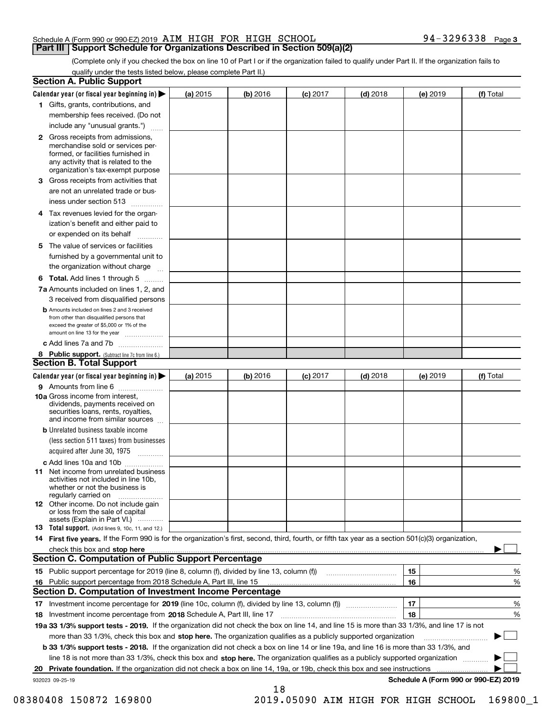(Complete only if you checked the box on line 10 of Part I or if the organization failed to qualify under Part II. If the organization fails to qualify under the tests listed below, please complete Part II.)

|    | <b>Section A. Public Support</b>                                                                                                                                                         |            |          |            |            |          |                                      |
|----|------------------------------------------------------------------------------------------------------------------------------------------------------------------------------------------|------------|----------|------------|------------|----------|--------------------------------------|
|    | Calendar year (or fiscal year beginning in) $\blacktriangleright$                                                                                                                        | (a) 2015   | (b) 2016 | $(c)$ 2017 | $(d)$ 2018 | (e) 2019 | (f) Total                            |
|    | 1 Gifts, grants, contributions, and                                                                                                                                                      |            |          |            |            |          |                                      |
|    | membership fees received. (Do not                                                                                                                                                        |            |          |            |            |          |                                      |
|    | include any "unusual grants.")                                                                                                                                                           |            |          |            |            |          |                                      |
|    | 2 Gross receipts from admissions,<br>merchandise sold or services per-<br>formed, or facilities furnished in<br>any activity that is related to the<br>organization's tax-exempt purpose |            |          |            |            |          |                                      |
|    | 3 Gross receipts from activities that                                                                                                                                                    |            |          |            |            |          |                                      |
|    | are not an unrelated trade or bus-                                                                                                                                                       |            |          |            |            |          |                                      |
|    | iness under section 513                                                                                                                                                                  |            |          |            |            |          |                                      |
|    | 4 Tax revenues levied for the organ-<br>ization's benefit and either paid to                                                                                                             |            |          |            |            |          |                                      |
|    | or expended on its behalf<br>المتمددات                                                                                                                                                   |            |          |            |            |          |                                      |
|    | 5 The value of services or facilities                                                                                                                                                    |            |          |            |            |          |                                      |
|    | furnished by a governmental unit to                                                                                                                                                      |            |          |            |            |          |                                      |
|    | the organization without charge                                                                                                                                                          |            |          |            |            |          |                                      |
|    | <b>6 Total.</b> Add lines 1 through 5                                                                                                                                                    |            |          |            |            |          |                                      |
|    | 7a Amounts included on lines 1, 2, and<br>3 received from disqualified persons                                                                                                           |            |          |            |            |          |                                      |
|    | <b>b</b> Amounts included on lines 2 and 3 received<br>from other than disqualified persons that<br>exceed the greater of \$5,000 or 1% of the<br>amount on line 13 for the year         |            |          |            |            |          |                                      |
|    | c Add lines 7a and 7b                                                                                                                                                                    |            |          |            |            |          |                                      |
|    | 8 Public support. (Subtract line 7c from line 6.)                                                                                                                                        |            |          |            |            |          |                                      |
|    | Section B. Total Support                                                                                                                                                                 |            |          |            |            |          |                                      |
|    | Calendar year (or fiscal year beginning in)                                                                                                                                              | (a) $2015$ | (b) 2016 | $(c)$ 2017 | $(d)$ 2018 | (e) 2019 | (f) Total                            |
|    | 9 Amounts from line 6                                                                                                                                                                    |            |          |            |            |          |                                      |
|    | <b>10a</b> Gross income from interest,<br>dividends, payments received on<br>securities loans, rents, royalties,<br>and income from similar sources                                      |            |          |            |            |          |                                      |
|    | <b>b</b> Unrelated business taxable income                                                                                                                                               |            |          |            |            |          |                                      |
|    | (less section 511 taxes) from businesses                                                                                                                                                 |            |          |            |            |          |                                      |
|    | acquired after June 30, 1975                                                                                                                                                             |            |          |            |            |          |                                      |
|    | c Add lines 10a and 10b                                                                                                                                                                  |            |          |            |            |          |                                      |
|    | 11 Net income from unrelated business<br>activities not included in line 10b.<br>whether or not the business is<br>regularly carried on                                                  |            |          |            |            |          |                                      |
|    | <b>12</b> Other income. Do not include gain<br>or loss from the sale of capital<br>assets (Explain in Part VI.)                                                                          |            |          |            |            |          |                                      |
|    | <b>13</b> Total support. (Add lines 9, 10c, 11, and 12.)                                                                                                                                 |            |          |            |            |          |                                      |
|    | 14 First five years. If the Form 990 is for the organization's first, second, third, fourth, or fifth tax year as a section 501(c)(3) organization,                                      |            |          |            |            |          |                                      |
|    | check this box and stop here with an intermediate control to the control of the control of the control of the c<br><b>Section C. Computation of Public Support Percentage</b>            |            |          |            |            |          |                                      |
|    | 15 Public support percentage for 2019 (line 8, column (f), divided by line 13, column (f))                                                                                               |            |          |            |            | 15       | %                                    |
|    | 16 Public support percentage from 2018 Schedule A, Part III, line 15                                                                                                                     |            |          |            |            | 16       | %                                    |
|    | <b>Section D. Computation of Investment Income Percentage</b>                                                                                                                            |            |          |            |            |          |                                      |
|    | 17 Investment income percentage for 2019 (line 10c, column (f), divided by line 13, column (f))                                                                                          |            |          |            |            | 17       | %                                    |
|    | 18 Investment income percentage from 2018 Schedule A, Part III, line 17                                                                                                                  |            |          |            |            | 18       | %                                    |
|    | 19a 33 1/3% support tests - 2019. If the organization did not check the box on line 14, and line 15 is more than 33 1/3%, and line 17 is not                                             |            |          |            |            |          |                                      |
|    | more than 33 1/3%, check this box and stop here. The organization qualifies as a publicly supported organization                                                                         |            |          |            |            |          | ▶                                    |
|    | b 33 1/3% support tests - 2018. If the organization did not check a box on line 14 or line 19a, and line 16 is more than 33 1/3%, and                                                    |            |          |            |            |          |                                      |
|    | line 18 is not more than 33 1/3%, check this box and stop here. The organization qualifies as a publicly supported organization                                                          |            |          |            |            |          |                                      |
| 20 | Private foundation. If the organization did not check a box on line 14, 19a, or 19b, check this box and see instructions                                                                 |            |          |            |            |          | .                                    |
|    | 932023 09-25-19                                                                                                                                                                          |            |          |            |            |          | Schedule A (Form 990 or 990-EZ) 2019 |
|    |                                                                                                                                                                                          |            | 18       |            |            |          |                                      |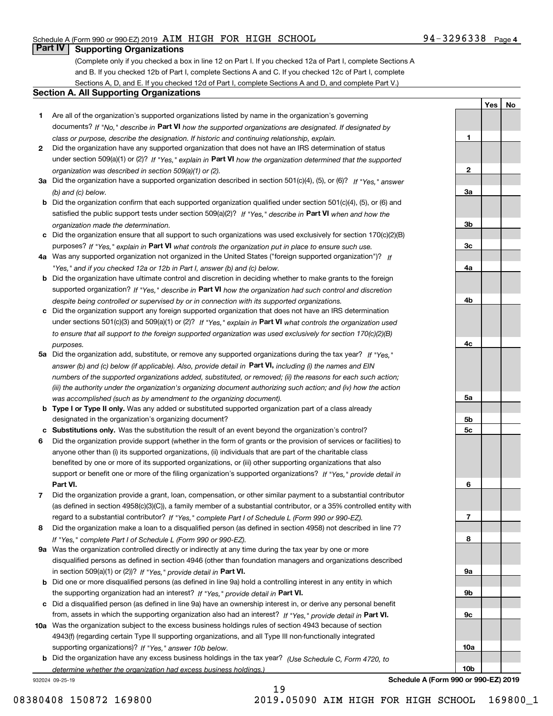# **Part IV Supporting Organizations**

(Complete only if you checked a box in line 12 on Part I. If you checked 12a of Part I, complete Sections A and B. If you checked 12b of Part I, complete Sections A and C. If you checked 12c of Part I, complete Sections A, D, and E. If you checked 12d of Part I, complete Sections A and D, and complete Part V.)

#### **Section A. All Supporting Organizations**

- **1** Are all of the organization's supported organizations listed by name in the organization's governing documents? If "No," describe in **Part VI** how the supported organizations are designated. If designated by *class or purpose, describe the designation. If historic and continuing relationship, explain.*
- **2** Did the organization have any supported organization that does not have an IRS determination of status under section 509(a)(1) or (2)? If "Yes," explain in Part VI how the organization determined that the supported *organization was described in section 509(a)(1) or (2).*
- **3a** Did the organization have a supported organization described in section 501(c)(4), (5), or (6)? If "Yes," answer *(b) and (c) below.*
- **b** Did the organization confirm that each supported organization qualified under section 501(c)(4), (5), or (6) and satisfied the public support tests under section 509(a)(2)? If "Yes," describe in **Part VI** when and how the *organization made the determination.*
- **c**Did the organization ensure that all support to such organizations was used exclusively for section 170(c)(2)(B) purposes? If "Yes," explain in **Part VI** what controls the organization put in place to ensure such use.
- **4a***If* Was any supported organization not organized in the United States ("foreign supported organization")? *"Yes," and if you checked 12a or 12b in Part I, answer (b) and (c) below.*
- **b** Did the organization have ultimate control and discretion in deciding whether to make grants to the foreign supported organization? If "Yes," describe in **Part VI** how the organization had such control and discretion *despite being controlled or supervised by or in connection with its supported organizations.*
- **c** Did the organization support any foreign supported organization that does not have an IRS determination under sections 501(c)(3) and 509(a)(1) or (2)? If "Yes," explain in **Part VI** what controls the organization used *to ensure that all support to the foreign supported organization was used exclusively for section 170(c)(2)(B) purposes.*
- **5a** Did the organization add, substitute, or remove any supported organizations during the tax year? If "Yes," answer (b) and (c) below (if applicable). Also, provide detail in **Part VI,** including (i) the names and EIN *numbers of the supported organizations added, substituted, or removed; (ii) the reasons for each such action; (iii) the authority under the organization's organizing document authorizing such action; and (iv) how the action was accomplished (such as by amendment to the organizing document).*
- **b** Type I or Type II only. Was any added or substituted supported organization part of a class already designated in the organization's organizing document?
- **cSubstitutions only.**  Was the substitution the result of an event beyond the organization's control?
- **6** Did the organization provide support (whether in the form of grants or the provision of services or facilities) to **Part VI.** *If "Yes," provide detail in* support or benefit one or more of the filing organization's supported organizations? anyone other than (i) its supported organizations, (ii) individuals that are part of the charitable class benefited by one or more of its supported organizations, or (iii) other supporting organizations that also
- **7**Did the organization provide a grant, loan, compensation, or other similar payment to a substantial contributor *If "Yes," complete Part I of Schedule L (Form 990 or 990-EZ).* regard to a substantial contributor? (as defined in section 4958(c)(3)(C)), a family member of a substantial contributor, or a 35% controlled entity with
- **8** Did the organization make a loan to a disqualified person (as defined in section 4958) not described in line 7? *If "Yes," complete Part I of Schedule L (Form 990 or 990-EZ).*
- **9a** Was the organization controlled directly or indirectly at any time during the tax year by one or more in section 509(a)(1) or (2))? If "Yes," *provide detail in* <code>Part VI.</code> disqualified persons as defined in section 4946 (other than foundation managers and organizations described
- **b** Did one or more disqualified persons (as defined in line 9a) hold a controlling interest in any entity in which the supporting organization had an interest? If "Yes," provide detail in P**art VI**.
- **c**Did a disqualified person (as defined in line 9a) have an ownership interest in, or derive any personal benefit from, assets in which the supporting organization also had an interest? If "Yes," provide detail in P**art VI.**
- **10a** Was the organization subject to the excess business holdings rules of section 4943 because of section supporting organizations)? If "Yes," answer 10b below. 4943(f) (regarding certain Type II supporting organizations, and all Type III non-functionally integrated
- **b** Did the organization have any excess business holdings in the tax year? (Use Schedule C, Form 4720, to *determine whether the organization had excess business holdings.)*

19

932024 09-25-19

**1**

**2**

**3a**

**3b**

**3c**

**4a**

**4b**

**4c**

**5a**

**YesNo**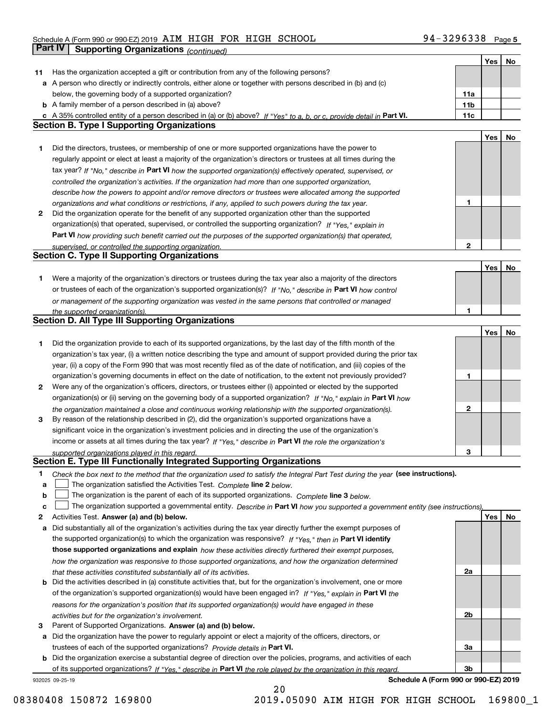# Schedule A (Form 990 or 990-EZ) 2019 Page AIM HIGH FOR HIGH SCHOOL 94-3296338 **Part IV Supporting Organizations** *(continued)*

|    |                                                                                                                                                                                                                                  |                 | Yes        | No |
|----|----------------------------------------------------------------------------------------------------------------------------------------------------------------------------------------------------------------------------------|-----------------|------------|----|
| 11 | Has the organization accepted a gift or contribution from any of the following persons?                                                                                                                                          |                 |            |    |
|    | a A person who directly or indirectly controls, either alone or together with persons described in (b) and (c)                                                                                                                   |                 |            |    |
|    | below, the governing body of a supported organization?                                                                                                                                                                           | 11a             |            |    |
|    | <b>b</b> A family member of a person described in (a) above?                                                                                                                                                                     | 11 <sub>b</sub> |            |    |
|    | c A 35% controlled entity of a person described in (a) or (b) above? If "Yes" to a, b, or c, provide detail in Part VI.                                                                                                          | 11c             |            |    |
|    | <b>Section B. Type I Supporting Organizations</b>                                                                                                                                                                                |                 |            |    |
|    |                                                                                                                                                                                                                                  |                 | <b>Yes</b> | No |
| 1  | Did the directors, trustees, or membership of one or more supported organizations have the power to                                                                                                                              |                 |            |    |
|    | regularly appoint or elect at least a majority of the organization's directors or trustees at all times during the                                                                                                               |                 |            |    |
|    | tax year? If "No," describe in Part VI how the supported organization(s) effectively operated, supervised, or                                                                                                                    |                 |            |    |
|    | controlled the organization's activities. If the organization had more than one supported organization,                                                                                                                          |                 |            |    |
|    | describe how the powers to appoint and/or remove directors or trustees were allocated among the supported                                                                                                                        |                 |            |    |
|    | organizations and what conditions or restrictions, if any, applied to such powers during the tax year.                                                                                                                           | 1               |            |    |
| 2  | Did the organization operate for the benefit of any supported organization other than the supported                                                                                                                              |                 |            |    |
|    | organization(s) that operated, supervised, or controlled the supporting organization? If "Yes," explain in                                                                                                                       |                 |            |    |
|    | Part VI how providing such benefit carried out the purposes of the supported organization(s) that operated,                                                                                                                      |                 |            |    |
|    | supervised, or controlled the supporting organization.                                                                                                                                                                           | 2               |            |    |
|    | <b>Section C. Type II Supporting Organizations</b>                                                                                                                                                                               |                 |            |    |
|    |                                                                                                                                                                                                                                  |                 | Yes        | No |
| 1. | Were a majority of the organization's directors or trustees during the tax year also a majority of the directors                                                                                                                 |                 |            |    |
|    | or trustees of each of the organization's supported organization(s)? If "No," describe in Part VI how control                                                                                                                    |                 |            |    |
|    | or management of the supporting organization was vested in the same persons that controlled or managed                                                                                                                           |                 |            |    |
|    | the supported organization(s).                                                                                                                                                                                                   | 1.              |            |    |
|    | <b>Section D. All Type III Supporting Organizations</b>                                                                                                                                                                          |                 |            |    |
|    |                                                                                                                                                                                                                                  |                 | Yes        | No |
| 1  | Did the organization provide to each of its supported organizations, by the last day of the fifth month of the                                                                                                                   |                 |            |    |
|    | organization's tax year, (i) a written notice describing the type and amount of support provided during the prior tax                                                                                                            |                 |            |    |
|    | year, (ii) a copy of the Form 990 that was most recently filed as of the date of notification, and (iii) copies of the                                                                                                           |                 |            |    |
|    | organization's governing documents in effect on the date of notification, to the extent not previously provided?                                                                                                                 | 1               |            |    |
| 2  | Were any of the organization's officers, directors, or trustees either (i) appointed or elected by the supported                                                                                                                 |                 |            |    |
|    | organization(s) or (ii) serving on the governing body of a supported organization? If "No," explain in Part VI how                                                                                                               |                 |            |    |
|    | the organization maintained a close and continuous working relationship with the supported organization(s).                                                                                                                      | 2               |            |    |
| 3  | By reason of the relationship described in (2), did the organization's supported organizations have a                                                                                                                            |                 |            |    |
|    | significant voice in the organization's investment policies and in directing the use of the organization's                                                                                                                       |                 |            |    |
|    | income or assets at all times during the tax year? If "Yes," describe in Part VI the role the organization's                                                                                                                     |                 |            |    |
|    | supported organizations played in this regard.<br>Section E. Type III Functionally Integrated Supporting Organizations                                                                                                           | З               |            |    |
|    |                                                                                                                                                                                                                                  |                 |            |    |
| 1  | Check the box next to the method that the organization used to satisfy the Integral Part Test during the year (see instructions).                                                                                                |                 |            |    |
| a  | The organization satisfied the Activities Test. Complete line 2 below.                                                                                                                                                           |                 |            |    |
| b  | The organization is the parent of each of its supported organizations. Complete line 3 below.                                                                                                                                    |                 |            |    |
| c  | The organization supported a governmental entity. Describe in Part VI how you supported a government entity (see instructions),<br>Activities Test. Answer (a) and (b) below.                                                    |                 | Yes        | No |
| 2  |                                                                                                                                                                                                                                  |                 |            |    |
| а  | Did substantially all of the organization's activities during the tax year directly further the exempt purposes of<br>the supported organization(s) to which the organization was responsive? If "Yes," then in Part VI identify |                 |            |    |
|    | those supported organizations and explain how these activities directly furthered their exempt purposes,                                                                                                                         |                 |            |    |
|    |                                                                                                                                                                                                                                  |                 |            |    |
|    | how the organization was responsive to those supported organizations, and how the organization determined<br>that these activities constituted substantially all of its activities.                                              | 2a              |            |    |
| b  | Did the activities described in (a) constitute activities that, but for the organization's involvement, one or more                                                                                                              |                 |            |    |
|    | of the organization's supported organization(s) would have been engaged in? If "Yes," explain in Part VI the                                                                                                                     |                 |            |    |
|    | reasons for the organization's position that its supported organization(s) would have engaged in these                                                                                                                           |                 |            |    |
|    | activities but for the organization's involvement.                                                                                                                                                                               | 2b              |            |    |
| 3  | Parent of Supported Organizations. Answer (a) and (b) below.                                                                                                                                                                     |                 |            |    |
| а  | Did the organization have the power to regularly appoint or elect a majority of the officers, directors, or                                                                                                                      |                 |            |    |
|    | trustees of each of the supported organizations? Provide details in Part VI.                                                                                                                                                     | За              |            |    |
| b  | Did the organization exercise a substantial degree of direction over the policies, programs, and activities of each                                                                                                              |                 |            |    |
|    | of its supported organizations? If "Yes." describe in Part VI the role played by the organization in this regard.                                                                                                                | 3b              |            |    |
|    |                                                                                                                                                                                                                                  |                 |            |    |

20

932025 09-25-19

**Schedule A (Form 990 or 990-EZ) 2019**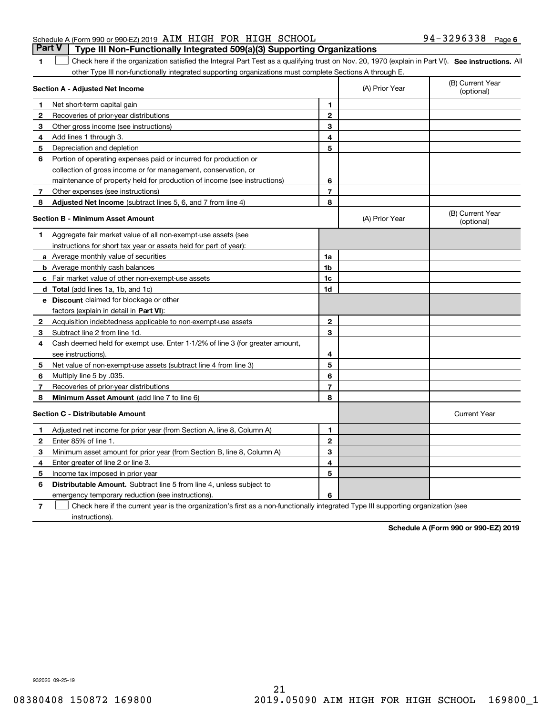### Schedule A (Form 990 or 990-EZ) 2019 Page AIM HIGH FOR HIGH SCHOOL 94-3296338 **Part V Type III Non-Functionally Integrated 509(a)(3) Supporting Organizations**

1 Check here if the organization satisfied the Integral Part Test as a qualifying trust on Nov. 20, 1970 (explain in Part VI). See instructions. All other Type III non-functionally integrated supporting organizations must complete Sections A through E.

|              | Section A - Adjusted Net Income                                                                                                   | (A) Prior Year | (B) Current Year<br>(optional) |                                |
|--------------|-----------------------------------------------------------------------------------------------------------------------------------|----------------|--------------------------------|--------------------------------|
| 1            | Net short-term capital gain                                                                                                       | 1              |                                |                                |
| 2            | Recoveries of prior-year distributions                                                                                            | $\overline{2}$ |                                |                                |
| 3            | Other gross income (see instructions)                                                                                             | 3              |                                |                                |
| 4            | Add lines 1 through 3.                                                                                                            | 4              |                                |                                |
| 5            | Depreciation and depletion                                                                                                        | 5              |                                |                                |
| 6            | Portion of operating expenses paid or incurred for production or                                                                  |                |                                |                                |
|              | collection of gross income or for management, conservation, or                                                                    |                |                                |                                |
|              | maintenance of property held for production of income (see instructions)                                                          | 6              |                                |                                |
| 7            | Other expenses (see instructions)                                                                                                 | $\overline{7}$ |                                |                                |
| 8            | Adjusted Net Income (subtract lines 5, 6, and 7 from line 4)                                                                      | 8              |                                |                                |
|              | <b>Section B - Minimum Asset Amount</b>                                                                                           |                | (A) Prior Year                 | (B) Current Year<br>(optional) |
| 1            | Aggregate fair market value of all non-exempt-use assets (see                                                                     |                |                                |                                |
|              | instructions for short tax year or assets held for part of year):                                                                 |                |                                |                                |
|              | <b>a</b> Average monthly value of securities                                                                                      | 1a             |                                |                                |
|              | <b>b</b> Average monthly cash balances                                                                                            | 1b             |                                |                                |
|              | c Fair market value of other non-exempt-use assets                                                                                | 1c             |                                |                                |
|              | d Total (add lines 1a, 1b, and 1c)                                                                                                | 1d             |                                |                                |
|              | e Discount claimed for blockage or other                                                                                          |                |                                |                                |
|              | factors (explain in detail in Part VI):                                                                                           |                |                                |                                |
| $\mathbf{2}$ | Acquisition indebtedness applicable to non-exempt-use assets                                                                      | $\mathbf 2$    |                                |                                |
| 3            | Subtract line 2 from line 1d.                                                                                                     | 3              |                                |                                |
| 4            | Cash deemed held for exempt use. Enter 1-1/2% of line 3 (for greater amount,                                                      |                |                                |                                |
|              | see instructions)                                                                                                                 | 4              |                                |                                |
| 5            | Net value of non-exempt-use assets (subtract line 4 from line 3)                                                                  | 5              |                                |                                |
| 6            | Multiply line 5 by .035.                                                                                                          | 6              |                                |                                |
| 7            | Recoveries of prior-year distributions                                                                                            | $\overline{7}$ |                                |                                |
| 8            | Minimum Asset Amount (add line 7 to line 6)                                                                                       | 8              |                                |                                |
|              | <b>Section C - Distributable Amount</b>                                                                                           |                |                                | <b>Current Year</b>            |
| 1            | Adjusted net income for prior year (from Section A, line 8, Column A)                                                             | 1              |                                |                                |
| 2            | Enter 85% of line 1.                                                                                                              | $\overline{2}$ |                                |                                |
| 3            | Minimum asset amount for prior year (from Section B, line 8, Column A)                                                            | 3              |                                |                                |
| 4            | Enter greater of line 2 or line 3.                                                                                                | 4              |                                |                                |
| 5            | Income tax imposed in prior year                                                                                                  | 5              |                                |                                |
| 6            | <b>Distributable Amount.</b> Subtract line 5 from line 4, unless subject to                                                       |                |                                |                                |
|              | emergency temporary reduction (see instructions).                                                                                 | 6              |                                |                                |
| 7            | Check here if the current year is the organization's first as a non-functionally integrated Type III supporting organization (see |                |                                |                                |

instructions).

**1**

**Schedule A (Form 990 or 990-EZ) 2019**

932026 09-25-19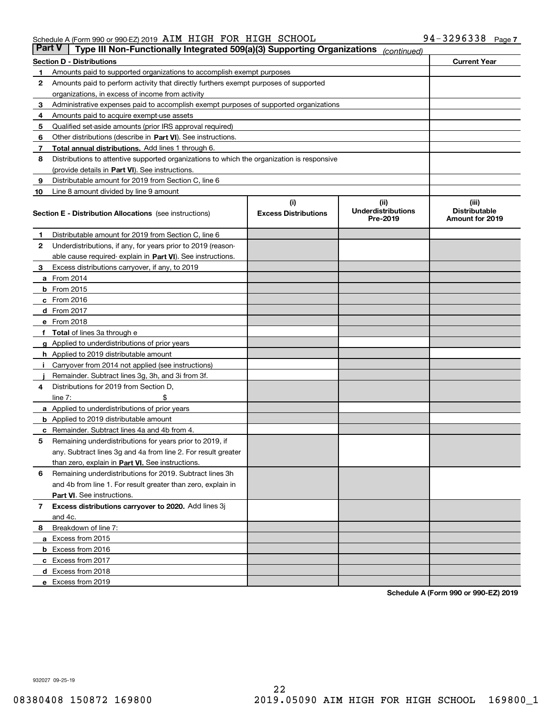| Part V | Type III Non-Functionally Integrated 509(a)(3) Supporting Organizations                    |                             | (continued)                           |                                         |  |  |  |  |
|--------|--------------------------------------------------------------------------------------------|-----------------------------|---------------------------------------|-----------------------------------------|--|--|--|--|
|        | <b>Section D - Distributions</b>                                                           |                             |                                       | <b>Current Year</b>                     |  |  |  |  |
| 1      | Amounts paid to supported organizations to accomplish exempt purposes                      |                             |                                       |                                         |  |  |  |  |
| 2      | Amounts paid to perform activity that directly furthers exempt purposes of supported       |                             |                                       |                                         |  |  |  |  |
|        | organizations, in excess of income from activity                                           |                             |                                       |                                         |  |  |  |  |
| з      | Administrative expenses paid to accomplish exempt purposes of supported organizations      |                             |                                       |                                         |  |  |  |  |
| 4      | Amounts paid to acquire exempt-use assets                                                  |                             |                                       |                                         |  |  |  |  |
| 5      | Qualified set-aside amounts (prior IRS approval required)                                  |                             |                                       |                                         |  |  |  |  |
| 6      | Other distributions (describe in Part VI). See instructions.                               |                             |                                       |                                         |  |  |  |  |
| 7      | <b>Total annual distributions.</b> Add lines 1 through 6.                                  |                             |                                       |                                         |  |  |  |  |
| 8      | Distributions to attentive supported organizations to which the organization is responsive |                             |                                       |                                         |  |  |  |  |
|        | (provide details in Part VI). See instructions.                                            |                             |                                       |                                         |  |  |  |  |
| 9      | Distributable amount for 2019 from Section C, line 6                                       |                             |                                       |                                         |  |  |  |  |
| 10     | Line 8 amount divided by line 9 amount                                                     |                             |                                       |                                         |  |  |  |  |
|        |                                                                                            | (i)                         | (iii)                                 | (iii)                                   |  |  |  |  |
|        | <b>Section E - Distribution Allocations</b> (see instructions)                             | <b>Excess Distributions</b> | <b>Underdistributions</b><br>Pre-2019 | <b>Distributable</b><br>Amount for 2019 |  |  |  |  |
| 1      | Distributable amount for 2019 from Section C, line 6                                       |                             |                                       |                                         |  |  |  |  |
| 2      | Underdistributions, if any, for years prior to 2019 (reason-                               |                             |                                       |                                         |  |  |  |  |
|        | able cause required- explain in <b>Part VI</b> ). See instructions.                        |                             |                                       |                                         |  |  |  |  |
| з      | Excess distributions carryover, if any, to 2019                                            |                             |                                       |                                         |  |  |  |  |
|        | <b>a</b> From 2014                                                                         |                             |                                       |                                         |  |  |  |  |
|        | <b>b</b> From 2015                                                                         |                             |                                       |                                         |  |  |  |  |
|        | $c$ From 2016                                                                              |                             |                                       |                                         |  |  |  |  |
|        | d From 2017                                                                                |                             |                                       |                                         |  |  |  |  |
|        | e From 2018                                                                                |                             |                                       |                                         |  |  |  |  |
|        | Total of lines 3a through e                                                                |                             |                                       |                                         |  |  |  |  |
|        | <b>g</b> Applied to underdistributions of prior years                                      |                             |                                       |                                         |  |  |  |  |
|        | <b>h</b> Applied to 2019 distributable amount                                              |                             |                                       |                                         |  |  |  |  |
|        | Carryover from 2014 not applied (see instructions)                                         |                             |                                       |                                         |  |  |  |  |
|        | Remainder. Subtract lines 3g, 3h, and 3i from 3f.                                          |                             |                                       |                                         |  |  |  |  |
| 4      | Distributions for 2019 from Section D,                                                     |                             |                                       |                                         |  |  |  |  |
|        | line $7:$                                                                                  |                             |                                       |                                         |  |  |  |  |
|        | <b>a</b> Applied to underdistributions of prior years                                      |                             |                                       |                                         |  |  |  |  |
|        | <b>b</b> Applied to 2019 distributable amount                                              |                             |                                       |                                         |  |  |  |  |
| c      | Remainder. Subtract lines 4a and 4b from 4.                                                |                             |                                       |                                         |  |  |  |  |
| 5      | Remaining underdistributions for years prior to 2019, if                                   |                             |                                       |                                         |  |  |  |  |
|        | any. Subtract lines 3g and 4a from line 2. For result greater                              |                             |                                       |                                         |  |  |  |  |
|        | than zero, explain in Part VI. See instructions.                                           |                             |                                       |                                         |  |  |  |  |
| 6      | Remaining underdistributions for 2019. Subtract lines 3h                                   |                             |                                       |                                         |  |  |  |  |
|        | and 4b from line 1. For result greater than zero, explain in                               |                             |                                       |                                         |  |  |  |  |
|        | Part VI. See instructions.                                                                 |                             |                                       |                                         |  |  |  |  |
| 7      | Excess distributions carryover to 2020. Add lines 3j                                       |                             |                                       |                                         |  |  |  |  |
|        | and 4c.                                                                                    |                             |                                       |                                         |  |  |  |  |
| 8      | Breakdown of line 7:                                                                       |                             |                                       |                                         |  |  |  |  |
|        | a Excess from 2015                                                                         |                             |                                       |                                         |  |  |  |  |
|        | <b>b</b> Excess from 2016                                                                  |                             |                                       |                                         |  |  |  |  |
|        | c Excess from 2017                                                                         |                             |                                       |                                         |  |  |  |  |
|        | d Excess from 2018                                                                         |                             |                                       |                                         |  |  |  |  |
|        | e Excess from 2019                                                                         |                             |                                       |                                         |  |  |  |  |
|        |                                                                                            |                             |                                       |                                         |  |  |  |  |

**Schedule A (Form 990 or 990-EZ) 2019**

932027 09-25-19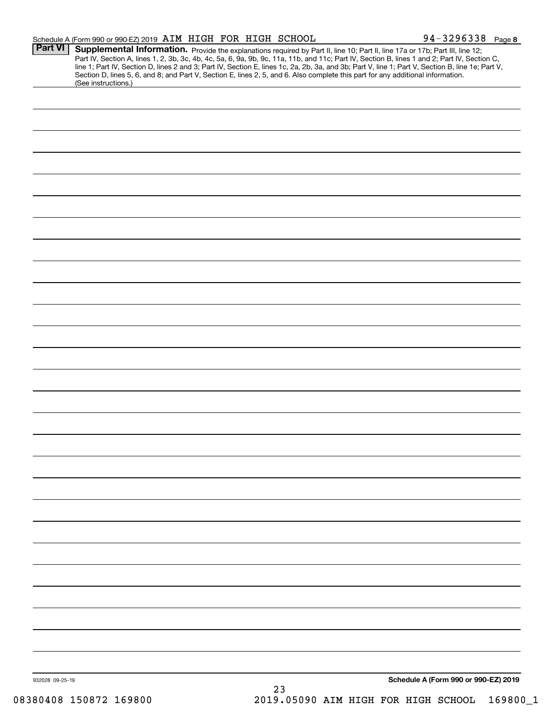|                 | Schedule A (Form 990 or 990-EZ) 2019 AIM HIGH FOR HIGH SCHOOL |    | 94-3296338 Page 8                                                                                                                                                                                                                                                                                                                                                                                                                                                                                                                                                    |  |
|-----------------|---------------------------------------------------------------|----|----------------------------------------------------------------------------------------------------------------------------------------------------------------------------------------------------------------------------------------------------------------------------------------------------------------------------------------------------------------------------------------------------------------------------------------------------------------------------------------------------------------------------------------------------------------------|--|
| <b>Part VI</b>  |                                                               |    | Supplemental Information. Provide the explanations required by Part II, line 10; Part II, line 17a or 17b; Part III, line 12;<br>Part IV, Section A, lines 1, 2, 3b, 3c, 4b, 4c, 5a, 6, 9a, 9b, 9c, 11a, 11b, and 11c; Part IV, Section B, lines 1 and 2; Part IV, Section C,<br>line 1; Part IV, Section D, lines 2 and 3; Part IV, Section E, lines 1c, 2a, 2b, 3a, and 3b; Part V, line 1; Part V, Section B, line 1e; Part V,<br>Section D, lines 5, 6, and 8; and Part V, Section E, lines 2, 5, and 6. Also complete this part for any additional information. |  |
|                 | (See instructions.)                                           |    |                                                                                                                                                                                                                                                                                                                                                                                                                                                                                                                                                                      |  |
|                 |                                                               |    |                                                                                                                                                                                                                                                                                                                                                                                                                                                                                                                                                                      |  |
|                 |                                                               |    |                                                                                                                                                                                                                                                                                                                                                                                                                                                                                                                                                                      |  |
|                 |                                                               |    |                                                                                                                                                                                                                                                                                                                                                                                                                                                                                                                                                                      |  |
|                 |                                                               |    |                                                                                                                                                                                                                                                                                                                                                                                                                                                                                                                                                                      |  |
|                 |                                                               |    |                                                                                                                                                                                                                                                                                                                                                                                                                                                                                                                                                                      |  |
|                 |                                                               |    |                                                                                                                                                                                                                                                                                                                                                                                                                                                                                                                                                                      |  |
|                 |                                                               |    |                                                                                                                                                                                                                                                                                                                                                                                                                                                                                                                                                                      |  |
|                 |                                                               |    |                                                                                                                                                                                                                                                                                                                                                                                                                                                                                                                                                                      |  |
|                 |                                                               |    |                                                                                                                                                                                                                                                                                                                                                                                                                                                                                                                                                                      |  |
|                 |                                                               |    |                                                                                                                                                                                                                                                                                                                                                                                                                                                                                                                                                                      |  |
|                 |                                                               |    |                                                                                                                                                                                                                                                                                                                                                                                                                                                                                                                                                                      |  |
|                 |                                                               |    |                                                                                                                                                                                                                                                                                                                                                                                                                                                                                                                                                                      |  |
|                 |                                                               |    |                                                                                                                                                                                                                                                                                                                                                                                                                                                                                                                                                                      |  |
|                 |                                                               |    |                                                                                                                                                                                                                                                                                                                                                                                                                                                                                                                                                                      |  |
|                 |                                                               |    |                                                                                                                                                                                                                                                                                                                                                                                                                                                                                                                                                                      |  |
|                 |                                                               |    |                                                                                                                                                                                                                                                                                                                                                                                                                                                                                                                                                                      |  |
|                 |                                                               |    |                                                                                                                                                                                                                                                                                                                                                                                                                                                                                                                                                                      |  |
|                 |                                                               |    |                                                                                                                                                                                                                                                                                                                                                                                                                                                                                                                                                                      |  |
|                 |                                                               |    |                                                                                                                                                                                                                                                                                                                                                                                                                                                                                                                                                                      |  |
|                 |                                                               |    |                                                                                                                                                                                                                                                                                                                                                                                                                                                                                                                                                                      |  |
|                 |                                                               |    |                                                                                                                                                                                                                                                                                                                                                                                                                                                                                                                                                                      |  |
|                 |                                                               |    |                                                                                                                                                                                                                                                                                                                                                                                                                                                                                                                                                                      |  |
|                 |                                                               |    |                                                                                                                                                                                                                                                                                                                                                                                                                                                                                                                                                                      |  |
|                 |                                                               |    |                                                                                                                                                                                                                                                                                                                                                                                                                                                                                                                                                                      |  |
|                 |                                                               |    |                                                                                                                                                                                                                                                                                                                                                                                                                                                                                                                                                                      |  |
| 932028 09-25-19 |                                                               |    | Schedule A (Form 990 or 990-EZ) 2019                                                                                                                                                                                                                                                                                                                                                                                                                                                                                                                                 |  |
|                 |                                                               | 23 |                                                                                                                                                                                                                                                                                                                                                                                                                                                                                                                                                                      |  |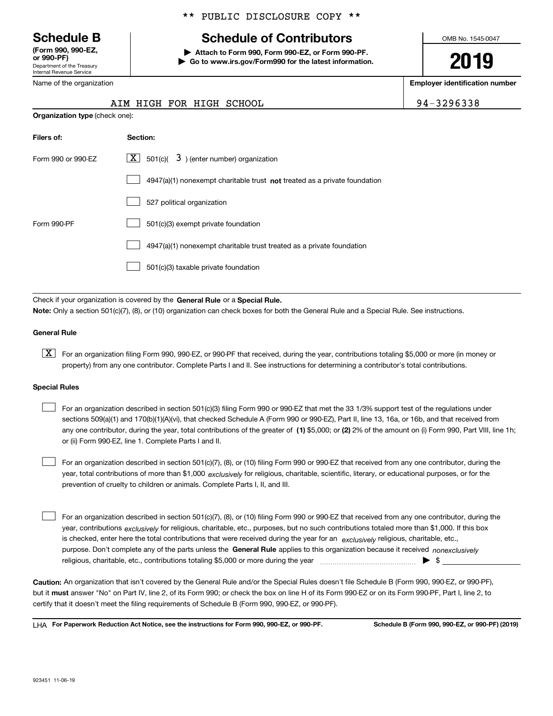Department of the Treasury Internal Revenue Service **(Form 990, 990-EZ, or 990-PF)**

Name of the organization

**Organization type** (check one):

### \*\* PUBLIC DISCLOSURE COPY \*\*

# **Schedule B Schedule of Contributors**

**| Attach to Form 990, Form 990-EZ, or Form 990-PF. | Go to www.irs.gov/Form990 for the latest information.** OMB No. 1545-0047

# **2019**

**Employer identification number**

| 4-3296338 |  |  |  |  |
|-----------|--|--|--|--|
|           |  |  |  |  |

|  |  |  |                          | ----- |
|--|--|--|--------------------------|-------|
|  |  |  | AIM HIGH FOR HIGH SCHOOL |       |

| Filers of:         | Section:                                                                    |
|--------------------|-----------------------------------------------------------------------------|
| Form 990 or 990-EZ | $\lfloor x \rfloor$ 501(c)( 3) (enter number) organization                  |
|                    | $4947(a)(1)$ nonexempt charitable trust not treated as a private foundation |
|                    | 527 political organization                                                  |
| Form 990-PF        | 501(c)(3) exempt private foundation                                         |
|                    | 4947(a)(1) nonexempt charitable trust treated as a private foundation       |
|                    | 501(c)(3) taxable private foundation                                        |
|                    |                                                                             |

Check if your organization is covered by the **General Rule** or a **Special Rule. Note:**  Only a section 501(c)(7), (8), or (10) organization can check boxes for both the General Rule and a Special Rule. See instructions.

#### **General Rule**

 $\boxed{\textbf{X}}$  For an organization filing Form 990, 990-EZ, or 990-PF that received, during the year, contributions totaling \$5,000 or more (in money or property) from any one contributor. Complete Parts I and II. See instructions for determining a contributor's total contributions.

#### **Special Rules**

any one contributor, during the year, total contributions of the greater of  $\,$  (1) \$5,000; or **(2)** 2% of the amount on (i) Form 990, Part VIII, line 1h; For an organization described in section 501(c)(3) filing Form 990 or 990-EZ that met the 33 1/3% support test of the regulations under sections 509(a)(1) and 170(b)(1)(A)(vi), that checked Schedule A (Form 990 or 990-EZ), Part II, line 13, 16a, or 16b, and that received from or (ii) Form 990-EZ, line 1. Complete Parts I and II.  $\mathcal{L}^{\text{max}}$ 

year, total contributions of more than \$1,000 *exclusively* for religious, charitable, scientific, literary, or educational purposes, or for the For an organization described in section 501(c)(7), (8), or (10) filing Form 990 or 990-EZ that received from any one contributor, during the prevention of cruelty to children or animals. Complete Parts I, II, and III.  $\mathcal{L}^{\text{max}}$ 

purpose. Don't complete any of the parts unless the **General Rule** applies to this organization because it received *nonexclusively* year, contributions <sub>exclusively</sub> for religious, charitable, etc., purposes, but no such contributions totaled more than \$1,000. If this box is checked, enter here the total contributions that were received during the year for an  $\;$ exclusively religious, charitable, etc., For an organization described in section 501(c)(7), (8), or (10) filing Form 990 or 990-EZ that received from any one contributor, during the religious, charitable, etc., contributions totaling \$5,000 or more during the year  $\Box$ — $\Box$   $\Box$  $\mathcal{L}^{\text{max}}$ 

**Caution:**  An organization that isn't covered by the General Rule and/or the Special Rules doesn't file Schedule B (Form 990, 990-EZ, or 990-PF),  **must** but it answer "No" on Part IV, line 2, of its Form 990; or check the box on line H of its Form 990-EZ or on its Form 990-PF, Part I, line 2, to certify that it doesn't meet the filing requirements of Schedule B (Form 990, 990-EZ, or 990-PF).

**For Paperwork Reduction Act Notice, see the instructions for Form 990, 990-EZ, or 990-PF. Schedule B (Form 990, 990-EZ, or 990-PF) (2019)** LHA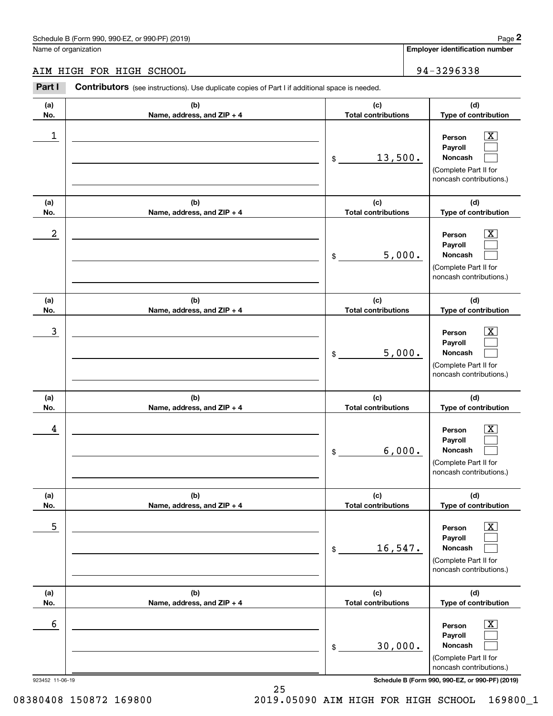# AIM HIGH FOR HIGH SCHOOL 34-3296338

|                 | Schedule B (Form 990, 990-EZ, or 990-PF) (2019)                                                |                                   | Page 2                                                                                                      |
|-----------------|------------------------------------------------------------------------------------------------|-----------------------------------|-------------------------------------------------------------------------------------------------------------|
|                 | Name of organization                                                                           |                                   | <b>Employer identification number</b>                                                                       |
|                 | AIM HIGH FOR HIGH SCHOOL                                                                       |                                   | 94-3296338                                                                                                  |
| Part I          | Contributors (see instructions). Use duplicate copies of Part I if additional space is needed. |                                   |                                                                                                             |
| (a)<br>No.      | (b)<br>Name, address, and ZIP + 4                                                              | (c)<br><b>Total contributions</b> | (d)<br>Type of contribution                                                                                 |
| 1               |                                                                                                | \$<br>13,500.                     | $\overline{\text{X}}$<br>Person<br>Payroll<br>Noncash<br>(Complete Part II for<br>noncash contributions.)   |
| (a)<br>No.      | (b)<br>Name, address, and ZIP + 4                                                              | (c)<br><b>Total contributions</b> | (d)<br>Type of contribution                                                                                 |
| 2               |                                                                                                | \$<br>5,000.                      | $\overline{\text{X}}$<br>Person<br>Payroll<br>Noncash<br>(Complete Part II for<br>noncash contributions.)   |
| (a)<br>No.      | (b)<br>Name, address, and ZIP + 4                                                              | (c)<br><b>Total contributions</b> | (d)<br>Type of contribution                                                                                 |
| 3               |                                                                                                | \$<br>5,000.                      | $\overline{\text{X}}$<br>Person<br>Payroll<br>Noncash<br>(Complete Part II for<br>noncash contributions.)   |
| (a)<br>No.      | (b)<br>Name, address, and ZIP + 4                                                              | (c)<br><b>Total contributions</b> | (d)<br>Type of contribution                                                                                 |
| 4               |                                                                                                | \$<br>6,000.                      | $\overline{\mathbf{X}}$<br>Person<br>Payroll<br>Noncash<br>(Complete Part II for<br>noncash contributions.) |
| (a)<br>No.      | (b)<br>Name, address, and ZIP + 4                                                              | (c)<br><b>Total contributions</b> | (d)<br>Type of contribution                                                                                 |
| 5               |                                                                                                | \$<br>16,547.                     | $\overline{\mathbf{X}}$<br>Person<br>Payroll<br>Noncash<br>(Complete Part II for<br>noncash contributions.) |
| (a)<br>No.      | (b)<br>Name, address, and ZIP + 4                                                              | (c)<br><b>Total contributions</b> | (d)<br>Type of contribution                                                                                 |
| 6               |                                                                                                | \$<br>30,000.                     | $\overline{\mathbf{X}}$<br>Person<br>Payroll<br>Noncash<br>(Complete Part II for<br>noncash contributions.) |
| 923452 11-06-19 |                                                                                                |                                   | Schedule B (Form 990, 990-EZ, or 990-PF) (2019)                                                             |

25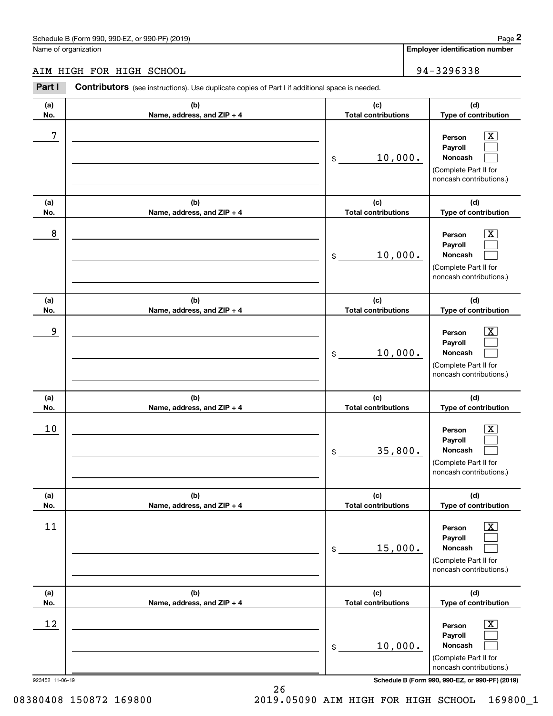# AIM HIGH FOR HIGH SCHOOL 34-3296338

|                 | Schedule B (Form 990, 990-EZ, or 990-PF) (2019)                                                |                                   | Page 2                                                                                                      |
|-----------------|------------------------------------------------------------------------------------------------|-----------------------------------|-------------------------------------------------------------------------------------------------------------|
|                 | Name of organization                                                                           |                                   | <b>Employer identification number</b>                                                                       |
|                 | AIM HIGH FOR HIGH SCHOOL                                                                       |                                   | 94-3296338                                                                                                  |
| Part I          | Contributors (see instructions). Use duplicate copies of Part I if additional space is needed. |                                   |                                                                                                             |
| (a)<br>No.      | (b)<br>Name, address, and ZIP + 4                                                              | (c)<br><b>Total contributions</b> | (d)<br>Type of contribution                                                                                 |
| 7               |                                                                                                | 10,000.<br>\$                     | $\overline{\text{X}}$<br>Person<br>Payroll<br>Noncash<br>(Complete Part II for<br>noncash contributions.)   |
| (a)<br>No.      | (b)<br>Name, address, and ZIP + 4                                                              | (c)<br><b>Total contributions</b> | (d)<br>Type of contribution                                                                                 |
| 8               |                                                                                                | 10,000.<br>\$                     | $\overline{\text{X}}$<br>Person<br>Payroll<br>Noncash<br>(Complete Part II for<br>noncash contributions.)   |
| (a)<br>No.      | (b)<br>Name, address, and ZIP + 4                                                              | (c)<br><b>Total contributions</b> | (d)<br>Type of contribution                                                                                 |
| 9               |                                                                                                | 10,000.<br>\$                     | $\overline{\text{X}}$<br>Person<br>Payroll<br>Noncash<br>(Complete Part II for<br>noncash contributions.)   |
| (a)<br>No.      | (b)<br>Name, address, and ZIP + 4                                                              | (c)<br><b>Total contributions</b> | (d)<br>Type of contribution                                                                                 |
| 10              |                                                                                                | 35,800.<br>\$                     | $\overline{\mathbf{X}}$<br>Person<br>Payroll<br>Noncash<br>(Complete Part II for<br>noncash contributions.) |
| (a)<br>No.      | (b)<br>Name, address, and ZIP + 4                                                              | (c)<br><b>Total contributions</b> | (d)<br>Type of contribution                                                                                 |
| 11              |                                                                                                | 15,000.<br>\$                     | $\overline{\mathbf{X}}$<br>Person<br>Payroll<br>Noncash<br>(Complete Part II for<br>noncash contributions.) |
| (a)<br>No.      | (b)<br>Name, address, and ZIP + 4                                                              | (c)<br><b>Total contributions</b> | (d)<br>Type of contribution                                                                                 |
| 12              |                                                                                                | 10,000.<br>\$                     | $\overline{\mathbf{X}}$<br>Person<br>Payroll<br>Noncash<br>(Complete Part II for<br>noncash contributions.) |
| 923452 11-06-19 |                                                                                                |                                   | Schedule B (Form 990, 990-EZ, or 990-PF) (2019)                                                             |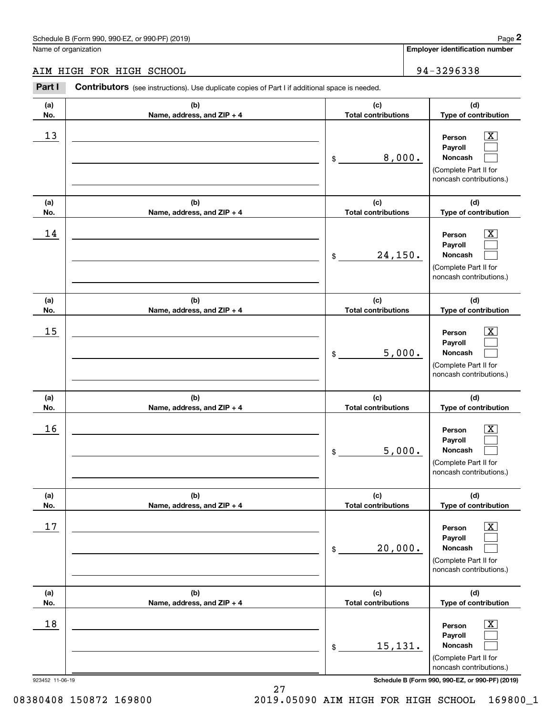# AIM HIGH FOR HIGH SCHOOL 94-3296338

|                 | Schedule B (Form 990, 990-EZ, or 990-PF) (2019)                                                       |                                   |                             | Page 2                                                                                                      |
|-----------------|-------------------------------------------------------------------------------------------------------|-----------------------------------|-----------------------------|-------------------------------------------------------------------------------------------------------------|
|                 | Name of organization                                                                                  |                                   |                             | <b>Employer identification number</b>                                                                       |
|                 | AIM HIGH FOR HIGH SCHOOL                                                                              |                                   |                             | 94-3296338                                                                                                  |
| Part I          | <b>Contributors</b> (see instructions). Use duplicate copies of Part I if additional space is needed. |                                   |                             |                                                                                                             |
| (a)<br>No.      | (b)<br>Name, address, and ZIP + 4                                                                     | (c)<br><b>Total contributions</b> | (d)<br>Type of contribution |                                                                                                             |
| 13              |                                                                                                       | 8,000.<br>\$                      |                             | $\overline{\mathbf{X}}$<br>Person<br>Payroll<br>Noncash<br>(Complete Part II for<br>noncash contributions.) |
| (a)<br>No.      | (b)<br>Name, address, and ZIP + 4                                                                     | (c)<br><b>Total contributions</b> |                             | (d)<br>Type of contribution                                                                                 |
| 14              |                                                                                                       | \$                                | 24,150.                     |                                                                                                             |
| (a)<br>No.      | (b)<br>Name, address, and ZIP + 4                                                                     | (c)<br><b>Total contributions</b> |                             | (d)<br>Type of contribution                                                                                 |
| 15              |                                                                                                       | 5,000.<br>\$                      |                             | X<br>Person<br>Payroll<br>Noncash<br>(Complete Part II for<br>noncash contributions.)                       |
| (a)<br>No.      | (b)<br>Name, address, and ZIP + 4                                                                     | (c)<br><b>Total contributions</b> |                             | (d)<br>Type of contribution                                                                                 |
| 16              |                                                                                                       | 5,000.<br>\$                      |                             | $\mathbf{X}$<br>Person<br>Payroll<br>Noncash<br>(Complete Part II for<br>noncash contributions.)            |
| (a)<br>No.      | (b)<br>Name, address, and ZIP + 4                                                                     | (c)<br><b>Total contributions</b> |                             | (d)<br>Type of contribution                                                                                 |
| 17              |                                                                                                       | 20,000.<br>\$                     |                             | $\boxed{\text{X}}$<br>Person<br>Payroll<br>Noncash<br>(Complete Part II for<br>noncash contributions.)      |
| (a)<br>No.      | (b)<br>Name, address, and ZIP + 4                                                                     | (c)<br><b>Total contributions</b> |                             | (d)<br>Type of contribution                                                                                 |
| 18              |                                                                                                       | 15,131.<br>\$                     |                             | $\boxed{\text{X}}$<br>Person<br>Payroll<br>Noncash<br>(Complete Part II for<br>noncash contributions.)      |
| 923452 11-06-19 |                                                                                                       |                                   |                             | Schedule B (Form 990, 990-EZ, or 990-PF) (2019)                                                             |

27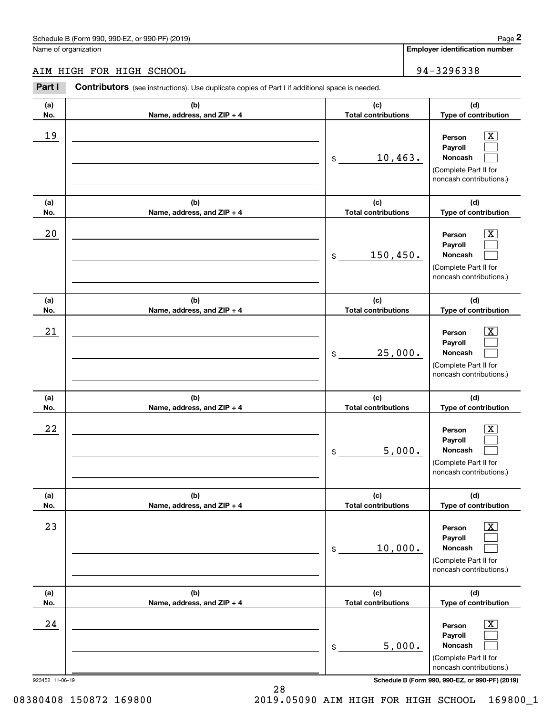# AIM HIGH FOR HIGH SCHOOL 34-3296338

|                 | Schedule B (Form 990, 990-EZ, or 990-PF) (2019)                                                |                                   |                                       | Page 2                                                                                                      |  |
|-----------------|------------------------------------------------------------------------------------------------|-----------------------------------|---------------------------------------|-------------------------------------------------------------------------------------------------------------|--|
|                 | Name of organization                                                                           |                                   | <b>Employer identification number</b> |                                                                                                             |  |
|                 | AIM HIGH FOR HIGH SCHOOL                                                                       |                                   |                                       | 94-3296338                                                                                                  |  |
| Part I          | Contributors (see instructions). Use duplicate copies of Part I if additional space is needed. |                                   |                                       |                                                                                                             |  |
| (a)<br>No.      | (b)<br>Name, address, and ZIP + 4                                                              | (c)<br><b>Total contributions</b> |                                       | (d)<br>Type of contribution                                                                                 |  |
| 19              |                                                                                                | \$                                | 10,463.                               | $\overline{\mathbf{X}}$<br>Person<br>Payroll<br>Noncash<br>(Complete Part II for<br>noncash contributions.) |  |
| (a)<br>No.      | (b)<br>Name, address, and ZIP + 4                                                              | (c)<br><b>Total contributions</b> |                                       | (d)<br>Type of contribution                                                                                 |  |
| 20              |                                                                                                | 150, 450.<br>\$                   |                                       | $\overline{\text{X}}$<br>Person<br>Payroll<br>Noncash<br>(Complete Part II for<br>noncash contributions.)   |  |
| (a)<br>No.      | (b)<br>Name, address, and ZIP + 4                                                              | (c)<br><b>Total contributions</b> |                                       | (d)<br>Type of contribution                                                                                 |  |
| 21              |                                                                                                | \$                                | 25,000.                               | $\overline{\text{X}}$<br>Person<br>Payroll<br>Noncash<br>(Complete Part II for<br>noncash contributions.)   |  |
| (a)<br>No.      | (b)<br>Name, address, and ZIP + 4                                                              | (c)<br><b>Total contributions</b> |                                       | (d)<br>Type of contribution                                                                                 |  |
| 22              |                                                                                                | \$                                | 5,000.                                | $\mathbf{X}$<br>Person<br>Payroll<br>Noncash<br>(Complete Part II for<br>noncash contributions.)            |  |
| (a)<br>No.      | (b)<br>Name, address, and ZIP + 4                                                              | (c)<br><b>Total contributions</b> |                                       | (d)<br>Type of contribution                                                                                 |  |
| 23              |                                                                                                | \$                                | 10,000.                               | $\overline{\mathbf{X}}$<br>Person<br>Payroll<br>Noncash<br>(Complete Part II for<br>noncash contributions.) |  |
| (a)<br>No.      | (b)<br>Name, address, and ZIP + 4                                                              | (c)<br><b>Total contributions</b> |                                       | (d)<br>Type of contribution                                                                                 |  |
| 24              |                                                                                                | \$                                | 5,000.                                | $\overline{\mathbf{X}}$<br>Person<br>Payroll<br>Noncash<br>(Complete Part II for<br>noncash contributions.) |  |
| 923452 11-06-19 |                                                                                                |                                   |                                       | Schedule B (Form 990, 990-EZ, or 990-PF) (2019)                                                             |  |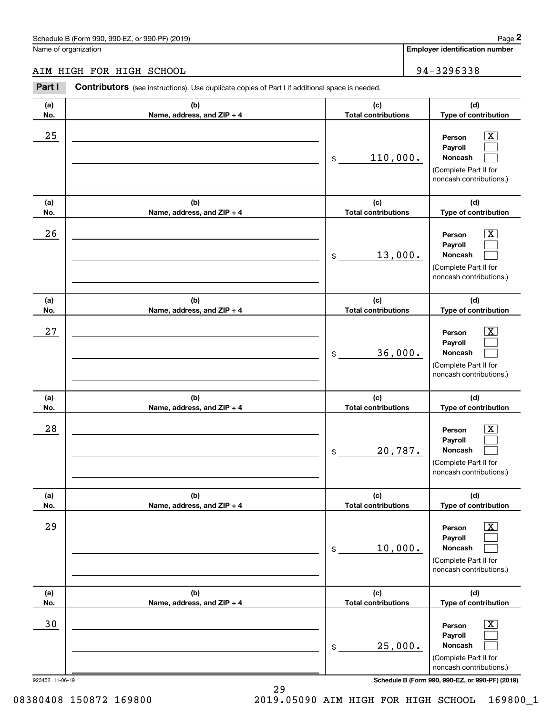# AIM HIGH FOR HIGH SCHOOL 34-3296338

|                      | Schedule B (Form 990, 990-EZ, or 990-PF) (2019)                                                |    |                                   |                             | Page 2                                                                                                      |
|----------------------|------------------------------------------------------------------------------------------------|----|-----------------------------------|-----------------------------|-------------------------------------------------------------------------------------------------------------|
| Name of organization |                                                                                                |    |                                   |                             | <b>Employer identification number</b>                                                                       |
|                      | AIM HIGH FOR HIGH SCHOOL                                                                       |    |                                   |                             | 94-3296338                                                                                                  |
| Part I               | Contributors (see instructions). Use duplicate copies of Part I if additional space is needed. |    |                                   |                             |                                                                                                             |
| (a)<br>No.           | (b)<br>Name, address, and ZIP + 4                                                              |    | (c)<br><b>Total contributions</b> | (d)<br>Type of contribution |                                                                                                             |
| 25                   |                                                                                                | \$ | 110,000.                          |                             | $\overline{\mathbf{X}}$<br>Person<br>Payroll<br>Noncash<br>(Complete Part II for<br>noncash contributions.) |
| (a)<br>No.           | (b)<br>Name, address, and ZIP + 4                                                              |    | (c)<br><b>Total contributions</b> |                             | (d)<br>Type of contribution                                                                                 |
| 26                   |                                                                                                | \$ | 13,000.                           |                             | $\overline{\text{X}}$<br>Person<br>Payroll<br>Noncash<br>(Complete Part II for<br>noncash contributions.)   |
| (a)<br>No.           | (b)<br>Name, address, and ZIP + 4                                                              |    | (c)<br><b>Total contributions</b> |                             | (d)<br>Type of contribution                                                                                 |
| 27                   |                                                                                                | \$ | 36,000.                           |                             | $\overline{\text{X}}$<br>Person<br>Payroll<br>Noncash<br>(Complete Part II for<br>noncash contributions.)   |
| (a)<br>No.           | (b)<br>Name, address, and ZIP + 4                                                              |    | (c)<br><b>Total contributions</b> |                             | (d)<br>Type of contribution                                                                                 |
| 28                   |                                                                                                | \$ | 20,787.                           |                             | $\overline{\mathbf{X}}$<br>Person<br>Payroll<br>Noncash<br>(Complete Part II for<br>noncash contributions.) |
| (a)<br>No.           | (b)<br>Name, address, and ZIP + 4                                                              |    | (c)<br><b>Total contributions</b> |                             | (d)<br>Type of contribution                                                                                 |
| 29                   |                                                                                                | \$ | 10,000.                           |                             | $\overline{\mathbf{X}}$<br>Person<br>Payroll<br>Noncash<br>(Complete Part II for<br>noncash contributions.) |
| (a)<br>No.           | (b)<br>Name, address, and ZIP + 4                                                              |    | (c)<br><b>Total contributions</b> |                             | (d)<br>Type of contribution                                                                                 |
| 30                   |                                                                                                | \$ | 25,000.                           |                             | $\overline{\mathbf{X}}$<br>Person<br>Payroll<br>Noncash<br>(Complete Part II for<br>noncash contributions.) |
| 923452 11-06-19      |                                                                                                |    |                                   |                             | Schedule B (Form 990, 990-EZ, or 990-PF) (2019)                                                             |

29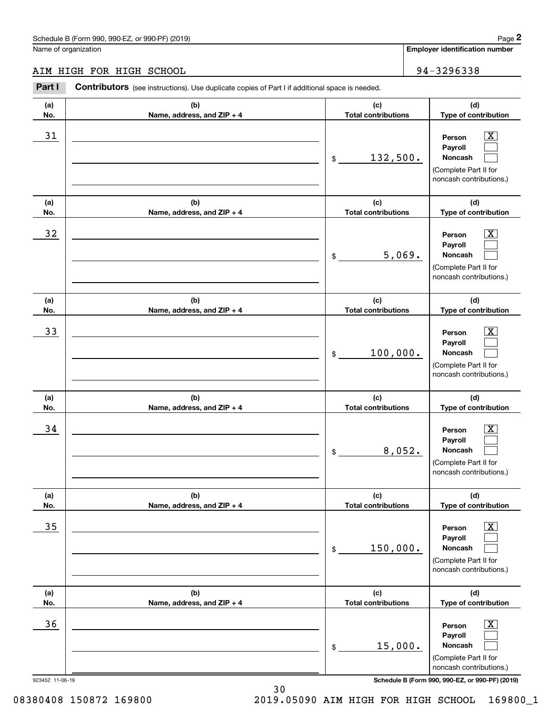# AIM HIGH FOR HIGH SCHOOL 34-3296338

|                      | Schedule B (Form 990, 990-EZ, or 990-PF) (2019)                                                |    |                                   |                             | Page 2                                                                                                      |  |
|----------------------|------------------------------------------------------------------------------------------------|----|-----------------------------------|-----------------------------|-------------------------------------------------------------------------------------------------------------|--|
| Name of organization |                                                                                                |    |                                   |                             | <b>Employer identification number</b>                                                                       |  |
|                      | AIM HIGH FOR HIGH SCHOOL                                                                       |    |                                   |                             | 94-3296338                                                                                                  |  |
| Part I               | Contributors (see instructions). Use duplicate copies of Part I if additional space is needed. |    |                                   |                             |                                                                                                             |  |
| (a)<br>No.           | (b)<br>Name, address, and ZIP + 4                                                              |    | (c)<br><b>Total contributions</b> | (d)<br>Type of contribution |                                                                                                             |  |
| 31                   |                                                                                                | \$ | 132,500.                          |                             | $\overline{\mathbf{X}}$<br>Person<br>Payroll<br>Noncash<br>(Complete Part II for<br>noncash contributions.) |  |
| (a)<br>No.           | (b)<br>Name, address, and ZIP + 4                                                              |    | (c)<br><b>Total contributions</b> |                             | (d)<br>Type of contribution                                                                                 |  |
| 32                   |                                                                                                | \$ | 5,069.                            |                             | $\overline{\text{X}}$<br>Person<br>Payroll<br>Noncash<br>(Complete Part II for<br>noncash contributions.)   |  |
| (a)<br>No.           | (b)<br>Name, address, and ZIP + 4                                                              |    | (c)<br><b>Total contributions</b> |                             | (d)<br>Type of contribution                                                                                 |  |
| 33                   |                                                                                                | \$ | 100,000.                          |                             | $\overline{\text{X}}$<br>Person<br>Payroll<br>Noncash<br>(Complete Part II for<br>noncash contributions.)   |  |
| (a)<br>No.           | (b)<br>Name, address, and ZIP + 4                                                              |    | (c)<br><b>Total contributions</b> |                             | (d)<br>Type of contribution                                                                                 |  |
| 34                   |                                                                                                | \$ | 8,052.                            |                             | $\overline{\mathbf{X}}$<br>Person<br>Payroll<br>Noncash<br>(Complete Part II for<br>noncash contributions.) |  |
| (a)<br>No.           | (b)<br>Name, address, and ZIP + 4                                                              |    | (c)<br><b>Total contributions</b> |                             | (d)<br>Type of contribution                                                                                 |  |
| 35                   |                                                                                                | \$ | 150,000.                          |                             | $\overline{\mathbf{X}}$<br>Person<br>Payroll<br>Noncash<br>(Complete Part II for<br>noncash contributions.) |  |
| (a)<br>No.           | (b)<br>Name, address, and ZIP + 4                                                              |    | (c)<br><b>Total contributions</b> |                             | (d)<br>Type of contribution                                                                                 |  |
| 36                   |                                                                                                | \$ | 15,000.                           |                             | $\overline{\mathbf{X}}$<br>Person<br>Payroll<br>Noncash<br>(Complete Part II for<br>noncash contributions.) |  |
| 923452 11-06-19      |                                                                                                |    |                                   |                             | Schedule B (Form 990, 990-EZ, or 990-PF) (2019)                                                             |  |

30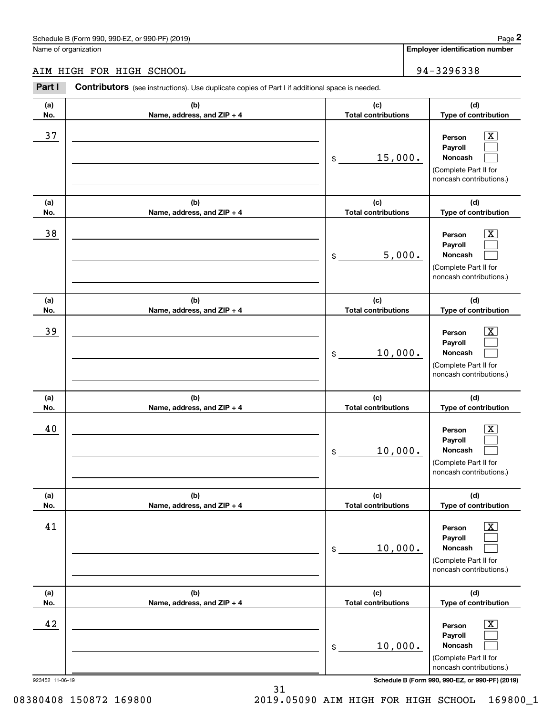# AIM HIGH FOR HIGH SCHOOL 94-3296338

|                 | Schedule B (Form 990, 990-EZ, or 990-PF) (2019)                                                       |                                   |                                    | Page 2                                                                                                 |
|-----------------|-------------------------------------------------------------------------------------------------------|-----------------------------------|------------------------------------|--------------------------------------------------------------------------------------------------------|
|                 | Name of organization                                                                                  |                                   |                                    | <b>Employer identification number</b>                                                                  |
|                 | AIM HIGH FOR HIGH SCHOOL                                                                              |                                   |                                    | 94-3296338                                                                                             |
| Part I          | <b>Contributors</b> (see instructions). Use duplicate copies of Part I if additional space is needed. |                                   |                                    |                                                                                                        |
| (a)<br>No.      | (b)<br>Name, address, and ZIP + 4                                                                     | (c)<br><b>Total contributions</b> | (d)<br>Type of contribution        |                                                                                                        |
| 37              |                                                                                                       | \$                                | 15,000.<br>noncash contributions.) |                                                                                                        |
| (a)<br>No.      | (b)<br>Name, address, and ZIP + 4                                                                     | (c)<br><b>Total contributions</b> |                                    | (d)<br>Type of contribution                                                                            |
| 38              |                                                                                                       | \$                                | 5,000.                             |                                                                                                        |
| (a)<br>No.      | (b)<br>Name, address, and ZIP + 4                                                                     | (c)<br><b>Total contributions</b> |                                    | (d)<br>Type of contribution                                                                            |
| 39              |                                                                                                       | 10,000.<br>\$                     |                                    | X<br>Person<br>Payroll<br>Noncash<br>(Complete Part II for<br>noncash contributions.)                  |
| (a)<br>No.      | (b)<br>Name, address, and ZIP + 4                                                                     | (c)<br><b>Total contributions</b> |                                    | (d)<br>Type of contribution                                                                            |
| 40              |                                                                                                       | 10,000.<br>\$                     |                                    | $\mathbf{X}$<br>Person<br>Payroll<br>Noncash<br>(Complete Part II for<br>noncash contributions.)       |
| (a)<br>No.      | (b)<br>Name, address, and ZIP + 4                                                                     | (c)<br><b>Total contributions</b> |                                    | (d)<br>Type of contribution                                                                            |
| 41              |                                                                                                       | 10,000.<br>\$                     |                                    | $\boxed{\text{X}}$<br>Person<br>Payroll<br>Noncash<br>(Complete Part II for<br>noncash contributions.) |
| (a)<br>No.      | (b)<br>Name, address, and ZIP + 4                                                                     | (c)<br><b>Total contributions</b> |                                    | (d)<br>Type of contribution                                                                            |
| 42              |                                                                                                       | 10,000.<br>\$                     |                                    | $\boxed{\text{X}}$<br>Person<br>Payroll<br>Noncash<br>(Complete Part II for<br>noncash contributions.) |
| 923452 11-06-19 |                                                                                                       |                                   |                                    | Schedule B (Form 990, 990-EZ, or 990-PF) (2019)                                                        |

31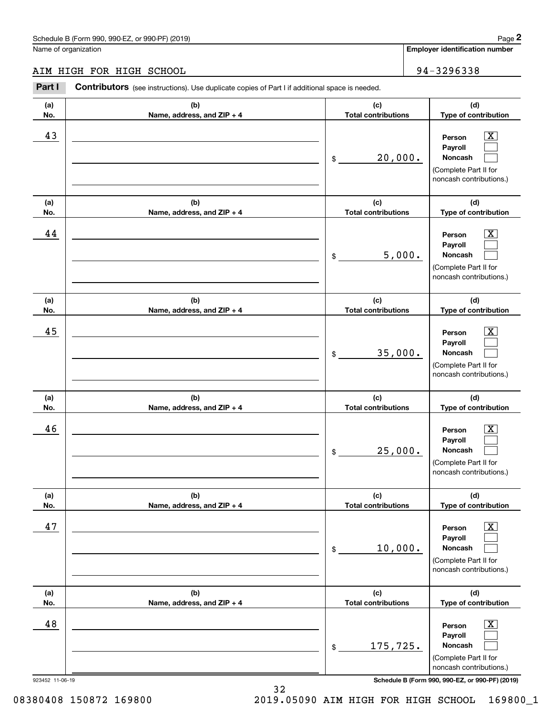# AIM HIGH FOR HIGH SCHOOL 94-3296338

|                 | Schedule B (Form 990, 990-EZ, or 990-PF) (2019)                                                       |                                   |                             | Page 2                                                                                                      |
|-----------------|-------------------------------------------------------------------------------------------------------|-----------------------------------|-----------------------------|-------------------------------------------------------------------------------------------------------------|
|                 | Name of organization                                                                                  |                                   |                             | <b>Employer identification number</b>                                                                       |
|                 | AIM HIGH FOR HIGH SCHOOL                                                                              |                                   |                             | 94-3296338                                                                                                  |
| Part I          | <b>Contributors</b> (see instructions). Use duplicate copies of Part I if additional space is needed. |                                   |                             |                                                                                                             |
| (a)<br>No.      | (b)<br>Name, address, and ZIP + 4                                                                     | (c)<br><b>Total contributions</b> | (d)<br>Type of contribution |                                                                                                             |
| 43              |                                                                                                       | 20,000.<br>\$                     |                             | $\overline{\mathbf{X}}$<br>Person<br>Payroll<br>Noncash<br>(Complete Part II for<br>noncash contributions.) |
| (a)<br>No.      | (b)<br>Name, address, and ZIP + 4                                                                     | (c)<br><b>Total contributions</b> |                             | (d)<br>Type of contribution                                                                                 |
| 44              |                                                                                                       | \$                                | 5,000.                      |                                                                                                             |
| (a)<br>No.      | (b)<br>Name, address, and ZIP + 4                                                                     | (c)<br><b>Total contributions</b> |                             | (d)<br>Type of contribution                                                                                 |
| 45              |                                                                                                       | 35,000.<br>\$                     |                             | X<br>Person<br>Payroll<br>Noncash<br>(Complete Part II for<br>noncash contributions.)                       |
| (a)<br>No.      | (b)<br>Name, address, and ZIP + 4                                                                     | (c)<br><b>Total contributions</b> |                             | (d)<br>Type of contribution                                                                                 |
| 46              |                                                                                                       | 25,000.<br>\$                     |                             | $\mathbf{X}$<br>Person<br>Payroll<br>Noncash<br>(Complete Part II for<br>noncash contributions.)            |
| (a)<br>No.      | (b)<br>Name, address, and ZIP + 4                                                                     | (c)<br><b>Total contributions</b> |                             | (d)<br>Type of contribution                                                                                 |
| 47              |                                                                                                       | 10,000.<br>\$                     |                             | $\boxed{\text{X}}$<br>Person<br>Payroll<br>Noncash<br>(Complete Part II for<br>noncash contributions.)      |
| (a)<br>No.      | (b)<br>Name, address, and ZIP + 4                                                                     | (c)<br><b>Total contributions</b> |                             | (d)<br>Type of contribution                                                                                 |
| 48              |                                                                                                       | 175,725.<br>\$                    |                             | $\boxed{\text{X}}$<br>Person<br>Payroll<br>Noncash<br>(Complete Part II for<br>noncash contributions.)      |
| 923452 11-06-19 |                                                                                                       |                                   |                             | Schedule B (Form 990, 990-EZ, or 990-PF) (2019)                                                             |

32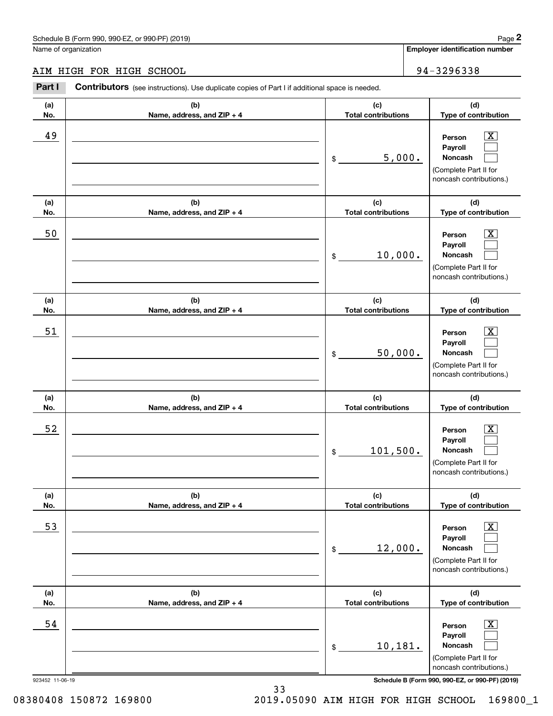# AIM HIGH FOR HIGH SCHOOL 94-3296338

|                 | Schedule B (Form 990, 990-EZ, or 990-PF) (2019)                                                       |                                   |                                       | Page 2                                                                                                 |
|-----------------|-------------------------------------------------------------------------------------------------------|-----------------------------------|---------------------------------------|--------------------------------------------------------------------------------------------------------|
|                 | Name of organization                                                                                  |                                   | <b>Employer identification number</b> |                                                                                                        |
|                 | AIM HIGH FOR HIGH SCHOOL                                                                              |                                   |                                       | 94-3296338                                                                                             |
| Part I          | <b>Contributors</b> (see instructions). Use duplicate copies of Part I if additional space is needed. |                                   |                                       |                                                                                                        |
| (a)<br>No.      | (b)<br>Name, address, and ZIP + 4                                                                     | (c)<br><b>Total contributions</b> | (d)<br>Type of contribution           |                                                                                                        |
| 49              |                                                                                                       | \$                                | 5,000.<br>noncash contributions.)     |                                                                                                        |
| (a)<br>No.      | (b)<br>Name, address, and ZIP + 4                                                                     | (c)<br><b>Total contributions</b> |                                       | (d)<br>Type of contribution                                                                            |
| 50              |                                                                                                       | 10,000.<br>\$                     |                                       | X<br>Person<br>Payroll<br>Noncash<br>(Complete Part II for<br>noncash contributions.)                  |
| (a)<br>No.      | (b)<br>Name, address, and ZIP + 4                                                                     | (c)<br><b>Total contributions</b> |                                       | (d)<br>Type of contribution                                                                            |
| 51              |                                                                                                       | 50,000.<br>\$                     |                                       | X<br>Person<br>Payroll<br>Noncash<br>(Complete Part II for<br>noncash contributions.)                  |
| (a)<br>No.      | (b)<br>Name, address, and ZIP + 4                                                                     | (c)<br><b>Total contributions</b> |                                       | (d)<br>Type of contribution                                                                            |
| 52              |                                                                                                       | 101,500.<br>\$                    |                                       | $\mathbf{X}$<br>Person<br>Payroll<br>Noncash<br>(Complete Part II for<br>noncash contributions.)       |
| (a)<br>No.      | (b)<br>Name, address, and ZIP + 4                                                                     | (c)<br><b>Total contributions</b> |                                       | (d)<br>Type of contribution                                                                            |
| 53              |                                                                                                       | 12,000.<br>\$                     |                                       | $\boxed{\text{X}}$<br>Person<br>Payroll<br>Noncash<br>(Complete Part II for<br>noncash contributions.) |
| (a)<br>No.      | (b)<br>Name, address, and ZIP + 4                                                                     | (c)<br><b>Total contributions</b> |                                       | (d)<br>Type of contribution                                                                            |
| 54              |                                                                                                       | 10,181.<br>\$                     |                                       | $\boxed{\text{X}}$<br>Person<br>Payroll<br>Noncash<br>(Complete Part II for<br>noncash contributions.) |
| 923452 11-06-19 |                                                                                                       |                                   |                                       | Schedule B (Form 990, 990-EZ, or 990-PF) (2019)                                                        |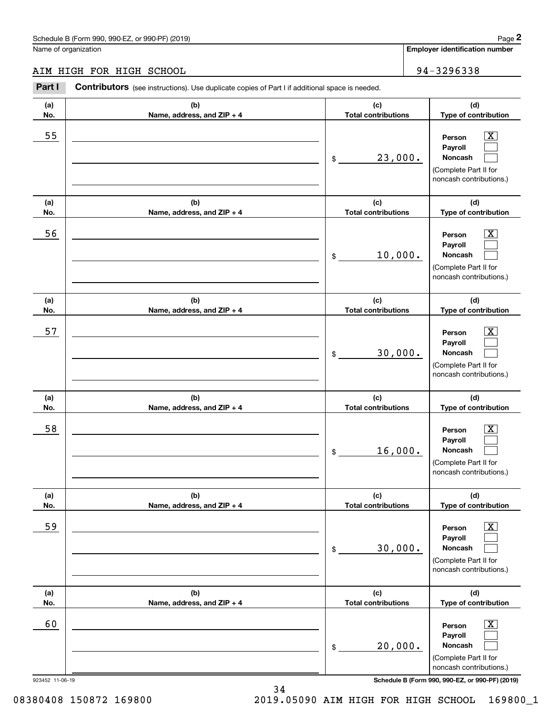# AIM HIGH FOR HIGH SCHOOL 34-3296338

|                      | Schedule B (Form 990, 990-EZ, or 990-PF) (2019)                                                |    |                                   |  |                                                                                                             | Page 2                      |
|----------------------|------------------------------------------------------------------------------------------------|----|-----------------------------------|--|-------------------------------------------------------------------------------------------------------------|-----------------------------|
| Name of organization |                                                                                                |    |                                   |  | <b>Employer identification number</b>                                                                       |                             |
|                      | AIM HIGH FOR HIGH SCHOOL                                                                       |    |                                   |  | 94-3296338                                                                                                  |                             |
| Part I               | Contributors (see instructions). Use duplicate copies of Part I if additional space is needed. |    |                                   |  |                                                                                                             |                             |
| (a)<br>No.           | (b)<br>Name, address, and ZIP + 4                                                              |    | (c)<br><b>Total contributions</b> |  |                                                                                                             | (d)<br>Type of contribution |
| 55                   |                                                                                                | \$ | 23,000.                           |  | $\overline{\mathbf{X}}$<br>Person<br>Payroll<br>Noncash<br>(Complete Part II for<br>noncash contributions.) |                             |
| (a)<br>No.           | (b)<br>Name, address, and ZIP + 4                                                              |    | (c)<br><b>Total contributions</b> |  | (d)<br>Type of contribution                                                                                 |                             |
| 56                   |                                                                                                | \$ | 10,000.                           |  | Person<br>Payroll<br>Noncash<br>(Complete Part II for<br>noncash contributions.)                            | $\overline{\text{X}}$       |
| (a)<br>No.           | (b)<br>Name, address, and ZIP + 4                                                              |    | (c)<br><b>Total contributions</b> |  | (d)<br>Type of contribution                                                                                 |                             |
| 57                   |                                                                                                | \$ | 30,000.                           |  | Person<br>Payroll<br>Noncash<br>(Complete Part II for<br>noncash contributions.)                            | $\overline{\text{X}}$       |
| (a)<br>No.           | (b)<br>Name, address, and ZIP + 4                                                              |    | (c)<br><b>Total contributions</b> |  | (d)<br>Type of contribution                                                                                 |                             |
| 58                   |                                                                                                | \$ | 16,000.                           |  | Person<br>Payroll<br>Noncash<br>(Complete Part II for<br>noncash contributions.)                            | $\overline{\mathbf{X}}$     |
| (a)<br>No.           | (b)<br>Name, address, and ZIP + 4                                                              |    | (c)<br><b>Total contributions</b> |  | (d)<br>Type of contribution                                                                                 |                             |
| 59                   |                                                                                                | \$ | 30,000.                           |  | Person<br>Payroll<br>Noncash<br>(Complete Part II for<br>noncash contributions.)                            | $\overline{\mathbf{X}}$     |
| (a)<br>No.           | (b)<br>Name, address, and ZIP + 4                                                              |    | (c)<br><b>Total contributions</b> |  | (d)<br>Type of contribution                                                                                 |                             |
| 60                   |                                                                                                | \$ | 20,000.                           |  | Person<br>Payroll<br>Noncash<br>(Complete Part II for<br>noncash contributions.)                            | $\overline{\mathbf{X}}$     |
| 923452 11-06-19      |                                                                                                |    |                                   |  | Schedule B (Form 990, 990-EZ, or 990-PF) (2019)                                                             |                             |

08380408 150872 169800 2019.05090 AIM HIGH FOR HIGH SCHOOL 169800\_1

34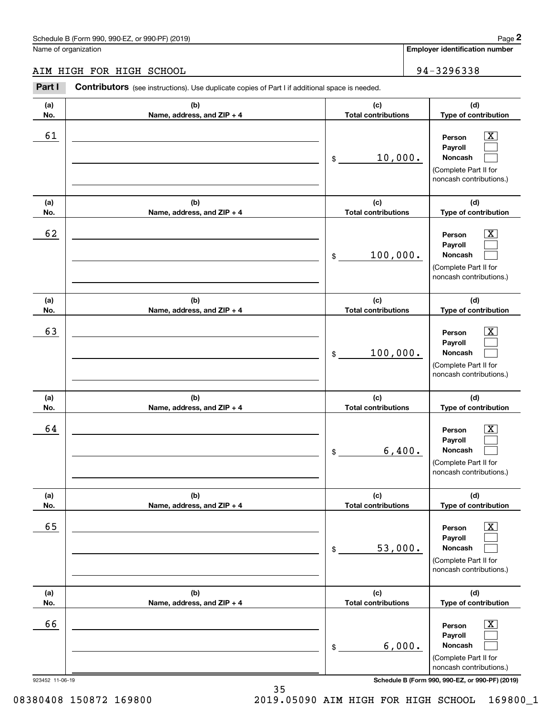# AIM HIGH FOR HIGH SCHOOL 94-3296338

|                 | Schedule B (Form 990, 990-EZ, or 990-PF) (2019)                                                       |                                   |                             | Page 2                                                                                                      |  |
|-----------------|-------------------------------------------------------------------------------------------------------|-----------------------------------|-----------------------------|-------------------------------------------------------------------------------------------------------------|--|
|                 | Name of organization                                                                                  |                                   |                             | <b>Employer identification number</b>                                                                       |  |
|                 | AIM HIGH FOR HIGH SCHOOL                                                                              |                                   |                             | 94-3296338                                                                                                  |  |
| Part I          | <b>Contributors</b> (see instructions). Use duplicate copies of Part I if additional space is needed. |                                   |                             |                                                                                                             |  |
| (a)<br>No.      | (b)<br>Name, address, and ZIP + 4                                                                     | (c)<br><b>Total contributions</b> | (d)<br>Type of contribution |                                                                                                             |  |
| 61              |                                                                                                       | 10,000.<br>\$                     |                             | $\overline{\mathbf{X}}$<br>Person<br>Payroll<br>Noncash<br>(Complete Part II for<br>noncash contributions.) |  |
| (a)<br>No.      | (b)<br>Name, address, and ZIP + 4                                                                     | (c)<br><b>Total contributions</b> |                             | (d)<br>Type of contribution                                                                                 |  |
| 62              |                                                                                                       | 100,000.<br>\$                    |                             | X<br>Person<br>Payroll<br>Noncash<br>(Complete Part II for<br>noncash contributions.)                       |  |
| (a)<br>No.      | (b)<br>Name, address, and ZIP + 4                                                                     | (c)<br><b>Total contributions</b> |                             | (d)<br>Type of contribution                                                                                 |  |
| 63              |                                                                                                       | 100,000.<br>\$                    |                             | X<br>Person<br>Payroll<br>Noncash<br>(Complete Part II for<br>noncash contributions.)                       |  |
| (a)<br>No.      | (b)<br>Name, address, and ZIP + 4                                                                     | (c)<br><b>Total contributions</b> |                             | (d)<br>Type of contribution                                                                                 |  |
| 64              |                                                                                                       | 6,400.<br>\$                      |                             | $\mathbf{X}$<br>Person<br>Payroll<br>Noncash<br>(Complete Part II for<br>noncash contributions.)            |  |
| (a)<br>No.      | (b)<br>Name, address, and ZIP + 4                                                                     | (c)<br><b>Total contributions</b> |                             | (d)<br>Type of contribution                                                                                 |  |
| 65              |                                                                                                       | 53,000.<br>\$                     |                             | $\overline{\mathbf{X}}$<br>Person<br>Payroll<br>Noncash<br>(Complete Part II for<br>noncash contributions.) |  |
| (a)<br>No.      | (b)<br>Name, address, and ZIP + 4                                                                     | (c)<br><b>Total contributions</b> |                             | (d)<br>Type of contribution                                                                                 |  |
| 66              |                                                                                                       | 6,000.<br>\$                      |                             | $\boxed{\text{X}}$<br>Person<br>Payroll<br>Noncash<br>(Complete Part II for<br>noncash contributions.)      |  |
| 923452 11-06-19 |                                                                                                       |                                   |                             | Schedule B (Form 990, 990-EZ, or 990-PF) (2019)                                                             |  |

35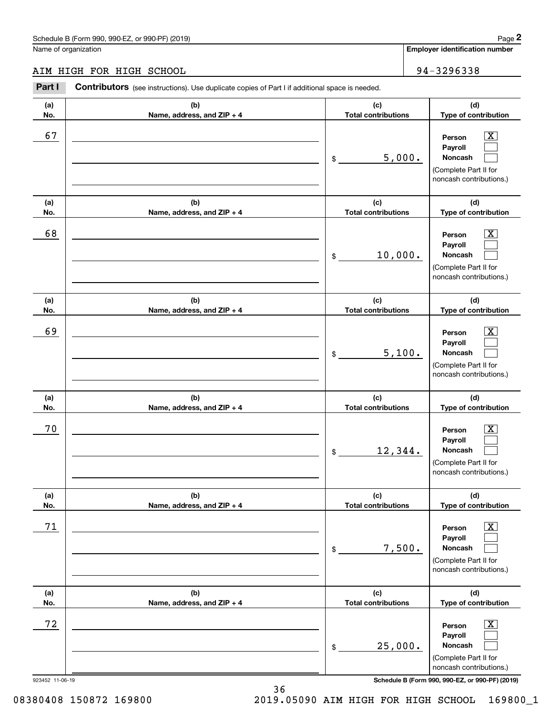# AIM HIGH FOR HIGH SCHOOL 34-3296338

|                      | Schedule B (Form 990, 990-EZ, or 990-PF) (2019)                                                |    |                                   |                             | Page 2                                                                                                      |
|----------------------|------------------------------------------------------------------------------------------------|----|-----------------------------------|-----------------------------|-------------------------------------------------------------------------------------------------------------|
| Name of organization |                                                                                                |    |                                   |                             | <b>Employer identification number</b>                                                                       |
|                      | AIM HIGH FOR HIGH SCHOOL                                                                       |    |                                   |                             | 94-3296338                                                                                                  |
| Part I               | Contributors (see instructions). Use duplicate copies of Part I if additional space is needed. |    |                                   |                             |                                                                                                             |
| (a)<br>No.           | (b)<br>Name, address, and ZIP + 4                                                              |    | (c)<br><b>Total contributions</b> | (d)<br>Type of contribution |                                                                                                             |
| 67                   |                                                                                                | \$ | 5,000.                            |                             | $\overline{\text{X}}$<br>Person<br>Payroll<br>Noncash<br>(Complete Part II for<br>noncash contributions.)   |
| (a)<br>No.           | (b)<br>Name, address, and ZIP + 4                                                              |    | (c)<br><b>Total contributions</b> |                             | (d)<br>Type of contribution                                                                                 |
| 68                   |                                                                                                | \$ | 10,000.                           |                             | $\overline{\text{X}}$<br>Person<br>Payroll<br>Noncash<br>(Complete Part II for<br>noncash contributions.)   |
| (a)<br>No.           | (b)<br>Name, address, and ZIP + 4                                                              |    | (c)<br><b>Total contributions</b> |                             | (d)<br>Type of contribution                                                                                 |
| 69                   |                                                                                                | \$ | 5,100.                            |                             | $\overline{\text{X}}$<br>Person<br>Payroll<br>Noncash<br>(Complete Part II for<br>noncash contributions.)   |
| (a)<br>No.           | (b)<br>Name, address, and ZIP + 4                                                              |    | (c)<br><b>Total contributions</b> |                             | (d)<br>Type of contribution                                                                                 |
| 70                   |                                                                                                | \$ | 12,344.                           |                             | $\overline{\mathbf{X}}$<br>Person<br>Payroll<br>Noncash<br>(Complete Part II for<br>noncash contributions.) |
| (a)<br>No.           | (b)<br>Name, address, and ZIP + 4                                                              |    | (c)<br><b>Total contributions</b> |                             | (d)<br>Type of contribution                                                                                 |
| 71                   |                                                                                                | \$ | 7,500.                            |                             | $\overline{\mathbf{x}}$<br>Person<br>Payroll<br>Noncash<br>(Complete Part II for<br>noncash contributions.) |
| (a)<br>No.           | (b)<br>Name, address, and ZIP + 4                                                              |    | (c)<br><b>Total contributions</b> |                             | (d)<br>Type of contribution                                                                                 |
| 72                   |                                                                                                | \$ | 25,000.                           |                             | $\overline{\mathbf{X}}$<br>Person<br>Payroll<br>Noncash<br>(Complete Part II for<br>noncash contributions.) |
| 923452 11-06-19      |                                                                                                |    |                                   |                             | Schedule B (Form 990, 990-EZ, or 990-PF) (2019)                                                             |

36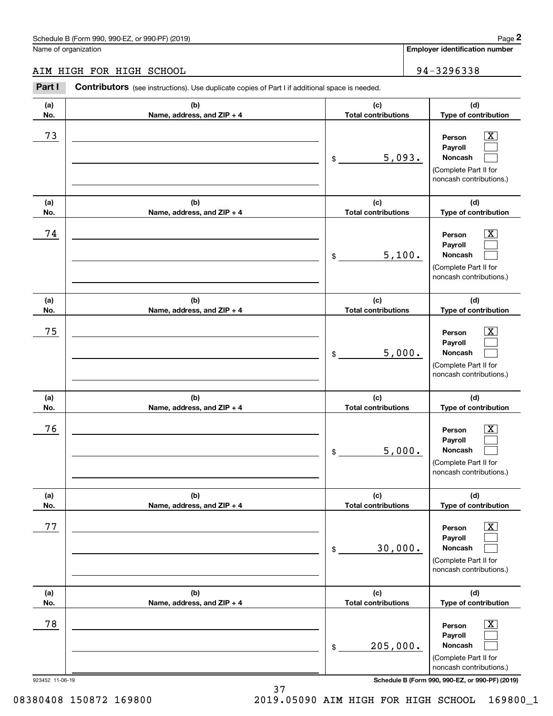# AIM HIGH FOR HIGH SCHOOL 34-3296338

|                 | Schedule B (Form 990, 990-EZ, or 990-PF) (2019)                                                       |                                   | Page 2                                                                                                 |
|-----------------|-------------------------------------------------------------------------------------------------------|-----------------------------------|--------------------------------------------------------------------------------------------------------|
|                 | Name of organization                                                                                  |                                   | <b>Employer identification number</b>                                                                  |
|                 | AIM HIGH FOR HIGH SCHOOL                                                                              |                                   | 94-3296338                                                                                             |
| Part I          | <b>Contributors</b> (see instructions). Use duplicate copies of Part I if additional space is needed. |                                   |                                                                                                        |
| (a)<br>No.      | (b)<br>Name, address, and ZIP + 4                                                                     | (c)<br><b>Total contributions</b> | (d)<br>Type of contribution                                                                            |
| 73              |                                                                                                       | 5,093.<br>\$                      | $\mathbf{X}$<br>Person<br>Payroll<br>Noncash<br>(Complete Part II for<br>noncash contributions.)       |
| (a)<br>No.      | (b)<br>Name, address, and ZIP + 4                                                                     | (c)<br><b>Total contributions</b> | (d)<br>Type of contribution                                                                            |
| 74              |                                                                                                       | 5,100.<br>\$                      | $\mathbf{X}$<br>Person<br>Payroll<br>Noncash<br>(Complete Part II for<br>noncash contributions.)       |
| (a)<br>No.      | (b)<br>Name, address, and ZIP + 4                                                                     | (c)<br><b>Total contributions</b> | (d)<br>Type of contribution                                                                            |
| 75              |                                                                                                       | 5,000.<br>\$                      | $\mathbf{X}$<br>Person<br>Payroll<br>Noncash<br>(Complete Part II for<br>noncash contributions.)       |
| (a)<br>No.      | (b)<br>Name, address, and ZIP + 4                                                                     | (c)<br><b>Total contributions</b> | (d)<br>Type of contribution                                                                            |
| 76              |                                                                                                       | 5,000.<br>\$                      | $\mathbf{X}$<br>Person<br>Payroll<br>Noncash<br>(Complete Part II for<br>noncash contributions.)       |
| (a)<br>No.      | (b)<br>Name, address, and ZIP + 4                                                                     | (c)<br><b>Total contributions</b> | (d)<br>Type of contribution                                                                            |
| 77              |                                                                                                       | 30,000.<br>\$                     | $\boxed{\text{X}}$<br>Person<br>Payroll<br>Noncash<br>(Complete Part II for<br>noncash contributions.) |
| (a)<br>No.      | (b)<br>Name, address, and ZIP + 4                                                                     | (c)<br><b>Total contributions</b> | (d)<br>Type of contribution                                                                            |
| 78              |                                                                                                       | 205,000.<br>\$                    | $\boxed{\text{X}}$<br>Person<br>Payroll<br>Noncash<br>(Complete Part II for<br>noncash contributions.) |
| 923452 11-06-19 |                                                                                                       |                                   | Schedule B (Form 990, 990-EZ, or 990-PF) (2019)                                                        |

37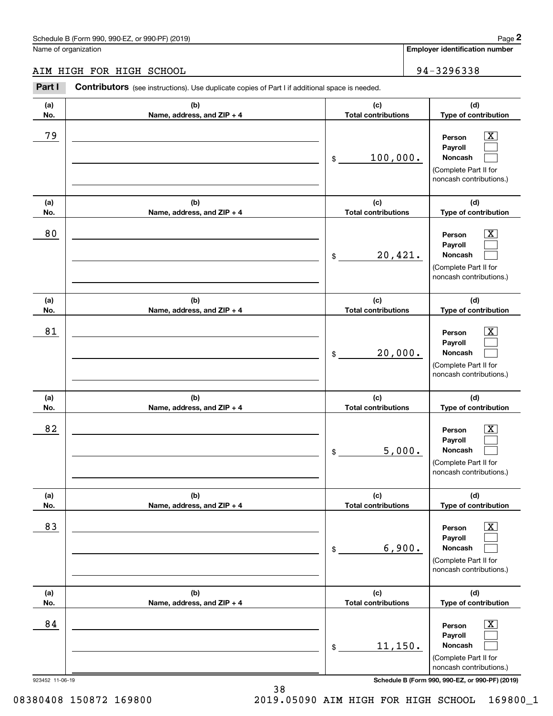## AIM HIGH FOR HIGH SCHOOL 94-3296338

|                 | Schedule B (Form 990, 990-EZ, or 990-PF) (2019)                                                       |                                   | Page 2                                                                                                      |
|-----------------|-------------------------------------------------------------------------------------------------------|-----------------------------------|-------------------------------------------------------------------------------------------------------------|
|                 | Name of organization                                                                                  |                                   | <b>Employer identification number</b>                                                                       |
|                 | AIM HIGH FOR HIGH SCHOOL                                                                              |                                   | 94-3296338                                                                                                  |
| Part I          | <b>Contributors</b> (see instructions). Use duplicate copies of Part I if additional space is needed. |                                   |                                                                                                             |
| (a)<br>No.      | (b)<br>Name, address, and ZIP + 4                                                                     | (c)<br><b>Total contributions</b> | (d)<br>Type of contribution                                                                                 |
| 79              |                                                                                                       | 100,000.<br>\$                    | $\overline{\mathbf{X}}$<br>Person<br>Payroll<br>Noncash<br>(Complete Part II for<br>noncash contributions.) |
| (a)<br>No.      | (b)<br>Name, address, and ZIP + 4                                                                     | (c)<br><b>Total contributions</b> | (d)<br>Type of contribution                                                                                 |
| 80              |                                                                                                       | 20,421.<br>\$                     | X<br>Person<br>Payroll<br>Noncash<br>(Complete Part II for<br>noncash contributions.)                       |
| (a)<br>No.      | (b)<br>Name, address, and ZIP + 4                                                                     | (c)<br><b>Total contributions</b> | (d)<br>Type of contribution                                                                                 |
| 81              |                                                                                                       | 20,000.<br>\$                     | X<br>Person<br>Payroll<br>Noncash<br>(Complete Part II for<br>noncash contributions.)                       |
| (a)<br>No.      | (b)<br>Name, address, and ZIP + 4                                                                     | (c)<br><b>Total contributions</b> | (d)<br>Type of contribution                                                                                 |
| 82              |                                                                                                       | 5,000.<br>\$                      | $\mathbf{X}$<br>Person<br>Payroll<br>Noncash<br>(Complete Part II for<br>noncash contributions.)            |
| (a)<br>No.      | (b)<br>Name, address, and ZIP + 4                                                                     | (c)<br><b>Total contributions</b> | (d)<br>Type of contribution                                                                                 |
| 83              |                                                                                                       | 6,900.<br>\$                      | $\boxed{\text{X}}$<br>Person<br>Payroll<br>Noncash<br>(Complete Part II for<br>noncash contributions.)      |
| (a)<br>No.      | (b)<br>Name, address, and ZIP + 4                                                                     | (c)<br><b>Total contributions</b> | (d)<br>Type of contribution                                                                                 |
| 84              |                                                                                                       | 11,150.<br>\$                     | $\boxed{\text{X}}$<br>Person<br>Payroll<br>Noncash<br>(Complete Part II for<br>noncash contributions.)      |
| 923452 11-06-19 |                                                                                                       |                                   | Schedule B (Form 990, 990-EZ, or 990-PF) (2019)                                                             |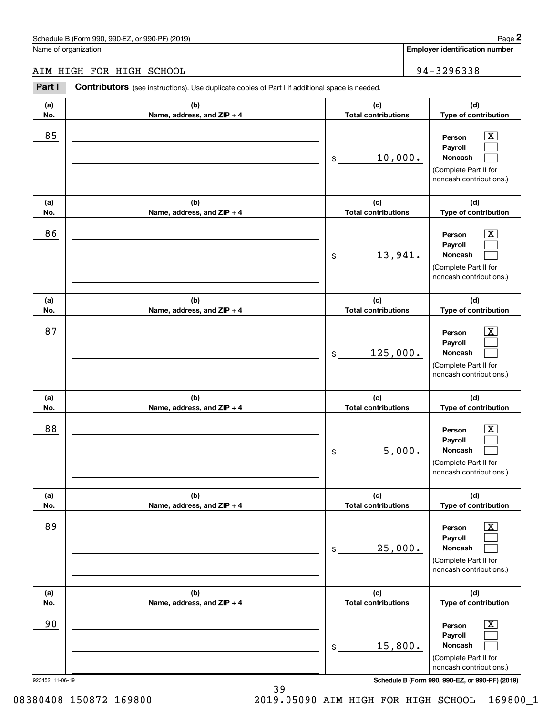## AIM HIGH FOR HIGH SCHOOL 34-3296338

|                 | Schedule B (Form 990, 990-EZ, or 990-PF) (2019)                                                |                                   | Page 2                                                                                                      |
|-----------------|------------------------------------------------------------------------------------------------|-----------------------------------|-------------------------------------------------------------------------------------------------------------|
|                 | Name of organization                                                                           |                                   | <b>Employer identification number</b>                                                                       |
|                 | AIM HIGH FOR HIGH SCHOOL                                                                       |                                   | 94-3296338                                                                                                  |
| Part I          | Contributors (see instructions). Use duplicate copies of Part I if additional space is needed. |                                   |                                                                                                             |
| (a)<br>No.      | (b)<br>Name, address, and ZIP + 4                                                              | (c)<br><b>Total contributions</b> | (d)<br>Type of contribution                                                                                 |
| 85              |                                                                                                | \$<br>10,000.                     | $\overline{\mathbf{X}}$<br>Person<br>Payroll<br>Noncash<br>(Complete Part II for<br>noncash contributions.) |
| (a)<br>No.      | (b)<br>Name, address, and ZIP + 4                                                              | (c)<br><b>Total contributions</b> | (d)<br>Type of contribution                                                                                 |
| 86              |                                                                                                | \$<br>13,941.                     | $\overline{\text{X}}$<br>Person<br>Payroll<br>Noncash<br>(Complete Part II for<br>noncash contributions.)   |
| (a)<br>No.      | (b)<br>Name, address, and ZIP + 4                                                              | (c)<br><b>Total contributions</b> | (d)<br>Type of contribution                                                                                 |
| 87              |                                                                                                | \$<br>125,000.                    | $\overline{\text{X}}$<br>Person<br>Payroll<br>Noncash<br>(Complete Part II for<br>noncash contributions.)   |
| (a)<br>No.      | (b)<br>Name, address, and ZIP + 4                                                              | (c)<br><b>Total contributions</b> | (d)<br>Type of contribution                                                                                 |
| 88              |                                                                                                | \$<br>5,000.                      | $\mathbf{X}$<br>Person<br>Payroll<br>Noncash<br>(Complete Part II for<br>noncash contributions.)            |
| (a)<br>No.      | (b)<br>Name, address, and ZIP + 4                                                              | (c)<br><b>Total contributions</b> | (d)<br>Type of contribution                                                                                 |
| 89              |                                                                                                | \$<br>25,000.                     | $\overline{\mathbf{X}}$<br>Person<br>Payroll<br>Noncash<br>(Complete Part II for<br>noncash contributions.) |
| (a)<br>No.      | (b)<br>Name, address, and ZIP + 4                                                              | (c)<br><b>Total contributions</b> | (d)<br>Type of contribution                                                                                 |
| 90              |                                                                                                | \$<br>15,800.                     | $\overline{\mathbf{X}}$<br>Person<br>Payroll<br>Noncash<br>(Complete Part II for<br>noncash contributions.) |
| 923452 11-06-19 |                                                                                                |                                   | Schedule B (Form 990, 990-EZ, or 990-PF) (2019)                                                             |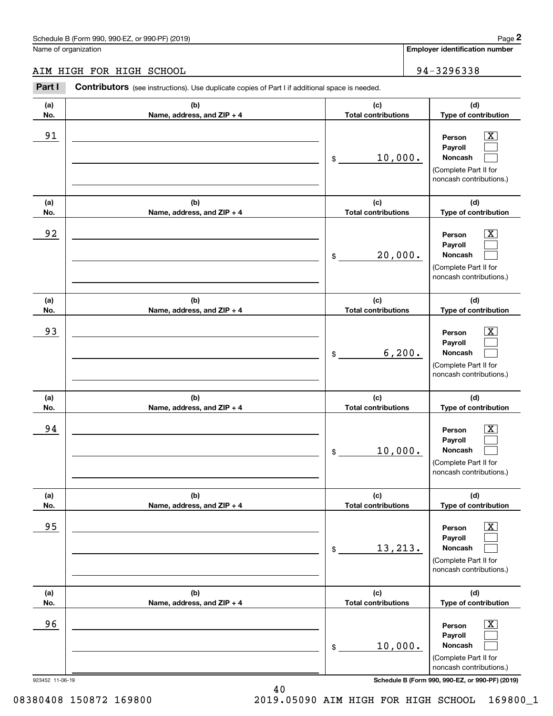## AIM HIGH FOR HIGH SCHOOL 94-3296338

|                 | Schedule B (Form 990, 990-EZ, or 990-PF) (2019)                                                       |                                   |                            | Page 2                                                                                                      |  |
|-----------------|-------------------------------------------------------------------------------------------------------|-----------------------------------|----------------------------|-------------------------------------------------------------------------------------------------------------|--|
|                 | Name of organization                                                                                  |                                   |                            | <b>Employer identification number</b>                                                                       |  |
|                 | AIM HIGH FOR HIGH SCHOOL                                                                              |                                   |                            | 94-3296338                                                                                                  |  |
| Part I          | <b>Contributors</b> (see instructions). Use duplicate copies of Part I if additional space is needed. |                                   |                            |                                                                                                             |  |
| (a)<br>No.      | (b)<br>Name, address, and ZIP + 4                                                                     | (c)                               | <b>Total contributions</b> |                                                                                                             |  |
| 91              |                                                                                                       | 10,000.<br>\$                     |                            | $\overline{\mathbf{X}}$<br>Person<br>Payroll<br>Noncash<br>(Complete Part II for<br>noncash contributions.) |  |
| (a)<br>No.      | (b)<br>Name, address, and ZIP + 4                                                                     | (c)<br><b>Total contributions</b> |                            | (d)<br>Type of contribution                                                                                 |  |
| 92              |                                                                                                       | 20,000.<br>\$                     |                            | X<br>Person<br>Payroll<br><b>Noncash</b><br>(Complete Part II for<br>noncash contributions.)                |  |
| (a)<br>No.      | (b)<br>Name, address, and ZIP + 4                                                                     | (c)<br><b>Total contributions</b> |                            | (d)<br>Type of contribution                                                                                 |  |
| 93              |                                                                                                       | \$                                | 6, 200.                    | X<br>Person<br>Payroll<br>Noncash<br>(Complete Part II for<br>noncash contributions.)                       |  |
| (a)<br>No.      | (b)<br>Name, address, and ZIP + 4                                                                     | (c)<br><b>Total contributions</b> |                            | (d)<br>Type of contribution                                                                                 |  |
| 94              |                                                                                                       | 10,000.<br>\$                     |                            | $\mathbf{X}$<br>Person<br>Payroll<br><b>Noncash</b><br>(Complete Part II for<br>noncash contributions.)     |  |
| (a)<br>No.      | (b)<br>Name, address, and ZIP + 4                                                                     | (c)<br><b>Total contributions</b> |                            | (d)<br>Type of contribution                                                                                 |  |
| 95              |                                                                                                       | 13,213.<br>\$                     |                            | $\boxed{\text{X}}$<br>Person<br>Payroll<br>Noncash<br>(Complete Part II for<br>noncash contributions.)      |  |
| (a)<br>No.      | (b)<br>Name, address, and ZIP + 4                                                                     | (c)<br><b>Total contributions</b> |                            | (d)<br>Type of contribution                                                                                 |  |
| 96              |                                                                                                       | 10,000.<br>\$                     |                            | $\boxed{\text{X}}$<br>Person<br>Payroll<br>Noncash<br>(Complete Part II for<br>noncash contributions.)      |  |
| 923452 11-06-19 |                                                                                                       |                                   |                            | Schedule B (Form 990, 990-EZ, or 990-PF) (2019)                                                             |  |

08380408 150872 169800 2019.05090 AIM HIGH FOR HIGH SCHOOL 169800\_1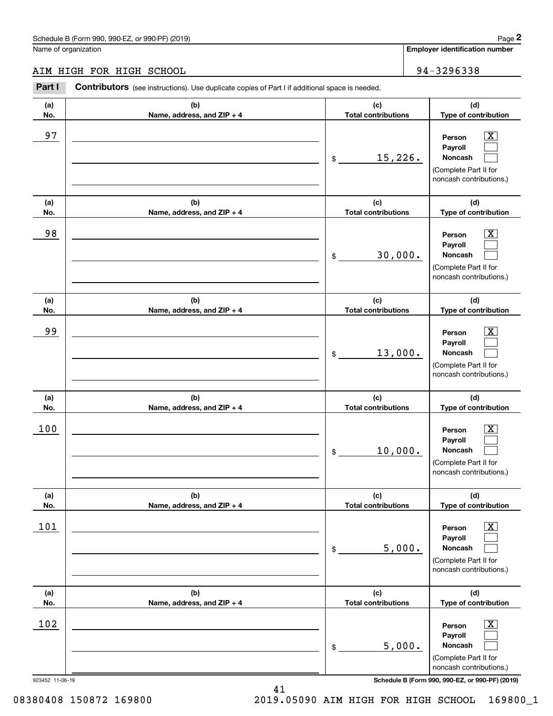## AIM HIGH FOR HIGH SCHOOL 34-3296338

|                 | Schedule B (Form 990, 990-EZ, or 990-PF) (2019)                                                |                                   |        | Page 2                                                                                                      |
|-----------------|------------------------------------------------------------------------------------------------|-----------------------------------|--------|-------------------------------------------------------------------------------------------------------------|
|                 | Name of organization                                                                           |                                   |        | <b>Employer identification number</b>                                                                       |
|                 | AIM HIGH FOR HIGH SCHOOL                                                                       |                                   |        | 94-3296338                                                                                                  |
| Part I          | Contributors (see instructions). Use duplicate copies of Part I if additional space is needed. |                                   |        |                                                                                                             |
| (a)<br>No.      | (b)<br>Name, address, and ZIP + 4                                                              | (c)<br><b>Total contributions</b> |        | (d)<br>Type of contribution                                                                                 |
| 97              |                                                                                                | 15,226.<br>\$                     |        | $\overline{\mathbf{X}}$<br>Person<br>Payroll<br>Noncash<br>(Complete Part II for<br>noncash contributions.) |
| (a)<br>No.      | (b)<br>Name, address, and ZIP + 4                                                              | (c)<br><b>Total contributions</b> |        | (d)<br>Type of contribution                                                                                 |
| 98              |                                                                                                | 30,000.<br>\$                     |        | $\overline{\text{X}}$<br>Person<br>Payroll<br>Noncash<br>(Complete Part II for<br>noncash contributions.)   |
| (a)<br>No.      | (b)<br>Name, address, and ZIP + 4                                                              | (c)<br><b>Total contributions</b> |        | (d)<br>Type of contribution                                                                                 |
| 99              |                                                                                                | 13,000.<br>\$                     |        | $\overline{\text{X}}$<br>Person<br>Payroll<br>Noncash<br>(Complete Part II for<br>noncash contributions.)   |
| (a)<br>No.      | (b)<br>Name, address, and ZIP + 4                                                              | (c)<br><b>Total contributions</b> |        | (d)<br>Type of contribution                                                                                 |
| 100             |                                                                                                | 10,000.<br>\$                     |        | $\mathbf{X}$<br>Person<br>Payroll<br>Noncash<br>(Complete Part II for<br>noncash contributions.)            |
| (a)<br>No.      | (b)<br>Name, address, and ZIP + 4                                                              | (c)<br><b>Total contributions</b> |        | (d)<br>Type of contribution                                                                                 |
| 101             |                                                                                                | \$                                | 5,000. | $\overline{\mathbf{X}}$<br>Person<br>Payroll<br>Noncash<br>(Complete Part II for<br>noncash contributions.) |
| (a)<br>No.      | (b)<br>Name, address, and ZIP + 4                                                              | (c)<br><b>Total contributions</b> |        | (d)<br>Type of contribution                                                                                 |
| 102             |                                                                                                | \$                                | 5,000. | $\overline{\mathbf{X}}$<br>Person<br>Payroll<br>Noncash<br>(Complete Part II for<br>noncash contributions.) |
| 923452 11-06-19 |                                                                                                |                                   |        | Schedule B (Form 990, 990-EZ, or 990-PF) (2019)                                                             |

41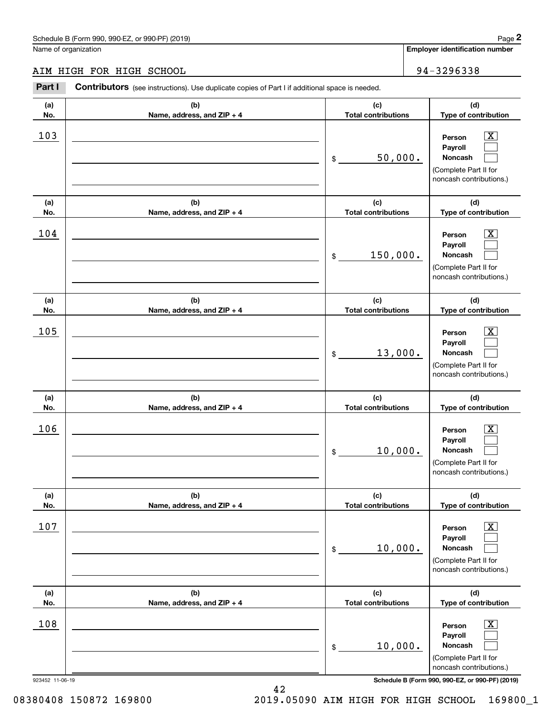## AIM HIGH FOR HIGH SCHOOL 34-3296338

|                 | Schedule B (Form 990, 990-EZ, or 990-PF) (2019)                                                |                                   |                            | Page 2                                                                                                      |  |
|-----------------|------------------------------------------------------------------------------------------------|-----------------------------------|----------------------------|-------------------------------------------------------------------------------------------------------------|--|
|                 | Name of organization                                                                           |                                   |                            | <b>Employer identification number</b>                                                                       |  |
|                 | AIM HIGH FOR HIGH SCHOOL                                                                       |                                   |                            | 94-3296338                                                                                                  |  |
| Part I          | Contributors (see instructions). Use duplicate copies of Part I if additional space is needed. |                                   |                            |                                                                                                             |  |
| (a)<br>No.      | (b)<br>Name, address, and ZIP + 4                                                              | (c)                               | <b>Total contributions</b> |                                                                                                             |  |
| 103             |                                                                                                | \$                                | 50,000.                    | $\overline{\mathbf{X}}$<br>Person<br>Payroll<br>Noncash<br>(Complete Part II for<br>noncash contributions.) |  |
| (a)<br>No.      | (b)<br>Name, address, and ZIP + 4                                                              | (c)<br><b>Total contributions</b> |                            | (d)<br>Type of contribution                                                                                 |  |
| 104             |                                                                                                | 150,000.<br>\$                    |                            | $\overline{\text{X}}$<br>Person<br>Payroll<br>Noncash<br>(Complete Part II for<br>noncash contributions.)   |  |
| (a)<br>No.      | (b)<br>Name, address, and ZIP + 4                                                              | (c)<br><b>Total contributions</b> |                            | (d)<br>Type of contribution                                                                                 |  |
| 105             |                                                                                                | \$                                | 13,000.                    | $\overline{\text{X}}$<br>Person<br>Payroll<br>Noncash<br>(Complete Part II for<br>noncash contributions.)   |  |
| (a)<br>No.      | (b)<br>Name, address, and ZIP + 4                                                              | (c)<br><b>Total contributions</b> |                            | (d)<br>Type of contribution                                                                                 |  |
| 106             |                                                                                                | 10,000.<br>\$                     |                            | $\mathbf{X}$<br>Person<br>Payroll<br>Noncash<br>(Complete Part II for<br>noncash contributions.)            |  |
| (a)<br>No.      | (b)<br>Name, address, and ZIP + 4                                                              | (c)<br><b>Total contributions</b> |                            | (d)<br>Type of contribution                                                                                 |  |
| 107             |                                                                                                | 10,000.<br>\$                     |                            | $\overline{\mathbf{X}}$<br>Person<br>Payroll<br>Noncash<br>(Complete Part II for<br>noncash contributions.) |  |
| (a)<br>No.      | (b)<br>Name, address, and ZIP + 4                                                              | (c)<br><b>Total contributions</b> |                            | (d)<br>Type of contribution                                                                                 |  |
| 108             |                                                                                                | 10,000.<br>\$                     |                            | $\overline{\mathbf{X}}$<br>Person<br>Payroll<br>Noncash<br>(Complete Part II for<br>noncash contributions.) |  |
| 923452 11-06-19 |                                                                                                |                                   |                            | Schedule B (Form 990, 990-EZ, or 990-PF) (2019)                                                             |  |

42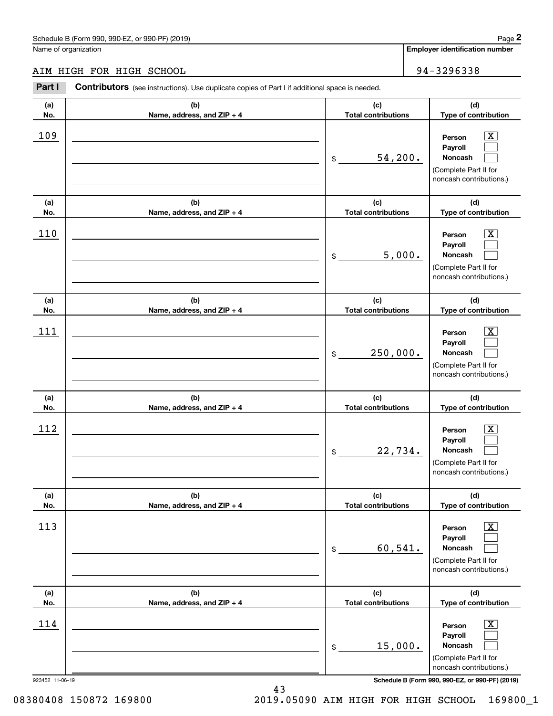## AIM HIGH FOR HIGH SCHOOL 34-3296338

|                 | Schedule B (Form 990, 990-EZ, or 990-PF) (2019)                                                |                                   | Page 2                                                                                                      |
|-----------------|------------------------------------------------------------------------------------------------|-----------------------------------|-------------------------------------------------------------------------------------------------------------|
|                 | Name of organization                                                                           |                                   | <b>Employer identification number</b>                                                                       |
|                 | AIM HIGH FOR HIGH SCHOOL                                                                       |                                   | 94-3296338                                                                                                  |
| Part I          | Contributors (see instructions). Use duplicate copies of Part I if additional space is needed. |                                   |                                                                                                             |
| (a)<br>No.      | (b)<br>Name, address, and ZIP + 4                                                              | (c)<br><b>Total contributions</b> | (d)<br>Type of contribution                                                                                 |
| 109             |                                                                                                | \$<br>54,200.                     | $\overline{\mathbf{X}}$<br>Person<br>Payroll<br>Noncash<br>(Complete Part II for<br>noncash contributions.) |
| (a)<br>No.      | (b)<br>Name, address, and ZIP + 4                                                              | (c)<br><b>Total contributions</b> | (d)<br>Type of contribution                                                                                 |
| 110             |                                                                                                | \$<br>5,000.                      | $\overline{\text{X}}$<br>Person<br>Payroll<br>Noncash<br>(Complete Part II for<br>noncash contributions.)   |
| (a)<br>No.      | (b)<br>Name, address, and ZIP + 4                                                              | (c)<br><b>Total contributions</b> | (d)<br>Type of contribution                                                                                 |
| 111             |                                                                                                | \$<br>250,000.                    | $\overline{\text{X}}$<br>Person<br>Payroll<br>Noncash<br>(Complete Part II for<br>noncash contributions.)   |
| (a)<br>No.      | (b)<br>Name, address, and ZIP + 4                                                              | (c)<br><b>Total contributions</b> | (d)<br>Type of contribution                                                                                 |
| 112             |                                                                                                | \$<br>22,734.                     | $\mathbf{X}$<br>Person<br>Payroll<br>Noncash<br>(Complete Part II for<br>noncash contributions.)            |
| (a)<br>No.      | (b)<br>Name, address, and ZIP + 4                                                              | (c)<br><b>Total contributions</b> | (d)<br>Type of contribution                                                                                 |
| 113             |                                                                                                | \$<br>60,541.                     | $\overline{\mathbf{X}}$<br>Person<br>Payroll<br>Noncash<br>(Complete Part II for<br>noncash contributions.) |
| (a)<br>No.      | (b)<br>Name, address, and ZIP + 4                                                              | (c)<br><b>Total contributions</b> | (d)<br>Type of contribution                                                                                 |
| 114             |                                                                                                | \$<br>15,000.                     | $\overline{\mathbf{X}}$<br>Person<br>Payroll<br>Noncash<br>(Complete Part II for<br>noncash contributions.) |
| 923452 11-06-19 |                                                                                                |                                   | Schedule B (Form 990, 990-EZ, or 990-PF) (2019)                                                             |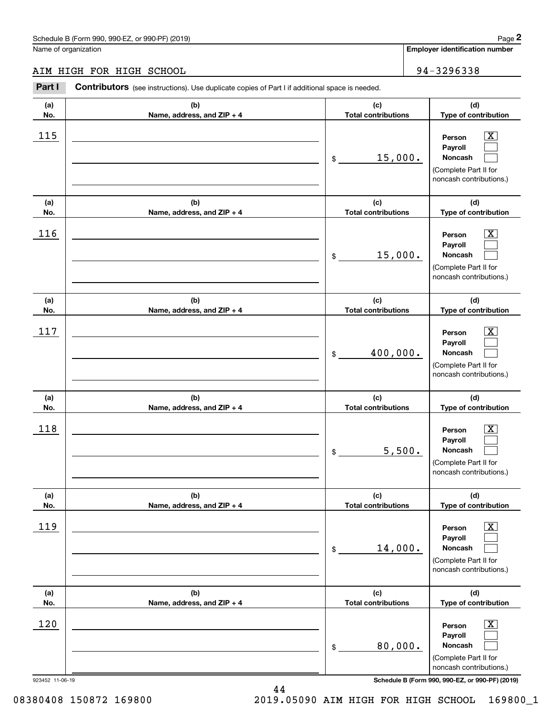## AIM HIGH FOR HIGH SCHOOL 34-3296338

|                 | Schedule B (Form 990, 990-EZ, or 990-PF) (2019)                                                       |                                   |        | Page 2                                                                                                      |
|-----------------|-------------------------------------------------------------------------------------------------------|-----------------------------------|--------|-------------------------------------------------------------------------------------------------------------|
|                 | Name of organization                                                                                  |                                   |        | Employer identification number                                                                              |
|                 | AIM HIGH FOR HIGH SCHOOL                                                                              |                                   |        | 94-3296338                                                                                                  |
| Part I          | <b>Contributors</b> (see instructions). Use duplicate copies of Part I if additional space is needed. |                                   |        |                                                                                                             |
| (a)<br>No.      | (b)<br>Name, address, and ZIP + 4                                                                     | (c)<br><b>Total contributions</b> |        | (d)<br>Type of contribution                                                                                 |
| 115             |                                                                                                       | 15,000.<br>\$                     |        | $\overline{\text{X}}$<br>Person<br>Payroll<br>Noncash<br>(Complete Part II for<br>noncash contributions.)   |
| (a)<br>No.      | (b)<br>Name, address, and ZIP + 4                                                                     | (c)<br><b>Total contributions</b> |        | (d)<br>Type of contribution                                                                                 |
| 116             |                                                                                                       | 15,000.<br>\$                     |        | $\overline{\text{X}}$<br>Person<br>Payroll<br>Noncash<br>(Complete Part II for<br>noncash contributions.)   |
| (a)<br>No.      | (b)<br>Name, address, and ZIP + 4                                                                     | (c)<br><b>Total contributions</b> |        | (d)<br>Type of contribution                                                                                 |
| 117             |                                                                                                       | 400,000.<br>\$                    |        | $\overline{\text{X}}$<br>Person<br>Payroll<br>Noncash<br>(Complete Part II for<br>noncash contributions.)   |
| (a)<br>No.      | (b)<br>Name, address, and ZIP + 4                                                                     | (c)<br><b>Total contributions</b> |        | (d)<br>Type of contribution                                                                                 |
| 118             |                                                                                                       | \$                                | 5,500. | $\overline{\mathbf{X}}$<br>Person<br>Payroll<br>Noncash<br>(Complete Part II for<br>noncash contributions.) |
| (a)<br>No.      | (b)<br>Name, address, and ZIP + 4                                                                     | (c)<br><b>Total contributions</b> |        | (d)<br>Type of contribution                                                                                 |
| 119             |                                                                                                       | 14,000.<br>\$                     |        | $\boxed{\text{X}}$<br>Person<br>Payroll<br>Noncash<br>(Complete Part II for<br>noncash contributions.)      |
| (a)<br>No.      | (b)<br>Name, address, and ZIP + 4                                                                     | (c)<br><b>Total contributions</b> |        | (d)<br>Type of contribution                                                                                 |
| 120             |                                                                                                       | 80,000.<br>\$                     |        | $\boxed{\text{X}}$<br>Person<br>Payroll<br>Noncash<br>(Complete Part II for<br>noncash contributions.)      |
| 923452 11-06-19 |                                                                                                       |                                   |        | Schedule B (Form 990, 990-EZ, or 990-PF) (2019)                                                             |

44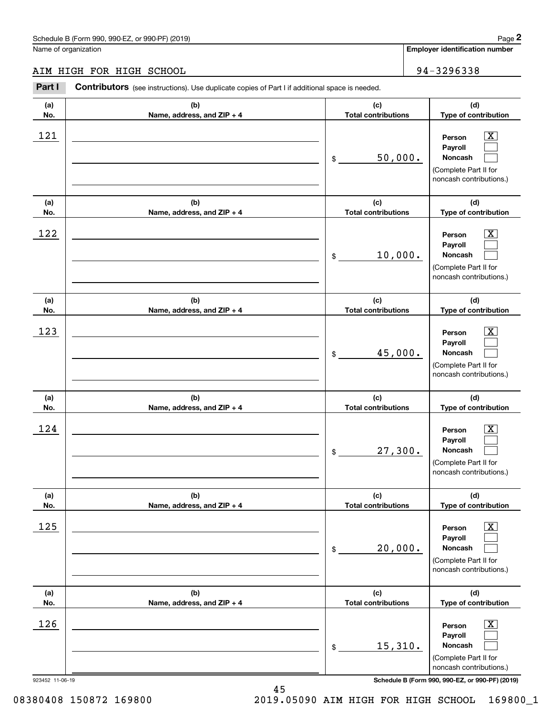## AIM HIGH FOR HIGH SCHOOL 94-3296338

|                 | Schedule B (Form 990, 990-EZ, or 990-PF) (2019)                                                       |                                   | Page 2                                                                                                  |
|-----------------|-------------------------------------------------------------------------------------------------------|-----------------------------------|---------------------------------------------------------------------------------------------------------|
|                 | Name of organization                                                                                  |                                   | <b>Employer identification number</b>                                                                   |
|                 | AIM HIGH FOR HIGH SCHOOL                                                                              |                                   | 94-3296338                                                                                              |
| Part I          | <b>Contributors</b> (see instructions). Use duplicate copies of Part I if additional space is needed. |                                   |                                                                                                         |
| (a)<br>No.      | (b)<br>Name, address, and ZIP + 4                                                                     | (c)<br><b>Total contributions</b> | (d)<br>Type of contribution                                                                             |
| 121             |                                                                                                       | 50,000.<br>\$                     | $\mathbf{X}$<br>Person<br>Payroll<br><b>Noncash</b><br>(Complete Part II for<br>noncash contributions.) |
| (a)<br>No.      | (b)<br>Name, address, and ZIP + 4                                                                     | (c)<br><b>Total contributions</b> | (d)<br>Type of contribution                                                                             |
| 122             |                                                                                                       | 10,000.<br>\$                     | X<br>Person<br>Payroll<br>Noncash<br>(Complete Part II for<br>noncash contributions.)                   |
| (a)<br>No.      | (b)<br>Name, address, and ZIP + 4                                                                     | (c)<br><b>Total contributions</b> | (d)<br>Type of contribution                                                                             |
| 123             |                                                                                                       | 45,000.<br>\$                     | X<br>Person<br>Payroll<br>Noncash<br>(Complete Part II for<br>noncash contributions.)                   |
| (a)<br>No.      | (b)<br>Name, address, and ZIP + 4                                                                     | (c)<br><b>Total contributions</b> | (d)<br>Type of contribution                                                                             |
| 124             |                                                                                                       | 27,300.<br>\$                     | $\mathbf{X}$<br>Person<br>Payroll<br>Noncash<br>(Complete Part II for<br>noncash contributions.)        |
| (a)<br>No.      | (b)<br>Name, address, and ZIP + 4                                                                     | (c)<br><b>Total contributions</b> | (d)<br>Type of contribution                                                                             |
| 125             |                                                                                                       | 20,000.<br>\$                     | $\boxed{\text{X}}$<br>Person<br>Payroll<br>Noncash<br>(Complete Part II for<br>noncash contributions.)  |
| (a)<br>No.      | (b)<br>Name, address, and ZIP + 4                                                                     | (c)<br><b>Total contributions</b> | (d)<br>Type of contribution                                                                             |
| 126             |                                                                                                       | 15,310.<br>\$                     | $\boxed{\text{X}}$<br>Person<br>Payroll<br>Noncash<br>(Complete Part II for<br>noncash contributions.)  |
| 923452 11-06-19 |                                                                                                       |                                   | Schedule B (Form 990, 990-EZ, or 990-PF) (2019)                                                         |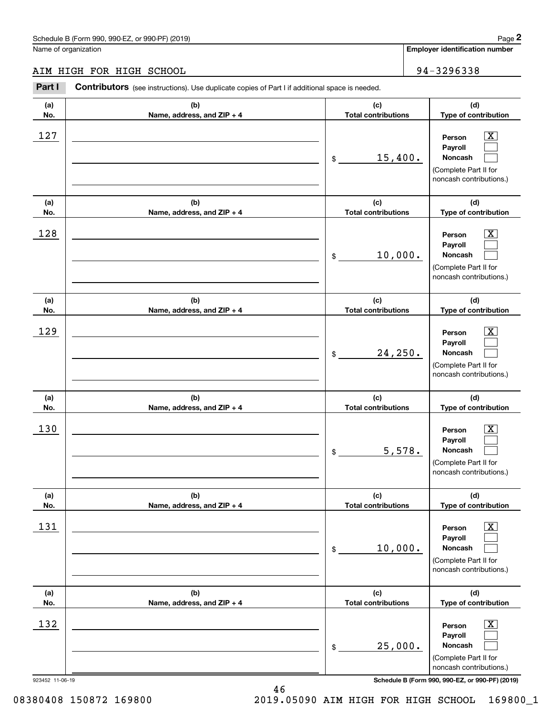## AIM HIGH FOR HIGH SCHOOL 94-3296338

|                 | Schedule B (Form 990, 990-EZ, or 990-PF) (2019)                                                       |                                   | Page 2                                                                                                 |
|-----------------|-------------------------------------------------------------------------------------------------------|-----------------------------------|--------------------------------------------------------------------------------------------------------|
|                 | Name of organization                                                                                  |                                   | <b>Employer identification number</b>                                                                  |
|                 | AIM HIGH FOR HIGH SCHOOL                                                                              |                                   | 94-3296338                                                                                             |
| Part I          | <b>Contributors</b> (see instructions). Use duplicate copies of Part I if additional space is needed. |                                   |                                                                                                        |
| (a)<br>No.      | (b)<br>Name, address, and ZIP + 4                                                                     | (c)<br><b>Total contributions</b> | (d)<br>Type of contribution                                                                            |
| 127             |                                                                                                       | 15,400.<br>\$                     | $\mathbf{X}$<br>Person<br>Payroll<br>Noncash<br>(Complete Part II for<br>noncash contributions.)       |
| (a)<br>No.      | (b)<br>Name, address, and ZIP + 4                                                                     | (c)<br><b>Total contributions</b> | (d)<br>Type of contribution                                                                            |
| 128             |                                                                                                       | 10,000.<br>\$                     | X<br>Person<br>Payroll<br>Noncash<br>(Complete Part II for<br>noncash contributions.)                  |
| (a)<br>No.      | (b)<br>Name, address, and ZIP + 4                                                                     | (c)<br><b>Total contributions</b> | (d)<br>Type of contribution                                                                            |
| 129             |                                                                                                       | 24, 250.<br>\$                    | X<br>Person<br>Payroll<br>Noncash<br>(Complete Part II for<br>noncash contributions.)                  |
| (a)<br>No.      | (b)<br>Name, address, and ZIP + 4                                                                     | (c)<br><b>Total contributions</b> | (d)<br>Type of contribution                                                                            |
| 130             |                                                                                                       | 5,578.<br>\$                      | $\mathbf{X}$<br>Person<br>Payroll<br>Noncash<br>(Complete Part II for<br>noncash contributions.)       |
| (a)<br>No.      | (b)<br>Name, address, and ZIP + 4                                                                     | (c)<br><b>Total contributions</b> | (d)<br>Type of contribution                                                                            |
| 131             |                                                                                                       | 10,000.<br>\$                     | $\boxed{\text{X}}$<br>Person<br>Payroll<br>Noncash<br>(Complete Part II for<br>noncash contributions.) |
| (a)<br>No.      | (b)<br>Name, address, and ZIP + 4                                                                     | (c)<br><b>Total contributions</b> | (d)<br>Type of contribution                                                                            |
| 132             |                                                                                                       | 25,000.<br>\$                     | $\boxed{\text{X}}$<br>Person<br>Payroll<br>Noncash<br>(Complete Part II for<br>noncash contributions.) |
| 923452 11-06-19 |                                                                                                       |                                   | Schedule B (Form 990, 990-EZ, or 990-PF) (2019)                                                        |

08380408 150872 169800 2019.05090 AIM HIGH FOR HIGH SCHOOL 169800\_1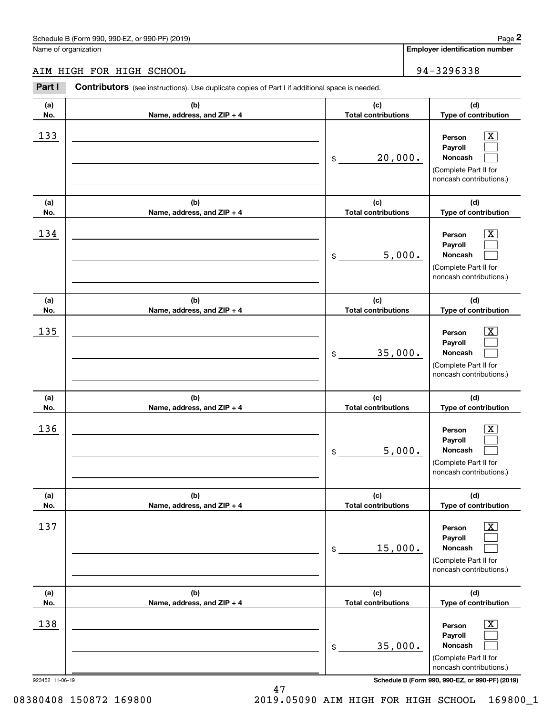## AIM HIGH FOR HIGH SCHOOL 94-3296338

|                 | Schedule B (Form 990, 990-EZ, or 990-PF) (2019)                                                       |                                   | Page 2                                                                                                      |
|-----------------|-------------------------------------------------------------------------------------------------------|-----------------------------------|-------------------------------------------------------------------------------------------------------------|
|                 | Name of organization                                                                                  |                                   | <b>Employer identification number</b>                                                                       |
|                 | AIM HIGH FOR HIGH SCHOOL                                                                              |                                   | 94-3296338                                                                                                  |
| Part I          | <b>Contributors</b> (see instructions). Use duplicate copies of Part I if additional space is needed. |                                   |                                                                                                             |
| (a)<br>No.      | (b)<br>Name, address, and ZIP + 4                                                                     | (c)<br><b>Total contributions</b> | (d)<br>Type of contribution                                                                                 |
| 133             |                                                                                                       | 20,000.<br>\$                     | $\overline{\mathbf{X}}$<br>Person<br>Payroll<br>Noncash<br>(Complete Part II for<br>noncash contributions.) |
| (a)<br>No.      | (b)<br>Name, address, and ZIP + 4                                                                     | (c)<br><b>Total contributions</b> | (d)<br>Type of contribution                                                                                 |
| 134             |                                                                                                       | 5,000.<br>\$                      | X<br>Person<br>Payroll<br>Noncash<br>(Complete Part II for<br>noncash contributions.)                       |
| (a)<br>No.      | (b)<br>Name, address, and ZIP + 4                                                                     | (c)<br><b>Total contributions</b> | (d)<br>Type of contribution                                                                                 |
| 135             |                                                                                                       | 35,000.<br>\$                     | X<br>Person<br>Payroll<br>Noncash<br>(Complete Part II for<br>noncash contributions.)                       |
| (a)<br>No.      | (b)<br>Name, address, and ZIP + 4                                                                     | (c)<br><b>Total contributions</b> | (d)<br>Type of contribution                                                                                 |
| 136             |                                                                                                       | 5,000.<br>\$                      | $\mathbf{X}$<br>Person<br>Payroll<br>Noncash<br>(Complete Part II for<br>noncash contributions.)            |
| (a)<br>No.      | (b)<br>Name, address, and ZIP + 4                                                                     | (c)<br><b>Total contributions</b> | (d)<br>Type of contribution                                                                                 |
| 137             |                                                                                                       | 15,000.<br>\$                     | $\boxed{\text{X}}$<br>Person<br>Payroll<br>Noncash<br>(Complete Part II for<br>noncash contributions.)      |
| (a)<br>No.      | (b)<br>Name, address, and ZIP + 4                                                                     | (c)<br><b>Total contributions</b> | (d)<br>Type of contribution                                                                                 |
| 138             |                                                                                                       | 35,000.<br>\$                     | $\boxed{\text{X}}$<br>Person<br>Payroll<br>Noncash<br>(Complete Part II for<br>noncash contributions.)      |
| 923452 11-06-19 |                                                                                                       |                                   | Schedule B (Form 990, 990-EZ, or 990-PF) (2019)                                                             |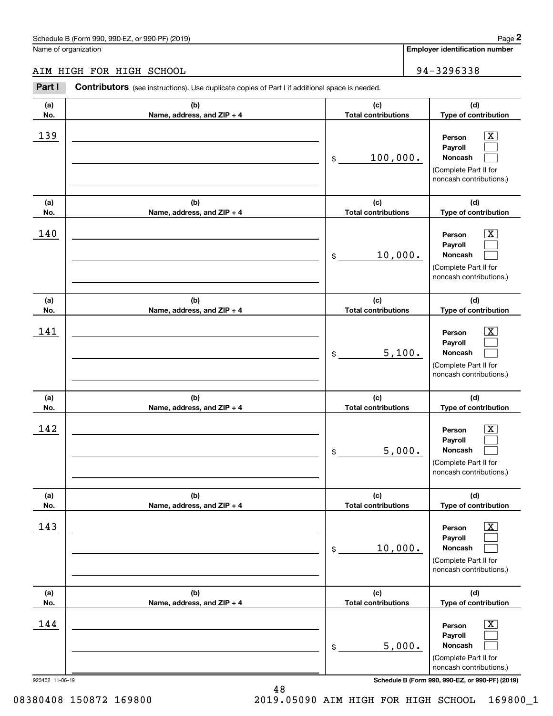## AIM HIGH FOR HIGH SCHOOL 34-3296338

|                 | Schedule B (Form 990, 990-EZ, or 990-PF) (2019)                                                       |                                   | Page 2                                                                                                      |
|-----------------|-------------------------------------------------------------------------------------------------------|-----------------------------------|-------------------------------------------------------------------------------------------------------------|
|                 | Name of organization                                                                                  |                                   | <b>Employer identification number</b>                                                                       |
|                 | AIM HIGH FOR HIGH SCHOOL                                                                              |                                   | 94-3296338                                                                                                  |
| Part I          | <b>Contributors</b> (see instructions). Use duplicate copies of Part I if additional space is needed. |                                   |                                                                                                             |
| (a)<br>No.      | (b)<br>Name, address, and ZIP + 4                                                                     | (c)<br><b>Total contributions</b> | (d)<br>Type of contribution                                                                                 |
| 139             |                                                                                                       | 100,000.<br>\$                    | $\overline{\mathbf{X}}$<br>Person<br>Payroll<br>Noncash<br>(Complete Part II for<br>noncash contributions.) |
| (a)<br>No.      | (b)<br>Name, address, and ZIP + 4                                                                     | (c)<br><b>Total contributions</b> | (d)<br>Type of contribution                                                                                 |
| 140             |                                                                                                       | 10,000.<br>\$                     | X<br>Person<br>Payroll<br>Noncash<br>(Complete Part II for<br>noncash contributions.)                       |
| (a)<br>No.      | (b)<br>Name, address, and ZIP + 4                                                                     | (c)<br><b>Total contributions</b> | (d)<br>Type of contribution                                                                                 |
| 141             |                                                                                                       | 5,100.<br>\$                      | X<br>Person<br>Payroll<br>Noncash<br>(Complete Part II for<br>noncash contributions.)                       |
| (a)<br>No.      | (b)<br>Name, address, and ZIP + 4                                                                     | (c)<br><b>Total contributions</b> | (d)<br>Type of contribution                                                                                 |
| 142             |                                                                                                       | 5,000.<br>\$                      | $\mathbf{X}$<br>Person<br>Payroll<br>Noncash<br>(Complete Part II for<br>noncash contributions.)            |
| (a)<br>No.      | (b)<br>Name, address, and ZIP + 4                                                                     | (c)<br><b>Total contributions</b> | (d)<br>Type of contribution                                                                                 |
| 143             |                                                                                                       | 10,000.<br>\$                     | $\boxed{\text{X}}$<br>Person<br>Payroll<br>Noncash<br>(Complete Part II for<br>noncash contributions.)      |
| (a)<br>No.      | (b)<br>Name, address, and ZIP + 4                                                                     | (c)<br><b>Total contributions</b> | (d)<br>Type of contribution                                                                                 |
| 144             |                                                                                                       | 5,000.<br>\$                      | $\boxed{\text{X}}$<br>Person<br>Payroll<br>Noncash<br>(Complete Part II for<br>noncash contributions.)      |
| 923452 11-06-19 |                                                                                                       |                                   | Schedule B (Form 990, 990-EZ, or 990-PF) (2019)                                                             |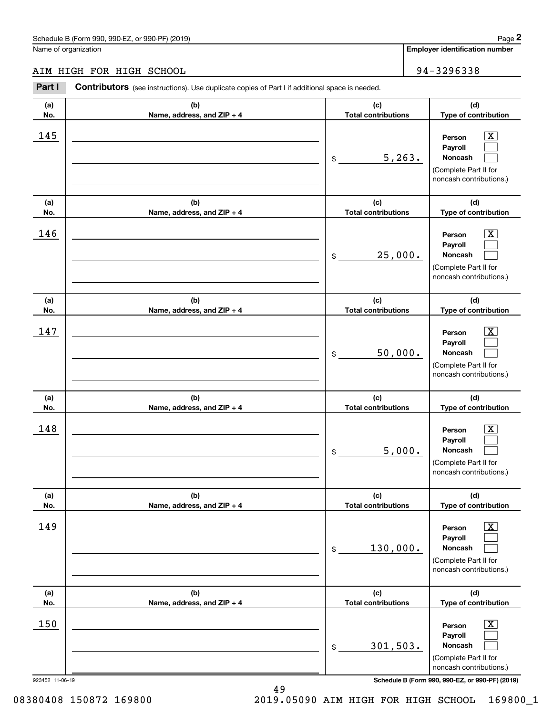# AIM HIGH FOR HIGH SCHOOL 34-3296338

|                 | Schedule B (Form 990, 990-EZ, or 990-PF) (2019)                                                       |                                   |                                                                                  | Page 2                  |
|-----------------|-------------------------------------------------------------------------------------------------------|-----------------------------------|----------------------------------------------------------------------------------|-------------------------|
|                 | Name of organization                                                                                  |                                   | Employer identification number                                                   |                         |
|                 | AIM HIGH FOR HIGH SCHOOL                                                                              |                                   | 94-3296338                                                                       |                         |
| Part I          | <b>Contributors</b> (see instructions). Use duplicate copies of Part I if additional space is needed. |                                   |                                                                                  |                         |
| (a)<br>No.      | (b)<br>Name, address, and ZIP + 4                                                                     | (c)<br><b>Total contributions</b> | (d)<br>Type of contribution                                                      |                         |
| 145             |                                                                                                       | \$<br>5, 263.                     | Person<br>Payroll<br>Noncash<br>(Complete Part II for<br>noncash contributions.) | $\overline{\text{X}}$   |
| (a)<br>No.      | (b)<br>Name, address, and ZIP + 4                                                                     | (c)<br><b>Total contributions</b> | (d)<br>Type of contribution                                                      |                         |
| 146             |                                                                                                       | \$<br>25,000.                     | Person<br>Payroll<br>Noncash<br>(Complete Part II for<br>noncash contributions.) | $\overline{\text{X}}$   |
| (a)<br>No.      | (b)<br>Name, address, and ZIP + 4                                                                     | (c)<br><b>Total contributions</b> | (d)<br>Type of contribution                                                      |                         |
| 147             |                                                                                                       | \$<br>50,000.                     | Person<br>Payroll<br>Noncash<br>(Complete Part II for<br>noncash contributions.) | $\overline{\text{X}}$   |
| (a)<br>No.      | (b)<br>Name, address, and ZIP + 4                                                                     | (c)<br><b>Total contributions</b> | (d)<br>Type of contribution                                                      |                         |
| 148             |                                                                                                       | \$<br>5,000.                      | Person<br>Payroll<br>Noncash<br>(Complete Part II for<br>noncash contributions.) | $\overline{\mathbf{X}}$ |
| (a)<br>No.      | (b)<br>Name, address, and ZIP + 4                                                                     | (c)<br><b>Total contributions</b> | (d)<br>Type of contribution                                                      |                         |
| 149             |                                                                                                       | \$<br>130,000.                    | Person<br>Payroll<br>Noncash<br>(Complete Part II for<br>noncash contributions.) | $\boxed{\text{X}}$      |
| (a)<br>No.      | (b)<br>Name, address, and ZIP + 4                                                                     | (c)<br><b>Total contributions</b> | (d)<br>Type of contribution                                                      |                         |
| 150             |                                                                                                       | \$<br>301,503.                    | Person<br>Payroll<br>Noncash<br>(Complete Part II for<br>noncash contributions.) | $\boxed{\text{X}}$      |
| 923452 11-06-19 |                                                                                                       |                                   | Schedule B (Form 990, 990-EZ, or 990-PF) (2019)                                  |                         |

08380408 150872 169800 2019.05090 AIM HIGH FOR HIGH SCHOOL 169800\_1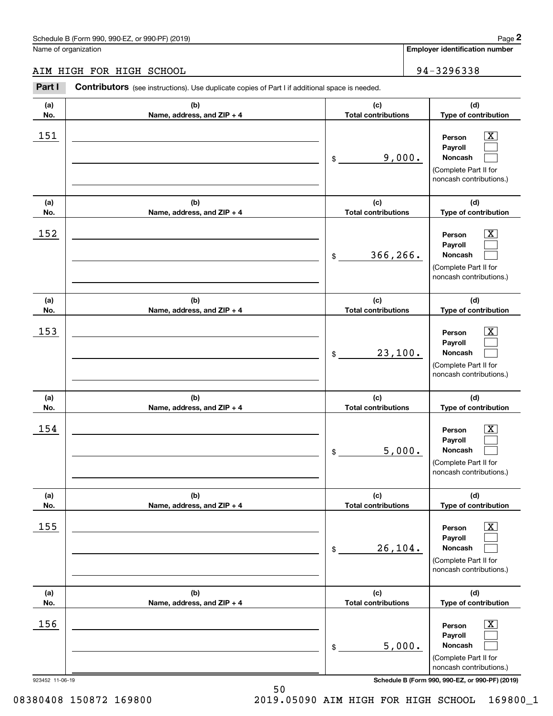## AIM HIGH FOR HIGH SCHOOL 94-3296338

|                 | Schedule B (Form 990, 990-EZ, or 990-PF) (2019)                                                       |                                   | Page 2                                                                                                 |
|-----------------|-------------------------------------------------------------------------------------------------------|-----------------------------------|--------------------------------------------------------------------------------------------------------|
|                 | Name of organization                                                                                  |                                   | Employer identification number                                                                         |
|                 | AIM HIGH FOR HIGH SCHOOL                                                                              |                                   | 94-3296338                                                                                             |
| Part I          | <b>Contributors</b> (see instructions). Use duplicate copies of Part I if additional space is needed. |                                   |                                                                                                        |
| (a)<br>No.      | (b)<br>Name, address, and ZIP + 4                                                                     | (c)<br><b>Total contributions</b> | (d)<br>Type of contribution                                                                            |
| 151             |                                                                                                       | 9,000.<br>\$                      | $\mathbf{X}$<br>Person<br>Payroll<br>Noncash<br>(Complete Part II for<br>noncash contributions.)       |
| (a)<br>No.      | (b)<br>Name, address, and ZIP + 4                                                                     | (c)<br><b>Total contributions</b> | (d)<br>Type of contribution                                                                            |
| 152             |                                                                                                       | 366,266.<br>\$                    | X<br>Person<br>Payroll<br>Noncash<br>(Complete Part II for<br>noncash contributions.)                  |
| (a)<br>No.      | (b)<br>Name, address, and ZIP + 4                                                                     | (c)<br><b>Total contributions</b> | (d)<br>Type of contribution                                                                            |
| 153             |                                                                                                       | 23,100.<br>\$                     | X<br>Person<br>Payroll<br>Noncash<br>(Complete Part II for<br>noncash contributions.)                  |
| (a)<br>No.      | (b)<br>Name, address, and ZIP + 4                                                                     | (c)<br><b>Total contributions</b> | (d)<br>Type of contribution                                                                            |
| 154             |                                                                                                       | 5,000.<br>\$                      | $\mathbf{X}$<br>Person<br>Payroll<br>Noncash<br>(Complete Part II for<br>noncash contributions.)       |
| (a)<br>No.      | (b)<br>Name, address, and ZIP + 4                                                                     | (c)<br><b>Total contributions</b> | (d)<br>Type of contribution                                                                            |
| 155             |                                                                                                       | 26,104.<br>\$                     | $\boxed{\text{X}}$<br>Person<br>Payroll<br>Noncash<br>(Complete Part II for<br>noncash contributions.) |
| (a)<br>No.      | (b)<br>Name, address, and ZIP + 4                                                                     | (c)<br><b>Total contributions</b> | (d)<br>Type of contribution                                                                            |
| 156             |                                                                                                       | 5,000.<br>\$                      | $\boxed{\text{X}}$<br>Person<br>Payroll<br>Noncash<br>(Complete Part II for<br>noncash contributions.) |
| 923452 11-06-19 |                                                                                                       |                                   | Schedule B (Form 990, 990-EZ, or 990-PF) (2019)                                                        |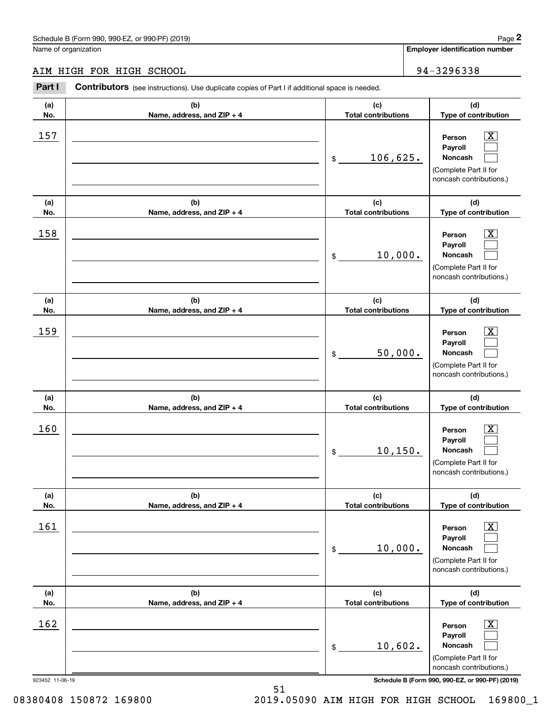## AIM HIGH FOR HIGH SCHOOL 94-3296338

|                 | Schedule B (Form 990, 990-EZ, or 990-PF) (2019)                                                       |                                   | Page 2                                                                                                      |
|-----------------|-------------------------------------------------------------------------------------------------------|-----------------------------------|-------------------------------------------------------------------------------------------------------------|
|                 | Name of organization                                                                                  |                                   | <b>Employer identification number</b>                                                                       |
|                 | AIM HIGH FOR HIGH SCHOOL                                                                              |                                   | 94-3296338                                                                                                  |
| Part I          | <b>Contributors</b> (see instructions). Use duplicate copies of Part I if additional space is needed. |                                   |                                                                                                             |
| (a)<br>No.      | (b)<br>Name, address, and ZIP + 4                                                                     | (c)<br><b>Total contributions</b> | (d)<br>Type of contribution                                                                                 |
| 157             |                                                                                                       | 106,625.<br>\$                    | $\overline{\mathbf{X}}$<br>Person<br>Payroll<br>Noncash<br>(Complete Part II for<br>noncash contributions.) |
| (a)<br>No.      | (b)<br>Name, address, and ZIP + 4                                                                     | (c)<br><b>Total contributions</b> | (d)<br>Type of contribution                                                                                 |
| 158             |                                                                                                       | 10,000.<br>\$                     | X<br>Person<br>Payroll<br>Noncash<br>(Complete Part II for<br>noncash contributions.)                       |
| (a)<br>No.      | (b)<br>Name, address, and ZIP + 4                                                                     | (c)<br><b>Total contributions</b> | (d)<br>Type of contribution                                                                                 |
| 159             |                                                                                                       | 50,000.<br>\$                     | X<br>Person<br>Payroll<br>Noncash<br>(Complete Part II for<br>noncash contributions.)                       |
| (a)<br>No.      | (b)<br>Name, address, and ZIP + 4                                                                     | (c)<br><b>Total contributions</b> | (d)<br>Type of contribution                                                                                 |
| 160             |                                                                                                       | 10, 150.<br>\$                    | $\mathbf{X}$<br>Person<br>Payroll<br>Noncash<br>(Complete Part II for<br>noncash contributions.)            |
| (a)<br>No.      | (b)<br>Name, address, and ZIP + 4                                                                     | (c)<br><b>Total contributions</b> | (d)<br>Type of contribution                                                                                 |
| 161             |                                                                                                       | 10,000.<br>\$                     | $\boxed{\text{X}}$<br>Person<br>Payroll<br>Noncash<br>(Complete Part II for<br>noncash contributions.)      |
| (a)<br>No.      | (b)<br>Name, address, and ZIP + 4                                                                     | (c)<br><b>Total contributions</b> | (d)<br>Type of contribution                                                                                 |
| 162             |                                                                                                       | 10,602.<br>\$                     | $\boxed{\text{X}}$<br>Person<br>Payroll<br>Noncash<br>(Complete Part II for<br>noncash contributions.)      |
| 923452 11-06-19 |                                                                                                       |                                   | Schedule B (Form 990, 990-EZ, or 990-PF) (2019)                                                             |

51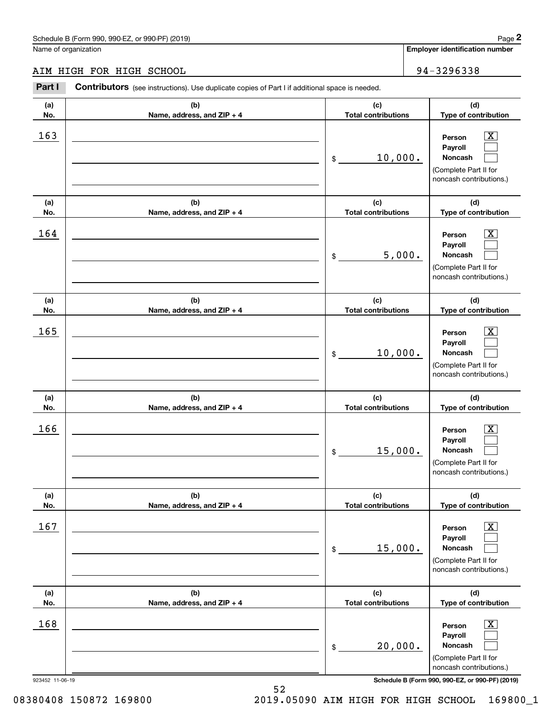## AIM HIGH FOR HIGH SCHOOL 94-3296338

|                 | Schedule B (Form 990, 990-EZ, or 990-PF) (2019)                                                       |                                   |        | Page 2                                                                                                      |
|-----------------|-------------------------------------------------------------------------------------------------------|-----------------------------------|--------|-------------------------------------------------------------------------------------------------------------|
|                 | Name of organization                                                                                  |                                   |        | <b>Employer identification number</b>                                                                       |
|                 | AIM HIGH FOR HIGH SCHOOL                                                                              |                                   |        | 94-3296338                                                                                                  |
| Part I          | <b>Contributors</b> (see instructions). Use duplicate copies of Part I if additional space is needed. |                                   |        |                                                                                                             |
| (a)<br>No.      | (b)<br>Name, address, and ZIP + 4                                                                     | (c)<br><b>Total contributions</b> |        | (d)<br>Type of contribution                                                                                 |
| 163             |                                                                                                       | 10,000.<br>\$                     |        | $\overline{\mathbf{X}}$<br>Person<br>Payroll<br>Noncash<br>(Complete Part II for<br>noncash contributions.) |
| (a)<br>No.      | (b)<br>Name, address, and ZIP + 4                                                                     | (c)<br><b>Total contributions</b> |        | (d)<br>Type of contribution                                                                                 |
| 164             |                                                                                                       | \$                                | 5,000. | X<br>Person<br>Payroll<br>Noncash<br>(Complete Part II for<br>noncash contributions.)                       |
| (a)<br>No.      | (b)<br>Name, address, and ZIP + 4                                                                     | (c)<br><b>Total contributions</b> |        | (d)<br>Type of contribution                                                                                 |
| 165             |                                                                                                       | 10,000.<br>\$                     |        | X<br>Person<br>Payroll<br>Noncash<br>(Complete Part II for<br>noncash contributions.)                       |
| (a)<br>No.      | (b)<br>Name, address, and ZIP + 4                                                                     | (c)<br><b>Total contributions</b> |        | (d)<br>Type of contribution                                                                                 |
| 166             |                                                                                                       | 15,000.<br>\$                     |        | $\mathbf{X}$<br>Person<br>Payroll<br>Noncash<br>(Complete Part II for<br>noncash contributions.)            |
| (a)<br>No.      | (b)<br>Name, address, and ZIP + 4                                                                     | (c)<br><b>Total contributions</b> |        | (d)<br>Type of contribution                                                                                 |
| 167             |                                                                                                       | 15,000.<br>\$                     |        | $\boxed{\text{X}}$<br>Person<br>Payroll<br>Noncash<br>(Complete Part II for<br>noncash contributions.)      |
| (a)<br>No.      | (b)<br>Name, address, and ZIP + 4                                                                     | (c)<br><b>Total contributions</b> |        | (d)<br>Type of contribution                                                                                 |
| 168             |                                                                                                       | 20,000.<br>\$                     |        | $\boxed{\text{X}}$<br>Person<br>Payroll<br>Noncash<br>(Complete Part II for<br>noncash contributions.)      |
| 923452 11-06-19 |                                                                                                       |                                   |        | Schedule B (Form 990, 990-EZ, or 990-PF) (2019)                                                             |

52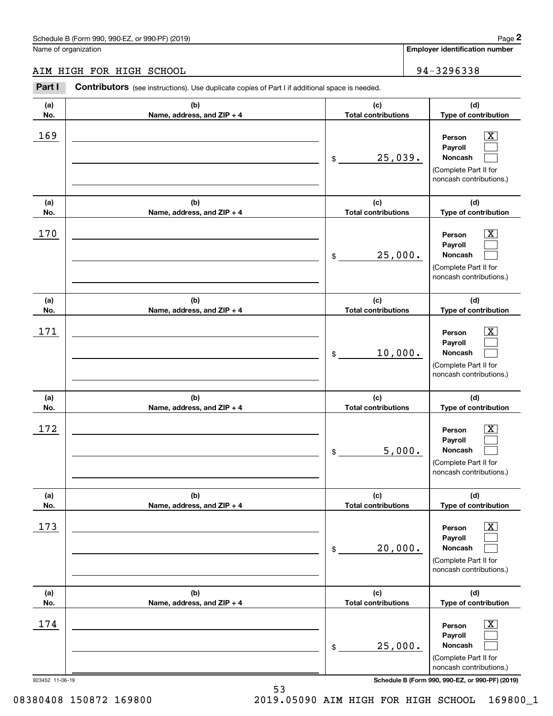# AIM HIGH FOR HIGH SCHOOL 34-3296338

|                 | Schedule B (Form 990, 990-EZ, or 990-PF) (2019)                                                |                                   | Page 2                                                                                                      |
|-----------------|------------------------------------------------------------------------------------------------|-----------------------------------|-------------------------------------------------------------------------------------------------------------|
|                 | Name of organization                                                                           |                                   | <b>Employer identification number</b>                                                                       |
|                 | AIM HIGH FOR HIGH SCHOOL                                                                       |                                   | 94-3296338                                                                                                  |
| Part I          | Contributors (see instructions). Use duplicate copies of Part I if additional space is needed. |                                   |                                                                                                             |
| (a)<br>No.      | (b)<br>Name, address, and ZIP + 4                                                              | (c)<br><b>Total contributions</b> | (d)<br>Type of contribution                                                                                 |
| 169             |                                                                                                | \$<br>25,039.                     | $\overline{\text{X}}$<br>Person<br>Payroll<br>Noncash<br>(Complete Part II for<br>noncash contributions.)   |
| (a)<br>No.      | (b)<br>Name, address, and ZIP + 4                                                              | (c)<br><b>Total contributions</b> | (d)<br>Type of contribution                                                                                 |
| 170             |                                                                                                | \$<br>25,000.                     | $\overline{\text{X}}$<br>Person<br>Payroll<br>Noncash<br>(Complete Part II for<br>noncash contributions.)   |
| (a)<br>No.      | (b)<br>Name, address, and ZIP + 4                                                              | (c)<br><b>Total contributions</b> | (d)<br>Type of contribution                                                                                 |
| 171             |                                                                                                | \$<br>10,000.                     | $\overline{\text{X}}$<br>Person<br>Payroll<br>Noncash<br>(Complete Part II for<br>noncash contributions.)   |
| (a)<br>No.      | (b)<br>Name, address, and ZIP + 4                                                              | (c)<br><b>Total contributions</b> | (d)<br>Type of contribution                                                                                 |
| 172             |                                                                                                | \$<br>5,000.                      | $\mathbf{X}$<br>Person<br>Payroll<br>Noncash<br>(Complete Part II for<br>noncash contributions.)            |
| (a)<br>No.      | (b)<br>Name, address, and ZIP + 4                                                              | (c)<br><b>Total contributions</b> | (d)<br>Type of contribution                                                                                 |
| 173             |                                                                                                | \$<br>20,000.                     | $\overline{\mathbf{x}}$<br>Person<br>Payroll<br>Noncash<br>(Complete Part II for<br>noncash contributions.) |
| (a)<br>No.      | (b)<br>Name, address, and ZIP + 4                                                              | (c)<br><b>Total contributions</b> | (d)<br>Type of contribution                                                                                 |
| 174             |                                                                                                | \$<br>25,000.                     | $\overline{\mathbf{X}}$<br>Person<br>Payroll<br>Noncash<br>(Complete Part II for<br>noncash contributions.) |
| 923452 11-06-19 |                                                                                                |                                   | Schedule B (Form 990, 990-EZ, or 990-PF) (2019)                                                             |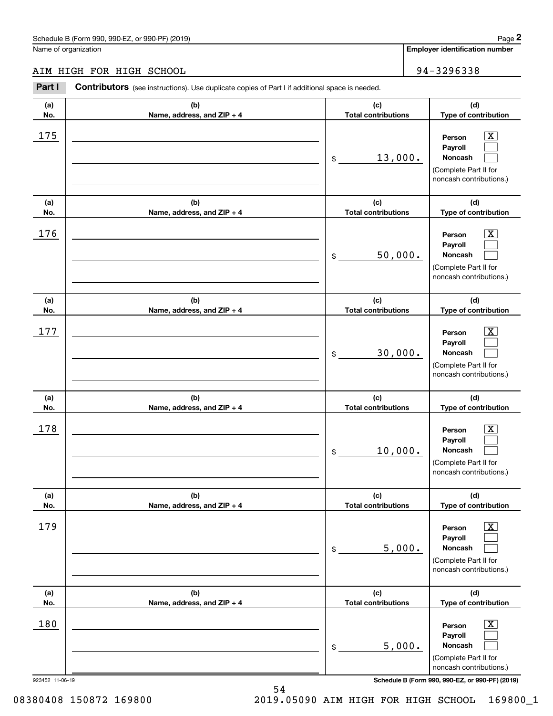## AIM HIGH FOR HIGH SCHOOL 34-3296338

|                 | Schedule B (Form 990, 990-EZ, or 990-PF) (2019)                                                       |                                   | Page 2                                                                                                             |
|-----------------|-------------------------------------------------------------------------------------------------------|-----------------------------------|--------------------------------------------------------------------------------------------------------------------|
|                 | Name of organization                                                                                  |                                   | <b>Employer identification number</b>                                                                              |
|                 | AIM HIGH FOR HIGH SCHOOL                                                                              |                                   | 94-3296338                                                                                                         |
| Part I          | <b>Contributors</b> (see instructions). Use duplicate copies of Part I if additional space is needed. |                                   |                                                                                                                    |
| (a)<br>No.      | (b)<br>Name, address, and ZIP + 4                                                                     | (c)<br><b>Total contributions</b> | (d)<br>Type of contribution                                                                                        |
| 175             |                                                                                                       | 13,000.<br>\$                     | X<br>Person<br>Payroll<br>Noncash<br>(Complete Part II for<br>noncash contributions.)                              |
| (a)<br>No.      | (b)<br>Name, address, and ZIP + 4                                                                     | (c)<br><b>Total contributions</b> | (d)<br>Type of contribution                                                                                        |
| 176             |                                                                                                       | 50,000.<br>\$                     | X<br>Person<br>Payroll<br>Noncash<br>(Complete Part II for<br>noncash contributions.)                              |
| (a)<br>No.      | (b)<br>Name, address, and ZIP + 4                                                                     | (c)<br><b>Total contributions</b> | (d)<br>Type of contribution                                                                                        |
| 177             |                                                                                                       | 30,000.<br>\$                     | X<br>Person<br>Payroll<br>Noncash<br>(Complete Part II for<br>noncash contributions.)                              |
| (a)<br>No.      | (b)<br>Name, address, and ZIP + 4                                                                     | (c)<br><b>Total contributions</b> | (d)<br>Type of contribution                                                                                        |
| 178             |                                                                                                       | 10,000.<br>\$                     | $\mathbf{X}$<br>Person<br>Payroll<br>Noncash<br>(Complete Part II for<br>noncash contributions.)                   |
| (a)<br>No.      | (b)<br>Name, address, and ZIP + 4                                                                     | (c)<br><b>Total contributions</b> | (d)<br>Type of contribution                                                                                        |
| 179             |                                                                                                       | 5,000.<br>\$                      | $\overline{\mathbf{X}}$<br>Person<br>Payroll<br><b>Noncash</b><br>(Complete Part II for<br>noncash contributions.) |
| (a)<br>No.      | (b)<br>Name, address, and ZIP + 4                                                                     | (c)<br><b>Total contributions</b> | (d)<br>Type of contribution                                                                                        |
| 180             |                                                                                                       | 5,000.<br>\$                      | $\boxed{\text{X}}$<br>Person<br>Payroll<br><b>Noncash</b><br>(Complete Part II for<br>noncash contributions.)      |
| 923452 11-06-19 |                                                                                                       |                                   | Schedule B (Form 990, 990-EZ, or 990-PF) (2019)                                                                    |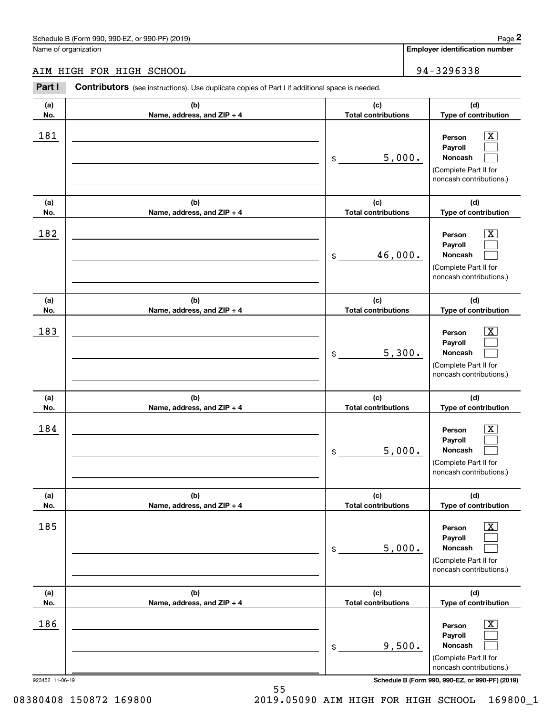# AIM HIGH FOR HIGH SCHOOL 34-3296338

|                 | Schedule B (Form 990, 990-EZ, or 990-PF) (2019)                                                |                                   |                                                                                                             | Page 2 |
|-----------------|------------------------------------------------------------------------------------------------|-----------------------------------|-------------------------------------------------------------------------------------------------------------|--------|
|                 | Name of organization                                                                           |                                   | <b>Employer identification number</b>                                                                       |        |
|                 | AIM HIGH FOR HIGH SCHOOL                                                                       |                                   | 94-3296338                                                                                                  |        |
| Part I          | Contributors (see instructions). Use duplicate copies of Part I if additional space is needed. |                                   |                                                                                                             |        |
| (a)<br>No.      | (b)<br>Name, address, and ZIP + 4                                                              | (c)<br><b>Total contributions</b> | (d)<br>Type of contribution                                                                                 |        |
| 181             |                                                                                                | \$<br>5,000.                      | $\overline{\mathbf{X}}$<br>Person<br>Payroll<br>Noncash<br>(Complete Part II for<br>noncash contributions.) |        |
| (a)<br>No.      | (b)<br>Name, address, and ZIP + 4                                                              | (c)<br><b>Total contributions</b> | (d)<br>Type of contribution                                                                                 |        |
| 182             |                                                                                                | \$<br>46,000.                     | $\overline{\text{X}}$<br>Person<br>Payroll<br>Noncash<br>(Complete Part II for<br>noncash contributions.)   |        |
| (a)<br>No.      | (b)<br>Name, address, and ZIP + 4                                                              | (c)<br><b>Total contributions</b> | (d)<br>Type of contribution                                                                                 |        |
| 183             |                                                                                                | \$<br>5,300.                      | $\overline{\text{X}}$<br>Person<br>Payroll<br>Noncash<br>(Complete Part II for<br>noncash contributions.)   |        |
| (a)<br>No.      | (b)<br>Name, address, and ZIP + 4                                                              | (c)<br><b>Total contributions</b> | (d)<br>Type of contribution                                                                                 |        |
| 184             |                                                                                                | \$<br>5,000.                      | $\mathbf{X}$<br>Person<br>Payroll<br>Noncash<br>(Complete Part II for<br>noncash contributions.)            |        |
| (a)<br>No.      | (b)<br>Name, address, and ZIP + 4                                                              | (c)<br><b>Total contributions</b> | (d)<br>Type of contribution                                                                                 |        |
| 185             |                                                                                                | \$<br>5,000.                      | $\overline{\mathbf{X}}$<br>Person<br>Payroll<br>Noncash<br>(Complete Part II for<br>noncash contributions.) |        |
| (a)<br>No.      | (b)<br>Name, address, and ZIP + 4                                                              | (c)<br><b>Total contributions</b> | (d)<br>Type of contribution                                                                                 |        |
| 186             |                                                                                                | \$<br>9,500.                      | $\overline{\mathbf{X}}$<br>Person<br>Payroll<br>Noncash<br>(Complete Part II for<br>noncash contributions.) |        |
| 923452 11-06-19 |                                                                                                |                                   | Schedule B (Form 990, 990-EZ, or 990-PF) (2019)                                                             |        |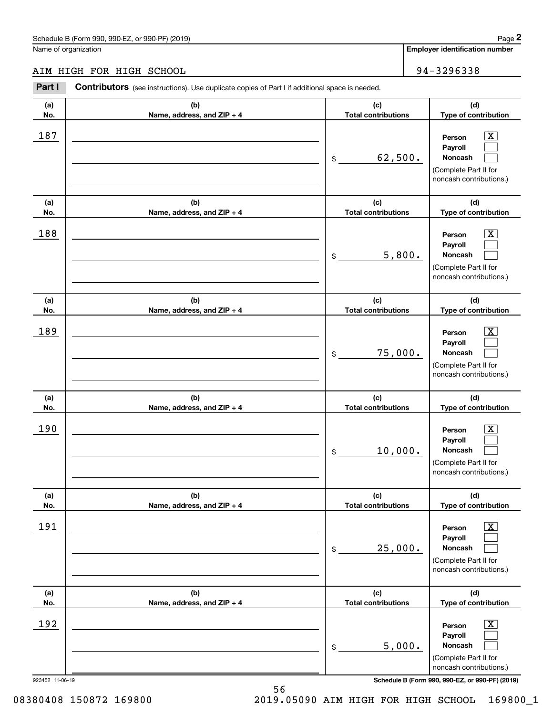## AIM HIGH FOR HIGH SCHOOL 34-3296338

|                 | Schedule B (Form 990, 990-EZ, or 990-PF) (2019)                                                |                                   | Page 2                                                                                                      |
|-----------------|------------------------------------------------------------------------------------------------|-----------------------------------|-------------------------------------------------------------------------------------------------------------|
|                 | Name of organization                                                                           |                                   | <b>Employer identification number</b>                                                                       |
|                 | AIM HIGH FOR HIGH SCHOOL                                                                       |                                   | 94-3296338                                                                                                  |
| Part I          | Contributors (see instructions). Use duplicate copies of Part I if additional space is needed. |                                   |                                                                                                             |
| (a)<br>No.      | (b)<br>Name, address, and ZIP + 4                                                              | (c)<br><b>Total contributions</b> | (d)<br>Type of contribution                                                                                 |
| 187             |                                                                                                | \$<br>62,500.                     | $\overline{\mathbf{X}}$<br>Person<br>Payroll<br>Noncash<br>(Complete Part II for<br>noncash contributions.) |
| (a)<br>No.      | (b)<br>Name, address, and ZIP + 4                                                              | (c)<br><b>Total contributions</b> | (d)<br>Type of contribution                                                                                 |
| 188             |                                                                                                | \$<br>5,800.                      | $\overline{\text{X}}$<br>Person<br>Payroll<br>Noncash<br>(Complete Part II for<br>noncash contributions.)   |
| (a)<br>No.      | (b)<br>Name, address, and ZIP + 4                                                              | (c)<br><b>Total contributions</b> | (d)<br>Type of contribution                                                                                 |
| 189             |                                                                                                | \$<br>75,000.                     | $\overline{\text{X}}$<br>Person<br>Payroll<br>Noncash<br>(Complete Part II for<br>noncash contributions.)   |
| (a)<br>No.      | (b)<br>Name, address, and ZIP + 4                                                              | (c)<br><b>Total contributions</b> | (d)<br>Type of contribution                                                                                 |
| 190             |                                                                                                | \$<br>10,000.                     | $\mathbf{X}$<br>Person<br>Payroll<br>Noncash<br>(Complete Part II for<br>noncash contributions.)            |
| (a)<br>No.      | (b)<br>Name, address, and ZIP + 4                                                              | (c)<br><b>Total contributions</b> | (d)<br>Type of contribution                                                                                 |
| 191             |                                                                                                | \$<br>25,000.                     | $\overline{\mathbf{X}}$<br>Person<br>Payroll<br>Noncash<br>(Complete Part II for<br>noncash contributions.) |
| (a)<br>No.      | (b)<br>Name, address, and ZIP + 4                                                              | (c)<br><b>Total contributions</b> | (d)<br>Type of contribution                                                                                 |
| 192             |                                                                                                | \$<br>5,000.                      | $\overline{\mathbf{X}}$<br>Person<br>Payroll<br>Noncash<br>(Complete Part II for<br>noncash contributions.) |
| 923452 11-06-19 |                                                                                                |                                   | Schedule B (Form 990, 990-EZ, or 990-PF) (2019)                                                             |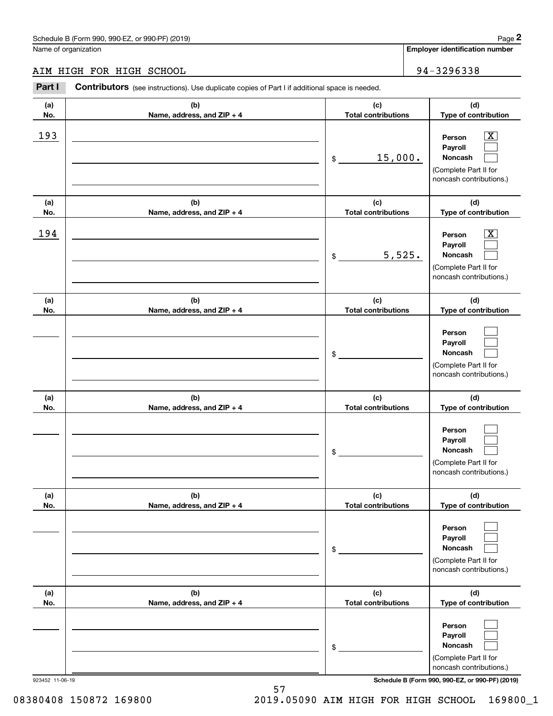## AIM HIGH FOR HIGH SCHOOL 34-3296338

|                 | Schedule B (Form 990, 990-EZ, or 990-PF) (2019)                                                       |                                   | Page 2                                                                                                                              |
|-----------------|-------------------------------------------------------------------------------------------------------|-----------------------------------|-------------------------------------------------------------------------------------------------------------------------------------|
|                 | Name of organization                                                                                  |                                   | <b>Employer identification number</b>                                                                                               |
|                 | AIM HIGH FOR HIGH SCHOOL                                                                              |                                   | 94-3296338                                                                                                                          |
| Part I          | <b>Contributors</b> (see instructions). Use duplicate copies of Part I if additional space is needed. |                                   |                                                                                                                                     |
| (a)<br>No.      | (b)<br>Name, address, and ZIP + 4                                                                     | (c)<br><b>Total contributions</b> | (d)<br>Type of contribution                                                                                                         |
| 193             |                                                                                                       | 15,000.<br>\$                     | $\overline{\mathbf{X}}$<br>Person<br>Payroll<br>Noncash<br>(Complete Part II for<br>noncash contributions.)                         |
| (a)<br>No.      | (b)<br>Name, address, and ZIP + 4                                                                     | (c)<br><b>Total contributions</b> | (d)<br>Type of contribution                                                                                                         |
| 194             |                                                                                                       | 5,525.<br>\$                      | $\overline{\text{X}}$<br>Person<br>Payroll<br>Noncash<br>(Complete Part II for<br>noncash contributions.)                           |
| (a)<br>No.      | (b)<br>Name, address, and ZIP + 4                                                                     | (c)<br><b>Total contributions</b> | (d)<br>Type of contribution                                                                                                         |
|                 |                                                                                                       | \$                                | Person<br>Payroll<br>Noncash<br>(Complete Part II for<br>noncash contributions.)                                                    |
| (a)<br>No.      | (b)<br>Name, address, and ZIP + 4                                                                     | (c)<br><b>Total contributions</b> | (d)<br>Type of contribution                                                                                                         |
|                 |                                                                                                       | \$                                | Person<br>Payroll<br>Noncash<br>(Complete Part II for<br>noncash contributions.)                                                    |
| (a)<br>No.      | (b)<br>Name, address, and ZIP + 4                                                                     | (c)<br><b>Total contributions</b> | (d)<br>Type of contribution                                                                                                         |
|                 |                                                                                                       | \$                                | Person<br>Payroll<br>Noncash<br>(Complete Part II for<br>noncash contributions.)                                                    |
| (a)<br>No.      | (b)<br>Name, address, and ZIP + 4                                                                     | (c)<br><b>Total contributions</b> | (d)<br>Type of contribution                                                                                                         |
| 923452 11-06-19 |                                                                                                       | \$                                | Person<br>Payroll<br>Noncash<br>(Complete Part II for<br>noncash contributions.)<br>Schedule B (Form 990, 990-EZ, or 990-PF) (2019) |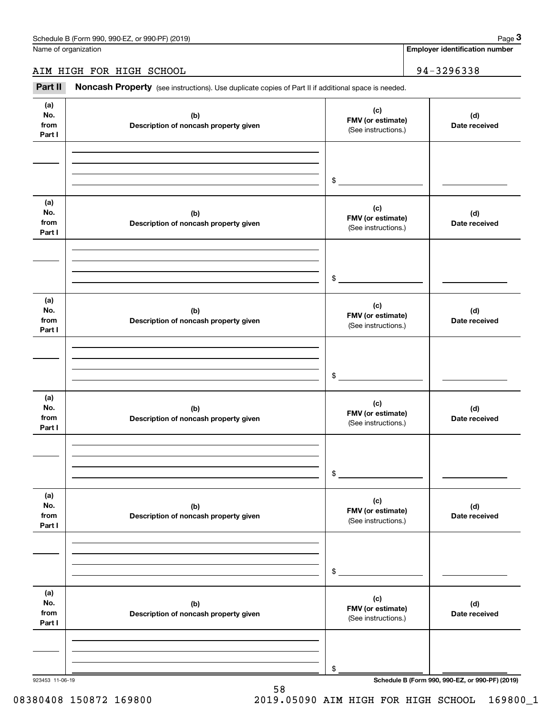Name of organization

**Employer identification number**

AIM HIGH FOR HIGH SCHOOL | 94-3296338

Fage 3 Employer identification pumber<br>
Mage 3 Apployer identification number<br> **3Part II Noncash Property** (see instructions). Use duplicate copies of Part II if additional space is needed.

| (a)<br>No.<br>from<br>Part I | (b)<br>Description of noncash property given | (c)<br>FMV (or estimate)<br>(See instructions.) | (d)<br>Date received                            |
|------------------------------|----------------------------------------------|-------------------------------------------------|-------------------------------------------------|
|                              |                                              | \$                                              |                                                 |
| (a)<br>No.<br>from<br>Part I | (b)<br>Description of noncash property given | (c)<br>FMV (or estimate)<br>(See instructions.) | (d)<br>Date received                            |
|                              |                                              | $\frac{1}{2}$                                   |                                                 |
| (a)<br>No.<br>from<br>Part I | (b)<br>Description of noncash property given | (c)<br>FMV (or estimate)<br>(See instructions.) | (d)<br>Date received                            |
|                              |                                              | $\frac{1}{2}$                                   |                                                 |
| (a)<br>No.<br>from<br>Part I | (b)<br>Description of noncash property given | (c)<br>FMV (or estimate)<br>(See instructions.) | (d)<br>Date received                            |
|                              |                                              | $$\circ$$                                       |                                                 |
| (a)<br>No.<br>from<br>Part I | (b)<br>Description of noncash property given | (c)<br>FMV (or estimate)<br>(See instructions.) | (d)<br>Date received                            |
|                              |                                              | \$                                              |                                                 |
| (a)<br>No.<br>from<br>Part I | (b)<br>Description of noncash property given | (c)<br>FMV (or estimate)<br>(See instructions.) | (d)<br>Date received                            |
|                              |                                              | \$                                              | Schedule B (Form 990, 990-EZ, or 990-PF) (2019) |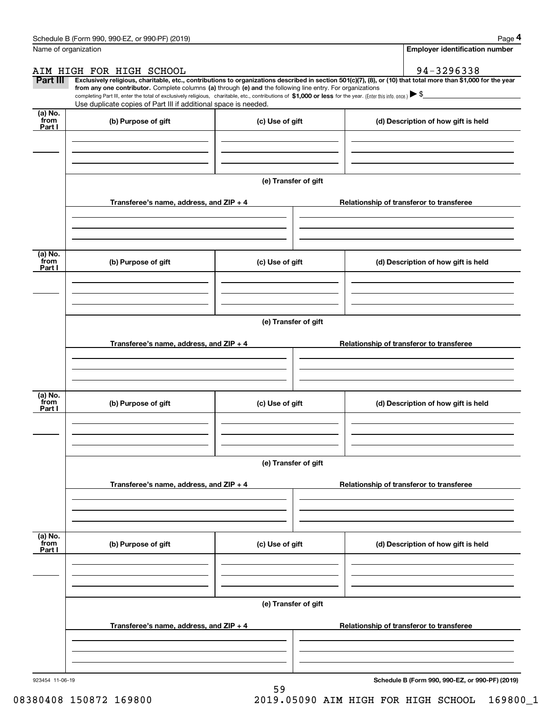|                           | Schedule B (Form 990, 990-EZ, or 990-PF) (2019)                                                                                                                                                                                                      |                      | Page 4                                                                                                                                                         |
|---------------------------|------------------------------------------------------------------------------------------------------------------------------------------------------------------------------------------------------------------------------------------------------|----------------------|----------------------------------------------------------------------------------------------------------------------------------------------------------------|
|                           | Name of organization                                                                                                                                                                                                                                 |                      | <b>Employer identification number</b>                                                                                                                          |
|                           | AIM HIGH FOR HIGH SCHOOL                                                                                                                                                                                                                             |                      | 94-3296338                                                                                                                                                     |
| Part III                  | from any one contributor. Complete columns (a) through (e) and the following line entry. For organizations                                                                                                                                           |                      | Exclusively religious, charitable, etc., contributions to organizations described in section 501(c)(7), (8), or (10) that total more than \$1,000 for the year |
|                           | completing Part III, enter the total of exclusively religious, charitable, etc., contributions of \$1,000 or less for the year. (Enter this info. once.) $\blacktriangleright$ \$<br>Use duplicate copies of Part III if additional space is needed. |                      |                                                                                                                                                                |
| (a) No.<br>from<br>Part I | (b) Purpose of gift                                                                                                                                                                                                                                  | (c) Use of gift      | (d) Description of how gift is held                                                                                                                            |
|                           |                                                                                                                                                                                                                                                      |                      |                                                                                                                                                                |
|                           |                                                                                                                                                                                                                                                      |                      |                                                                                                                                                                |
|                           |                                                                                                                                                                                                                                                      | (e) Transfer of gift |                                                                                                                                                                |
|                           | Transferee's name, address, and ZIP + 4                                                                                                                                                                                                              |                      | Relationship of transferor to transferee                                                                                                                       |
|                           |                                                                                                                                                                                                                                                      |                      |                                                                                                                                                                |
|                           |                                                                                                                                                                                                                                                      |                      |                                                                                                                                                                |
| (a) No.<br>from<br>Part I | (b) Purpose of gift                                                                                                                                                                                                                                  | (c) Use of gift      | (d) Description of how gift is held                                                                                                                            |
|                           |                                                                                                                                                                                                                                                      |                      |                                                                                                                                                                |
|                           |                                                                                                                                                                                                                                                      |                      |                                                                                                                                                                |
|                           |                                                                                                                                                                                                                                                      | (e) Transfer of gift |                                                                                                                                                                |
|                           | Transferee's name, address, and ZIP + 4                                                                                                                                                                                                              |                      | Relationship of transferor to transferee                                                                                                                       |
|                           |                                                                                                                                                                                                                                                      |                      |                                                                                                                                                                |
|                           |                                                                                                                                                                                                                                                      |                      |                                                                                                                                                                |
| (a) No.<br>from<br>Part I | (b) Purpose of gift                                                                                                                                                                                                                                  | (c) Use of gift      | (d) Description of how gift is held                                                                                                                            |
|                           |                                                                                                                                                                                                                                                      |                      |                                                                                                                                                                |
|                           |                                                                                                                                                                                                                                                      |                      |                                                                                                                                                                |
|                           |                                                                                                                                                                                                                                                      | (e) Transfer of gift |                                                                                                                                                                |
|                           | Transferee's name, address, and ZIP + 4                                                                                                                                                                                                              |                      | Relationship of transferor to transferee                                                                                                                       |
|                           |                                                                                                                                                                                                                                                      |                      |                                                                                                                                                                |
|                           |                                                                                                                                                                                                                                                      |                      |                                                                                                                                                                |
| (a) No.<br>from<br>Part I | (b) Purpose of gift                                                                                                                                                                                                                                  | (c) Use of gift      | (d) Description of how gift is held                                                                                                                            |
|                           |                                                                                                                                                                                                                                                      |                      |                                                                                                                                                                |
|                           |                                                                                                                                                                                                                                                      |                      |                                                                                                                                                                |
|                           |                                                                                                                                                                                                                                                      | (e) Transfer of gift |                                                                                                                                                                |
|                           | Transferee's name, address, and ZIP + 4                                                                                                                                                                                                              |                      | Relationship of transferor to transferee                                                                                                                       |
|                           |                                                                                                                                                                                                                                                      |                      |                                                                                                                                                                |
|                           |                                                                                                                                                                                                                                                      |                      |                                                                                                                                                                |
|                           |                                                                                                                                                                                                                                                      |                      |                                                                                                                                                                |

59

**Schedule B (Form 990, 990-EZ, or 990-PF) (2019)**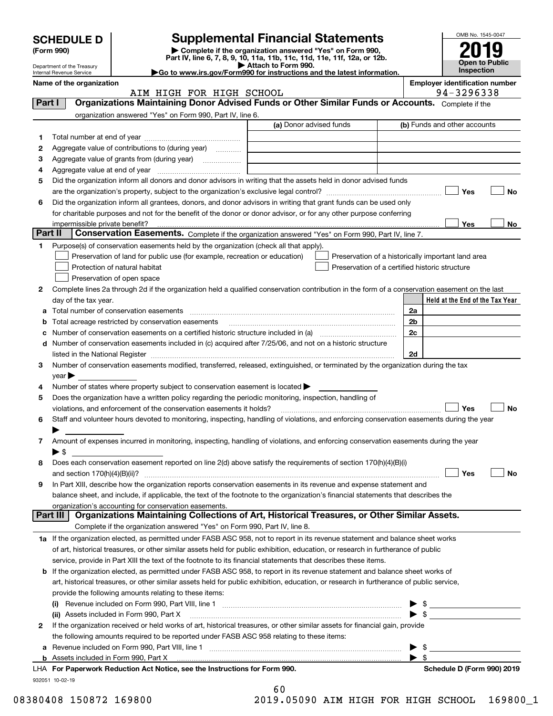|         |                                                        |                                                                                                                                                       |                     | <b>Supplemental Financial Statements</b>           |                         | OMB No. 1545-0047                                   |
|---------|--------------------------------------------------------|-------------------------------------------------------------------------------------------------------------------------------------------------------|---------------------|----------------------------------------------------|-------------------------|-----------------------------------------------------|
|         | <b>SCHEDULE D</b><br>(Form 990)                        | Complete if the organization answered "Yes" on Form 990,                                                                                              |                     |                                                    |                         |                                                     |
|         |                                                        | Part IV, line 6, 7, 8, 9, 10, 11a, 11b, 11c, 11d, 11e, 11f, 12a, or 12b.                                                                              |                     |                                                    |                         | <b>Open to Public</b>                               |
|         | Department of the Treasury<br>Internal Revenue Service | Go to www.irs.gov/Form990 for instructions and the latest information.                                                                                | Attach to Form 990. |                                                    |                         | <b>Inspection</b>                                   |
|         | Name of the organization                               | AIM HIGH FOR HIGH SCHOOL                                                                                                                              |                     |                                                    |                         | <b>Employer identification number</b><br>94-3296338 |
| Part I  |                                                        | Organizations Maintaining Donor Advised Funds or Other Similar Funds or Accounts. Complete if the                                                     |                     |                                                    |                         |                                                     |
|         |                                                        | organization answered "Yes" on Form 990, Part IV, line 6.                                                                                             |                     |                                                    |                         |                                                     |
|         |                                                        |                                                                                                                                                       |                     | (a) Donor advised funds                            |                         | (b) Funds and other accounts                        |
| 1       |                                                        |                                                                                                                                                       |                     |                                                    |                         |                                                     |
| 2       |                                                        | Aggregate value of contributions to (during year)                                                                                                     |                     |                                                    |                         |                                                     |
| з       |                                                        |                                                                                                                                                       |                     |                                                    |                         |                                                     |
| 4       |                                                        |                                                                                                                                                       |                     |                                                    |                         |                                                     |
| 5       |                                                        | Did the organization inform all donors and donor advisors in writing that the assets held in donor advised funds                                      |                     |                                                    |                         |                                                     |
|         |                                                        |                                                                                                                                                       |                     |                                                    |                         | Yes<br>No                                           |
| 6       |                                                        | Did the organization inform all grantees, donors, and donor advisors in writing that grant funds can be used only                                     |                     |                                                    |                         |                                                     |
|         |                                                        | for charitable purposes and not for the benefit of the donor or donor advisor, or for any other purpose conferring                                    |                     |                                                    |                         |                                                     |
| Part II | impermissible private benefit?                         | Conservation Easements. Complete if the organization answered "Yes" on Form 990, Part IV, line 7.                                                     |                     |                                                    |                         | Yes<br>No                                           |
| 1       |                                                        | Purpose(s) of conservation easements held by the organization (check all that apply).                                                                 |                     |                                                    |                         |                                                     |
|         |                                                        | Preservation of land for public use (for example, recreation or education)                                                                            |                     | Preservation of a historically important land area |                         |                                                     |
|         |                                                        | Protection of natural habitat                                                                                                                         |                     | Preservation of a certified historic structure     |                         |                                                     |
|         |                                                        | Preservation of open space                                                                                                                            |                     |                                                    |                         |                                                     |
| 2       |                                                        | Complete lines 2a through 2d if the organization held a qualified conservation contribution in the form of a conservation easement on the last        |                     |                                                    |                         |                                                     |
|         | day of the tax year.                                   |                                                                                                                                                       |                     |                                                    |                         | Held at the End of the Tax Year                     |
|         |                                                        | Total number of conservation easements                                                                                                                |                     |                                                    | 2a                      |                                                     |
|         |                                                        | Total acreage restricted by conservation easements                                                                                                    |                     |                                                    | 2b                      |                                                     |
|         |                                                        |                                                                                                                                                       |                     |                                                    | 2 <sub>c</sub>          |                                                     |
| d       |                                                        | Number of conservation easements included in (c) acquired after 7/25/06, and not on a historic structure                                              |                     |                                                    |                         |                                                     |
|         | listed in the National Register                        |                                                                                                                                                       |                     |                                                    | 2d                      |                                                     |
| 3       |                                                        | Number of conservation easements modified, transferred, released, extinguished, or terminated by the organization during the tax                      |                     |                                                    |                         |                                                     |
| 4       | $\vee$ ear $\blacktriangleright$                       | Number of states where property subject to conservation easement is located >                                                                         |                     |                                                    |                         |                                                     |
| 5       |                                                        | Does the organization have a written policy regarding the periodic monitoring, inspection, handling of                                                |                     |                                                    |                         |                                                     |
|         |                                                        | violations, and enforcement of the conservation easements it holds?                                                                                   |                     |                                                    |                         | <b>No</b><br>Yes                                    |
| 6       |                                                        | Staff and volunteer hours devoted to monitoring, inspecting, handling of violations, and enforcing conservation easements during the year             |                     |                                                    |                         |                                                     |
|         |                                                        |                                                                                                                                                       |                     |                                                    |                         |                                                     |
| 7       |                                                        | Amount of expenses incurred in monitoring, inspecting, handling of violations, and enforcing conservation easements during the year                   |                     |                                                    |                         |                                                     |
|         | $\blacktriangleright$ \$                               |                                                                                                                                                       |                     |                                                    |                         |                                                     |
| 8       |                                                        | Does each conservation easement reported on line 2(d) above satisfy the requirements of section 170(h)(4)(B)(i)                                       |                     |                                                    |                         |                                                     |
|         | and section $170(h)(4)(B)(ii)?$                        |                                                                                                                                                       |                     |                                                    |                         | Yes<br>No                                           |
| 9       |                                                        | In Part XIII, describe how the organization reports conservation easements in its revenue and expense statement and                                   |                     |                                                    |                         |                                                     |
|         |                                                        | balance sheet, and include, if applicable, the text of the footnote to the organization's financial statements that describes the                     |                     |                                                    |                         |                                                     |
|         | Part III                                               | organization's accounting for conservation easements.<br>Organizations Maintaining Collections of Art, Historical Treasures, or Other Similar Assets. |                     |                                                    |                         |                                                     |
|         |                                                        | Complete if the organization answered "Yes" on Form 990, Part IV, line 8.                                                                             |                     |                                                    |                         |                                                     |
|         |                                                        | 1a If the organization elected, as permitted under FASB ASC 958, not to report in its revenue statement and balance sheet works                       |                     |                                                    |                         |                                                     |
|         |                                                        | of art, historical treasures, or other similar assets held for public exhibition, education, or research in furtherance of public                     |                     |                                                    |                         |                                                     |
|         |                                                        | service, provide in Part XIII the text of the footnote to its financial statements that describes these items.                                        |                     |                                                    |                         |                                                     |
| b       |                                                        | If the organization elected, as permitted under FASB ASC 958, to report in its revenue statement and balance sheet works of                           |                     |                                                    |                         |                                                     |
|         |                                                        | art, historical treasures, or other similar assets held for public exhibition, education, or research in furtherance of public service,               |                     |                                                    |                         |                                                     |
|         |                                                        | provide the following amounts relating to these items:                                                                                                |                     |                                                    |                         |                                                     |
|         |                                                        |                                                                                                                                                       |                     |                                                    |                         |                                                     |
|         |                                                        | (ii) Assets included in Form 990, Part X                                                                                                              |                     |                                                    | $\blacktriangleright$ s |                                                     |
| 2       |                                                        | If the organization received or held works of art, historical treasures, or other similar assets for financial gain, provide                          |                     |                                                    |                         |                                                     |
|         |                                                        | the following amounts required to be reported under FASB ASC 958 relating to these items:                                                             |                     |                                                    |                         |                                                     |

932051 10-02-19 **b** Assets included in Form 990, Part X **For Paperwork Reduction Act Notice, see the Instructions for Form 990. Schedule D (Form 990) 2019** LHA 

**a**Revenue included on Form 990, Part VIII, line 1 ~~~~~~~~~~~~~~~~~~~~~~~~~~~~~~

| 60 |           |  |
|----|-----------|--|
|    | 019 N5091 |  |

08380408 150872 169800 2019.05090 AIM HIGH FOR HIGH SCHOOL 169800\_1

 $\blacktriangleright$  \$

 $\blacktriangleright$  \$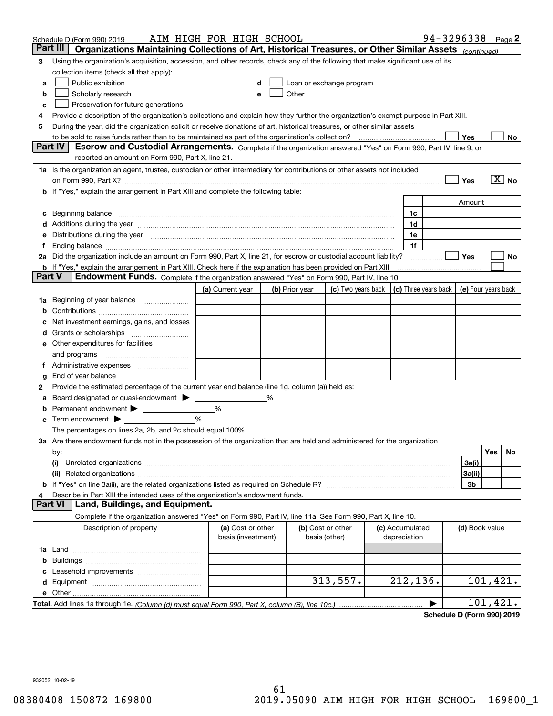|               | Schedule D (Form 990) 2019                                                                                                                                                                                                     | AIM HIGH FOR HIGH SCHOOL                |                |                                    |                                                                                                                                                                                                                                |  |                                 | 94-3296338                                       |                |           | Page $2$          |
|---------------|--------------------------------------------------------------------------------------------------------------------------------------------------------------------------------------------------------------------------------|-----------------------------------------|----------------|------------------------------------|--------------------------------------------------------------------------------------------------------------------------------------------------------------------------------------------------------------------------------|--|---------------------------------|--------------------------------------------------|----------------|-----------|-------------------|
| Part III      | Organizations Maintaining Collections of Art, Historical Treasures, or Other Similar Assets (continued)                                                                                                                        |                                         |                |                                    |                                                                                                                                                                                                                                |  |                                 |                                                  |                |           |                   |
| 3             | Using the organization's acquisition, accession, and other records, check any of the following that make significant use of its                                                                                                |                                         |                |                                    |                                                                                                                                                                                                                                |  |                                 |                                                  |                |           |                   |
|               | collection items (check all that apply):                                                                                                                                                                                       |                                         |                |                                    |                                                                                                                                                                                                                                |  |                                 |                                                  |                |           |                   |
| a             | Public exhibition<br>Loan or exchange program<br>d                                                                                                                                                                             |                                         |                |                                    |                                                                                                                                                                                                                                |  |                                 |                                                  |                |           |                   |
| b             | Scholarly research                                                                                                                                                                                                             | е                                       |                |                                    | Other and the control of the control of the control of the control of the control of the control of the control of the control of the control of the control of the control of the control of the control of the control of th |  |                                 |                                                  |                |           |                   |
| c             | Preservation for future generations                                                                                                                                                                                            |                                         |                |                                    |                                                                                                                                                                                                                                |  |                                 |                                                  |                |           |                   |
| 4             | Provide a description of the organization's collections and explain how they further the organization's exempt purpose in Part XIII.                                                                                           |                                         |                |                                    |                                                                                                                                                                                                                                |  |                                 |                                                  |                |           |                   |
| 5             | During the year, did the organization solicit or receive donations of art, historical treasures, or other similar assets                                                                                                       |                                         |                |                                    |                                                                                                                                                                                                                                |  |                                 |                                                  |                |           |                   |
|               |                                                                                                                                                                                                                                |                                         |                |                                    |                                                                                                                                                                                                                                |  |                                 |                                                  | Yes            |           | No                |
|               | Part IV<br>Escrow and Custodial Arrangements. Complete if the organization answered "Yes" on Form 990, Part IV, line 9, or<br>reported an amount on Form 990, Part X, line 21.                                                 |                                         |                |                                    |                                                                                                                                                                                                                                |  |                                 |                                                  |                |           |                   |
|               | 1a Is the organization an agent, trustee, custodian or other intermediary for contributions or other assets not included                                                                                                       |                                         |                |                                    |                                                                                                                                                                                                                                |  |                                 |                                                  |                |           |                   |
|               |                                                                                                                                                                                                                                |                                         |                |                                    |                                                                                                                                                                                                                                |  |                                 |                                                  | Yes            |           | $\overline{X}$ No |
|               | <b>b</b> If "Yes," explain the arrangement in Part XIII and complete the following table:                                                                                                                                      |                                         |                |                                    |                                                                                                                                                                                                                                |  |                                 |                                                  |                |           |                   |
|               |                                                                                                                                                                                                                                |                                         |                |                                    |                                                                                                                                                                                                                                |  |                                 |                                                  | Amount         |           |                   |
| c             | Beginning balance <b>contract to the contract of the contract of the contract of the contract of the contract of t</b>                                                                                                         |                                         |                |                                    |                                                                                                                                                                                                                                |  | 1c                              |                                                  |                |           |                   |
|               | Additions during the year manufactured and an according to the year manufactured and according the year manufactured and according the year manufactured and according the year manufactured and according the year manufactur |                                         |                |                                    |                                                                                                                                                                                                                                |  | 1d                              |                                                  |                |           |                   |
| е             | Distributions during the year measurements are all the set of the set of the set of the set of the set of the set of the set of the set of the set of the set of the set of the set of the set of the set of the set of the se |                                         |                |                                    |                                                                                                                                                                                                                                |  | 1e                              |                                                  |                |           |                   |
| Ť.            |                                                                                                                                                                                                                                |                                         |                |                                    |                                                                                                                                                                                                                                |  | 1f                              |                                                  |                |           |                   |
|               | 2a Did the organization include an amount on Form 990, Part X, line 21, for escrow or custodial account liability?                                                                                                             |                                         |                |                                    |                                                                                                                                                                                                                                |  |                                 |                                                  | <b>Yes</b>     |           | No                |
|               | <b>b</b> If "Yes," explain the arrangement in Part XIII. Check here if the explanation has been provided on Part XIII                                                                                                          |                                         |                |                                    |                                                                                                                                                                                                                                |  |                                 |                                                  |                |           |                   |
| <b>Part V</b> | Endowment Funds. Complete if the organization answered "Yes" on Form 990, Part IV, line 10.                                                                                                                                    |                                         |                |                                    |                                                                                                                                                                                                                                |  |                                 |                                                  |                |           |                   |
|               |                                                                                                                                                                                                                                | (a) Current year                        | (b) Prior year |                                    | (c) Two years back                                                                                                                                                                                                             |  |                                 | (d) Three years back $\vert$ (e) Four years back |                |           |                   |
|               | 1a Beginning of year balance                                                                                                                                                                                                   |                                         |                |                                    |                                                                                                                                                                                                                                |  |                                 |                                                  |                |           |                   |
| b             |                                                                                                                                                                                                                                |                                         |                |                                    |                                                                                                                                                                                                                                |  |                                 |                                                  |                |           |                   |
|               | Net investment earnings, gains, and losses                                                                                                                                                                                     |                                         |                |                                    |                                                                                                                                                                                                                                |  |                                 |                                                  |                |           |                   |
| d             |                                                                                                                                                                                                                                |                                         |                |                                    |                                                                                                                                                                                                                                |  |                                 |                                                  |                |           |                   |
|               | <b>e</b> Other expenditures for facilities                                                                                                                                                                                     |                                         |                |                                    |                                                                                                                                                                                                                                |  |                                 |                                                  |                |           |                   |
|               | and programs                                                                                                                                                                                                                   |                                         |                |                                    |                                                                                                                                                                                                                                |  |                                 |                                                  |                |           |                   |
| Ť.            |                                                                                                                                                                                                                                |                                         |                |                                    |                                                                                                                                                                                                                                |  |                                 |                                                  |                |           |                   |
| g             | End of year balance                                                                                                                                                                                                            |                                         |                |                                    |                                                                                                                                                                                                                                |  |                                 |                                                  |                |           |                   |
| 2             | Provide the estimated percentage of the current year end balance (line 1g, column (a)) held as:                                                                                                                                |                                         |                |                                    |                                                                                                                                                                                                                                |  |                                 |                                                  |                |           |                   |
| а             | Board designated or quasi-endowment >                                                                                                                                                                                          |                                         |                |                                    |                                                                                                                                                                                                                                |  |                                 |                                                  |                |           |                   |
|               | Permanent endowment >                                                                                                                                                                                                          | %                                       |                |                                    |                                                                                                                                                                                                                                |  |                                 |                                                  |                |           |                   |
| с             | Term endowment $\blacktriangleright$                                                                                                                                                                                           | %                                       |                |                                    |                                                                                                                                                                                                                                |  |                                 |                                                  |                |           |                   |
|               | The percentages on lines 2a, 2b, and 2c should equal 100%.                                                                                                                                                                     |                                         |                |                                    |                                                                                                                                                                                                                                |  |                                 |                                                  |                |           |                   |
|               | 3a Are there endowment funds not in the possession of the organization that are held and administered for the organization                                                                                                     |                                         |                |                                    |                                                                                                                                                                                                                                |  |                                 |                                                  |                |           |                   |
|               | by:                                                                                                                                                                                                                            |                                         |                |                                    |                                                                                                                                                                                                                                |  |                                 |                                                  |                | Yes       | No                |
|               | (i)                                                                                                                                                                                                                            |                                         |                |                                    |                                                                                                                                                                                                                                |  |                                 |                                                  | 3a(i)          |           |                   |
|               |                                                                                                                                                                                                                                |                                         |                |                                    |                                                                                                                                                                                                                                |  |                                 |                                                  | 3a(ii)         |           |                   |
|               |                                                                                                                                                                                                                                |                                         |                |                                    |                                                                                                                                                                                                                                |  |                                 |                                                  | 3b             |           |                   |
|               | Describe in Part XIII the intended uses of the organization's endowment funds.                                                                                                                                                 |                                         |                |                                    |                                                                                                                                                                                                                                |  |                                 |                                                  |                |           |                   |
|               | <b>Part VI</b><br>Land, Buildings, and Equipment.                                                                                                                                                                              |                                         |                |                                    |                                                                                                                                                                                                                                |  |                                 |                                                  |                |           |                   |
|               | Complete if the organization answered "Yes" on Form 990, Part IV, line 11a. See Form 990, Part X, line 10.                                                                                                                     |                                         |                |                                    |                                                                                                                                                                                                                                |  |                                 |                                                  |                |           |                   |
|               | Description of property                                                                                                                                                                                                        | (a) Cost or other<br>basis (investment) |                | (b) Cost or other<br>basis (other) |                                                                                                                                                                                                                                |  | (c) Accumulated<br>depreciation |                                                  | (d) Book value |           |                   |
|               |                                                                                                                                                                                                                                |                                         |                |                                    |                                                                                                                                                                                                                                |  |                                 |                                                  |                |           |                   |
| b             |                                                                                                                                                                                                                                |                                         |                |                                    |                                                                                                                                                                                                                                |  |                                 |                                                  |                |           |                   |
|               |                                                                                                                                                                                                                                |                                         |                |                                    |                                                                                                                                                                                                                                |  |                                 |                                                  |                |           |                   |
|               |                                                                                                                                                                                                                                |                                         |                |                                    | 313,557.                                                                                                                                                                                                                       |  | 212, 136.                       |                                                  |                | 101, 421. |                   |
|               |                                                                                                                                                                                                                                |                                         |                |                                    |                                                                                                                                                                                                                                |  |                                 |                                                  |                |           |                   |
|               |                                                                                                                                                                                                                                |                                         |                |                                    |                                                                                                                                                                                                                                |  |                                 | ▶                                                |                | 101,421.  |                   |
|               |                                                                                                                                                                                                                                |                                         |                |                                    |                                                                                                                                                                                                                                |  |                                 |                                                  |                |           |                   |

**Schedule D (Form 990) 2019**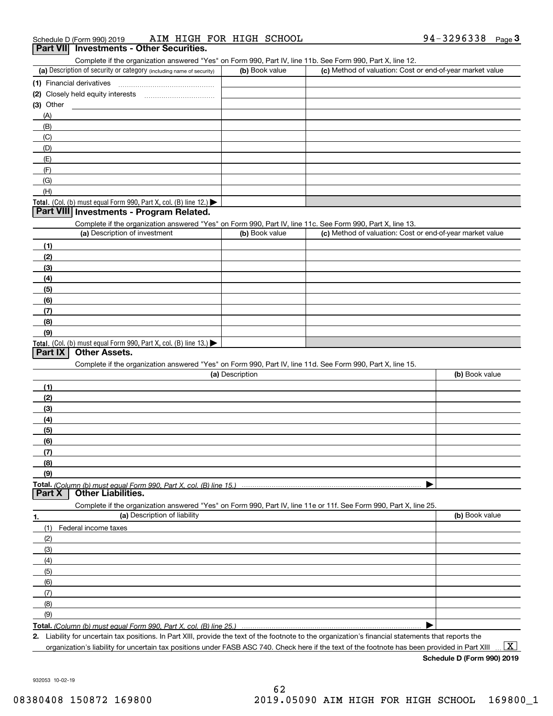| Schedule D (Form 990) 2019                | AIM HIGH FOR HIGH SCHOOL | 94-3296338<br>Page |  |
|-------------------------------------------|--------------------------|--------------------|--|
| Part VIII Investments - Other Securities. |                          |                    |  |

| ar VIII mycounchto Cuici Occanico. |  |  |  |  |  |
|------------------------------------|--|--|--|--|--|
|                                    |  |  |  |  |  |

Complete if the organization answered "Yes" on Form 990, Part IV, line 11b. See Form 990, Part X, line 12.

| (a) Description of security or category (including name of security)                   | (b) Book value | (c) Method of valuation: Cost or end-of-year market value |
|----------------------------------------------------------------------------------------|----------------|-----------------------------------------------------------|
| (1) Financial derivatives                                                              |                |                                                           |
| (2) Closely held equity interests                                                      |                |                                                           |
| $(3)$ Other                                                                            |                |                                                           |
| (A)                                                                                    |                |                                                           |
| (B)                                                                                    |                |                                                           |
| (C)                                                                                    |                |                                                           |
| (D)                                                                                    |                |                                                           |
| (E)                                                                                    |                |                                                           |
| (F)                                                                                    |                |                                                           |
| (G)                                                                                    |                |                                                           |
| (H)                                                                                    |                |                                                           |
| Total. (Col. (b) must equal Form 990, Part X, col. (B) line 12.) $\blacktriangleright$ |                |                                                           |

#### **Part VIII Investments - Program Related.**

Complete if the organization answered "Yes" on Form 990, Part IV, line 11c. See Form 990, Part X, line 13.

| (a) Description of investment                                                          | (b) Book value | (c) Method of valuation: Cost or end-of-year market value |
|----------------------------------------------------------------------------------------|----------------|-----------------------------------------------------------|
| (1)                                                                                    |                |                                                           |
| (2)                                                                                    |                |                                                           |
| $\frac{1}{2}$                                                                          |                |                                                           |
| (4)                                                                                    |                |                                                           |
| (5)                                                                                    |                |                                                           |
| (6)                                                                                    |                |                                                           |
| (7)                                                                                    |                |                                                           |
| (8)                                                                                    |                |                                                           |
| (9)                                                                                    |                |                                                           |
| Total. (Col. (b) must equal Form 990, Part X, col. (B) line 13.) $\blacktriangleright$ |                |                                                           |

#### **Part IX Other Assets.**

Complete if the organization answered "Yes" on Form 990, Part IV, line 11d. See Form 990, Part X, line 15.

| (a) Description                                                                                                   | (b) Book value |
|-------------------------------------------------------------------------------------------------------------------|----------------|
| (1)                                                                                                               |                |
| (2)                                                                                                               |                |
| $\frac{1}{2}$                                                                                                     |                |
| (4)                                                                                                               |                |
| $\frac{1}{2}$ (5)                                                                                                 |                |
| (6)                                                                                                               |                |
| (7)                                                                                                               |                |
| (8)                                                                                                               |                |
| (9)                                                                                                               |                |
|                                                                                                                   |                |
| <b>Part X</b><br><b>Other Liabilities.</b>                                                                        |                |
| Complete if the organization answered "Yes" on Form 990, Part IV, line 11e or 11f. See Form 990, Part X, line 25. |                |

**1.(a)** Description of liability **Book value** Book value Book value Book value Book value (1)Federal income taxes (2)(3)(4)(5) (6)(7)(8)(9) $\blacktriangleright$ 

**Total.**  *(Column (b) must equal Form 990, Part X, col. (B) line 25.)* 

**2.**Liability for uncertain tax positions. In Part XIII, provide the text of the footnote to the organization's financial statements that reports the organization's liability for uncertain tax positions under FASB ASC 740. Check here if the text of the footnote has been provided in Part XIII

**Schedule D (Form 990) 2019**  $\boxed{\text{X}}$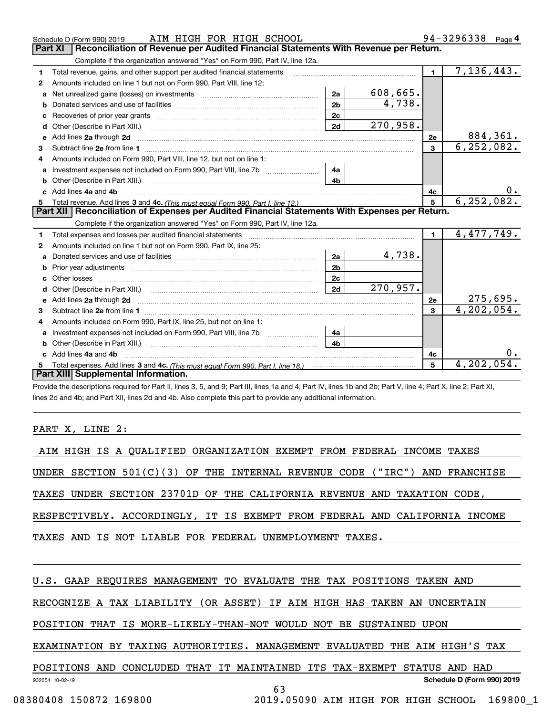|    | AIM HIGH FOR HIGH SCHOOL<br>Schedule D (Form 990) 2019                                                                                                                                                                              |                |                         |                | 94-3296338<br>Page 4 |
|----|-------------------------------------------------------------------------------------------------------------------------------------------------------------------------------------------------------------------------------------|----------------|-------------------------|----------------|----------------------|
|    | <b>Part XI</b><br>Reconciliation of Revenue per Audited Financial Statements With Revenue per Return.                                                                                                                               |                |                         |                |                      |
|    | Complete if the organization answered "Yes" on Form 990, Part IV, line 12a.                                                                                                                                                         |                |                         |                |                      |
| 1  | Total revenue, gains, and other support per audited financial statements                                                                                                                                                            |                |                         | $\blacksquare$ | 7,136,443.           |
| 2  | Amounts included on line 1 but not on Form 990, Part VIII, line 12:                                                                                                                                                                 |                |                         |                |                      |
| a  | Net unrealized gains (losses) on investments [11] matter contracts and the unrealized gains (losses) on investments                                                                                                                 | 2a             | 608,665.                |                |                      |
| b  |                                                                                                                                                                                                                                     | 2 <sub>b</sub> | 4,738.                  |                |                      |
|    |                                                                                                                                                                                                                                     | 2c             |                         |                |                      |
| d  | Other (Describe in Part XIII.)                                                                                                                                                                                                      | 2d             | 270,958.                |                |                      |
| е  | Add lines 2a through 2d                                                                                                                                                                                                             |                |                         | <b>2e</b>      | 884, 361.            |
| 3  |                                                                                                                                                                                                                                     |                |                         | 3              | 6, 252, 082.         |
| 4  | Amounts included on Form 990, Part VIII, line 12, but not on line 1:                                                                                                                                                                |                |                         |                |                      |
|    |                                                                                                                                                                                                                                     | 4a             |                         |                |                      |
|    |                                                                                                                                                                                                                                     | 4 <sub>b</sub> |                         |                |                      |
| c. | Add lines 4a and 4b                                                                                                                                                                                                                 |                | 4c                      |                |                      |
|    |                                                                                                                                                                                                                                     |                |                         |                |                      |
|    |                                                                                                                                                                                                                                     |                |                         | 5              | 6, 252, 082.         |
|    | Part XII   Reconciliation of Expenses per Audited Financial Statements With Expenses per Return.                                                                                                                                    |                |                         |                |                      |
|    | Complete if the organization answered "Yes" on Form 990, Part IV, line 12a.                                                                                                                                                         |                |                         |                |                      |
| 1  | Total expenses and losses per audited financial statements [111] [12] contraction controller and contract the statements [13] [13] [13] contract expenses and losses per audited financial statements [13] [13] [13] [13] [13]      |                |                         | $\blacksquare$ | 4,477,749.           |
| 2  | Amounts included on line 1 but not on Form 990, Part IX, line 25:                                                                                                                                                                   |                |                         |                |                      |
| a  |                                                                                                                                                                                                                                     | 2a             | 4,738.                  |                |                      |
|    |                                                                                                                                                                                                                                     | 2 <sub>b</sub> |                         |                |                      |
|    | Other losses                                                                                                                                                                                                                        | 2 <sub>c</sub> |                         |                |                      |
| d  |                                                                                                                                                                                                                                     | 2d             | $\overline{270}$ , 957. |                |                      |
|    | Add lines 2a through 2d <b>contained a contained a contained a contained a</b> contained a contained a contained a contained a contained a contained a contained a contained a contained a contained a contained a contained a cont |                |                         | 2e             | 275,695.             |
| 3  |                                                                                                                                                                                                                                     |                |                         | 3              | 4, 202, 054.         |
| 4  | Amounts included on Form 990, Part IX, line 25, but not on line 1:                                                                                                                                                                  |                |                         |                |                      |
| a  |                                                                                                                                                                                                                                     | 4a             |                         |                |                      |
|    | <b>b</b> Other (Describe in Part XIII.)                                                                                                                                                                                             | 4 <sub>b</sub> |                         |                |                      |
| c  | Add lines 4a and 4b                                                                                                                                                                                                                 |                |                         | 4с             |                      |
|    | Part XIII Supplemental Information.                                                                                                                                                                                                 |                |                         | 5              | 4,202,054.           |

Provide the descriptions required for Part II, lines 3, 5, and 9; Part III, lines 1a and 4; Part IV, lines 1b and 2b; Part V, line 4; Part X, line 2; Part XI, lines 2d and 4b; and Part XII, lines 2d and 4b. Also complete this part to provide any additional information.

PART X, LINE 2:

| AIM HIGH IS A QUALIFIED ORGANIZATION EXEMPT FROM FEDERAL INCOME TAXES        |  |  |  |  |  |  |
|------------------------------------------------------------------------------|--|--|--|--|--|--|
| UNDER SECTION $501(C)(3)$ OF THE INTERNAL REVENUE CODE ("IRC") AND FRANCHISE |  |  |  |  |  |  |
| TAXES UNDER SECTION 23701D OF THE CALIFORNIA REVENUE AND TAXATION CODE,      |  |  |  |  |  |  |
| RESPECTIVELY. ACCORDINGLY, IT IS EXEMPT FROM FEDERAL AND CALIFORNIA INCOME   |  |  |  |  |  |  |
| TAXES AND IS NOT LIABLE FOR FEDERAL UNEMPLOYMENT TAXES.                      |  |  |  |  |  |  |
|                                                                              |  |  |  |  |  |  |
| U.S. GAAP REQUIRES MANAGEMENT TO EVALUATE THE TAX POSITIONS TAKEN AND        |  |  |  |  |  |  |
| RECOGNIZE A TAX LIABILITY (OR ASSET) IF AIM HIGH HAS TAKEN AN UNCERTAIN      |  |  |  |  |  |  |

POSITION THAT IS MORE-LIKELY-THAN-NOT WOULD NOT BE SUSTAINED UPON

EXAMINATION BY TAXING AUTHORITIES. MANAGEMENT EVALUATED THE AIM HIGH'S TAX

POSITIONS AND CONCLUDED THAT IT MAINTAINED ITS TAX-EXEMPT STATUS AND HAD

63

**Schedule D (Form 990) 2019**

932054 10-02-19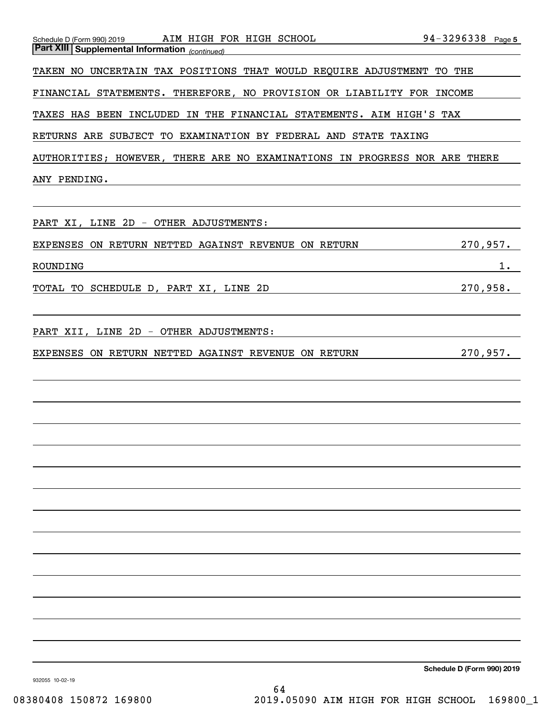| AIM HIGH FOR HIGH SCHOOL<br>Schedule D (Form 990) 2019<br><b>Part XIII Supplemental Information</b> (continued) | $94 - 3296338$ Page 5 |
|-----------------------------------------------------------------------------------------------------------------|-----------------------|
| TAKEN NO UNCERTAIN TAX POSITIONS THAT WOULD REQUIRE ADJUSTMENT TO THE                                           |                       |
| FINANCIAL STATEMENTS. THEREFORE, NO PROVISION OR LIABILITY FOR INCOME                                           |                       |
| TAXES HAS BEEN INCLUDED IN THE FINANCIAL STATEMENTS. AIM HIGH'S TAX                                             |                       |
| RETURNS ARE SUBJECT TO EXAMINATION BY FEDERAL AND STATE TAXING                                                  |                       |
| AUTHORITIES; HOWEVER, THERE ARE NO EXAMINATIONS IN PROGRESS NOR ARE THERE                                       |                       |
| ANY PENDING.                                                                                                    |                       |
|                                                                                                                 |                       |
| PART XI, LINE 2D - OTHER ADJUSTMENTS:                                                                           |                       |
| EXPENSES ON RETURN NETTED AGAINST REVENUE ON RETURN                                                             | 270,957.              |
| ROUNDING                                                                                                        | $1$ .                 |
| TOTAL TO SCHEDULE D, PART XI, LINE 2D                                                                           | 270,958.              |
|                                                                                                                 |                       |
| PART XII, LINE 2D - OTHER ADJUSTMENTS:                                                                          |                       |
| EXPENSES ON RETURN NETTED AGAINST REVENUE ON RETURN                                                             | 270,957.              |
|                                                                                                                 |                       |
|                                                                                                                 |                       |
|                                                                                                                 |                       |
|                                                                                                                 |                       |
|                                                                                                                 |                       |
|                                                                                                                 |                       |
|                                                                                                                 |                       |
|                                                                                                                 |                       |
|                                                                                                                 |                       |
|                                                                                                                 |                       |
|                                                                                                                 |                       |
|                                                                                                                 |                       |
|                                                                                                                 |                       |
|                                                                                                                 |                       |

**Schedule D (Form 990) 2019**

932055 10-02-19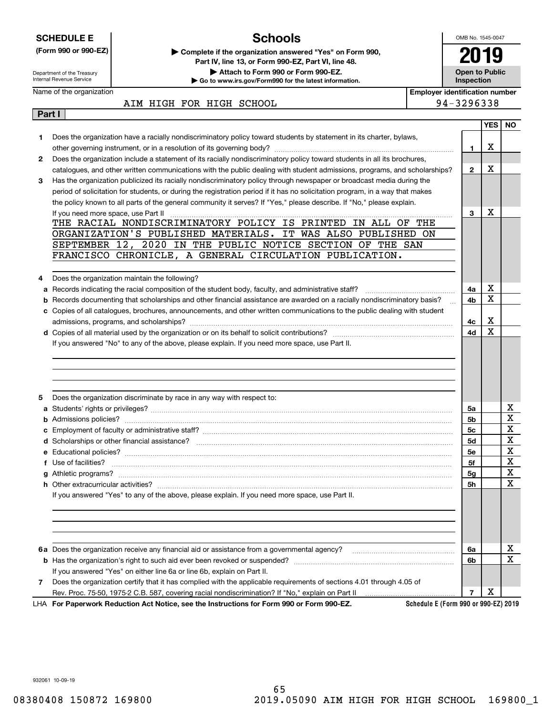| <b>SCHEDULE E</b>                                                              |                                                                                                                           | <b>Schools</b>                                                                                                                |                                       | OMB No. 1545-0047                   |            |                  |
|--------------------------------------------------------------------------------|---------------------------------------------------------------------------------------------------------------------------|-------------------------------------------------------------------------------------------------------------------------------|---------------------------------------|-------------------------------------|------------|------------------|
| (Form 990 or 990-EZ)<br>Department of the Treasury<br>Internal Revenue Service |                                                                                                                           | Complete if the organization answered "Yes" on Form 990,                                                                      |                                       |                                     |            |                  |
|                                                                                |                                                                                                                           | Part IV, line 13, or Form 990-EZ, Part VI, line 48.                                                                           |                                       |                                     |            |                  |
|                                                                                |                                                                                                                           | Attach to Form 990 or Form 990-EZ.<br>Go to www.irs.gov/Form990 for the latest information.                                   |                                       | <b>Open to Public</b><br>Inspection |            |                  |
|                                                                                | Name of the organization                                                                                                  |                                                                                                                               | <b>Employer identification number</b> |                                     |            |                  |
|                                                                                |                                                                                                                           | AIM HIGH FOR HIGH SCHOOL                                                                                                      |                                       | 94-3296338                          |            |                  |
| Part I                                                                         |                                                                                                                           |                                                                                                                               |                                       |                                     |            |                  |
|                                                                                |                                                                                                                           |                                                                                                                               |                                       |                                     | <b>YES</b> | NO.              |
| 1.                                                                             |                                                                                                                           | Does the organization have a racially nondiscriminatory policy toward students by statement in its charter, bylaws,           |                                       | 1                                   | X          |                  |
| $\mathbf{2}$                                                                   |                                                                                                                           | Does the organization include a statement of its racially nondiscriminatory policy toward students in all its brochures,      |                                       |                                     |            |                  |
|                                                                                | catalogues, and other written communications with the public dealing with student admissions, programs, and scholarships? |                                                                                                                               |                                       | $\mathbf{2}$                        | X          |                  |
| 3                                                                              |                                                                                                                           | Has the organization publicized its racially nondiscriminatory policy through newspaper or broadcast media during the         |                                       |                                     |            |                  |
|                                                                                |                                                                                                                           | period of solicitation for students, or during the registration period if it has no solicitation program, in a way that makes |                                       |                                     |            |                  |
|                                                                                |                                                                                                                           | the policy known to all parts of the general community it serves? If "Yes," please describe. If "No," please explain.         |                                       |                                     |            |                  |
|                                                                                | If you need more space, use Part II                                                                                       |                                                                                                                               |                                       | 3                                   | X          |                  |
|                                                                                |                                                                                                                           | THE RACIAL NONDISCRIMINATORY POLICY IS PRINTED IN ALL OF THE                                                                  |                                       |                                     |            |                  |
|                                                                                |                                                                                                                           | ORGANIZATION'S PUBLISHED MATERIALS. IT WAS ALSO PUBLISHED ON<br>SEPTEMBER 12, 2020 IN THE PUBLIC NOTICE SECTION OF THE SAN    |                                       |                                     |            |                  |
|                                                                                |                                                                                                                           | FRANCISCO CHRONICLE, A GENERAL CIRCULATION PUBLICATION.                                                                       |                                       |                                     |            |                  |
|                                                                                |                                                                                                                           |                                                                                                                               |                                       |                                     |            |                  |
| 4                                                                              |                                                                                                                           | Does the organization maintain the following?                                                                                 |                                       |                                     |            |                  |
| а                                                                              |                                                                                                                           |                                                                                                                               |                                       | 4a                                  | х          |                  |
| b                                                                              |                                                                                                                           | Records documenting that scholarships and other financial assistance are awarded on a racially nondiscriminatory basis?       |                                       | 4b                                  | X          |                  |
|                                                                                |                                                                                                                           | c Copies of all catalogues, brochures, announcements, and other written communications to the public dealing with student     |                                       |                                     |            |                  |
|                                                                                |                                                                                                                           |                                                                                                                               |                                       | 4с                                  | X          |                  |
|                                                                                |                                                                                                                           |                                                                                                                               |                                       | 4d                                  | X          |                  |
|                                                                                |                                                                                                                           | If you answered "No" to any of the above, please explain. If you need more space, use Part II.                                |                                       |                                     |            |                  |
|                                                                                |                                                                                                                           |                                                                                                                               |                                       |                                     |            |                  |
| 5                                                                              |                                                                                                                           | Does the organization discriminate by race in any way with respect to:                                                        |                                       |                                     |            |                  |
|                                                                                |                                                                                                                           |                                                                                                                               |                                       | 5a                                  |            | x                |
| b                                                                              |                                                                                                                           |                                                                                                                               |                                       | 5b                                  |            | X<br>$\mathbf X$ |
|                                                                                |                                                                                                                           | <b>c</b> Employment of faculty or administrative staff?                                                                       |                                       | 5c                                  |            | х                |
|                                                                                |                                                                                                                           |                                                                                                                               |                                       | 5d<br>5е                            |            | X                |
|                                                                                | f Use of facilities?                                                                                                      |                                                                                                                               |                                       | 5f                                  |            | X                |
|                                                                                |                                                                                                                           |                                                                                                                               |                                       | 5g                                  |            | X                |
|                                                                                |                                                                                                                           |                                                                                                                               |                                       | 5h                                  |            | Χ                |
|                                                                                |                                                                                                                           | If you answered "Yes" to any of the above, please explain. If you need more space, use Part II.                               |                                       |                                     |            |                  |
|                                                                                |                                                                                                                           |                                                                                                                               |                                       |                                     |            |                  |
|                                                                                |                                                                                                                           |                                                                                                                               |                                       |                                     |            |                  |
|                                                                                |                                                                                                                           |                                                                                                                               |                                       |                                     |            |                  |
|                                                                                |                                                                                                                           |                                                                                                                               |                                       | 6a                                  |            | x                |
|                                                                                |                                                                                                                           |                                                                                                                               |                                       | 6b                                  |            | $\mathbf x$      |
|                                                                                |                                                                                                                           | If you answered "Yes" on either line 6a or line 6b, explain on Part II.                                                       |                                       |                                     |            |                  |
| 7                                                                              |                                                                                                                           | Does the organization certify that it has complied with the applicable requirements of sections 4.01 through 4.05 of          |                                       |                                     |            |                  |
|                                                                                |                                                                                                                           |                                                                                                                               |                                       | 7                                   | X          |                  |

932061 10-09-19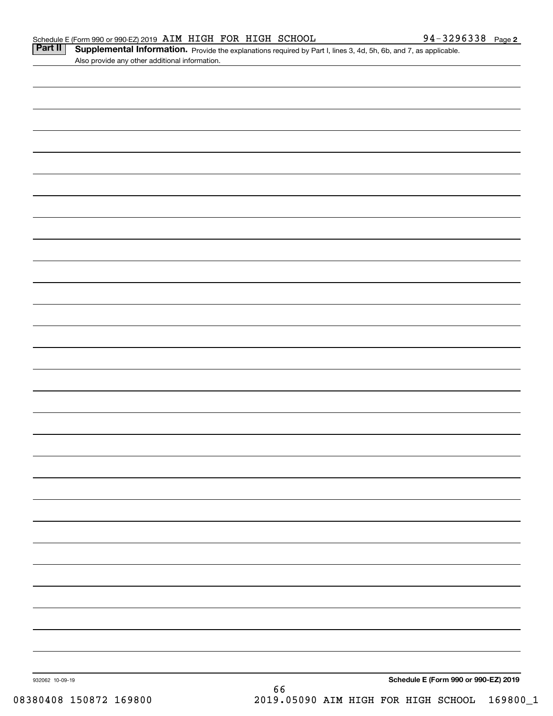Part II | Supplemental Information. Provide the explanations required by Part I, lines 3, 4d, 5h, 6b, and 7, as applicable. Also provide any other additional information.

| 932062 10-09-19 | 66 | Schedule E (Form 990 or 990-EZ) 2019 |
|-----------------|----|--------------------------------------|
|                 |    |                                      |
|                 |    |                                      |
|                 |    |                                      |
|                 |    |                                      |
|                 |    |                                      |
|                 |    |                                      |
|                 |    |                                      |
|                 |    |                                      |
|                 |    |                                      |
|                 |    |                                      |
|                 |    |                                      |
|                 |    |                                      |
|                 |    |                                      |
|                 |    |                                      |
|                 |    |                                      |
|                 |    |                                      |
|                 |    |                                      |
|                 |    |                                      |
|                 |    |                                      |
|                 |    |                                      |
|                 |    |                                      |
|                 |    |                                      |
|                 |    |                                      |
|                 |    |                                      |
|                 |    |                                      |
|                 |    |                                      |
|                 |    |                                      |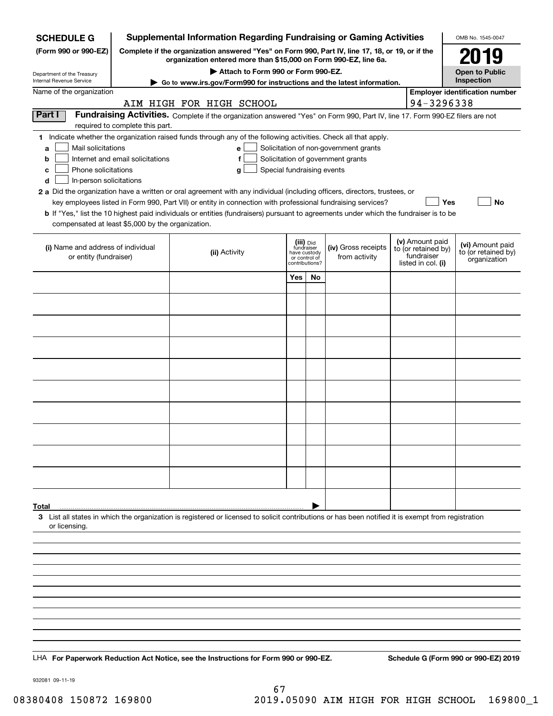| <b>Supplemental Information Regarding Fundraising or Gaming Activities</b><br><b>SCHEDULE G</b> |                                                                                                                                                                     |                                                                                                                                                    |                                         |    |                                       |  |                                        | OMB No. 1545-0047                       |  |
|-------------------------------------------------------------------------------------------------|---------------------------------------------------------------------------------------------------------------------------------------------------------------------|----------------------------------------------------------------------------------------------------------------------------------------------------|-----------------------------------------|----|---------------------------------------|--|----------------------------------------|-----------------------------------------|--|
| (Form 990 or 990-EZ)                                                                            | Complete if the organization answered "Yes" on Form 990, Part IV, line 17, 18, or 19, or if the<br>organization entered more than \$15,000 on Form 990-EZ, line 6a. |                                                                                                                                                    | 2019                                    |    |                                       |  |                                        |                                         |  |
|                                                                                                 | Attach to Form 990 or Form 990-EZ.<br>Department of the Treasury                                                                                                    |                                                                                                                                                    |                                         |    |                                       |  |                                        |                                         |  |
| Internal Revenue Service                                                                        |                                                                                                                                                                     | ► Go to www.irs.gov/Form990 for instructions and the latest information.                                                                           |                                         |    |                                       |  |                                        | Inspection                              |  |
| Name of the organization                                                                        |                                                                                                                                                                     |                                                                                                                                                    |                                         |    |                                       |  |                                        | <b>Employer identification number</b>   |  |
| Part I                                                                                          |                                                                                                                                                                     | AIM HIGH FOR HIGH SCHOOL                                                                                                                           |                                         |    |                                       |  | 94-3296338                             |                                         |  |
|                                                                                                 | required to complete this part.                                                                                                                                     | Fundraising Activities. Complete if the organization answered "Yes" on Form 990, Part IV, line 17. Form 990-EZ filers are not                      |                                         |    |                                       |  |                                        |                                         |  |
|                                                                                                 |                                                                                                                                                                     | 1 Indicate whether the organization raised funds through any of the following activities. Check all that apply.                                    |                                         |    |                                       |  |                                        |                                         |  |
| Mail solicitations<br>a                                                                         |                                                                                                                                                                     | е                                                                                                                                                  |                                         |    | Solicitation of non-government grants |  |                                        |                                         |  |
| b<br>Phone solicitations<br>c                                                                   | Internet and email solicitations                                                                                                                                    | f<br>Special fundraising events<br>g                                                                                                               |                                         |    | Solicitation of government grants     |  |                                        |                                         |  |
| In-person solicitations<br>d                                                                    |                                                                                                                                                                     |                                                                                                                                                    |                                         |    |                                       |  |                                        |                                         |  |
|                                                                                                 |                                                                                                                                                                     | 2 a Did the organization have a written or oral agreement with any individual (including officers, directors, trustees, or                         |                                         |    |                                       |  |                                        |                                         |  |
|                                                                                                 |                                                                                                                                                                     | key employees listed in Form 990, Part VII) or entity in connection with professional fundraising services?                                        |                                         |    |                                       |  | Yes                                    | No                                      |  |
| compensated at least \$5,000 by the organization.                                               |                                                                                                                                                                     | <b>b</b> If "Yes," list the 10 highest paid individuals or entities (fundraisers) pursuant to agreements under which the fundraiser is to be       |                                         |    |                                       |  |                                        |                                         |  |
|                                                                                                 |                                                                                                                                                                     |                                                                                                                                                    |                                         |    |                                       |  |                                        |                                         |  |
| (i) Name and address of individual                                                              |                                                                                                                                                                     | (ii) Activity                                                                                                                                      | (iii) Did<br>fundraiser<br>have custody |    | (iv) Gross receipts                   |  | (v) Amount paid<br>to (or retained by) | (vi) Amount paid<br>to (or retained by) |  |
| or entity (fundraiser)                                                                          |                                                                                                                                                                     |                                                                                                                                                    | or control of<br>contributions?         |    | from activity                         |  | fundraiser<br>listed in col. (i)       | organization                            |  |
|                                                                                                 |                                                                                                                                                                     |                                                                                                                                                    | Yes                                     | No |                                       |  |                                        |                                         |  |
|                                                                                                 |                                                                                                                                                                     |                                                                                                                                                    |                                         |    |                                       |  |                                        |                                         |  |
|                                                                                                 |                                                                                                                                                                     |                                                                                                                                                    |                                         |    |                                       |  |                                        |                                         |  |
|                                                                                                 |                                                                                                                                                                     |                                                                                                                                                    |                                         |    |                                       |  |                                        |                                         |  |
|                                                                                                 |                                                                                                                                                                     |                                                                                                                                                    |                                         |    |                                       |  |                                        |                                         |  |
|                                                                                                 |                                                                                                                                                                     |                                                                                                                                                    |                                         |    |                                       |  |                                        |                                         |  |
|                                                                                                 |                                                                                                                                                                     |                                                                                                                                                    |                                         |    |                                       |  |                                        |                                         |  |
|                                                                                                 |                                                                                                                                                                     |                                                                                                                                                    |                                         |    |                                       |  |                                        |                                         |  |
|                                                                                                 |                                                                                                                                                                     |                                                                                                                                                    |                                         |    |                                       |  |                                        |                                         |  |
|                                                                                                 |                                                                                                                                                                     |                                                                                                                                                    |                                         |    |                                       |  |                                        |                                         |  |
|                                                                                                 |                                                                                                                                                                     |                                                                                                                                                    |                                         |    |                                       |  |                                        |                                         |  |
|                                                                                                 |                                                                                                                                                                     |                                                                                                                                                    |                                         |    |                                       |  |                                        |                                         |  |
|                                                                                                 |                                                                                                                                                                     |                                                                                                                                                    |                                         |    |                                       |  |                                        |                                         |  |
|                                                                                                 |                                                                                                                                                                     |                                                                                                                                                    |                                         |    |                                       |  |                                        |                                         |  |
|                                                                                                 |                                                                                                                                                                     |                                                                                                                                                    |                                         |    |                                       |  |                                        |                                         |  |
| Total                                                                                           |                                                                                                                                                                     |                                                                                                                                                    |                                         |    |                                       |  |                                        |                                         |  |
|                                                                                                 |                                                                                                                                                                     | 3 List all states in which the organization is registered or licensed to solicit contributions or has been notified it is exempt from registration |                                         |    |                                       |  |                                        |                                         |  |
| or licensing.                                                                                   |                                                                                                                                                                     |                                                                                                                                                    |                                         |    |                                       |  |                                        |                                         |  |
|                                                                                                 |                                                                                                                                                                     |                                                                                                                                                    |                                         |    |                                       |  |                                        |                                         |  |
|                                                                                                 |                                                                                                                                                                     |                                                                                                                                                    |                                         |    |                                       |  |                                        |                                         |  |
|                                                                                                 |                                                                                                                                                                     |                                                                                                                                                    |                                         |    |                                       |  |                                        |                                         |  |
|                                                                                                 |                                                                                                                                                                     |                                                                                                                                                    |                                         |    |                                       |  |                                        |                                         |  |
|                                                                                                 |                                                                                                                                                                     |                                                                                                                                                    |                                         |    |                                       |  |                                        |                                         |  |
|                                                                                                 |                                                                                                                                                                     |                                                                                                                                                    |                                         |    |                                       |  |                                        |                                         |  |
|                                                                                                 |                                                                                                                                                                     |                                                                                                                                                    |                                         |    |                                       |  |                                        |                                         |  |
|                                                                                                 |                                                                                                                                                                     |                                                                                                                                                    |                                         |    |                                       |  |                                        |                                         |  |
|                                                                                                 |                                                                                                                                                                     | LHA For Paperwork Reduction Act Notice, see the Instructions for Form 990 or 990-EZ.                                                               |                                         |    |                                       |  |                                        | Schedule G (Form 990 or 990-EZ) 2019    |  |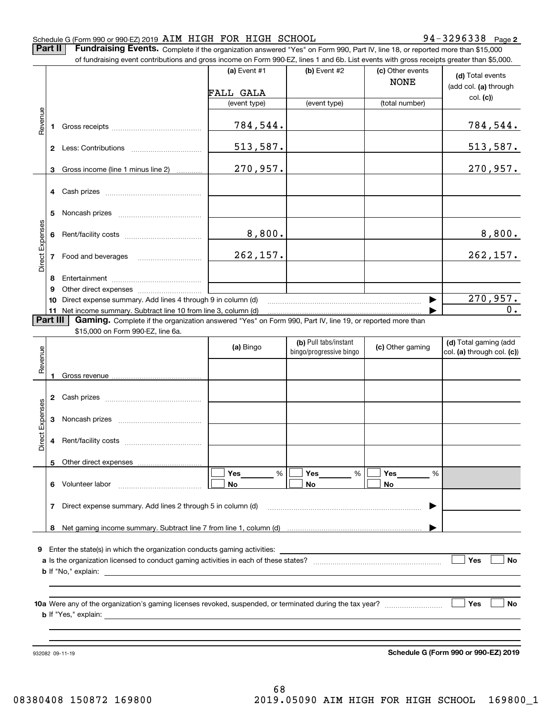#### Schedule G (Form 990 or 990-EZ) 2019 AIM HIGH FOR HIGH SCHOOL 94-3296338 Page

**2**

**Part II** | Fundraising Events. Complete if the organization answered "Yes" on Form 990, Part IV, line 18, or reported more than \$15,000

|                 |                                                                  | 932082 09-11-19                                                                                                                                                             |                                    |                         |                                 | Schedule G (Form 990 or 990-EZ) 2019      |  |  |  |
|-----------------|------------------------------------------------------------------|-----------------------------------------------------------------------------------------------------------------------------------------------------------------------------|------------------------------------|-------------------------|---------------------------------|-------------------------------------------|--|--|--|
|                 |                                                                  |                                                                                                                                                                             |                                    |                         |                                 | Yes<br>No                                 |  |  |  |
| 9               |                                                                  |                                                                                                                                                                             |                                    |                         |                                 | Yes<br>No                                 |  |  |  |
|                 |                                                                  |                                                                                                                                                                             |                                    |                         |                                 |                                           |  |  |  |
|                 | Direct expense summary. Add lines 2 through 5 in column (d)<br>7 |                                                                                                                                                                             |                                    |                         |                                 |                                           |  |  |  |
|                 |                                                                  | 6 Volunteer labor                                                                                                                                                           | %<br>Yes<br>No                     | Yes<br>%<br>No          | Yes<br>%<br>No                  |                                           |  |  |  |
|                 |                                                                  | 5 Other direct expenses                                                                                                                                                     |                                    |                         |                                 |                                           |  |  |  |
| Direct Expenses | 4                                                                |                                                                                                                                                                             |                                    |                         |                                 |                                           |  |  |  |
|                 | 3                                                                |                                                                                                                                                                             |                                    |                         |                                 |                                           |  |  |  |
|                 | 2                                                                |                                                                                                                                                                             |                                    |                         |                                 |                                           |  |  |  |
| Revenue         | 1                                                                |                                                                                                                                                                             |                                    | bingo/progressive bingo |                                 | col. (a) through col. (c))                |  |  |  |
|                 |                                                                  | \$15,000 on Form 990-EZ, line 6a.                                                                                                                                           | (b) Pull tabs/instant<br>(a) Bingo |                         | (c) Other gaming                | (d) Total gaming (add                     |  |  |  |
| Part III        |                                                                  | 11 Net income summary. Subtract line 10 from line 3, column (d)<br>Gaming. Complete if the organization answered "Yes" on Form 990, Part IV, line 19, or reported more than |                                    |                         |                                 |                                           |  |  |  |
|                 | 10                                                               | Direct expense summary. Add lines 4 through 9 in column (d)                                                                                                                 |                                    |                         |                                 | 270,957.<br>0.                            |  |  |  |
|                 | 9                                                                |                                                                                                                                                                             |                                    |                         |                                 |                                           |  |  |  |
|                 | 8                                                                |                                                                                                                                                                             |                                    |                         |                                 |                                           |  |  |  |
| Direct Expenses | 7                                                                | Food and beverages                                                                                                                                                          | 262, 157.                          |                         |                                 | 262, 157.                                 |  |  |  |
|                 | 6                                                                |                                                                                                                                                                             | 8,800.                             |                         |                                 | 8,800.                                    |  |  |  |
|                 | 5                                                                |                                                                                                                                                                             |                                    |                         |                                 |                                           |  |  |  |
|                 | 3<br>4                                                           | Gross income (line 1 minus line 2)                                                                                                                                          |                                    |                         |                                 |                                           |  |  |  |
|                 |                                                                  |                                                                                                                                                                             | 513,587.<br>270,957.               |                         |                                 | <u>513,587.</u><br>270,957.               |  |  |  |
|                 | 1                                                                |                                                                                                                                                                             | 784,544.                           |                         |                                 | <u>784,544.</u>                           |  |  |  |
| Revenue         |                                                                  |                                                                                                                                                                             |                                    |                         |                                 |                                           |  |  |  |
|                 |                                                                  |                                                                                                                                                                             | FALL GALA<br>(event type)          | (event type)            | (total number)                  | col. (c)                                  |  |  |  |
|                 |                                                                  |                                                                                                                                                                             | (a) Event $#1$                     | (b) Event #2            | (c) Other events<br><b>NONE</b> | (d) Total events<br>(add col. (a) through |  |  |  |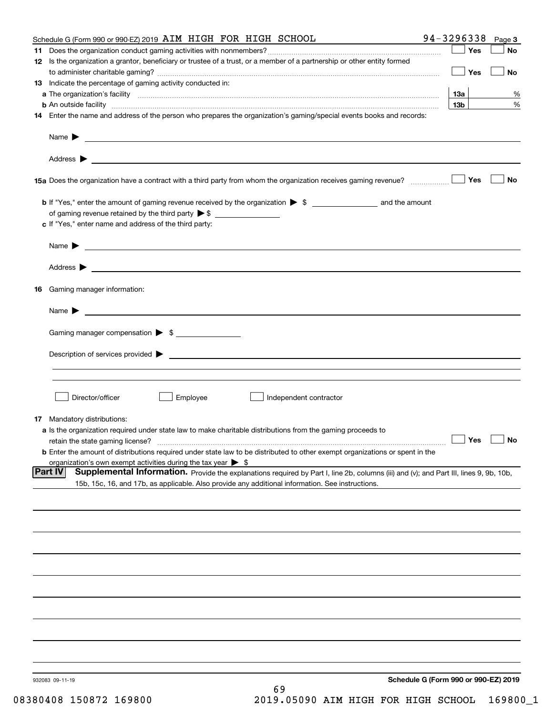| Schedule G (Form 990 or 990-EZ) 2019 AIM HIGH FOR HIGH SCHOOL                                                                                                                                                       | 94-3296338      | Page 3    |
|---------------------------------------------------------------------------------------------------------------------------------------------------------------------------------------------------------------------|-----------------|-----------|
|                                                                                                                                                                                                                     | Yes             | No        |
| 12 Is the organization a grantor, beneficiary or trustee of a trust, or a member of a partnership or other entity formed                                                                                            | Yes             | <b>No</b> |
| 13 Indicate the percentage of gaming activity conducted in:                                                                                                                                                         |                 |           |
|                                                                                                                                                                                                                     | <u>13a</u>      | %         |
| <b>b</b> An outside facility <i>www.communicality www.communicality.communicality www.communicality www.communicality.communicality www.communicality.com</i>                                                       | 13 <sub>b</sub> | %         |
| 14 Enter the name and address of the person who prepares the organization's gaming/special events books and records:                                                                                                |                 |           |
|                                                                                                                                                                                                                     |                 |           |
|                                                                                                                                                                                                                     |                 |           |
| 15a Does the organization have a contract with a third party from whom the organization receives gaming revenue?                                                                                                    | Yes             | No        |
| <b>b</b> If "Yes," enter the amount of gaming revenue received by the organization $\triangleright$ \$ ___________________ and the amount                                                                           |                 |           |
|                                                                                                                                                                                                                     |                 |           |
| c If "Yes," enter name and address of the third party:                                                                                                                                                              |                 |           |
| Name $\blacktriangleright$ $\_\_\_\_\_\_\_\_\_\$                                                                                                                                                                    |                 |           |
|                                                                                                                                                                                                                     |                 |           |
| 16 Gaming manager information:                                                                                                                                                                                      |                 |           |
|                                                                                                                                                                                                                     |                 |           |
| Name $\triangleright$ $\square$                                                                                                                                                                                     |                 |           |
| Gaming manager compensation > \$                                                                                                                                                                                    |                 |           |
|                                                                                                                                                                                                                     |                 |           |
|                                                                                                                                                                                                                     |                 |           |
|                                                                                                                                                                                                                     |                 |           |
| Director/officer<br>Employee<br>Independent contractor                                                                                                                                                              |                 |           |
| 17 Mandatory distributions:                                                                                                                                                                                         |                 |           |
| a Is the organization required under state law to make charitable distributions from the gaming proceeds to                                                                                                         |                 |           |
| $\Box$ Yes $\Box$ No<br>retain the state gaming license?                                                                                                                                                            |                 |           |
| <b>b</b> Enter the amount of distributions required under state law to be distributed to other exempt organizations or spent in the<br>organization's own exempt activities during the tax year $\triangleright$ \$ |                 |           |
| <b>Part IV</b><br>Supplemental Information. Provide the explanations required by Part I, line 2b, columns (iii) and (v); and Part III, lines 9, 9b, 10b,                                                            |                 |           |
| 15b, 15c, 16, and 17b, as applicable. Also provide any additional information. See instructions.                                                                                                                    |                 |           |
|                                                                                                                                                                                                                     |                 |           |
|                                                                                                                                                                                                                     |                 |           |
|                                                                                                                                                                                                                     |                 |           |
|                                                                                                                                                                                                                     |                 |           |
|                                                                                                                                                                                                                     |                 |           |
|                                                                                                                                                                                                                     |                 |           |
|                                                                                                                                                                                                                     |                 |           |
|                                                                                                                                                                                                                     |                 |           |
|                                                                                                                                                                                                                     |                 |           |
|                                                                                                                                                                                                                     |                 |           |
| Schedule G (Form 990 or 990-EZ) 2019<br>932083 09-11-19<br>69                                                                                                                                                       |                 |           |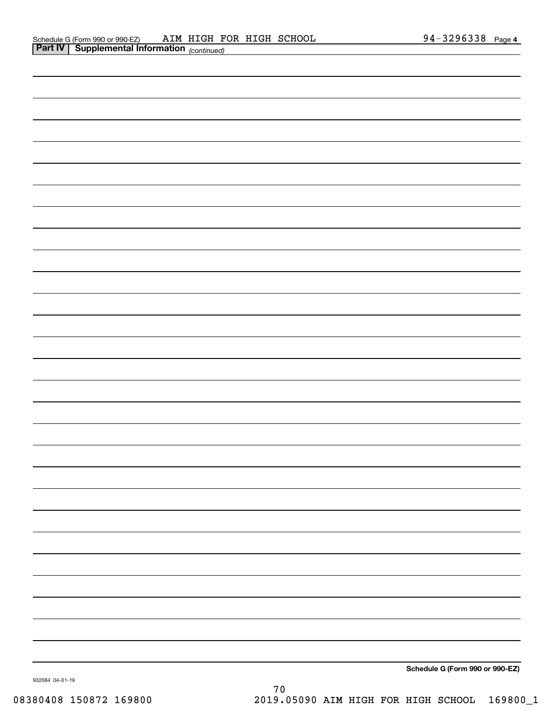| Schedule G (Form 990 or 990-EZ) |
|---------------------------------|

932084 04-01-19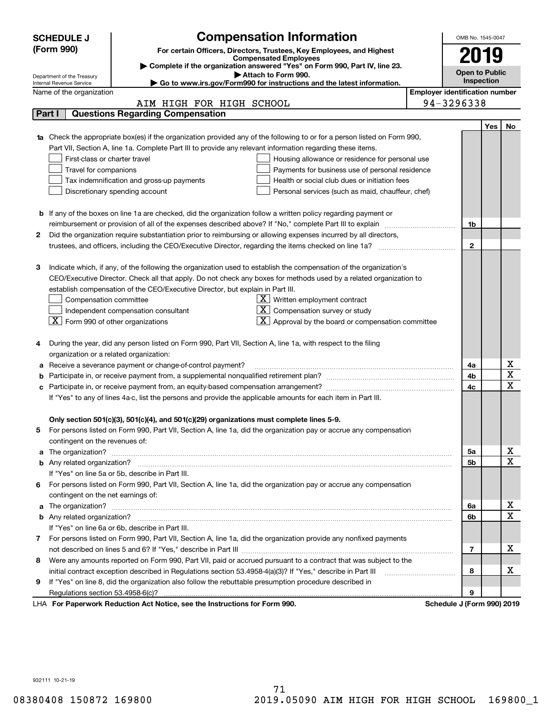| <b>Compensation Information</b><br><b>SCHEDULE J</b> |                                                                                                                                                                                                                                      |      | OMB No. 1545-0047                     |            |                              |  |  |
|------------------------------------------------------|--------------------------------------------------------------------------------------------------------------------------------------------------------------------------------------------------------------------------------------|------|---------------------------------------|------------|------------------------------|--|--|
|                                                      | (Form 990)<br>For certain Officers, Directors, Trustees, Key Employees, and Highest                                                                                                                                                  |      |                                       |            |                              |  |  |
|                                                      | <b>Compensated Employees</b>                                                                                                                                                                                                         | 2019 |                                       |            |                              |  |  |
|                                                      | Complete if the organization answered "Yes" on Form 990, Part IV, line 23.<br>Attach to Form 990.                                                                                                                                    |      | <b>Open to Public</b>                 |            |                              |  |  |
|                                                      | Department of the Treasury<br>Go to www.irs.gov/Form990 for instructions and the latest information.<br>Internal Revenue Service                                                                                                     |      | Inspection                            |            |                              |  |  |
|                                                      | Name of the organization                                                                                                                                                                                                             |      | <b>Employer identification number</b> |            |                              |  |  |
|                                                      | AIM HIGH FOR HIGH SCHOOL                                                                                                                                                                                                             |      | 94-3296338                            |            |                              |  |  |
|                                                      | <b>Questions Regarding Compensation</b><br>Part I                                                                                                                                                                                    |      |                                       |            |                              |  |  |
|                                                      |                                                                                                                                                                                                                                      |      |                                       | <b>Yes</b> | No                           |  |  |
|                                                      | 1a Check the appropriate box(es) if the organization provided any of the following to or for a person listed on Form 990,                                                                                                            |      |                                       |            |                              |  |  |
|                                                      | Part VII, Section A, line 1a. Complete Part III to provide any relevant information regarding these items.                                                                                                                           |      |                                       |            |                              |  |  |
|                                                      | First-class or charter travel<br>Housing allowance or residence for personal use                                                                                                                                                     |      |                                       |            |                              |  |  |
|                                                      | Travel for companions<br>Payments for business use of personal residence                                                                                                                                                             |      |                                       |            |                              |  |  |
|                                                      | Health or social club dues or initiation fees<br>Tax indemnification and gross-up payments                                                                                                                                           |      |                                       |            |                              |  |  |
|                                                      | Discretionary spending account<br>Personal services (such as maid, chauffeur, chef)                                                                                                                                                  |      |                                       |            |                              |  |  |
|                                                      |                                                                                                                                                                                                                                      |      |                                       |            |                              |  |  |
|                                                      | <b>b</b> If any of the boxes on line 1a are checked, did the organization follow a written policy regarding payment or                                                                                                               |      |                                       |            |                              |  |  |
|                                                      |                                                                                                                                                                                                                                      |      | 1b                                    |            |                              |  |  |
| 2                                                    | Did the organization require substantiation prior to reimbursing or allowing expenses incurred by all directors,                                                                                                                     |      |                                       |            |                              |  |  |
|                                                      | trustees, and officers, including the CEO/Executive Director, regarding the items checked on line 1a?                                                                                                                                |      | $\mathbf{2}$                          |            |                              |  |  |
|                                                      |                                                                                                                                                                                                                                      |      |                                       |            |                              |  |  |
| З                                                    | Indicate which, if any, of the following the organization used to establish the compensation of the organization's                                                                                                                   |      |                                       |            |                              |  |  |
|                                                      | CEO/Executive Director. Check all that apply. Do not check any boxes for methods used by a related organization to                                                                                                                   |      |                                       |            |                              |  |  |
|                                                      | establish compensation of the CEO/Executive Director, but explain in Part III.                                                                                                                                                       |      |                                       |            |                              |  |  |
|                                                      | $X$ Written employment contract<br>Compensation committee                                                                                                                                                                            |      |                                       |            |                              |  |  |
|                                                      | $X$ Compensation survey or study<br>Independent compensation consultant                                                                                                                                                              |      |                                       |            |                              |  |  |
|                                                      | $\lfloor$ X $\rfloor$ Form 990 of other organizations<br>$\mathbf{X}$ Approval by the board or compensation committee                                                                                                                |      |                                       |            |                              |  |  |
|                                                      |                                                                                                                                                                                                                                      |      |                                       |            |                              |  |  |
|                                                      | During the year, did any person listed on Form 990, Part VII, Section A, line 1a, with respect to the filing                                                                                                                         |      |                                       |            |                              |  |  |
|                                                      | organization or a related organization:                                                                                                                                                                                              |      |                                       |            |                              |  |  |
| а                                                    | Receive a severance payment or change-of-control payment?                                                                                                                                                                            |      | 4a<br>4b                              |            | х<br>$\overline{\mathbf{x}}$ |  |  |
|                                                      |                                                                                                                                                                                                                                      |      |                                       |            | $\overline{\mathbf{x}}$      |  |  |
| с                                                    |                                                                                                                                                                                                                                      |      |                                       |            |                              |  |  |
|                                                      | If "Yes" to any of lines 4a-c, list the persons and provide the applicable amounts for each item in Part III.                                                                                                                        |      |                                       |            |                              |  |  |
|                                                      |                                                                                                                                                                                                                                      |      |                                       |            |                              |  |  |
|                                                      | Only section 501(c)(3), 501(c)(4), and 501(c)(29) organizations must complete lines 5-9.<br>For persons listed on Form 990, Part VII, Section A, line 1a, did the organization pay or accrue any compensation                        |      |                                       |            |                              |  |  |
|                                                      | contingent on the revenues of:                                                                                                                                                                                                       |      |                                       |            |                              |  |  |
|                                                      | a The organization? <b>Constitution</b> and the organization?                                                                                                                                                                        |      | 5a                                    |            | x                            |  |  |
|                                                      |                                                                                                                                                                                                                                      |      | 5b                                    |            | $\overline{\mathbf{x}}$      |  |  |
|                                                      | If "Yes" on line 5a or 5b, describe in Part III.                                                                                                                                                                                     |      |                                       |            |                              |  |  |
| 6.                                                   | For persons listed on Form 990, Part VII, Section A, line 1a, did the organization pay or accrue any compensation                                                                                                                    |      |                                       |            |                              |  |  |
|                                                      | contingent on the net earnings of:                                                                                                                                                                                                   |      |                                       |            |                              |  |  |
|                                                      | a The organization? <b>Entitled Strategies and Strategies and Strategies and Strategies and Strategies and Strategies and Strategies and Strategies and Strategies and Strategies and Strategies and Strategies and Strategies a</b> |      | 6a                                    |            | x                            |  |  |
|                                                      |                                                                                                                                                                                                                                      |      | 6b                                    |            | $\overline{\mathbf{x}}$      |  |  |
|                                                      | If "Yes" on line 6a or 6b, describe in Part III.                                                                                                                                                                                     |      |                                       |            |                              |  |  |
|                                                      | 7 For persons listed on Form 990, Part VII, Section A, line 1a, did the organization provide any nonfixed payments                                                                                                                   |      |                                       |            |                              |  |  |
|                                                      |                                                                                                                                                                                                                                      |      | $\overline{7}$                        |            | х                            |  |  |
| 8                                                    | Were any amounts reported on Form 990, Part VII, paid or accrued pursuant to a contract that was subject to the                                                                                                                      |      |                                       |            |                              |  |  |
|                                                      | initial contract exception described in Regulations section 53.4958-4(a)(3)? If "Yes," describe in Part III                                                                                                                          |      | 8                                     |            | х                            |  |  |
| 9                                                    | If "Yes" on line 8, did the organization also follow the rebuttable presumption procedure described in                                                                                                                               |      |                                       |            |                              |  |  |
|                                                      |                                                                                                                                                                                                                                      |      | 9                                     |            |                              |  |  |
|                                                      | LHA For Paperwork Reduction Act Notice, see the Instructions for Form 990.                                                                                                                                                           |      | Schedule J (Form 990) 2019            |            |                              |  |  |

932111 10-21-19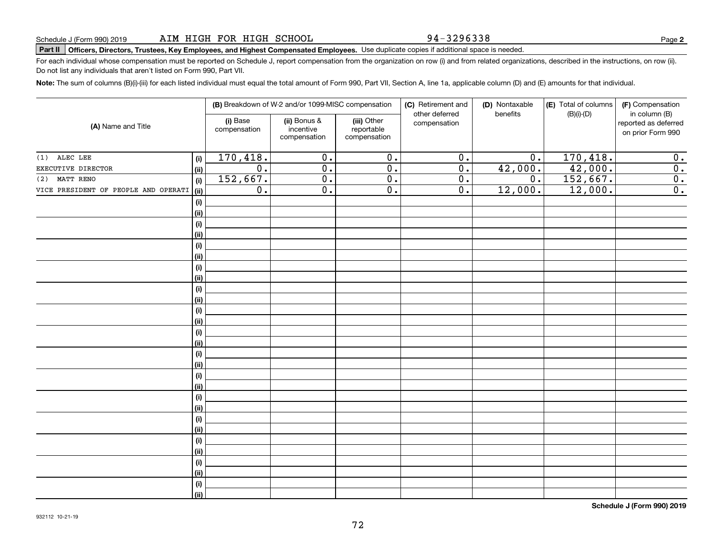94-3296338

**2**

# **Part II Officers, Directors, Trustees, Key Employees, and Highest Compensated Employees.**  Schedule J (Form 990) 2019 Page Use duplicate copies if additional space is needed.

For each individual whose compensation must be reported on Schedule J, report compensation from the organization on row (i) and from related organizations, described in the instructions, on row (ii). Do not list any individuals that aren't listed on Form 990, Part VII.

**Note:**  The sum of columns (B)(i)-(iii) for each listed individual must equal the total amount of Form 990, Part VII, Section A, line 1a, applicable column (D) and (E) amounts for that individual.

|                                      | (B) Breakdown of W-2 and/or 1099-MISC compensation |                          |                                           | (C) Retirement and<br>other deferred      | (D) Nontaxable<br>benefits | (E) Total of columns<br>$(B)(i)-(D)$ | (F) Compensation<br>in column (B) |                                           |
|--------------------------------------|----------------------------------------------------|--------------------------|-------------------------------------------|-------------------------------------------|----------------------------|--------------------------------------|-----------------------------------|-------------------------------------------|
| (A) Name and Title                   |                                                    | (i) Base<br>compensation | (ii) Bonus &<br>incentive<br>compensation | (iii) Other<br>reportable<br>compensation | compensation               |                                      |                                   | reported as deferred<br>on prior Form 990 |
| $(1)$ ALEC LEE                       | (i)                                                | 170,418.                 | $\overline{0}$ .                          | $\overline{0}$ .                          | $\overline{0}$ .           | $\overline{0}$ .                     | 170,418.                          | 0.                                        |
| EXECUTIVE DIRECTOR                   | (ii)                                               | $\overline{0}$ .         | $\overline{0}$ .                          | $\overline{0}$ .                          | $\overline{0}$ .           | 42,000.                              | 42,000.                           | $\overline{0}$ .                          |
| MATT RENO<br>(2)                     | (i)                                                | 152,667.                 | $\overline{0}$ .                          | $\overline{0}$ .                          | $\overline{0}$ .           | $\overline{0}$ .                     | 152,667.                          | $\overline{0}$ .                          |
| VICE PRESIDENT OF PEOPLE AND OPERATI | (ii)                                               | $\overline{0}$ .         | $\overline{0}$ .                          | $\overline{0}$ .                          | $\overline{0}$ .           | 12,000.                              | 12,000.                           | $\overline{0}$ .                          |
|                                      | (i)                                                |                          |                                           |                                           |                            |                                      |                                   |                                           |
|                                      | (ii)                                               |                          |                                           |                                           |                            |                                      |                                   |                                           |
|                                      | (i)                                                |                          |                                           |                                           |                            |                                      |                                   |                                           |
|                                      | (ii)                                               |                          |                                           |                                           |                            |                                      |                                   |                                           |
|                                      | (i)                                                |                          |                                           |                                           |                            |                                      |                                   |                                           |
|                                      | (ii)                                               |                          |                                           |                                           |                            |                                      |                                   |                                           |
|                                      | (i)                                                |                          |                                           |                                           |                            |                                      |                                   |                                           |
|                                      | (ii)                                               |                          |                                           |                                           |                            |                                      |                                   |                                           |
|                                      | (i)                                                |                          |                                           |                                           |                            |                                      |                                   |                                           |
|                                      | (ii)                                               |                          |                                           |                                           |                            |                                      |                                   |                                           |
|                                      | (i)                                                |                          |                                           |                                           |                            |                                      |                                   |                                           |
|                                      | (ii)                                               |                          |                                           |                                           |                            |                                      |                                   |                                           |
|                                      | (i)                                                |                          |                                           |                                           |                            |                                      |                                   |                                           |
|                                      | (ii)                                               |                          |                                           |                                           |                            |                                      |                                   |                                           |
|                                      | (i)                                                |                          |                                           |                                           |                            |                                      |                                   |                                           |
|                                      | (ii)                                               |                          |                                           |                                           |                            |                                      |                                   |                                           |
|                                      | (i)<br>(ii)                                        |                          |                                           |                                           |                            |                                      |                                   |                                           |
|                                      | (i)                                                |                          |                                           |                                           |                            |                                      |                                   |                                           |
|                                      | (ii)                                               |                          |                                           |                                           |                            |                                      |                                   |                                           |
|                                      | (i)                                                |                          |                                           |                                           |                            |                                      |                                   |                                           |
|                                      | (ii)                                               |                          |                                           |                                           |                            |                                      |                                   |                                           |
|                                      | (i)                                                |                          |                                           |                                           |                            |                                      |                                   |                                           |
|                                      | (ii)                                               |                          |                                           |                                           |                            |                                      |                                   |                                           |
|                                      | (i)                                                |                          |                                           |                                           |                            |                                      |                                   |                                           |
|                                      | (ii)                                               |                          |                                           |                                           |                            |                                      |                                   |                                           |
|                                      | (i)                                                |                          |                                           |                                           |                            |                                      |                                   |                                           |
|                                      | (ii)                                               |                          |                                           |                                           |                            |                                      |                                   |                                           |
|                                      |                                                    |                          |                                           |                                           |                            |                                      |                                   |                                           |

**Schedule J (Form 990) 2019**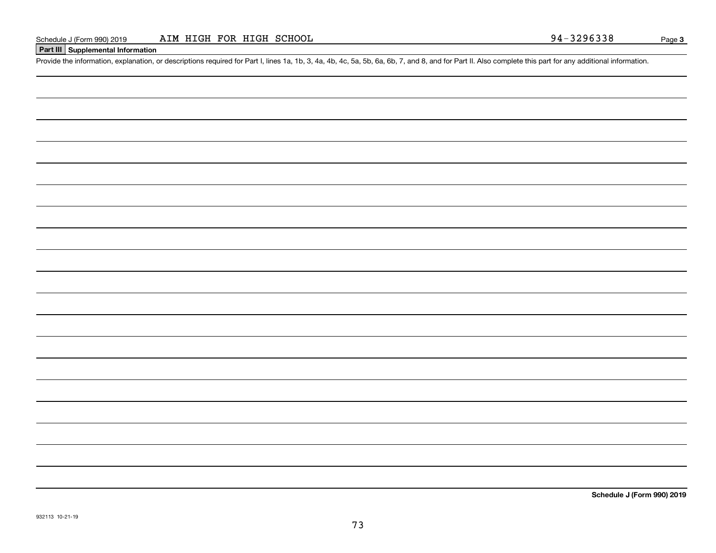#### **Part III Supplemental Information**

Schedule J (Form 990) 2019 AIM HIGH FOR HIGH SCHOOL 94-3296338<br>Part III Supplemental Information<br>Provide the information, explanation, or descriptions required for Part I, lines 1a, 1b, 3, 4a, 4b, 4c, 5a, 5b, 6a, 6b, 7, an

**Schedule J (Form 990) 2019**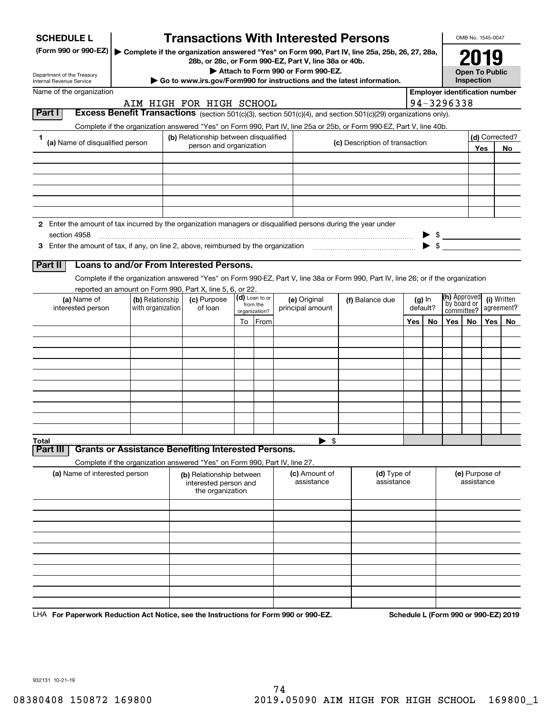| <b>SCHEDULE L</b>                                                                                             |                                                                            |                                                                       |                                                                  |                             |                           | <b>Transactions With Interested Persons</b>                                                                                                            |                              |  |                      |                          |                                       | OMB No. 1545-0047                                        |     |                |
|---------------------------------------------------------------------------------------------------------------|----------------------------------------------------------------------------|-----------------------------------------------------------------------|------------------------------------------------------------------|-----------------------------|---------------------------|--------------------------------------------------------------------------------------------------------------------------------------------------------|------------------------------|--|----------------------|--------------------------|---------------------------------------|----------------------------------------------------------|-----|----------------|
| (Form 990 or 990-EZ)                                                                                          |                                                                            |                                                                       |                                                                  |                             |                           | Complete if the organization answered "Yes" on Form 990, Part IV, line 25a, 25b, 26, 27, 28a,<br>28b, or 28c, or Form 990-EZ, Part V, line 38a or 40b. |                              |  |                      |                          |                                       |                                                          |     |                |
| Department of the Treasury                                                                                    |                                                                            |                                                                       |                                                                  |                             |                           | Attach to Form 990 or Form 990-EZ.<br>Go to www.irs.gov/Form990 for instructions and the latest information.                                           |                              |  |                      |                          |                                       | <b>Open To Public</b><br>Inspection                      |     |                |
| Internal Revenue Service<br>Name of the organization                                                          |                                                                            |                                                                       |                                                                  |                             |                           |                                                                                                                                                        |                              |  |                      |                          | <b>Employer identification number</b> |                                                          |     |                |
|                                                                                                               | AIM HIGH FOR HIGH SCHOOL                                                   |                                                                       |                                                                  |                             |                           |                                                                                                                                                        |                              |  |                      |                          | 94-3296338                            |                                                          |     |                |
| Part I                                                                                                        |                                                                            |                                                                       |                                                                  |                             |                           | Excess Benefit Transactions (section 501(c)(3), section 501(c)(4), and section 501(c)(29) organizations only).                                         |                              |  |                      |                          |                                       |                                                          |     |                |
|                                                                                                               |                                                                            |                                                                       |                                                                  |                             |                           | Complete if the organization answered "Yes" on Form 990, Part IV, line 25a or 25b, or Form 990-EZ, Part V, line 40b.                                   |                              |  |                      |                          |                                       |                                                          |     |                |
| 1<br>(a) Name of disqualified person                                                                          |                                                                            |                                                                       | (b) Relationship between disqualified<br>person and organization |                             |                           | (c) Description of transaction                                                                                                                         |                              |  |                      |                          |                                       |                                                          |     | (d) Corrected? |
|                                                                                                               |                                                                            |                                                                       |                                                                  |                             |                           |                                                                                                                                                        |                              |  |                      |                          |                                       |                                                          | Yes | No.            |
|                                                                                                               |                                                                            |                                                                       |                                                                  |                             |                           |                                                                                                                                                        |                              |  |                      |                          |                                       |                                                          |     |                |
|                                                                                                               |                                                                            |                                                                       |                                                                  |                             |                           |                                                                                                                                                        |                              |  |                      |                          |                                       |                                                          |     |                |
|                                                                                                               |                                                                            |                                                                       |                                                                  |                             |                           |                                                                                                                                                        |                              |  |                      |                          |                                       |                                                          |     |                |
|                                                                                                               |                                                                            |                                                                       |                                                                  |                             |                           |                                                                                                                                                        |                              |  |                      |                          |                                       |                                                          |     |                |
| 2 Enter the amount of tax incurred by the organization managers or disqualified persons during the year under |                                                                            |                                                                       |                                                                  |                             |                           |                                                                                                                                                        |                              |  |                      |                          |                                       |                                                          |     |                |
| section 4958                                                                                                  |                                                                            |                                                                       |                                                                  |                             |                           |                                                                                                                                                        |                              |  |                      |                          | $\triangleright$ \$                   |                                                          |     |                |
|                                                                                                               |                                                                            |                                                                       |                                                                  |                             |                           |                                                                                                                                                        |                              |  |                      | $\blacktriangleright$ \$ |                                       |                                                          |     |                |
| Part II                                                                                                       | Loans to and/or From Interested Persons.                                   |                                                                       |                                                                  |                             |                           |                                                                                                                                                        |                              |  |                      |                          |                                       |                                                          |     |                |
|                                                                                                               |                                                                            |                                                                       |                                                                  |                             |                           | Complete if the organization answered "Yes" on Form 990-EZ, Part V, line 38a or Form 990, Part IV, line 26; or if the organization                     |                              |  |                      |                          |                                       |                                                          |     |                |
|                                                                                                               | reported an amount on Form 990, Part X, line 5, 6, or 22.                  |                                                                       |                                                                  |                             |                           |                                                                                                                                                        |                              |  |                      |                          |                                       |                                                          |     |                |
| (a) Name of<br>(b) Relationship                                                                               |                                                                            | (c) Purpose<br>of loan                                                |                                                                  | (d) Loan to or<br>from the  |                           | (e) Original<br>principal amount                                                                                                                       | (f) Balance due              |  | $(g)$ In<br>default? |                          |                                       | (h) Approved<br>(i) Written<br>by board or<br>agreement? |     |                |
| interested person                                                                                             | with organization                                                          |                                                                       |                                                                  |                             | organization?             |                                                                                                                                                        |                              |  | committee?           |                          |                                       |                                                          |     |                |
|                                                                                                               |                                                                            |                                                                       |                                                                  |                             | To From                   |                                                                                                                                                        |                              |  | Yes                  | No.                      | Yes l                                 | No.                                                      | Yes | No.            |
|                                                                                                               |                                                                            |                                                                       |                                                                  |                             |                           |                                                                                                                                                        |                              |  |                      |                          |                                       |                                                          |     |                |
|                                                                                                               |                                                                            |                                                                       |                                                                  |                             |                           |                                                                                                                                                        |                              |  |                      |                          |                                       |                                                          |     |                |
|                                                                                                               |                                                                            |                                                                       |                                                                  |                             |                           |                                                                                                                                                        |                              |  |                      |                          |                                       |                                                          |     |                |
|                                                                                                               |                                                                            |                                                                       |                                                                  |                             |                           |                                                                                                                                                        |                              |  |                      |                          |                                       |                                                          |     |                |
|                                                                                                               |                                                                            |                                                                       |                                                                  |                             |                           |                                                                                                                                                        |                              |  |                      |                          |                                       |                                                          |     |                |
|                                                                                                               |                                                                            |                                                                       |                                                                  |                             |                           |                                                                                                                                                        |                              |  |                      |                          |                                       |                                                          |     |                |
|                                                                                                               |                                                                            |                                                                       |                                                                  |                             |                           |                                                                                                                                                        |                              |  |                      |                          |                                       |                                                          |     |                |
|                                                                                                               |                                                                            |                                                                       |                                                                  |                             |                           |                                                                                                                                                        |                              |  |                      |                          |                                       |                                                          |     |                |
| Total<br>Part III                                                                                             | <b>Grants or Assistance Benefiting Interested Persons.</b>                 |                                                                       |                                                                  |                             |                           | $\blacktriangleright$ \$                                                                                                                               |                              |  |                      |                          |                                       |                                                          |     |                |
|                                                                                                               | Complete if the organization answered "Yes" on Form 990, Part IV, line 27. |                                                                       |                                                                  |                             |                           |                                                                                                                                                        |                              |  |                      |                          |                                       |                                                          |     |                |
| (a) Name of interested person                                                                                 |                                                                            | (b) Relationship between<br>interested person and<br>the organization |                                                                  | (c) Amount of<br>assistance | (d) Type of<br>assistance |                                                                                                                                                        | (e) Purpose of<br>assistance |  |                      |                          |                                       |                                                          |     |                |
|                                                                                                               |                                                                            |                                                                       |                                                                  |                             |                           |                                                                                                                                                        |                              |  |                      |                          |                                       |                                                          |     |                |
|                                                                                                               |                                                                            |                                                                       |                                                                  |                             |                           |                                                                                                                                                        |                              |  |                      |                          |                                       |                                                          |     |                |
|                                                                                                               |                                                                            |                                                                       |                                                                  |                             |                           |                                                                                                                                                        |                              |  |                      |                          |                                       |                                                          |     |                |
|                                                                                                               |                                                                            |                                                                       |                                                                  |                             |                           |                                                                                                                                                        |                              |  |                      |                          |                                       |                                                          |     |                |
|                                                                                                               |                                                                            |                                                                       |                                                                  |                             |                           |                                                                                                                                                        |                              |  |                      |                          |                                       |                                                          |     |                |
|                                                                                                               |                                                                            |                                                                       |                                                                  |                             |                           |                                                                                                                                                        |                              |  |                      |                          |                                       |                                                          |     |                |
|                                                                                                               |                                                                            |                                                                       |                                                                  |                             |                           |                                                                                                                                                        |                              |  |                      |                          |                                       |                                                          |     |                |
|                                                                                                               |                                                                            |                                                                       |                                                                  |                             |                           |                                                                                                                                                        |                              |  |                      |                          |                                       |                                                          |     |                |
|                                                                                                               |                                                                            |                                                                       |                                                                  |                             |                           |                                                                                                                                                        |                              |  |                      |                          |                                       |                                                          |     |                |

LHA For Paperwork Reduction Act Notice, see the Instructions for Form 990 or 990-EZ. Schedule L (Form 990 or 990-EZ) 2019

932131 10-21-19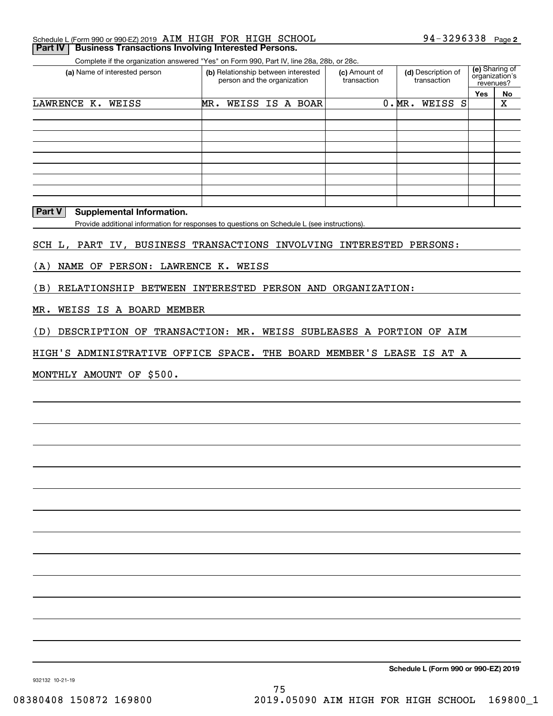| <b>Part IV   Business Transactions Involving Interested Persons.</b> |  |                              |  |
|----------------------------------------------------------------------|--|------------------------------|--|
| Schedule L (Form 990 or 990-EZ) 2019 AIM HIGH FOR HIGH SCHOOL        |  | 94-3296338 <sub>Page 2</sub> |  |

Complete if the organization answered "Yes" on Form 990, Part IV, line 28a, 28b, or 28c.

| (a) Name of interested person | (b) Relationship between interested<br>person and the organization |                 | (c) Amount of<br>transaction | (d) Description of<br>transaction | (e) Sharing of<br>organization's<br>revenues? |    |
|-------------------------------|--------------------------------------------------------------------|-----------------|------------------------------|-----------------------------------|-----------------------------------------------|----|
|                               |                                                                    |                 |                              |                                   | Yes                                           | No |
| LAWRENCE K.<br>WEISS          | MR.                                                                | WEISS IS A BOAR |                              | WEISS S<br>0.MR.                  |                                               | X  |
|                               |                                                                    |                 |                              |                                   |                                               |    |
|                               |                                                                    |                 |                              |                                   |                                               |    |
|                               |                                                                    |                 |                              |                                   |                                               |    |
|                               |                                                                    |                 |                              |                                   |                                               |    |
|                               |                                                                    |                 |                              |                                   |                                               |    |
|                               |                                                                    |                 |                              |                                   |                                               |    |
|                               |                                                                    |                 |                              |                                   |                                               |    |
|                               |                                                                    |                 |                              |                                   |                                               |    |
|                               |                                                                    |                 |                              |                                   |                                               |    |

**Part V** Supplemental Information.

Provide additional information for responses to questions on Schedule L (see instructions).

SCH L, PART IV, BUSINESS TRANSACTIONS INVOLVING INTERESTED PERSONS:

(A) NAME OF PERSON: LAWRENCE K. WEISS

(B) RELATIONSHIP BETWEEN INTERESTED PERSON AND ORGANIZATION:

MR. WEISS IS A BOARD MEMBER

(D) DESCRIPTION OF TRANSACTION: MR. WEISS SUBLEASES A PORTION OF AIM

HIGH'S ADMINISTRATIVE OFFICE SPACE. THE BOARD MEMBER'S LEASE IS AT A

MONTHLY AMOUNT OF \$500.

**Schedule L (Form 990 or 990-EZ) 2019**

932132 10-21-19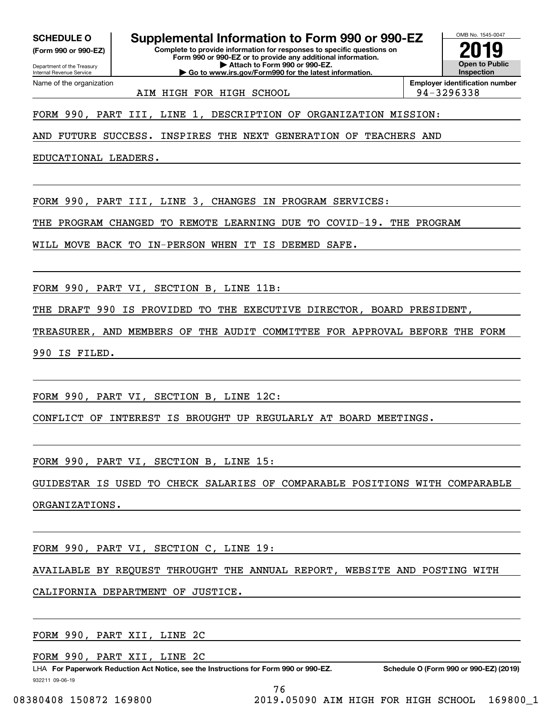**SCHEDULE O Supplemental Information to Form 990 or 990-EZ**

Internal Revenue Service

Department of the Treasury **(Form 990 or 990-EZ)**

Name of the organization

**Complete to provide information for responses to specific questions on Form 990 or 990-EZ or to provide any additional information. | Attach to Form 990 or 990-EZ. | Go to www.irs.gov/Form990 for the latest information.**

OMB No. 1545-0047 **Open to Public InspectionEmployer identification number 2019**

AIM HIGH FOR HIGH SCHOOL 94-3296338

FORM 990, PART III, LINE 1, DESCRIPTION OF ORGANIZATION MISSION:

AND FUTURE SUCCESS. INSPIRES THE NEXT GENERATION OF TEACHERS AND

EDUCATIONAL LEADERS.

FORM 990, PART III, LINE 3, CHANGES IN PROGRAM SERVICES:

THE PROGRAM CHANGED TO REMOTE LEARNING DUE TO COVID-19. THE PROGRAM

WILL MOVE BACK TO IN-PERSON WHEN IT IS DEEMED SAFE.

FORM 990, PART VI, SECTION B, LINE 11B:

THE DRAFT 990 IS PROVIDED TO THE EXECUTIVE DIRECTOR, BOARD PRESIDENT,

TREASURER, AND MEMBERS OF THE AUDIT COMMITTEE FOR APPROVAL BEFORE THE FORM 990 IS FILED.

FORM 990, PART VI, SECTION B, LINE 12C:

CONFLICT OF INTEREST IS BROUGHT UP REGULARLY AT BOARD MEETINGS.

FORM 990, PART VI, SECTION B, LINE 15:

GUIDESTAR IS USED TO CHECK SALARIES OF COMPARABLE POSITIONS WITH COMPARABLE ORGANIZATIONS.

FORM 990, PART VI, SECTION C, LINE 19:

AVAILABLE BY REQUEST THROUGHT THE ANNUAL REPORT, WEBSITE AND POSTING WITH

CALIFORNIA DEPARTMENT OF JUSTICE.

FORM 990, PART XII, LINE 2C

FORM 990, PART XII, LINE 2C

932211 09-06-19 LHA For Paperwork Reduction Act Notice, see the Instructions for Form 990 or 990-EZ. Schedule O (Form 990 or 990-EZ) (2019)

76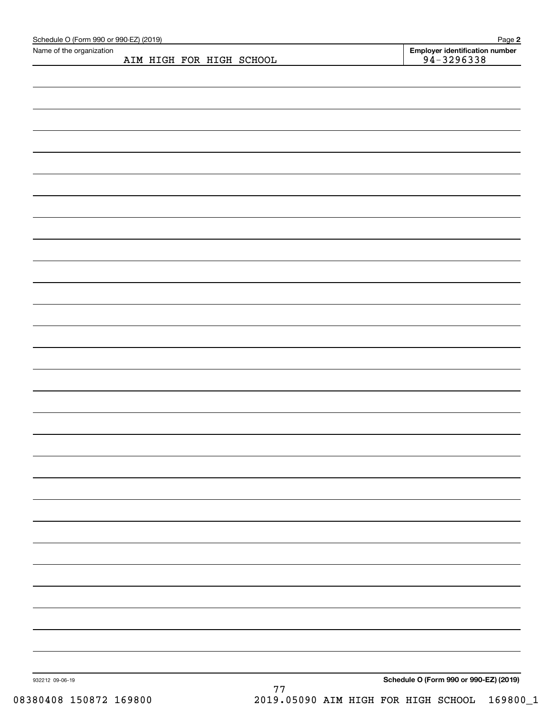| Schedule O (Form 990 or 990-EZ) (2019)<br>Name of the organization |  |                          |  | Page 2                                           |
|--------------------------------------------------------------------|--|--------------------------|--|--------------------------------------------------|
|                                                                    |  | AIM HIGH FOR HIGH SCHOOL |  | Employer identification number<br>$94 - 3296338$ |
|                                                                    |  |                          |  |                                                  |
|                                                                    |  |                          |  |                                                  |
|                                                                    |  |                          |  |                                                  |
|                                                                    |  |                          |  |                                                  |
|                                                                    |  |                          |  |                                                  |
|                                                                    |  |                          |  |                                                  |
|                                                                    |  |                          |  |                                                  |
|                                                                    |  |                          |  |                                                  |
|                                                                    |  |                          |  |                                                  |
|                                                                    |  |                          |  |                                                  |
|                                                                    |  |                          |  |                                                  |
|                                                                    |  |                          |  |                                                  |
|                                                                    |  |                          |  |                                                  |
|                                                                    |  |                          |  |                                                  |
|                                                                    |  |                          |  |                                                  |
|                                                                    |  |                          |  |                                                  |
|                                                                    |  |                          |  |                                                  |
|                                                                    |  |                          |  |                                                  |
|                                                                    |  |                          |  |                                                  |
|                                                                    |  |                          |  |                                                  |
|                                                                    |  |                          |  |                                                  |
|                                                                    |  |                          |  |                                                  |
|                                                                    |  |                          |  |                                                  |
|                                                                    |  |                          |  |                                                  |
|                                                                    |  |                          |  |                                                  |
|                                                                    |  |                          |  |                                                  |
|                                                                    |  |                          |  |                                                  |
|                                                                    |  |                          |  |                                                  |
|                                                                    |  |                          |  |                                                  |
|                                                                    |  |                          |  |                                                  |
|                                                                    |  |                          |  |                                                  |
|                                                                    |  |                          |  |                                                  |
|                                                                    |  |                          |  |                                                  |
|                                                                    |  |                          |  |                                                  |
|                                                                    |  |                          |  |                                                  |
|                                                                    |  |                          |  |                                                  |
|                                                                    |  |                          |  |                                                  |
|                                                                    |  |                          |  |                                                  |
|                                                                    |  |                          |  |                                                  |
|                                                                    |  |                          |  |                                                  |
|                                                                    |  |                          |  |                                                  |
|                                                                    |  |                          |  |                                                  |
|                                                                    |  |                          |  |                                                  |
|                                                                    |  |                          |  |                                                  |
|                                                                    |  |                          |  |                                                  |
|                                                                    |  |                          |  |                                                  |
| 932212 09-06-19                                                    |  | 77                       |  | Schedule O (Form 990 or 990-EZ) (2019)           |